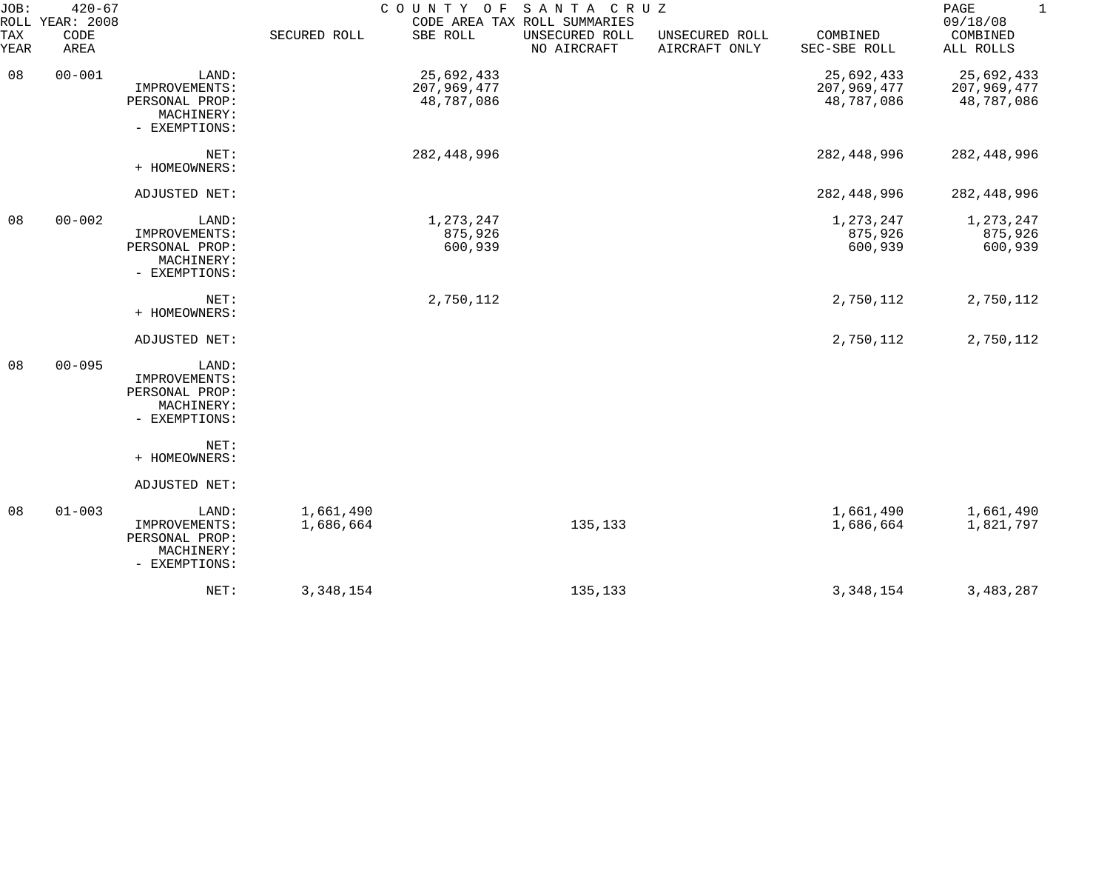| JOB:        | $420 - 67$<br>ROLL YEAR: 2008 |                                                                         |                        | COUNTY OF SANTA CRUZ                    | CODE AREA TAX ROLL SUMMARIES  |                                 |                                         | PAGE<br>$\mathbf{1}$<br>09/18/08        |
|-------------|-------------------------------|-------------------------------------------------------------------------|------------------------|-----------------------------------------|-------------------------------|---------------------------------|-----------------------------------------|-----------------------------------------|
| TAX<br>YEAR | CODE<br>AREA                  |                                                                         | SECURED ROLL           | SBE ROLL                                | UNSECURED ROLL<br>NO AIRCRAFT | UNSECURED ROLL<br>AIRCRAFT ONLY | COMBINED<br>SEC-SBE ROLL                | COMBINED<br>ALL ROLLS                   |
| 08          | $00 - 001$                    | LAND:<br>IMPROVEMENTS:<br>PERSONAL PROP:<br>MACHINERY:<br>- EXEMPTIONS: |                        | 25,692,433<br>207,969,477<br>48,787,086 |                               |                                 | 25,692,433<br>207,969,477<br>48,787,086 | 25,692,433<br>207,969,477<br>48,787,086 |
|             |                               | NET:<br>+ HOMEOWNERS:                                                   |                        | 282,448,996                             |                               |                                 | 282,448,996                             | 282, 448, 996                           |
|             |                               | ADJUSTED NET:                                                           |                        |                                         |                               |                                 | 282,448,996                             | 282,448,996                             |
| 08          | $00 - 002$                    | LAND:<br>IMPROVEMENTS:<br>PERSONAL PROP:<br>MACHINERY:<br>- EXEMPTIONS: |                        | 1,273,247<br>875,926<br>600,939         |                               |                                 | 1,273,247<br>875,926<br>600,939         | 1,273,247<br>875,926<br>600,939         |
|             |                               | NET:<br>+ HOMEOWNERS:                                                   |                        | 2,750,112                               |                               |                                 | 2,750,112                               | 2,750,112                               |
|             |                               | ADJUSTED NET:                                                           |                        |                                         |                               |                                 | 2,750,112                               | 2,750,112                               |
| 08          | $00 - 095$                    | LAND:<br>IMPROVEMENTS:<br>PERSONAL PROP:<br>MACHINERY:<br>- EXEMPTIONS: |                        |                                         |                               |                                 |                                         |                                         |
|             |                               | NET:<br>+ HOMEOWNERS:                                                   |                        |                                         |                               |                                 |                                         |                                         |
|             |                               | ADJUSTED NET:                                                           |                        |                                         |                               |                                 |                                         |                                         |
| 08          | $01 - 003$                    | LAND:<br>IMPROVEMENTS:<br>PERSONAL PROP:<br>MACHINERY:<br>- EXEMPTIONS: | 1,661,490<br>1,686,664 |                                         | 135,133                       |                                 | 1,661,490<br>1,686,664                  | 1,661,490<br>1,821,797                  |
|             |                               | NET:                                                                    | 3,348,154              |                                         | 135,133                       |                                 | 3, 348, 154                             | 3,483,287                               |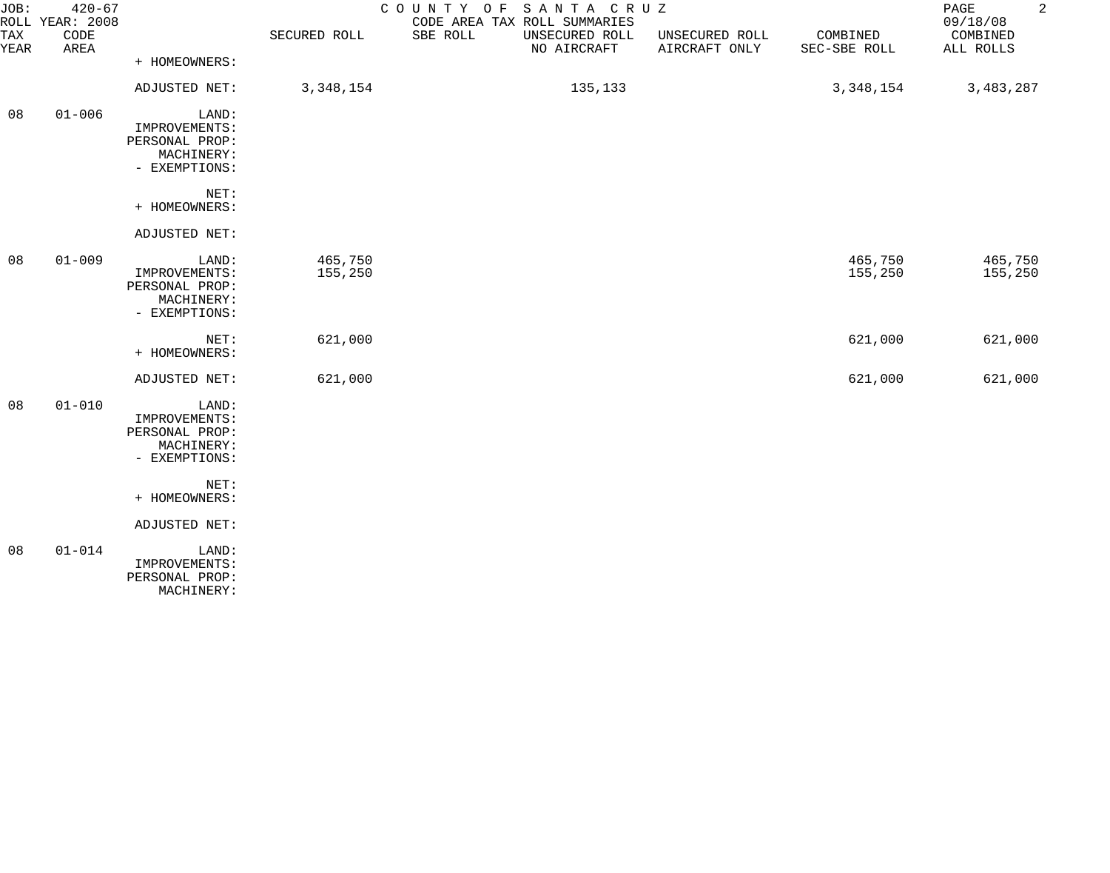| JOB:<br><b>TAX</b><br>YEAR | $420 - 67$<br>ROLL YEAR: 2008<br>CODE<br>AREA |                                                                         | SECURED ROLL       | COUNTY OF<br>SANTA CRUZ<br>CODE AREA TAX ROLL SUMMARIES<br>SBE ROLL<br>UNSECURED ROLL<br>NO AIRCRAFT | UNSECURED ROLL<br>AIRCRAFT ONLY | COMBINED<br>SEC-SBE ROLL | $\overline{a}$<br>PAGE<br>09/18/08<br>COMBINED<br>ALL ROLLS |
|----------------------------|-----------------------------------------------|-------------------------------------------------------------------------|--------------------|------------------------------------------------------------------------------------------------------|---------------------------------|--------------------------|-------------------------------------------------------------|
|                            |                                               | + HOMEOWNERS:<br>ADJUSTED NET:                                          | 3,348,154          | 135,133                                                                                              |                                 | 3,348,154                | 3,483,287                                                   |
|                            |                                               |                                                                         |                    |                                                                                                      |                                 |                          |                                                             |
| 08                         | $01 - 006$                                    | LAND:<br>IMPROVEMENTS:<br>PERSONAL PROP:<br>MACHINERY:<br>- EXEMPTIONS: |                    |                                                                                                      |                                 |                          |                                                             |
|                            |                                               | NET:<br>+ HOMEOWNERS:                                                   |                    |                                                                                                      |                                 |                          |                                                             |
|                            |                                               | ADJUSTED NET:                                                           |                    |                                                                                                      |                                 |                          |                                                             |
| 08                         | $01 - 009$                                    | LAND:<br>IMPROVEMENTS:<br>PERSONAL PROP:<br>MACHINERY:<br>- EXEMPTIONS: | 465,750<br>155,250 |                                                                                                      |                                 | 465,750<br>155,250       | 465,750<br>155,250                                          |
|                            |                                               | NET:<br>+ HOMEOWNERS:                                                   | 621,000            |                                                                                                      |                                 | 621,000                  | 621,000                                                     |
|                            |                                               | ADJUSTED NET:                                                           | 621,000            |                                                                                                      |                                 | 621,000                  | 621,000                                                     |
| 08                         | $01 - 010$                                    | LAND:<br>IMPROVEMENTS:<br>PERSONAL PROP:<br>MACHINERY:<br>- EXEMPTIONS: |                    |                                                                                                      |                                 |                          |                                                             |
|                            |                                               | NET:<br>+ HOMEOWNERS:                                                   |                    |                                                                                                      |                                 |                          |                                                             |
|                            |                                               | ADJUSTED NET:                                                           |                    |                                                                                                      |                                 |                          |                                                             |
| 08                         | $01 - 014$                                    | LAND:<br>IMPROVEMENTS:<br>PERSONAL PROP:<br>MACHINERY:                  |                    |                                                                                                      |                                 |                          |                                                             |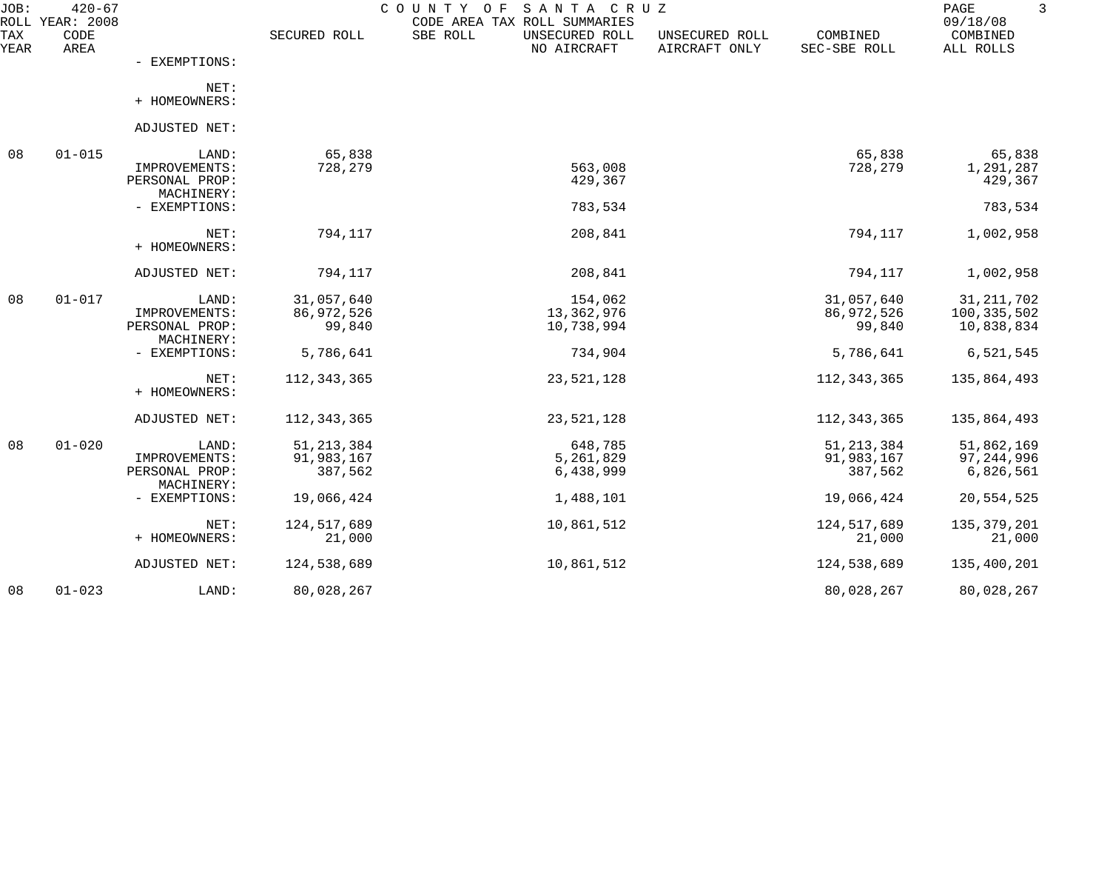| JOB:        | $420 - 67$<br>ROLL YEAR: 2008 |                                 |               | SANTA CRUZ<br>COUNTY OF<br>CODE AREA TAX ROLL SUMMARIES |                                 |                          | 3<br>PAGE<br>09/18/08 |
|-------------|-------------------------------|---------------------------------|---------------|---------------------------------------------------------|---------------------------------|--------------------------|-----------------------|
| TAX<br>YEAR | CODE<br>AREA                  |                                 | SECURED ROLL  | SBE ROLL<br>UNSECURED ROLL<br>NO AIRCRAFT               | UNSECURED ROLL<br>AIRCRAFT ONLY | COMBINED<br>SEC-SBE ROLL | COMBINED<br>ALL ROLLS |
|             |                               | - EXEMPTIONS:                   |               |                                                         |                                 |                          |                       |
|             |                               | NET:<br>+ HOMEOWNERS:           |               |                                                         |                                 |                          |                       |
|             |                               |                                 |               |                                                         |                                 |                          |                       |
|             |                               | ADJUSTED NET:                   |               |                                                         |                                 |                          |                       |
| 08          | $01 - 015$                    | LAND:                           | 65,838        |                                                         |                                 | 65,838                   | 65,838                |
|             |                               | IMPROVEMENTS:<br>PERSONAL PROP: | 728,279       | 563,008<br>429,367                                      |                                 | 728,279                  | 1,291,287<br>429,367  |
|             |                               | MACHINERY:                      |               |                                                         |                                 |                          |                       |
|             |                               | - EXEMPTIONS:                   |               | 783,534                                                 |                                 |                          | 783,534               |
|             |                               | NET:                            | 794,117       | 208,841                                                 |                                 | 794,117                  | 1,002,958             |
|             |                               | + HOMEOWNERS:                   |               |                                                         |                                 |                          |                       |
|             |                               | ADJUSTED NET:                   | 794,117       | 208,841                                                 |                                 | 794,117                  | 1,002,958             |
| 08          | $01 - 017$                    | LAND:                           | 31,057,640    | 154,062                                                 |                                 | 31,057,640               | 31, 211, 702          |
|             |                               | IMPROVEMENTS:                   | 86,972,526    | 13,362,976                                              |                                 | 86,972,526               | 100,335,502           |
|             |                               | PERSONAL PROP:                  | 99,840        | 10,738,994                                              |                                 | 99,840                   | 10,838,834            |
|             |                               | MACHINERY:<br>- EXEMPTIONS:     | 5,786,641     | 734,904                                                 |                                 | 5,786,641                | 6,521,545             |
|             |                               |                                 |               |                                                         |                                 |                          |                       |
|             |                               | $NET$ :                         | 112, 343, 365 | 23,521,128                                              |                                 | 112, 343, 365            | 135,864,493           |
|             |                               | + HOMEOWNERS:                   |               |                                                         |                                 |                          |                       |
|             |                               | ADJUSTED NET:                   | 112, 343, 365 | 23,521,128                                              |                                 | 112, 343, 365            | 135,864,493           |
| 08          | $01 - 020$                    | LAND:                           | 51, 213, 384  | 648,785                                                 |                                 | 51, 213, 384             | 51,862,169            |
|             |                               | IMPROVEMENTS:                   | 91,983,167    | 5,261,829                                               |                                 | 91,983,167               | 97,244,996            |
|             |                               | PERSONAL PROP:                  | 387,562       | 6,438,999                                               |                                 | 387,562                  | 6,826,561             |
|             |                               | MACHINERY:                      |               |                                                         |                                 |                          |                       |
|             |                               | - EXEMPTIONS:                   | 19,066,424    | 1,488,101                                               |                                 | 19,066,424               | 20,554,525            |
|             |                               | NET:                            | 124,517,689   | 10,861,512                                              |                                 | 124, 517, 689            | 135, 379, 201         |
|             |                               | + HOMEOWNERS:                   | 21,000        |                                                         |                                 | 21,000                   | 21,000                |
|             |                               | ADJUSTED NET:                   | 124,538,689   | 10,861,512                                              |                                 | 124,538,689              | 135,400,201           |
| 08          | $01 - 023$                    | LAND:                           | 80,028,267    |                                                         |                                 | 80,028,267               | 80,028,267            |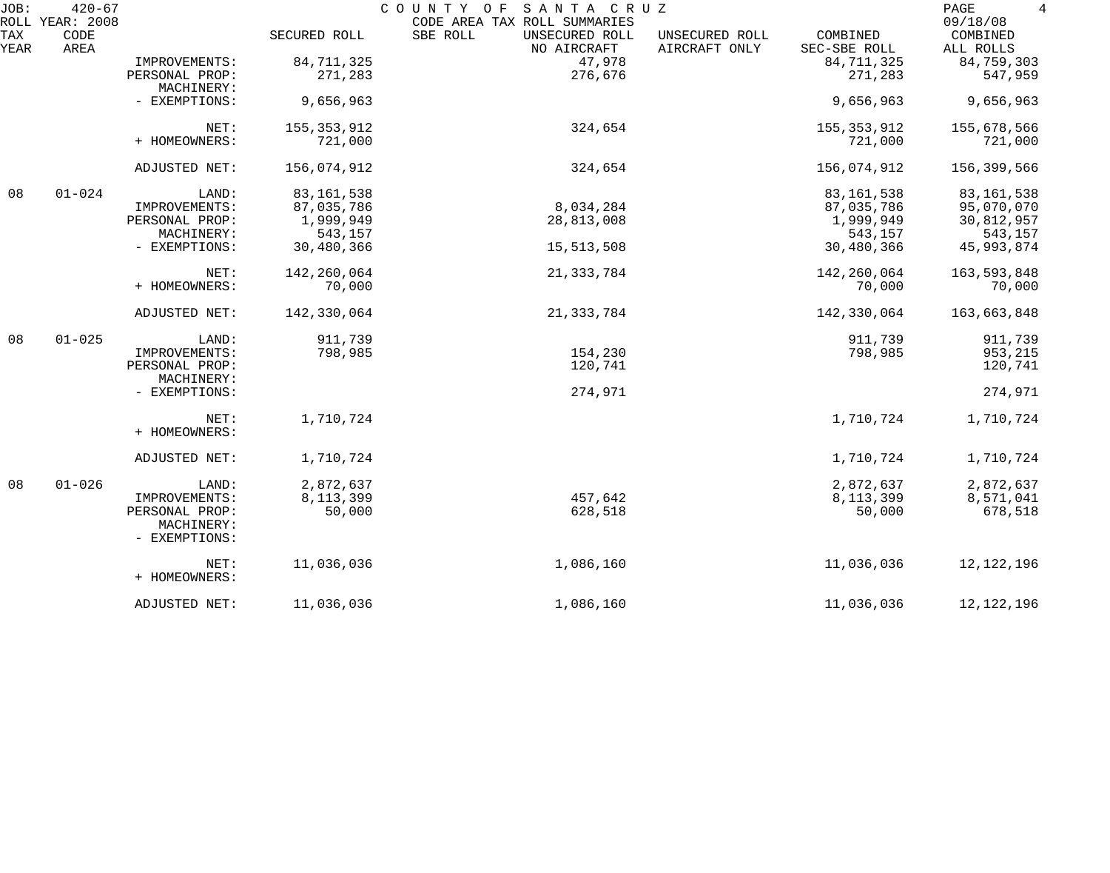| JOB:        | $420 - 67$                      |                             |               | COUNTY OF<br>SANTA CRUZ                                                   |                                 |                          | PAGE<br>4                         |
|-------------|---------------------------------|-----------------------------|---------------|---------------------------------------------------------------------------|---------------------------------|--------------------------|-----------------------------------|
| TAX<br>YEAR | ROLL YEAR: 2008<br>CODE<br>AREA |                             | SECURED ROLL  | CODE AREA TAX ROLL SUMMARIES<br>SBE ROLL<br>UNSECURED ROLL<br>NO AIRCRAFT | UNSECURED ROLL<br>AIRCRAFT ONLY | COMBINED<br>SEC-SBE ROLL | 09/18/08<br>COMBINED<br>ALL ROLLS |
|             |                                 | IMPROVEMENTS:               | 84, 711, 325  | 47,978                                                                    |                                 | 84, 711, 325             | 84,759,303                        |
|             |                                 | PERSONAL PROP:              | 271,283       | 276,676                                                                   |                                 | 271,283                  | 547,959                           |
|             |                                 | MACHINERY:                  |               |                                                                           |                                 |                          |                                   |
|             |                                 | - EXEMPTIONS:               | 9,656,963     |                                                                           |                                 | 9,656,963                | 9,656,963                         |
|             |                                 | NET:                        | 155, 353, 912 | 324,654                                                                   |                                 | 155, 353, 912            | 155,678,566                       |
|             |                                 | + HOMEOWNERS:               | 721,000       |                                                                           |                                 | 721,000                  | 721,000                           |
|             |                                 | ADJUSTED NET:               | 156,074,912   | 324,654                                                                   |                                 | 156,074,912              | 156,399,566                       |
| 08          | $01 - 024$                      | LAND:                       | 83, 161, 538  |                                                                           |                                 | 83, 161, 538             | 83, 161, 538                      |
|             |                                 | IMPROVEMENTS:               | 87,035,786    | 8,034,284                                                                 |                                 | 87,035,786               | 95,070,070                        |
|             |                                 | PERSONAL PROP:              | 1,999,949     | 28,813,008                                                                |                                 | 1,999,949                | 30,812,957                        |
|             |                                 | MACHINERY:                  | 543,157       |                                                                           |                                 | 543,157                  | 543,157                           |
|             |                                 | - EXEMPTIONS:               | 30,480,366    | 15,513,508                                                                |                                 | 30,480,366               | 45, 993, 874                      |
|             |                                 | NET:                        | 142,260,064   | 21, 333, 784                                                              |                                 | 142,260,064              | 163,593,848                       |
|             |                                 | + HOMEOWNERS:               | 70,000        |                                                                           |                                 | 70,000                   | 70,000                            |
|             |                                 | ADJUSTED NET:               | 142,330,064   | 21, 333, 784                                                              |                                 | 142,330,064              | 163,663,848                       |
| 08          | $01 - 025$                      | LAND:                       | 911,739       |                                                                           |                                 | 911,739                  | 911,739                           |
|             |                                 | IMPROVEMENTS:               | 798,985       | 154,230                                                                   |                                 | 798,985                  | 953,215                           |
|             |                                 | PERSONAL PROP:              |               | 120,741                                                                   |                                 |                          | 120,741                           |
|             |                                 | MACHINERY:                  |               |                                                                           |                                 |                          |                                   |
|             |                                 | - EXEMPTIONS:               |               | 274,971                                                                   |                                 |                          | 274,971                           |
|             |                                 | NET:                        | 1,710,724     |                                                                           |                                 | 1,710,724                | 1,710,724                         |
|             |                                 | + HOMEOWNERS:               |               |                                                                           |                                 |                          |                                   |
|             |                                 | ADJUSTED NET:               | 1,710,724     |                                                                           |                                 | 1,710,724                | 1,710,724                         |
| 08          | $01 - 026$                      | LAND:                       | 2,872,637     |                                                                           |                                 | 2,872,637                | 2,872,637                         |
|             |                                 | IMPROVEMENTS:               | 8, 113, 399   | 457,642                                                                   |                                 | 8,113,399                | 8,571,041                         |
|             |                                 | PERSONAL PROP:              | 50,000        | 628,518                                                                   |                                 | 50,000                   | 678,518                           |
|             |                                 | MACHINERY:<br>- EXEMPTIONS: |               |                                                                           |                                 |                          |                                   |
|             |                                 | NET:                        | 11,036,036    | 1,086,160                                                                 |                                 | 11,036,036               | 12, 122, 196                      |
|             |                                 | + HOMEOWNERS:               |               |                                                                           |                                 |                          |                                   |
|             |                                 | ADJUSTED NET:               | 11,036,036    | 1,086,160                                                                 |                                 | 11,036,036               | 12, 122, 196                      |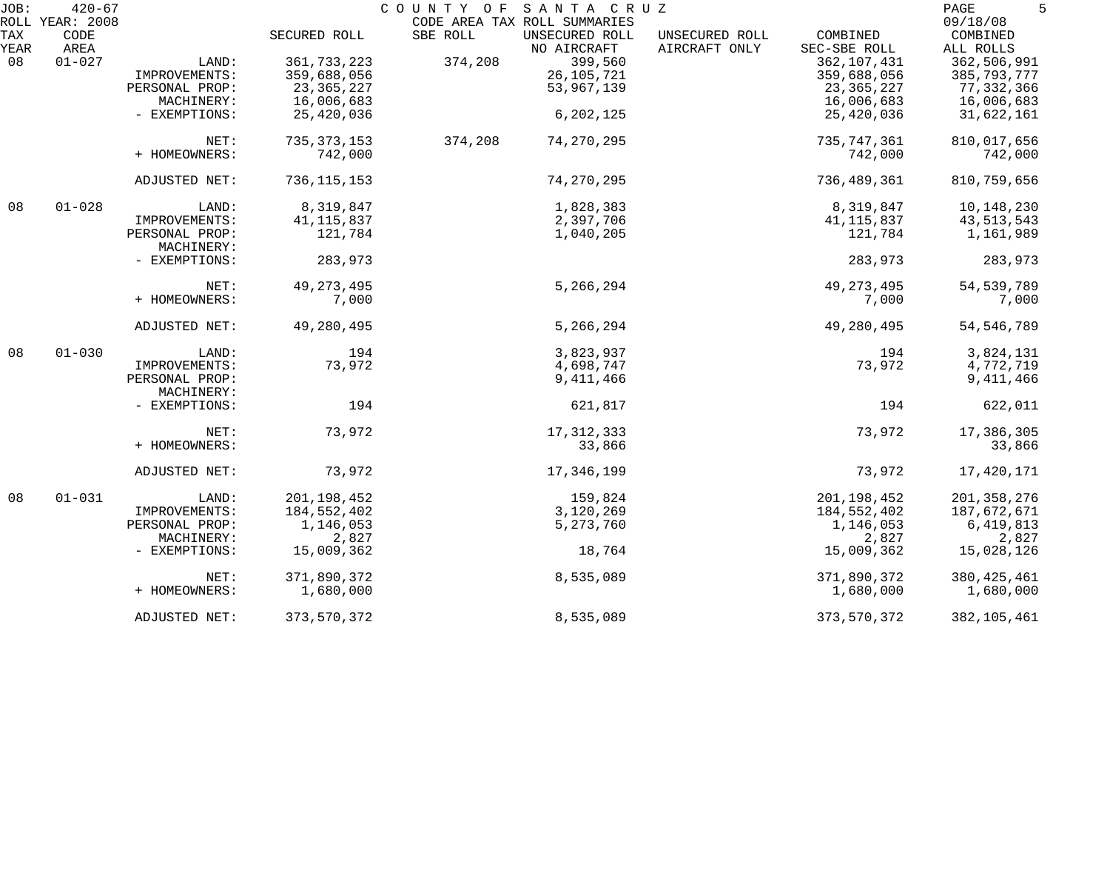| JOB:               | $420 - 67$                      |                              |               | COUNTY OF SANTA CRUZ                                                      |                                 |                          | 5<br>PAGE                         |
|--------------------|---------------------------------|------------------------------|---------------|---------------------------------------------------------------------------|---------------------------------|--------------------------|-----------------------------------|
| <b>TAX</b><br>YEAR | ROLL YEAR: 2008<br>CODE<br>AREA |                              | SECURED ROLL  | CODE AREA TAX ROLL SUMMARIES<br>SBE ROLL<br>UNSECURED ROLL<br>NO AIRCRAFT | UNSECURED ROLL<br>AIRCRAFT ONLY | COMBINED<br>SEC-SBE ROLL | 09/18/08<br>COMBINED<br>ALL ROLLS |
| 08                 | $01 - 027$                      | LAND:                        | 361,733,223   | 399,560<br>374,208                                                        |                                 | 362,107,431              | 362,506,991                       |
|                    |                                 | IMPROVEMENTS:                | 359,688,056   | 26, 105, 721                                                              |                                 | 359,688,056              | 385,793,777                       |
|                    |                                 | PERSONAL PROP:               | 23, 365, 227  | 53,967,139                                                                |                                 | 23, 365, 227             | 77,332,366                        |
|                    |                                 | MACHINERY:                   | 16,006,683    |                                                                           |                                 | 16,006,683               | 16,006,683                        |
|                    |                                 | - EXEMPTIONS:                | 25,420,036    | 6,202,125                                                                 |                                 | 25,420,036               | 31,622,161                        |
|                    |                                 | NET:                         | 735, 373, 153 | 374,208<br>74, 270, 295                                                   |                                 | 735,747,361              | 810,017,656                       |
|                    |                                 | + HOMEOWNERS:                | 742,000       |                                                                           |                                 | 742,000                  | 742,000                           |
|                    |                                 | ADJUSTED NET:                | 736, 115, 153 | 74, 270, 295                                                              |                                 | 736,489,361              | 810,759,656                       |
| 08                 | $01 - 028$                      | LAND:                        | 8,319,847     | 1,828,383                                                                 |                                 | 8,319,847                | 10,148,230                        |
|                    |                                 | IMPROVEMENTS:                | 41, 115, 837  | 2,397,706                                                                 |                                 | 41,115,837               | 43,513,543                        |
|                    |                                 | PERSONAL PROP:               | 121,784       | 1,040,205                                                                 |                                 | 121,784                  | 1,161,989                         |
|                    |                                 | MACHINERY:                   |               |                                                                           |                                 |                          |                                   |
|                    |                                 | - EXEMPTIONS:                | 283,973       |                                                                           |                                 | 283,973                  | 283,973                           |
|                    |                                 | NET:                         | 49, 273, 495  | 5,266,294                                                                 |                                 | 49, 273, 495             | 54, 539, 789                      |
|                    |                                 | + HOMEOWNERS:                | 7,000         |                                                                           |                                 | 7,000                    | 7,000                             |
|                    |                                 | ADJUSTED NET:                | 49,280,495    | 5,266,294                                                                 |                                 | 49,280,495               | 54, 546, 789                      |
| 08                 | $01 - 030$                      | LAND:                        | 194           | 3,823,937                                                                 |                                 | 194                      | 3,824,131                         |
|                    |                                 | IMPROVEMENTS:                | 73,972        | 4,698,747                                                                 |                                 | 73,972                   | 4,772,719                         |
|                    |                                 | PERSONAL PROP:<br>MACHINERY: |               | 9,411,466                                                                 |                                 |                          | 9,411,466                         |
|                    |                                 | - EXEMPTIONS:                | 194           | 621,817                                                                   |                                 | 194                      | 622,011                           |
|                    |                                 | NET:                         | 73,972        | 17, 312, 333                                                              |                                 | 73,972                   | 17,386,305                        |
|                    |                                 | + HOMEOWNERS:                |               | 33,866                                                                    |                                 |                          | 33,866                            |
|                    |                                 | ADJUSTED NET:                | 73,972        | 17,346,199                                                                |                                 | 73,972                   | 17,420,171                        |
| 08                 | $01 - 031$                      | LAND:                        | 201, 198, 452 | 159,824                                                                   |                                 | 201, 198, 452            | 201, 358, 276                     |
|                    |                                 | IMPROVEMENTS:                | 184,552,402   | 3,120,269                                                                 |                                 | 184,552,402              | 187,672,671                       |
|                    |                                 | PERSONAL PROP:               | 1,146,053     | 5, 273, 760                                                               |                                 | 1,146,053                | 6,419,813                         |
|                    |                                 | MACHINERY:                   | 2,827         |                                                                           |                                 | 2,827                    | 2,827                             |
|                    |                                 | - EXEMPTIONS:                | 15,009,362    | 18,764                                                                    |                                 | 15,009,362               | 15,028,126                        |
|                    |                                 | NET:                         | 371,890,372   | 8,535,089                                                                 |                                 | 371,890,372              | 380, 425, 461                     |
|                    |                                 | + HOMEOWNERS:                | 1,680,000     |                                                                           |                                 | 1,680,000                | 1,680,000                         |
|                    |                                 | ADJUSTED NET:                | 373, 570, 372 | 8,535,089                                                                 |                                 | 373,570,372              | 382, 105, 461                     |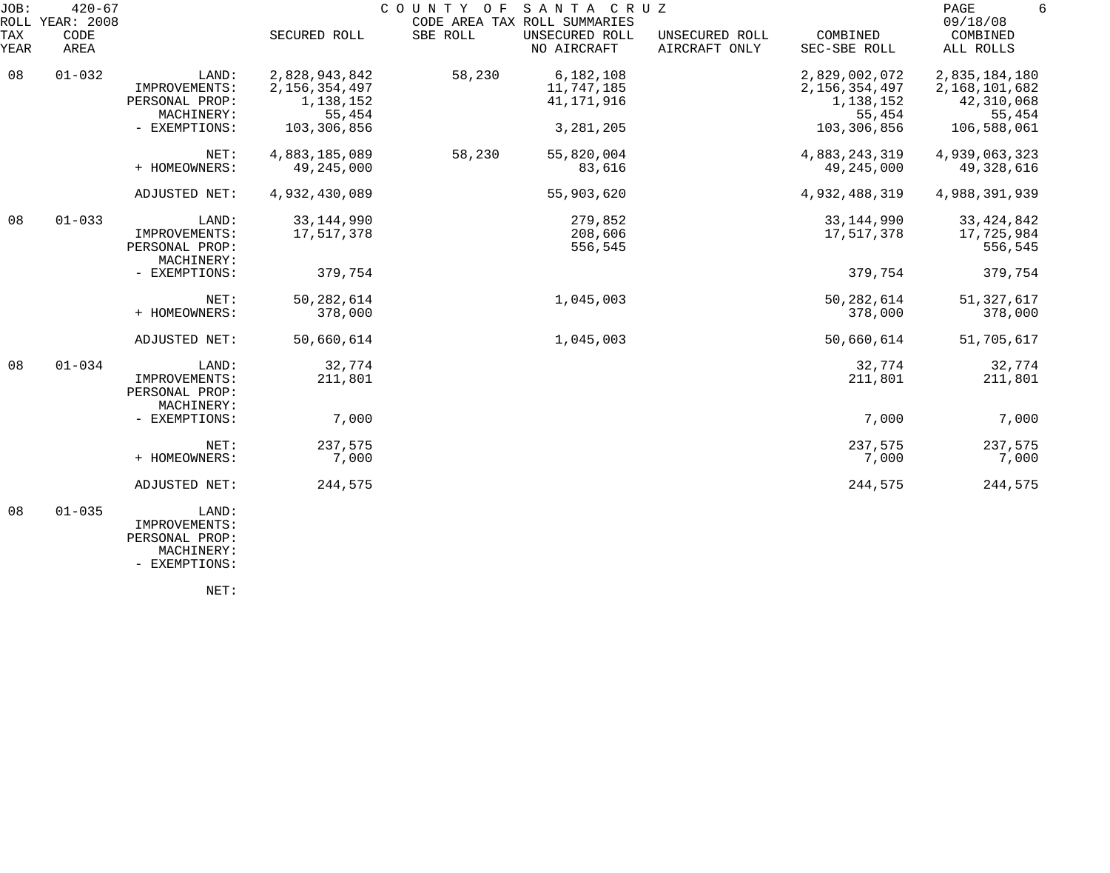| JOB:        | $420 - 67$<br>ROLL YEAR: 2008 |                                                        |                                                       | COUNTY<br>O F | SANTA CRUZ<br>CODE AREA TAX ROLL SUMMARIES |                                 |                                                       | PAGE<br>09/18/08                                       |
|-------------|-------------------------------|--------------------------------------------------------|-------------------------------------------------------|---------------|--------------------------------------------|---------------------------------|-------------------------------------------------------|--------------------------------------------------------|
| TAX<br>YEAR | CODE<br>AREA                  |                                                        | SECURED ROLL                                          | SBE ROLL      | UNSECURED ROLL<br>NO AIRCRAFT              | UNSECURED ROLL<br>AIRCRAFT ONLY | COMBINED<br>SEC-SBE ROLL                              | COMBINED<br>ALL ROLLS                                  |
| 08          | $01 - 032$                    | LAND:<br>IMPROVEMENTS:<br>PERSONAL PROP:<br>MACHINERY: | 2,828,943,842<br>2,156,354,497<br>1,138,152<br>55,454 | 58,230        | 6,182,108<br>11,747,185<br>41, 171, 916    |                                 | 2,829,002,072<br>2,156,354,497<br>1,138,152<br>55,454 | 2,835,184,180<br>2,168,101,682<br>42,310,068<br>55,454 |
|             |                               | - EXEMPTIONS:                                          | 103,306,856                                           |               | 3,281,205                                  |                                 | 103,306,856                                           | 106,588,061                                            |
|             |                               | NET:<br>+ HOMEOWNERS:                                  | 4,883,185,089<br>49,245,000                           | 58,230        | 55,820,004<br>83,616                       |                                 | 4,883,243,319<br>49,245,000                           | 4,939,063,323<br>49,328,616                            |
|             |                               | ADJUSTED NET:                                          | 4,932,430,089                                         |               | 55,903,620                                 |                                 | 4,932,488,319                                         | 4,988,391,939                                          |
| 08          | $01 - 033$                    | LAND:<br>IMPROVEMENTS:<br>PERSONAL PROP:<br>MACHINERY: | 33, 144, 990<br>17,517,378                            |               | 279,852<br>208,606<br>556,545              |                                 | 33, 144, 990<br>17,517,378                            | 33, 424, 842<br>17,725,984<br>556,545                  |
|             |                               | - EXEMPTIONS:                                          | 379,754                                               |               |                                            |                                 | 379,754                                               | 379,754                                                |
|             |                               | NET:<br>+ HOMEOWNERS:                                  | 50, 282, 614<br>378,000                               |               | 1,045,003                                  |                                 | 50, 282, 614<br>378,000                               | 51, 327, 617<br>378,000                                |
|             |                               | ADJUSTED NET:                                          | 50,660,614                                            |               | 1,045,003                                  |                                 | 50,660,614                                            | 51,705,617                                             |
| 08          | $01 - 034$                    | LAND:<br>IMPROVEMENTS:<br>PERSONAL PROP:<br>MACHINERY: | 32,774<br>211,801                                     |               |                                            |                                 | 32,774<br>211,801                                     | 32,774<br>211,801                                      |
|             |                               | - EXEMPTIONS:                                          | 7,000                                                 |               |                                            |                                 | 7,000                                                 | 7,000                                                  |
|             |                               | NET:<br>+ HOMEOWNERS:                                  | 237,575<br>7,000                                      |               |                                            |                                 | 237,575<br>7,000                                      | 237,575<br>7,000                                       |
|             |                               | ADJUSTED NET:                                          | 244,575                                               |               |                                            |                                 | 244,575                                               | 244,575                                                |
| 08          | $01 - 035$                    | LAND:<br>IMPROVEMENTS:                                 |                                                       |               |                                            |                                 |                                                       |                                                        |

 PERSONAL PROP: MACHINERY:

- EXEMPTIONS:

NET: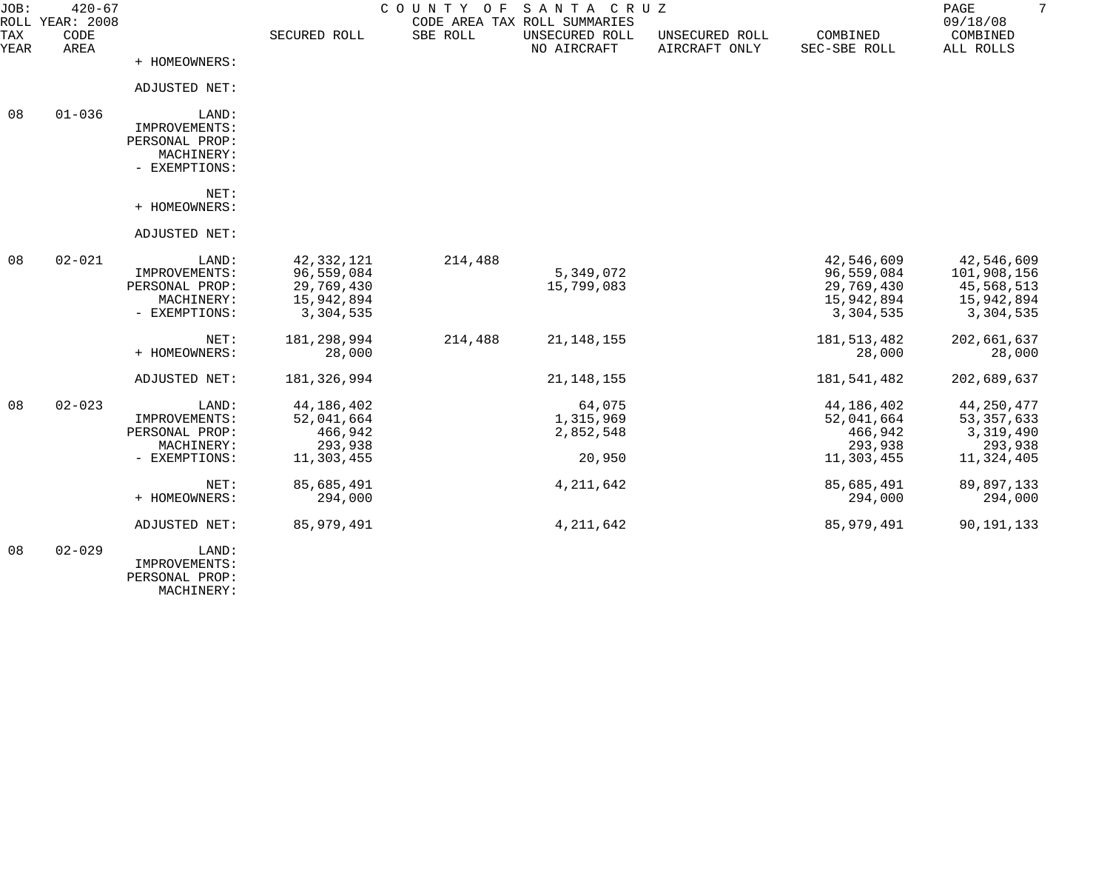| JOB:        | $420 - 67$<br>ROLL YEAR: 2008 |                                                                         |                                                                   | COUNTY OF | SANTA CRUZ<br>CODE AREA TAX ROLL SUMMARIES |                                 |                                                                   | $7\overline{ }$<br>PAGE<br>09/18/08                                |  |
|-------------|-------------------------------|-------------------------------------------------------------------------|-------------------------------------------------------------------|-----------|--------------------------------------------|---------------------------------|-------------------------------------------------------------------|--------------------------------------------------------------------|--|
| TAX<br>YEAR | CODE<br>AREA                  |                                                                         | SECURED ROLL                                                      | SBE ROLL  | UNSECURED ROLL<br>NO AIRCRAFT              | UNSECURED ROLL<br>AIRCRAFT ONLY | COMBINED<br>SEC-SBE ROLL                                          | COMBINED<br>ALL ROLLS                                              |  |
|             |                               | + HOMEOWNERS:                                                           |                                                                   |           |                                            |                                 |                                                                   |                                                                    |  |
|             |                               | ADJUSTED NET:                                                           |                                                                   |           |                                            |                                 |                                                                   |                                                                    |  |
| 08          | $01 - 036$                    | LAND:<br>IMPROVEMENTS:<br>PERSONAL PROP:<br>MACHINERY:<br>- EXEMPTIONS: |                                                                   |           |                                            |                                 |                                                                   |                                                                    |  |
|             |                               | NET:<br>+ HOMEOWNERS:                                                   |                                                                   |           |                                            |                                 |                                                                   |                                                                    |  |
|             |                               | ADJUSTED NET:                                                           |                                                                   |           |                                            |                                 |                                                                   |                                                                    |  |
| 08          | $02 - 021$                    | LAND:<br>IMPROVEMENTS:<br>PERSONAL PROP:<br>MACHINERY:<br>- EXEMPTIONS: | 42,332,121<br>96,559,084<br>29,769,430<br>15,942,894<br>3,304,535 | 214,488   | 5,349,072<br>15,799,083                    |                                 | 42,546,609<br>96,559,084<br>29,769,430<br>15,942,894<br>3,304,535 | 42,546,609<br>101,908,156<br>45,568,513<br>15,942,894<br>3,304,535 |  |
|             |                               | NET:<br>+ HOMEOWNERS:                                                   | 181, 298, 994<br>28,000                                           | 214,488   | 21, 148, 155                               |                                 | 181, 513, 482<br>28,000                                           | 202,661,637<br>28,000                                              |  |
|             |                               | ADJUSTED NET:                                                           | 181,326,994                                                       |           | 21, 148, 155                               |                                 | 181,541,482                                                       | 202,689,637                                                        |  |
| 08          | $02 - 023$                    | LAND:<br>IMPROVEMENTS:<br>PERSONAL PROP:<br>MACHINERY:<br>- EXEMPTIONS: | 44,186,402<br>52,041,664<br>466,942<br>293,938<br>11,303,455      |           | 64,075<br>1,315,969<br>2,852,548<br>20,950 |                                 | 44,186,402<br>52,041,664<br>466,942<br>293,938<br>11,303,455      | 44,250,477<br>53, 357, 633<br>3,319,490<br>293,938<br>11,324,405   |  |
|             |                               | NET:<br>+ HOMEOWNERS:                                                   | 85,685,491<br>294,000                                             |           | 4, 211, 642                                |                                 | 85,685,491<br>294,000                                             | 89,897,133<br>294,000                                              |  |
|             |                               | ADJUSTED NET:                                                           | 85, 979, 491                                                      |           | 4, 211, 642                                |                                 | 85,979,491                                                        | 90, 191, 133                                                       |  |
| 08          | $02 - 029$                    | LAND:<br>IMPROVEMENTS:<br>PERSONAL PROP:                                |                                                                   |           |                                            |                                 |                                                                   |                                                                    |  |

MACHINERY: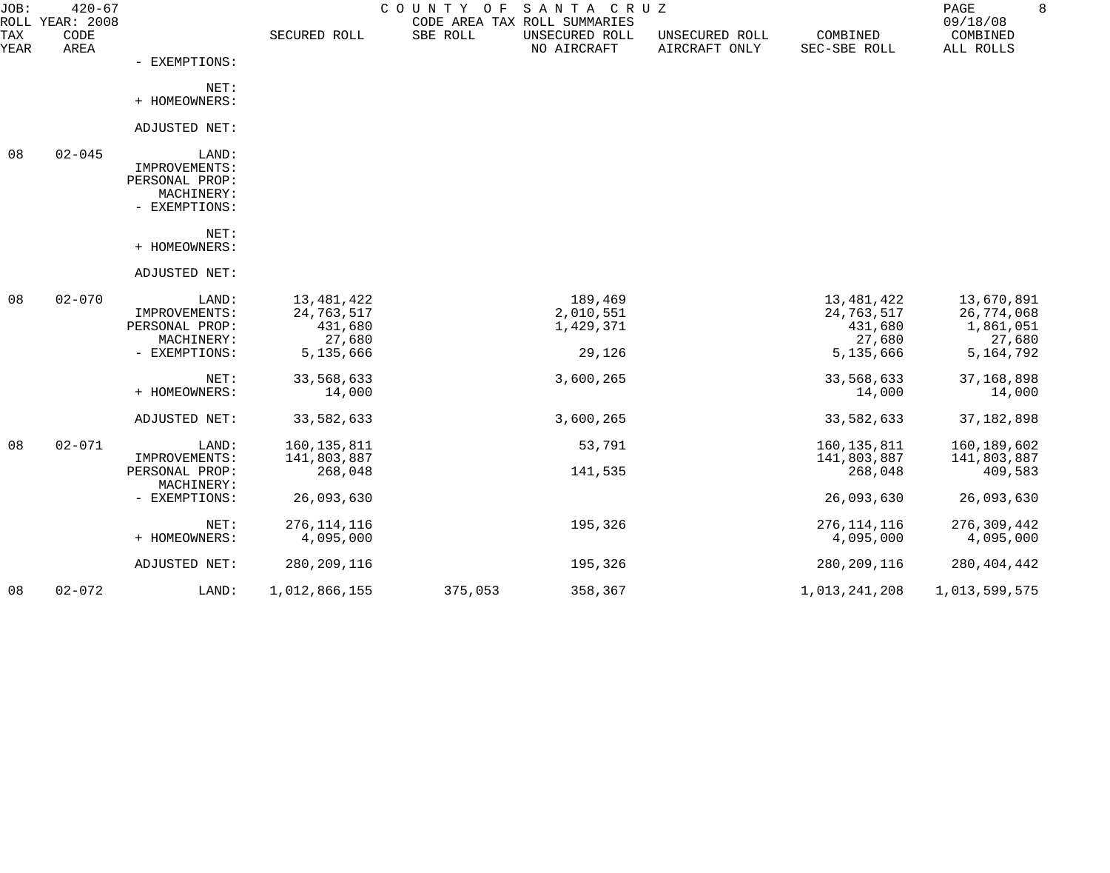| JOB:        | $420 - 67$<br>ROLL YEAR: 2008 |                                                                         |                                                            | COUNTY<br>O F | SANTA CRUZ<br>CODE AREA TAX ROLL SUMMARIES  |                                 |                                                            | 8<br>PAGE<br>09/18/08                                          |
|-------------|-------------------------------|-------------------------------------------------------------------------|------------------------------------------------------------|---------------|---------------------------------------------|---------------------------------|------------------------------------------------------------|----------------------------------------------------------------|
| TAX<br>YEAR | CODE<br>AREA                  |                                                                         | SECURED ROLL                                               | SBE ROLL      | UNSECURED ROLL<br>NO AIRCRAFT               | UNSECURED ROLL<br>AIRCRAFT ONLY | COMBINED<br>SEC-SBE ROLL                                   | COMBINED<br>ALL ROLLS                                          |
|             |                               | - EXEMPTIONS:                                                           |                                                            |               |                                             |                                 |                                                            |                                                                |
|             |                               | NET:<br>+ HOMEOWNERS:                                                   |                                                            |               |                                             |                                 |                                                            |                                                                |
|             |                               |                                                                         |                                                            |               |                                             |                                 |                                                            |                                                                |
|             |                               | ADJUSTED NET:                                                           |                                                            |               |                                             |                                 |                                                            |                                                                |
| 08          | $02 - 045$                    | LAND:<br>IMPROVEMENTS:<br>PERSONAL PROP:<br>MACHINERY:<br>- EXEMPTIONS: |                                                            |               |                                             |                                 |                                                            |                                                                |
|             |                               | NET:<br>+ HOMEOWNERS:                                                   |                                                            |               |                                             |                                 |                                                            |                                                                |
|             |                               | ADJUSTED NET:                                                           |                                                            |               |                                             |                                 |                                                            |                                                                |
| 08          | $02 - 070$                    | LAND:<br>IMPROVEMENTS:<br>PERSONAL PROP:<br>MACHINERY:<br>- EXEMPTIONS: | 13,481,422<br>24,763,517<br>431,680<br>27,680<br>5,135,666 |               | 189,469<br>2,010,551<br>1,429,371<br>29,126 |                                 | 13,481,422<br>24,763,517<br>431,680<br>27,680<br>5,135,666 | 13,670,891<br>26,774,068<br>1,861,051<br>27,680<br>5, 164, 792 |
|             |                               | NET:<br>+ HOMEOWNERS:                                                   | 33,568,633<br>14,000                                       |               | 3,600,265                                   |                                 | 33,568,633<br>14,000                                       | 37, 168, 898<br>14,000                                         |
|             |                               | ADJUSTED NET:                                                           | 33,582,633                                                 |               | 3,600,265                                   |                                 | 33,582,633                                                 | 37, 182, 898                                                   |
| 08          | $02 - 071$                    | LAND:<br>IMPROVEMENTS:<br>PERSONAL PROP:                                | 160, 135, 811<br>141,803,887<br>268,048                    |               | 53,791<br>141,535                           |                                 | 160, 135, 811<br>141,803,887<br>268,048                    | 160,189,602<br>141,803,887<br>409,583                          |
|             |                               | MACHINERY:<br>- EXEMPTIONS:                                             | 26,093,630                                                 |               |                                             |                                 | 26,093,630                                                 | 26,093,630                                                     |
|             |                               | NET:<br>+ HOMEOWNERS:                                                   | 276, 114, 116<br>4,095,000                                 |               | 195,326                                     |                                 | 276, 114, 116<br>4,095,000                                 | 276, 309, 442<br>4,095,000                                     |
|             |                               | ADJUSTED NET:                                                           | 280, 209, 116                                              |               | 195,326                                     |                                 | 280, 209, 116                                              | 280, 404, 442                                                  |
| 08          | $02 - 072$                    | LAND:                                                                   | 1,012,866,155                                              | 375,053       | 358,367                                     |                                 | 1,013,241,208                                              | 1,013,599,575                                                  |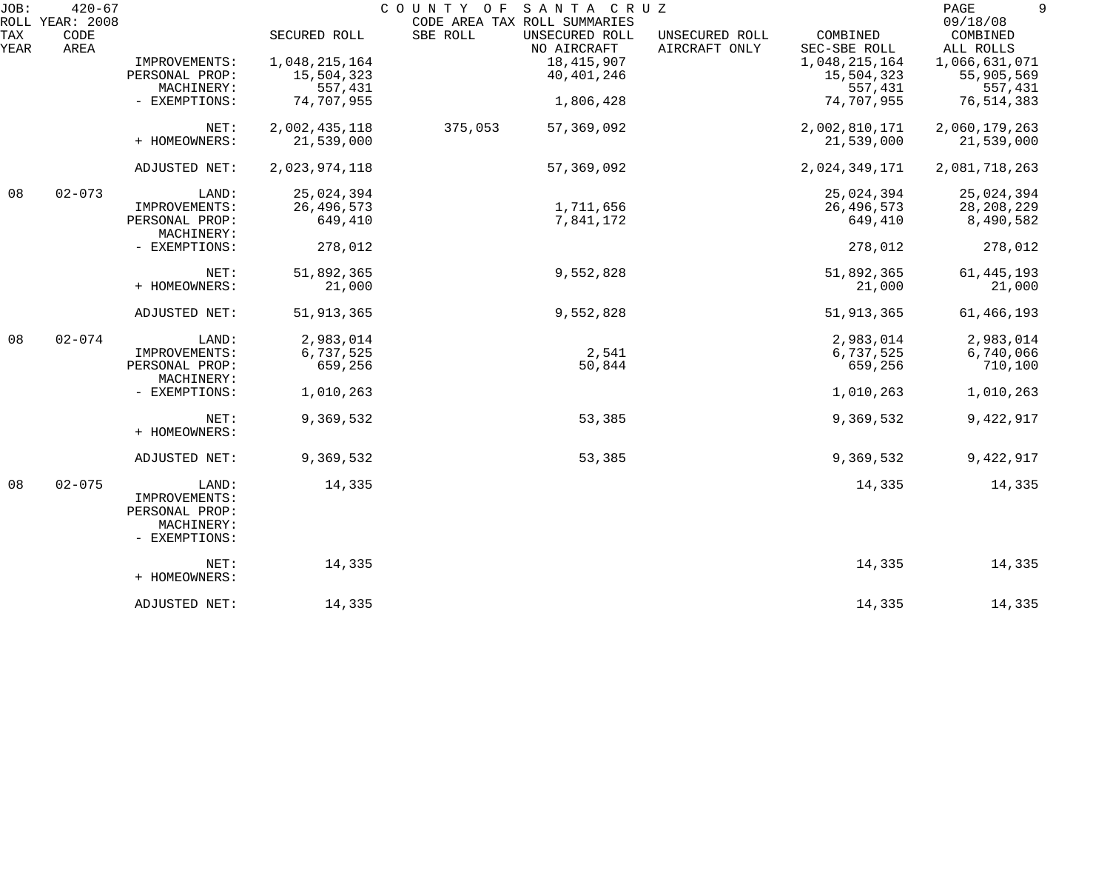| JOB:        | $420 - 67$<br>ROLL YEAR: 2008 |                                                                         |                       | SANTA CRUZ<br>COUNTY OF<br>CODE AREA TAX ROLL SUMMARIES |                                 |                          | 9<br>PAGE<br>09/18/08 |
|-------------|-------------------------------|-------------------------------------------------------------------------|-----------------------|---------------------------------------------------------|---------------------------------|--------------------------|-----------------------|
| TAX<br>YEAR | CODE<br>AREA                  |                                                                         | SECURED ROLL          | SBE ROLL<br>UNSECURED ROLL<br>NO AIRCRAFT               | UNSECURED ROLL<br>AIRCRAFT ONLY | COMBINED<br>SEC-SBE ROLL | COMBINED<br>ALL ROLLS |
|             |                               | IMPROVEMENTS:                                                           | 1,048,215,164         | 18,415,907                                              |                                 | 1,048,215,164            | 1,066,631,071         |
|             |                               | PERSONAL PROP:<br>MACHINERY:                                            | 15,504,323<br>557,431 | 40,401,246                                              |                                 | 15,504,323<br>557,431    | 55,905,569<br>557,431 |
|             |                               | - EXEMPTIONS:                                                           | 74,707,955            | 1,806,428                                               |                                 | 74,707,955               | 76, 514, 383          |
|             |                               |                                                                         |                       |                                                         |                                 |                          |                       |
|             |                               | NET:                                                                    | 2,002,435,118         | 375,053<br>57, 369, 092                                 |                                 | 2,002,810,171            | 2,060,179,263         |
|             |                               | + HOMEOWNERS:                                                           | 21,539,000            |                                                         |                                 | 21,539,000               | 21,539,000            |
|             |                               | ADJUSTED NET:                                                           | 2,023,974,118         | 57, 369, 092                                            |                                 | 2,024,349,171            | 2,081,718,263         |
| 08          | $02 - 073$                    | LAND:                                                                   | 25,024,394            |                                                         |                                 | 25,024,394               | 25,024,394            |
|             |                               | IMPROVEMENTS:                                                           | 26, 496, 573          | 1,711,656                                               |                                 | 26,496,573               | 28, 208, 229          |
|             |                               | PERSONAL PROP:<br>MACHINERY:                                            | 649,410               | 7,841,172                                               |                                 | 649,410                  | 8,490,582             |
|             |                               | - EXEMPTIONS:                                                           | 278,012               |                                                         |                                 | 278,012                  | 278,012               |
|             |                               | NET:                                                                    | 51,892,365            | 9,552,828                                               |                                 | 51,892,365               | 61, 445, 193          |
|             |                               | + HOMEOWNERS:                                                           | 21,000                |                                                         |                                 | 21,000                   | 21,000                |
|             |                               | ADJUSTED NET:                                                           | 51, 913, 365          | 9,552,828                                               |                                 | 51, 913, 365             | 61,466,193            |
| 08          | $02 - 074$                    | LAND:                                                                   | 2,983,014             |                                                         |                                 | 2,983,014                | 2,983,014             |
|             |                               | IMPROVEMENTS:                                                           | 6,737,525             | 2,541                                                   |                                 | 6,737,525                | 6,740,066             |
|             |                               | PERSONAL PROP:<br>MACHINERY:                                            | 659,256               | 50,844                                                  |                                 | 659,256                  | 710,100               |
|             |                               | - EXEMPTIONS:                                                           | 1,010,263             |                                                         |                                 | 1,010,263                | 1,010,263             |
|             |                               | NET:<br>+ HOMEOWNERS:                                                   | 9,369,532             | 53,385                                                  |                                 | 9,369,532                | 9,422,917             |
|             |                               |                                                                         |                       |                                                         |                                 |                          |                       |
|             |                               | ADJUSTED NET:                                                           | 9,369,532             | 53,385                                                  |                                 | 9,369,532                | 9,422,917             |
| 08          | $02 - 075$                    | LAND:<br>IMPROVEMENTS:<br>PERSONAL PROP:<br>MACHINERY:<br>- EXEMPTIONS: | 14,335                |                                                         |                                 | 14,335                   | 14,335                |
|             |                               | NET:                                                                    | 14,335                |                                                         |                                 | 14,335                   | 14,335                |
|             |                               | + HOMEOWNERS:                                                           |                       |                                                         |                                 |                          |                       |
|             |                               | ADJUSTED NET:                                                           | 14,335                |                                                         |                                 | 14,335                   | 14,335                |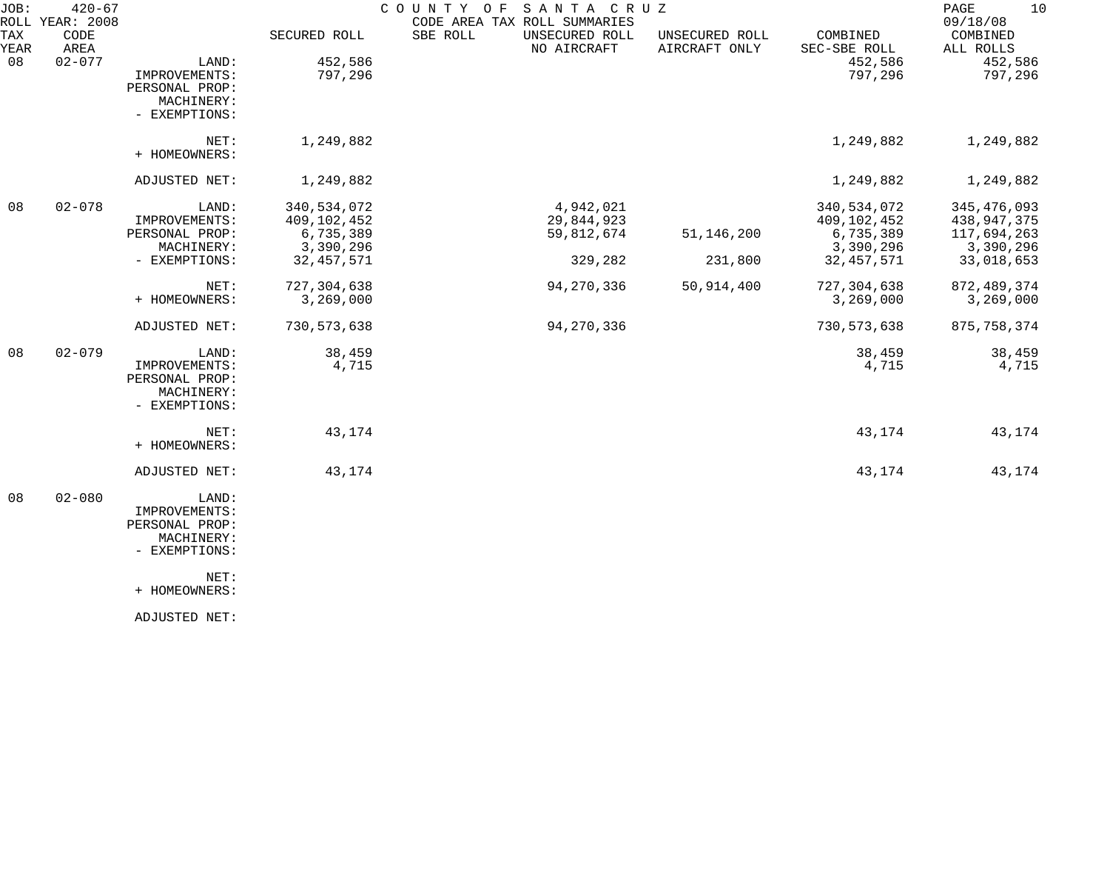| JOB:        | $420 - 67$<br>ROLL YEAR: 2008 |                                                                                 |                                                      | COUNTY OF<br>SANTA CRUZ<br>CODE AREA TAX ROLL SUMMARIES |                                 |                                                      | 10<br>PAGE<br>09/18/08                                     |
|-------------|-------------------------------|---------------------------------------------------------------------------------|------------------------------------------------------|---------------------------------------------------------|---------------------------------|------------------------------------------------------|------------------------------------------------------------|
| TAX<br>YEAR | CODE<br>AREA                  |                                                                                 | SECURED ROLL                                         | SBE ROLL<br>UNSECURED ROLL<br>NO AIRCRAFT               | UNSECURED ROLL<br>AIRCRAFT ONLY | COMBINED<br>SEC-SBE ROLL                             | COMBINED<br>ALL ROLLS                                      |
| 08          | $02 - 077$                    | LAND:<br>IMPROVEMENTS:<br>PERSONAL PROP:<br>MACHINERY:<br>- EXEMPTIONS:         | 452,586<br>797,296                                   |                                                         |                                 | 452,586<br>797,296                                   | 452,586<br>797,296                                         |
|             |                               | NET:<br>+ HOMEOWNERS:                                                           | 1,249,882                                            |                                                         |                                 | 1,249,882                                            | 1,249,882                                                  |
|             |                               | ADJUSTED NET:                                                                   | 1,249,882                                            |                                                         |                                 | 1,249,882                                            | 1,249,882                                                  |
| 08          | $02 - 078$                    | LAND:<br>IMPROVEMENTS:<br>PERSONAL PROP:<br>MACHINERY:                          | 340,534,072<br>409,102,452<br>6,735,389<br>3,390,296 | 4,942,021<br>29,844,923<br>59,812,674                   | 51, 146, 200                    | 340,534,072<br>409,102,452<br>6,735,389<br>3,390,296 | 345, 476, 093<br>438, 947, 375<br>117,694,263<br>3,390,296 |
|             |                               | - EXEMPTIONS:                                                                   | 32, 457, 571                                         | 329,282                                                 | 231,800                         | 32, 457, 571                                         | 33,018,653                                                 |
|             |                               | NET:<br>+ HOMEOWNERS:                                                           | 727,304,638<br>3,269,000                             | 94, 270, 336                                            | 50,914,400                      | 727, 304, 638<br>3,269,000                           | 872, 489, 374<br>3,269,000                                 |
|             |                               | ADJUSTED NET:                                                                   | 730, 573, 638                                        | 94, 270, 336                                            |                                 | 730, 573, 638                                        | 875, 758, 374                                              |
| 08          | $02 - 079$                    | LAND:<br>IMPROVEMENTS:<br>PERSONAL PROP:<br>MACHINERY:<br>- EXEMPTIONS:         | 38,459<br>4,715                                      |                                                         |                                 | 38,459<br>4,715                                      | 38,459<br>4,715                                            |
|             |                               | NET:<br>+ HOMEOWNERS:                                                           | 43,174                                               |                                                         |                                 | 43,174                                               | 43,174                                                     |
|             |                               | ADJUSTED NET:                                                                   | 43,174                                               |                                                         |                                 | 43,174                                               | 43,174                                                     |
| 08          | $02 - 080$                    | LAND:<br>IMPROVEMENTS:<br>PERSONAL PROP:<br>MACHINERY:<br>- EXEMPTIONS:<br>NET: |                                                      |                                                         |                                 |                                                      |                                                            |
|             |                               | + HOMEOWNERS:                                                                   |                                                      |                                                         |                                 |                                                      |                                                            |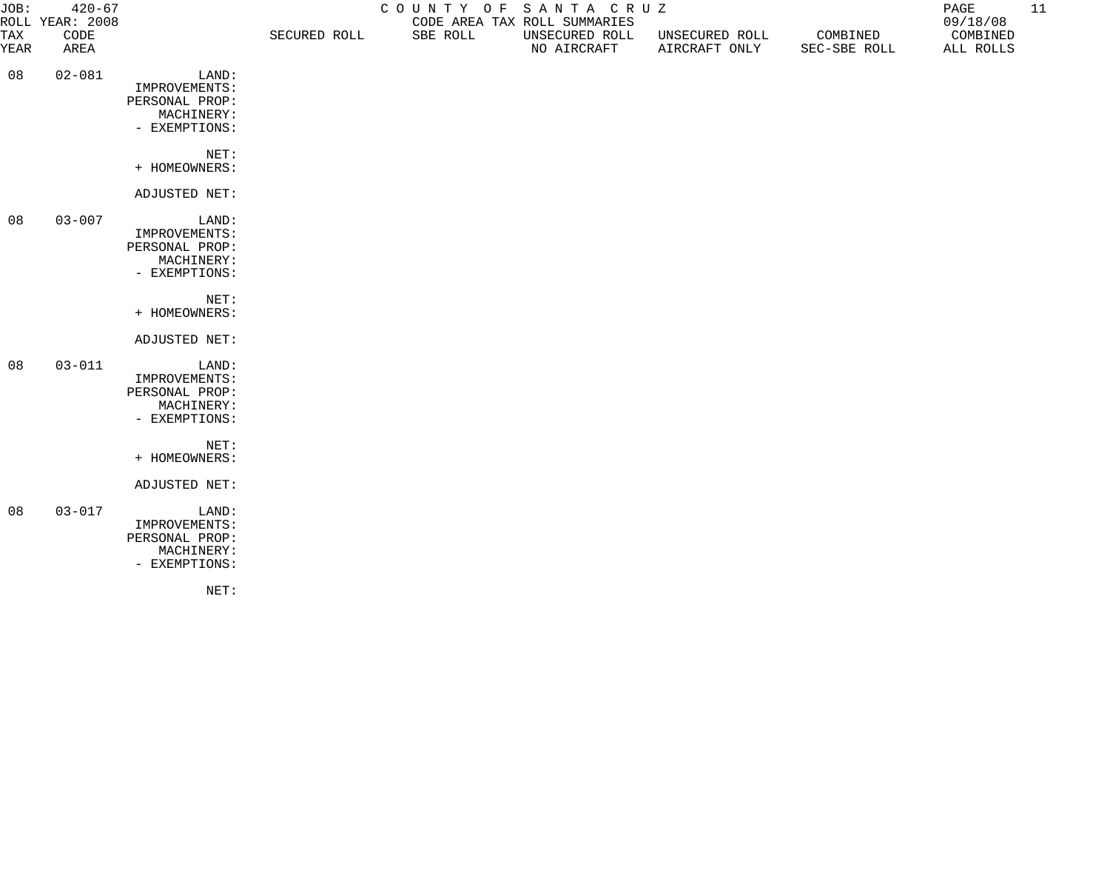| JOB:        | $420 - 67$<br>ROLL YEAR: 2008 |                                                                         | COUNTY OF SANTA CRUZ<br>CODE AREA TAX ROLL SUMMARIES |          |                               |                                 |                          | PAGE<br>09/18/08      | 11 |
|-------------|-------------------------------|-------------------------------------------------------------------------|------------------------------------------------------|----------|-------------------------------|---------------------------------|--------------------------|-----------------------|----|
| TAX<br>YEAR | CODE<br>AREA                  |                                                                         | SECURED ROLL                                         | SBE ROLL | UNSECURED ROLL<br>NO AIRCRAFT | UNSECURED ROLL<br>AIRCRAFT ONLY | COMBINED<br>SEC-SBE ROLL | COMBINED<br>ALL ROLLS |    |
| 08          | $02 - 081$                    | LAND:<br>IMPROVEMENTS:<br>PERSONAL PROP:<br>MACHINERY:<br>- EXEMPTIONS: |                                                      |          |                               |                                 |                          |                       |    |
|             |                               | NET:<br>+ HOMEOWNERS:                                                   |                                                      |          |                               |                                 |                          |                       |    |
|             |                               | ADJUSTED NET:                                                           |                                                      |          |                               |                                 |                          |                       |    |
| 08          | $03 - 007$                    | LAND:<br>IMPROVEMENTS:<br>PERSONAL PROP:<br>MACHINERY:<br>- EXEMPTIONS: |                                                      |          |                               |                                 |                          |                       |    |
|             |                               | NET:<br>+ HOMEOWNERS:                                                   |                                                      |          |                               |                                 |                          |                       |    |
|             |                               | ADJUSTED NET:                                                           |                                                      |          |                               |                                 |                          |                       |    |
| 08          | $03 - 011$                    | LAND:<br>IMPROVEMENTS:<br>PERSONAL PROP:<br>MACHINERY:<br>- EXEMPTIONS: |                                                      |          |                               |                                 |                          |                       |    |
|             |                               | NET:<br>+ HOMEOWNERS:                                                   |                                                      |          |                               |                                 |                          |                       |    |
|             |                               | ADJUSTED NET:                                                           |                                                      |          |                               |                                 |                          |                       |    |
| 08          | $03 - 017$                    | LAND:<br>IMPROVEMENTS:<br>PERSONAL PROP:<br>MACHINERY:<br>- EXEMPTIONS: |                                                      |          |                               |                                 |                          |                       |    |

NET: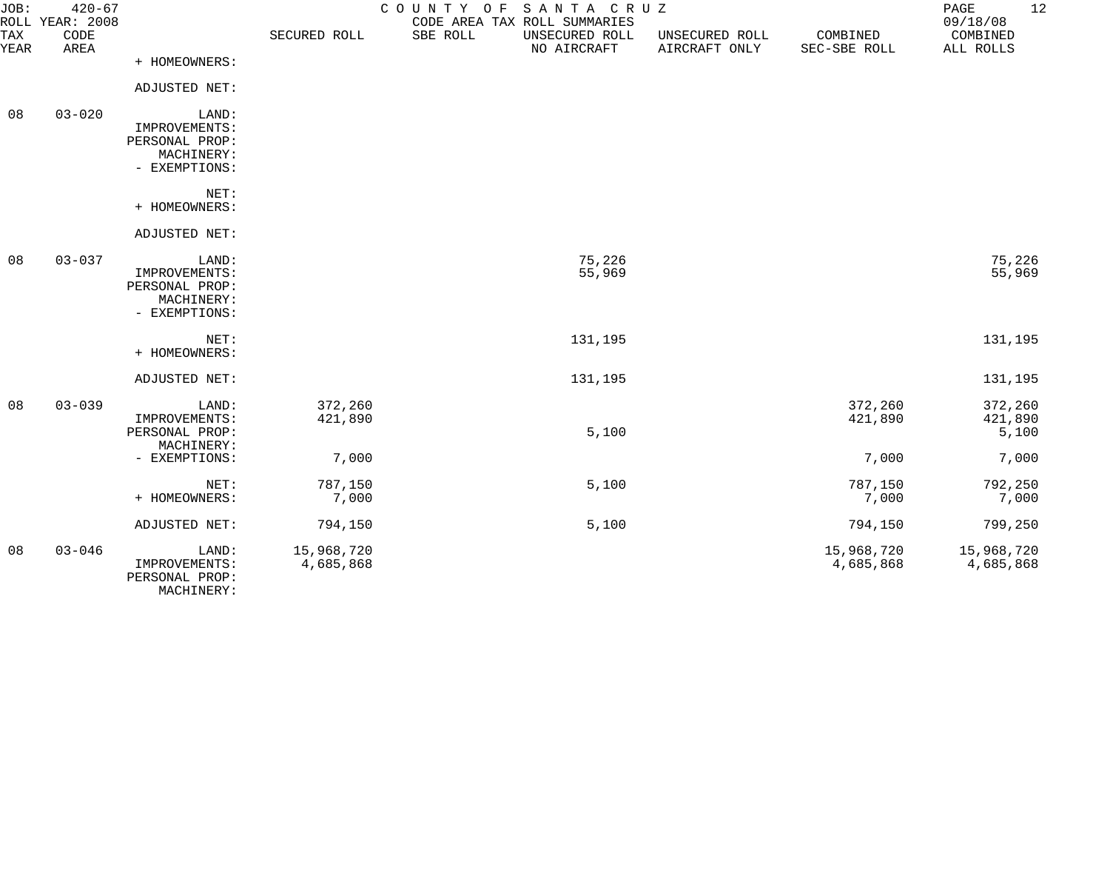| JOB:        | $420 - 67$<br>ROLL YEAR: 2008 |                                                                         |                         | COUNTY OF<br>SANTA CRUZ<br>CODE AREA TAX ROLL SUMMARIES |                                 |                          | 12<br>PAGE<br>09/18/08      |
|-------------|-------------------------------|-------------------------------------------------------------------------|-------------------------|---------------------------------------------------------|---------------------------------|--------------------------|-----------------------------|
| TAX<br>YEAR | CODE<br>AREA                  |                                                                         | SECURED ROLL            | SBE ROLL<br>UNSECURED ROLL<br>NO AIRCRAFT               | UNSECURED ROLL<br>AIRCRAFT ONLY | COMBINED<br>SEC-SBE ROLL | COMBINED<br>ALL ROLLS       |
|             |                               | + HOMEOWNERS:                                                           |                         |                                                         |                                 |                          |                             |
|             |                               | ADJUSTED NET:                                                           |                         |                                                         |                                 |                          |                             |
| 08          | $03 - 020$                    | LAND:<br>IMPROVEMENTS:<br>PERSONAL PROP:<br>MACHINERY:                  |                         |                                                         |                                 |                          |                             |
|             |                               | - EXEMPTIONS:                                                           |                         |                                                         |                                 |                          |                             |
|             |                               | NET:<br>+ HOMEOWNERS:                                                   |                         |                                                         |                                 |                          |                             |
|             |                               | ADJUSTED NET:                                                           |                         |                                                         |                                 |                          |                             |
| 08          | $03 - 037$                    | LAND:<br>IMPROVEMENTS:<br>PERSONAL PROP:<br>MACHINERY:<br>- EXEMPTIONS: |                         | 75,226<br>55,969                                        |                                 |                          | 75,226<br>55,969            |
|             |                               | NET:<br>+ HOMEOWNERS:                                                   |                         | 131,195                                                 |                                 |                          | 131,195                     |
|             |                               | ADJUSTED NET:                                                           |                         | 131,195                                                 |                                 |                          | 131,195                     |
| 08          | $03 - 039$                    | LAND:<br>IMPROVEMENTS:<br>PERSONAL PROP:<br>MACHINERY:                  | 372,260<br>421,890      | 5,100                                                   |                                 | 372,260<br>421,890       | 372,260<br>421,890<br>5,100 |
|             |                               | - EXEMPTIONS:                                                           | 7,000                   |                                                         |                                 | 7,000                    | 7,000                       |
|             |                               | NET:<br>+ HOMEOWNERS:                                                   | 787,150<br>7,000        | 5,100                                                   |                                 | 787,150<br>7,000         | 792,250<br>7,000            |
|             |                               | ADJUSTED NET:                                                           | 794,150                 | 5,100                                                   |                                 | 794,150                  | 799,250                     |
| 08          | $03 - 046$                    | LAND:<br>IMPROVEMENTS:<br>PERSONAL PROP:                                | 15,968,720<br>4,685,868 |                                                         |                                 | 15,968,720<br>4,685,868  | 15,968,720<br>4,685,868     |

MACHINERY: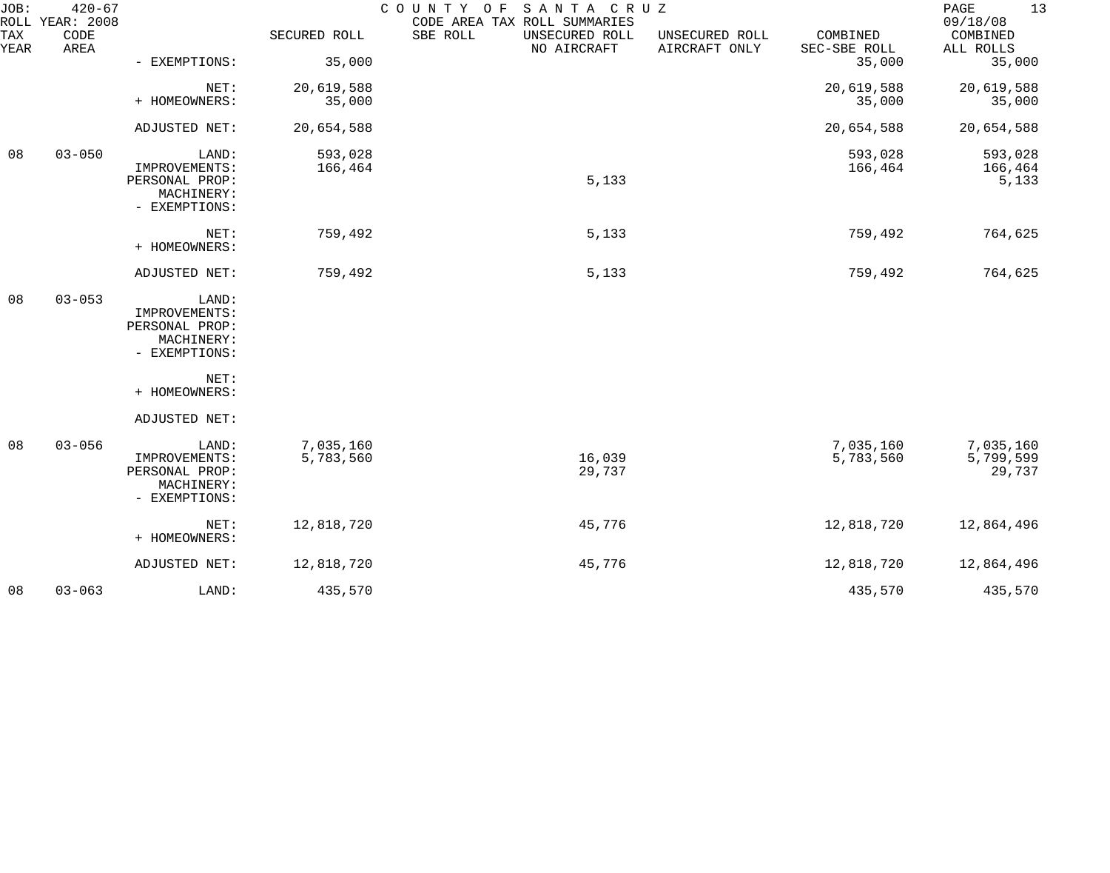| JOB:        | $420 - 67$<br>ROLL YEAR: 2008 |                                                                         |                        | COUNTY OF<br>SANTA CRUZ<br>CODE AREA TAX ROLL SUMMARIES |                                 |                          | 13<br>PAGE<br>09/18/08           |
|-------------|-------------------------------|-------------------------------------------------------------------------|------------------------|---------------------------------------------------------|---------------------------------|--------------------------|----------------------------------|
| TAX<br>YEAR | CODE<br>AREA                  |                                                                         | SECURED ROLL           | SBE ROLL<br>UNSECURED ROLL<br>NO AIRCRAFT               | UNSECURED ROLL<br>AIRCRAFT ONLY | COMBINED<br>SEC-SBE ROLL | COMBINED<br>ALL ROLLS            |
|             |                               | - EXEMPTIONS:                                                           | 35,000                 |                                                         |                                 | 35,000                   | 35,000                           |
|             |                               | NET:<br>+ HOMEOWNERS:                                                   | 20,619,588<br>35,000   |                                                         |                                 | 20,619,588<br>35,000     | 20,619,588<br>35,000             |
|             |                               | ADJUSTED NET:                                                           | 20,654,588             |                                                         |                                 | 20,654,588               | 20,654,588                       |
| 08          | $03 - 050$                    | LAND:<br>IMPROVEMENTS:<br>PERSONAL PROP:<br>MACHINERY:<br>- EXEMPTIONS: | 593,028<br>166,464     | 5,133                                                   |                                 | 593,028<br>166,464       | 593,028<br>166,464<br>5,133      |
|             |                               | NET:<br>+ HOMEOWNERS:                                                   | 759,492                | 5,133                                                   |                                 | 759,492                  | 764,625                          |
|             |                               | ADJUSTED NET:                                                           | 759,492                | 5,133                                                   |                                 | 759,492                  | 764,625                          |
| 08          | $03 - 053$                    | LAND:<br>IMPROVEMENTS:<br>PERSONAL PROP:<br>MACHINERY:<br>- EXEMPTIONS: |                        |                                                         |                                 |                          |                                  |
|             |                               | NET:<br>+ HOMEOWNERS:                                                   |                        |                                                         |                                 |                          |                                  |
|             |                               | ADJUSTED NET:                                                           |                        |                                                         |                                 |                          |                                  |
| 08          | $03 - 056$                    | LAND:<br>IMPROVEMENTS:<br>PERSONAL PROP:<br>MACHINERY:<br>- EXEMPTIONS: | 7,035,160<br>5,783,560 | 16,039<br>29,737                                        |                                 | 7,035,160<br>5,783,560   | 7,035,160<br>5,799,599<br>29,737 |
|             |                               | NET:<br>+ HOMEOWNERS:                                                   | 12,818,720             | 45,776                                                  |                                 | 12,818,720               | 12,864,496                       |
|             |                               | ADJUSTED NET:                                                           | 12,818,720             | 45,776                                                  |                                 | 12,818,720               | 12,864,496                       |
| 08          | $03 - 063$                    | LAND:                                                                   | 435,570                |                                                         |                                 | 435,570                  | 435,570                          |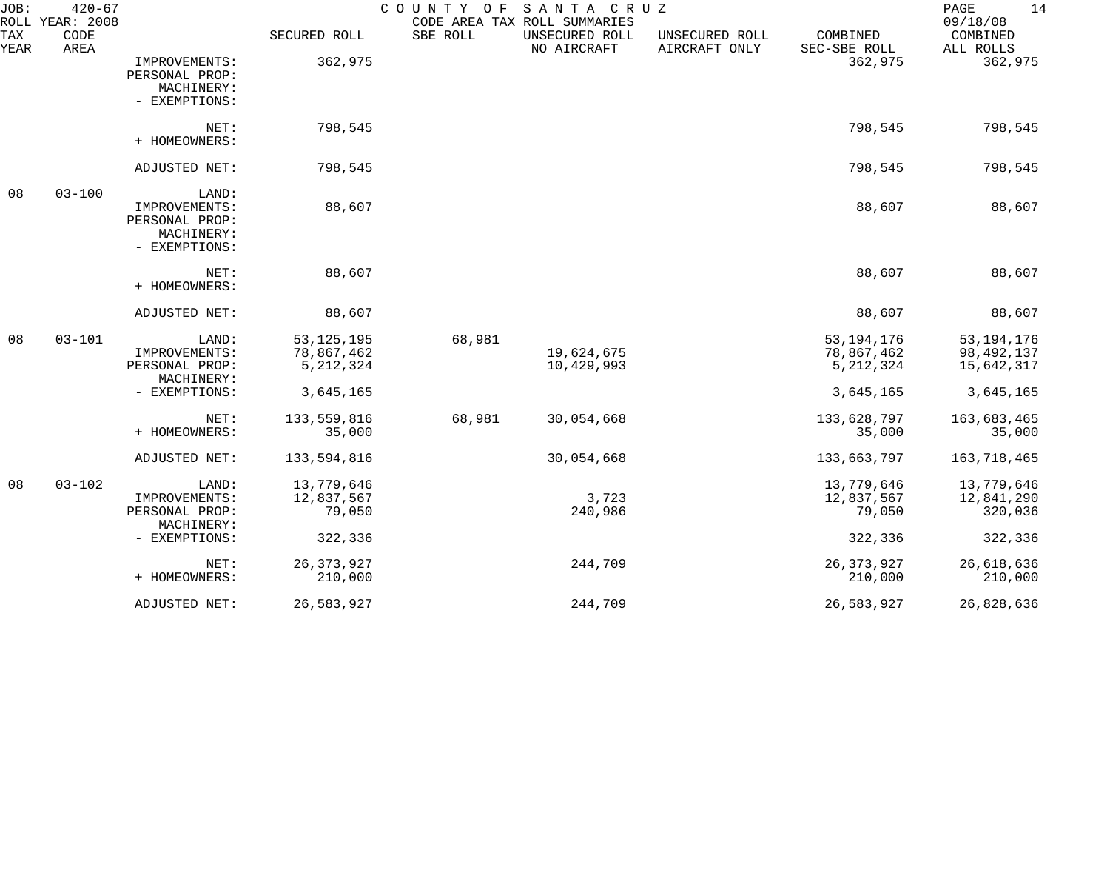| JOB:<br>ROLL | $420 - 67$<br>YEAR: 2008 |                                                                         |                                           | COUNTY OF | SANTA CRUZ<br>CODE AREA TAX ROLL SUMMARIES |                                 |                                           | 14<br>PAGE<br>09/18/08                   |
|--------------|--------------------------|-------------------------------------------------------------------------|-------------------------------------------|-----------|--------------------------------------------|---------------------------------|-------------------------------------------|------------------------------------------|
| TAX<br>YEAR  | CODE<br>AREA             |                                                                         | SECURED ROLL                              | SBE ROLL  | UNSECURED ROLL<br>NO AIRCRAFT              | UNSECURED ROLL<br>AIRCRAFT ONLY | COMBINED<br>SEC-SBE ROLL                  | COMBINED<br>ALL ROLLS                    |
|              |                          | IMPROVEMENTS:<br>PERSONAL PROP:<br>MACHINERY:<br>- EXEMPTIONS:          | 362,975                                   |           |                                            |                                 | 362,975                                   | 362,975                                  |
|              |                          | NET:<br>+ HOMEOWNERS:                                                   | 798,545                                   |           |                                            |                                 | 798,545                                   | 798,545                                  |
|              |                          | ADJUSTED NET:                                                           | 798,545                                   |           |                                            |                                 | 798,545                                   | 798,545                                  |
| 08           | $03 - 100$               | LAND:<br>IMPROVEMENTS:<br>PERSONAL PROP:<br>MACHINERY:<br>- EXEMPTIONS: | 88,607                                    |           |                                            |                                 | 88,607                                    | 88,607                                   |
|              |                          | NET:<br>+ HOMEOWNERS:                                                   | 88,607                                    |           |                                            |                                 | 88,607                                    | 88,607                                   |
|              |                          | ADJUSTED NET:                                                           | 88,607                                    |           |                                            |                                 | 88,607                                    | 88,607                                   |
| 08           | $03 - 101$               | LAND:<br>IMPROVEMENTS:<br>PERSONAL PROP:<br>MACHINERY:                  | 53, 125, 195<br>78,867,462<br>5, 212, 324 | 68,981    | 19,624,675<br>10,429,993                   |                                 | 53, 194, 176<br>78,867,462<br>5, 212, 324 | 53, 194, 176<br>98,492,137<br>15,642,317 |
|              |                          | - EXEMPTIONS:                                                           | 3,645,165                                 |           |                                            |                                 | 3,645,165                                 | 3,645,165                                |
|              |                          | NET:<br>+ HOMEOWNERS:                                                   | 133,559,816<br>35,000                     | 68,981    | 30,054,668                                 |                                 | 133,628,797<br>35,000                     | 163,683,465<br>35,000                    |
|              |                          | ADJUSTED NET:                                                           | 133,594,816                               |           | 30,054,668                                 |                                 | 133,663,797                               | 163,718,465                              |
| 08           | $03 - 102$               | LAND:<br>IMPROVEMENTS:<br>PERSONAL PROP:<br>MACHINERY:                  | 13,779,646<br>12,837,567<br>79,050        |           | 3,723<br>240,986                           |                                 | 13,779,646<br>12,837,567<br>79,050        | 13,779,646<br>12,841,290<br>320,036      |
|              |                          | - EXEMPTIONS:                                                           | 322,336                                   |           |                                            |                                 | 322,336                                   | 322,336                                  |
|              |                          | NET:<br>+ HOMEOWNERS:                                                   | 26, 373, 927<br>210,000                   |           | 244,709                                    |                                 | 26, 373, 927<br>210,000                   | 26,618,636<br>210,000                    |
|              |                          | ADJUSTED NET:                                                           | 26,583,927                                |           | 244,709                                    |                                 | 26,583,927                                | 26,828,636                               |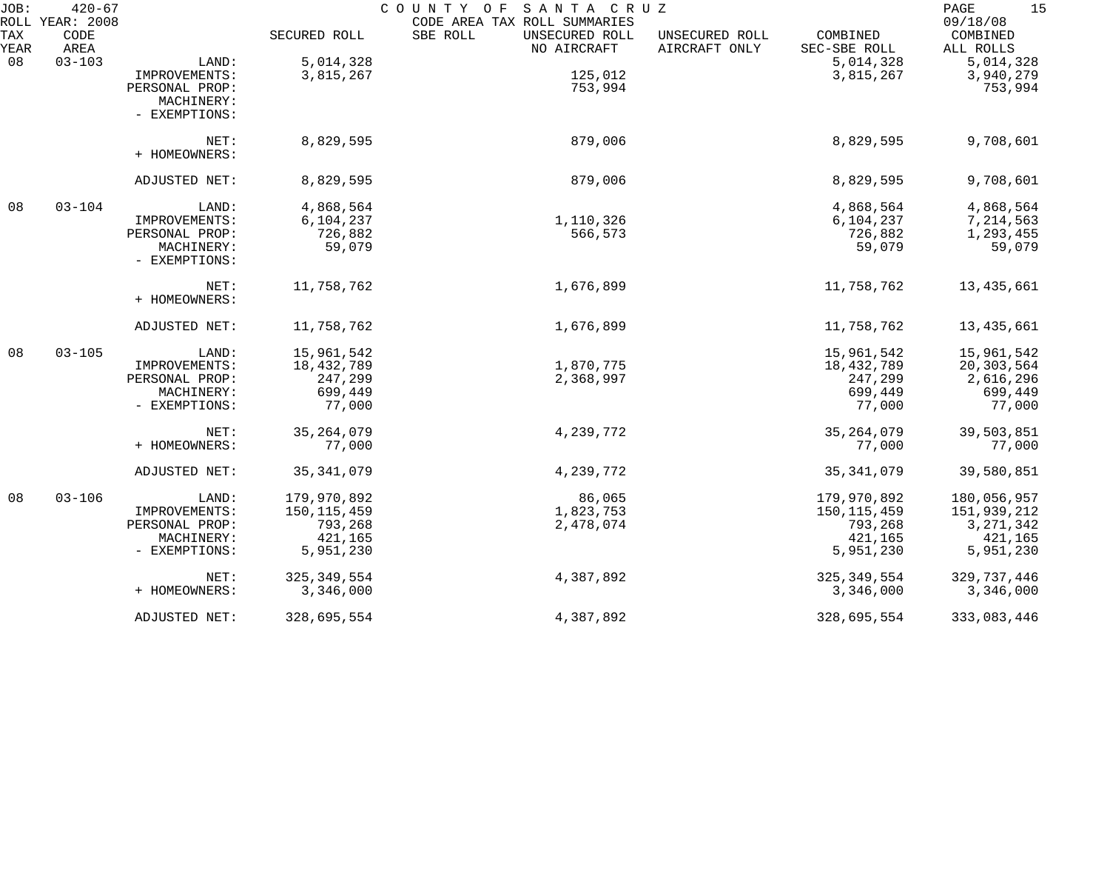| JOB:        | $420 - 67$                      |                |               | COUNTY OF SANTA CRUZ                                                      |                                 |                          | 15<br>$\mathop{\mathrm{PAGE}}$    |
|-------------|---------------------------------|----------------|---------------|---------------------------------------------------------------------------|---------------------------------|--------------------------|-----------------------------------|
| TAX<br>YEAR | ROLL YEAR: 2008<br>CODE<br>AREA |                | SECURED ROLL  | CODE AREA TAX ROLL SUMMARIES<br>SBE ROLL<br>UNSECURED ROLL<br>NO AIRCRAFT | UNSECURED ROLL<br>AIRCRAFT ONLY | COMBINED<br>SEC-SBE ROLL | 09/18/08<br>COMBINED<br>ALL ROLLS |
| 08          | $03 - 103$                      | LAND:          | 5,014,328     |                                                                           |                                 | 5,014,328                | 5,014,328                         |
|             |                                 | IMPROVEMENTS:  | 3,815,267     | 125,012                                                                   |                                 | 3,815,267                | 3,940,279                         |
|             |                                 | PERSONAL PROP: |               | 753,994                                                                   |                                 |                          | 753,994                           |
|             |                                 | MACHINERY:     |               |                                                                           |                                 |                          |                                   |
|             |                                 | - EXEMPTIONS:  |               |                                                                           |                                 |                          |                                   |
|             |                                 |                |               |                                                                           |                                 |                          |                                   |
|             |                                 | NET:           | 8,829,595     | 879,006                                                                   |                                 | 8,829,595                | 9,708,601                         |
|             |                                 | + HOMEOWNERS:  |               |                                                                           |                                 |                          |                                   |
|             |                                 | ADJUSTED NET:  | 8,829,595     | 879,006                                                                   |                                 | 8,829,595                | 9,708,601                         |
|             |                                 |                |               |                                                                           |                                 |                          |                                   |
| 08          | $03 - 104$                      | LAND:          | 4,868,564     |                                                                           |                                 | 4,868,564                | 4,868,564                         |
|             |                                 | IMPROVEMENTS:  | 6,104,237     | 1,110,326                                                                 |                                 | 6,104,237                | 7,214,563                         |
|             |                                 | PERSONAL PROP: | 726,882       | 566,573                                                                   |                                 | 726,882                  | 1,293,455                         |
|             |                                 | MACHINERY:     | 59,079        |                                                                           |                                 | 59,079                   | 59,079                            |
|             |                                 | - EXEMPTIONS:  |               |                                                                           |                                 |                          |                                   |
|             |                                 | NET:           | 11,758,762    | 1,676,899                                                                 |                                 | 11,758,762               | 13,435,661                        |
|             |                                 | + HOMEOWNERS:  |               |                                                                           |                                 |                          |                                   |
|             |                                 | ADJUSTED NET:  | 11,758,762    | 1,676,899                                                                 |                                 | 11,758,762               | 13,435,661                        |
| 08          | $03 - 105$                      | LAND:          | 15,961,542    |                                                                           |                                 | 15,961,542               | 15,961,542                        |
|             |                                 | IMPROVEMENTS:  | 18,432,789    | 1,870,775                                                                 |                                 | 18,432,789               | 20,303,564                        |
|             |                                 | PERSONAL PROP: | 247,299       | 2,368,997                                                                 |                                 | 247,299                  | 2,616,296                         |
|             |                                 | MACHINERY:     | 699,449       |                                                                           |                                 | 699,449                  | 699,449                           |
|             |                                 | - EXEMPTIONS:  | 77,000        |                                                                           |                                 | 77,000                   | 77,000                            |
|             |                                 | NET:           | 35, 264, 079  | 4,239,772                                                                 |                                 | 35, 264, 079             | 39,503,851                        |
|             |                                 | + HOMEOWNERS:  | 77,000        |                                                                           |                                 | 77,000                   | 77,000                            |
|             |                                 | ADJUSTED NET:  | 35, 341, 079  | 4,239,772                                                                 |                                 | 35, 341, 079             | 39,580,851                        |
| 08          | $03 - 106$                      | LAND:          | 179,970,892   | 86,065                                                                    |                                 | 179,970,892              | 180,056,957                       |
|             |                                 | IMPROVEMENTS:  | 150, 115, 459 | 1,823,753                                                                 |                                 | 150, 115, 459            | 151,939,212                       |
|             |                                 | PERSONAL PROP: | 793,268       | 2,478,074                                                                 |                                 | 793,268                  | 3, 271, 342                       |
|             |                                 | MACHINERY:     | 421,165       |                                                                           |                                 | 421,165                  | 421,165                           |
|             |                                 | - EXEMPTIONS:  | 5,951,230     |                                                                           |                                 | 5,951,230                | 5,951,230                         |
|             |                                 | NET:           | 325, 349, 554 | 4,387,892                                                                 |                                 | 325, 349, 554            | 329,737,446                       |
|             |                                 | + HOMEOWNERS:  | 3,346,000     |                                                                           |                                 | 3,346,000                | 3,346,000                         |
|             |                                 | ADJUSTED NET:  | 328,695,554   | 4,387,892                                                                 |                                 | 328,695,554              | 333,083,446                       |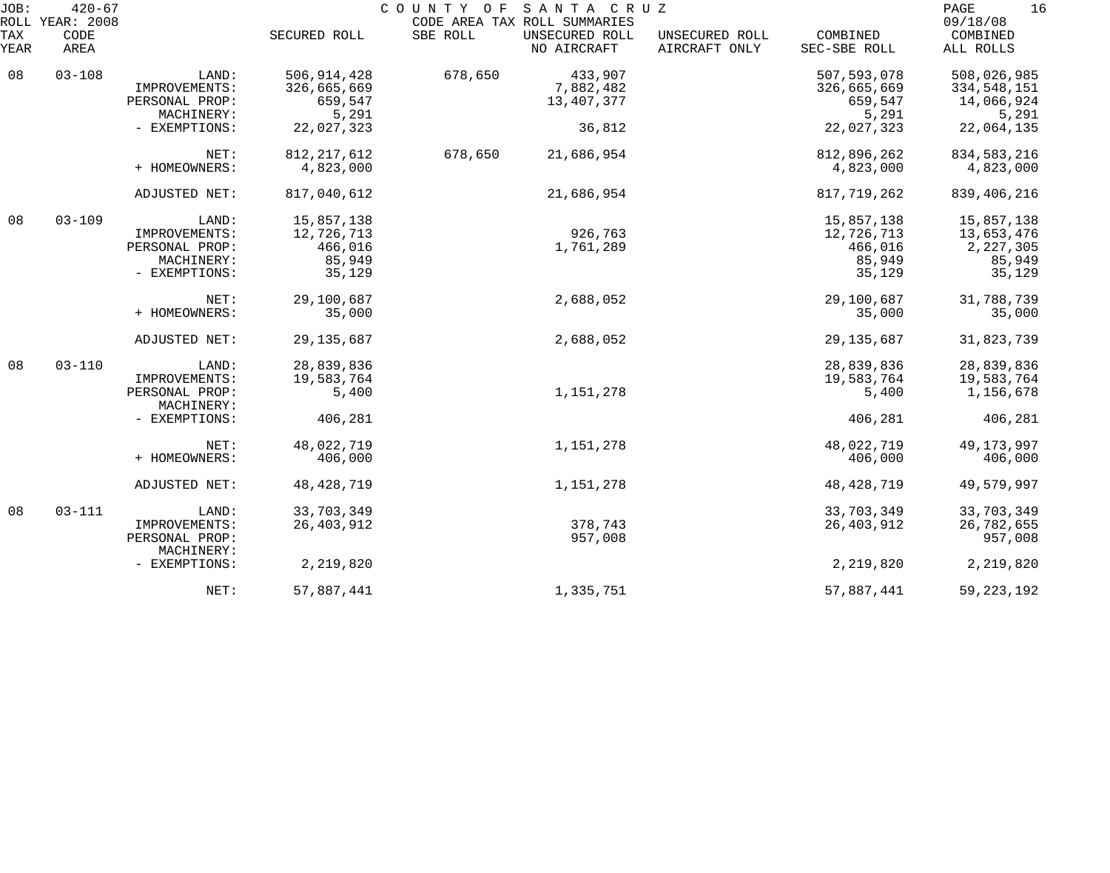| JOB:        | $420 - 67$<br>ROLL YEAR: 2008 |                              |               | COUNTY OF SANTA CRUZ | CODE AREA TAX ROLL SUMMARIES  |                                 |                          | 16<br>PAGE<br>09/18/08 |
|-------------|-------------------------------|------------------------------|---------------|----------------------|-------------------------------|---------------------------------|--------------------------|------------------------|
| TAX<br>YEAR | CODE<br>AREA                  |                              | SECURED ROLL  | SBE ROLL             | UNSECURED ROLL<br>NO AIRCRAFT | UNSECURED ROLL<br>AIRCRAFT ONLY | COMBINED<br>SEC-SBE ROLL | COMBINED<br>ALL ROLLS  |
| 08          | $03 - 108$                    | LAND:                        | 506, 914, 428 | 678,650              | 433,907                       |                                 | 507, 593, 078            | 508,026,985            |
|             |                               | IMPROVEMENTS:                | 326,665,669   |                      | 7,882,482                     |                                 | 326,665,669              | 334,548,151            |
|             |                               | PERSONAL PROP:               | 659,547       |                      | 13,407,377                    |                                 | 659,547                  | 14,066,924             |
|             |                               | MACHINERY:                   | 5,291         |                      |                               |                                 | 5,291                    | 5,291                  |
|             |                               | - EXEMPTIONS:                | 22,027,323    |                      | 36,812                        |                                 | 22,027,323               | 22,064,135             |
|             |                               | NET:                         | 812, 217, 612 | 678,650              | 21,686,954                    |                                 | 812,896,262              | 834, 583, 216          |
|             |                               | + HOMEOWNERS:                | 4,823,000     |                      |                               |                                 | 4,823,000                | 4,823,000              |
|             |                               | ADJUSTED NET:                | 817,040,612   |                      | 21,686,954                    |                                 | 817,719,262              | 839,406,216            |
| 08          | $03 - 109$                    | LAND:                        | 15,857,138    |                      |                               |                                 | 15,857,138               | 15,857,138             |
|             |                               | IMPROVEMENTS:                | 12,726,713    |                      | 926,763                       |                                 | 12,726,713               | 13,653,476             |
|             |                               | PERSONAL PROP:               | 466,016       |                      | 1,761,289                     |                                 | 466,016                  | 2, 227, 305            |
|             |                               | MACHINERY:                   | 85,949        |                      |                               |                                 | 85,949                   | 85,949                 |
|             |                               | - EXEMPTIONS:                | 35,129        |                      |                               |                                 | 35,129                   | 35,129                 |
|             |                               | NET:                         | 29,100,687    |                      | 2,688,052                     |                                 | 29,100,687               | 31,788,739             |
|             |                               | + HOMEOWNERS:                | 35,000        |                      |                               |                                 | 35,000                   | 35,000                 |
|             |                               | ADJUSTED NET:                | 29, 135, 687  |                      | 2,688,052                     |                                 | 29, 135, 687             | 31,823,739             |
| 08          | $03 - 110$                    | LAND:                        | 28,839,836    |                      |                               |                                 | 28,839,836               | 28,839,836             |
|             |                               | IMPROVEMENTS:                | 19,583,764    |                      |                               |                                 | 19,583,764               | 19,583,764             |
|             |                               | PERSONAL PROP:<br>MACHINERY: | 5,400         |                      | 1,151,278                     |                                 | 5,400                    | 1,156,678              |
|             |                               | - EXEMPTIONS:                | 406,281       |                      |                               |                                 | 406,281                  | 406,281                |
|             |                               | NET:                         | 48,022,719    |                      | 1,151,278                     |                                 | 48,022,719               | 49, 173, 997           |
|             |                               | + HOMEOWNERS:                | 406,000       |                      |                               |                                 | 406,000                  | 406,000                |
|             |                               | ADJUSTED NET:                | 48, 428, 719  |                      | 1,151,278                     |                                 | 48,428,719               | 49,579,997             |
| 08          | $03 - 111$                    | LAND:                        | 33,703,349    |                      |                               |                                 | 33,703,349               | 33,703,349             |
|             |                               | IMPROVEMENTS:                | 26, 403, 912  |                      | 378,743                       |                                 | 26,403,912               | 26,782,655             |
|             |                               | PERSONAL PROP:               |               |                      | 957,008                       |                                 |                          | 957,008                |
|             |                               | MACHINERY:<br>- EXEMPTIONS:  | 2,219,820     |                      |                               |                                 | 2,219,820                | 2,219,820              |
|             |                               |                              |               |                      |                               |                                 |                          |                        |
|             |                               | NET:                         | 57,887,441    |                      | 1,335,751                     |                                 | 57,887,441               | 59, 223, 192           |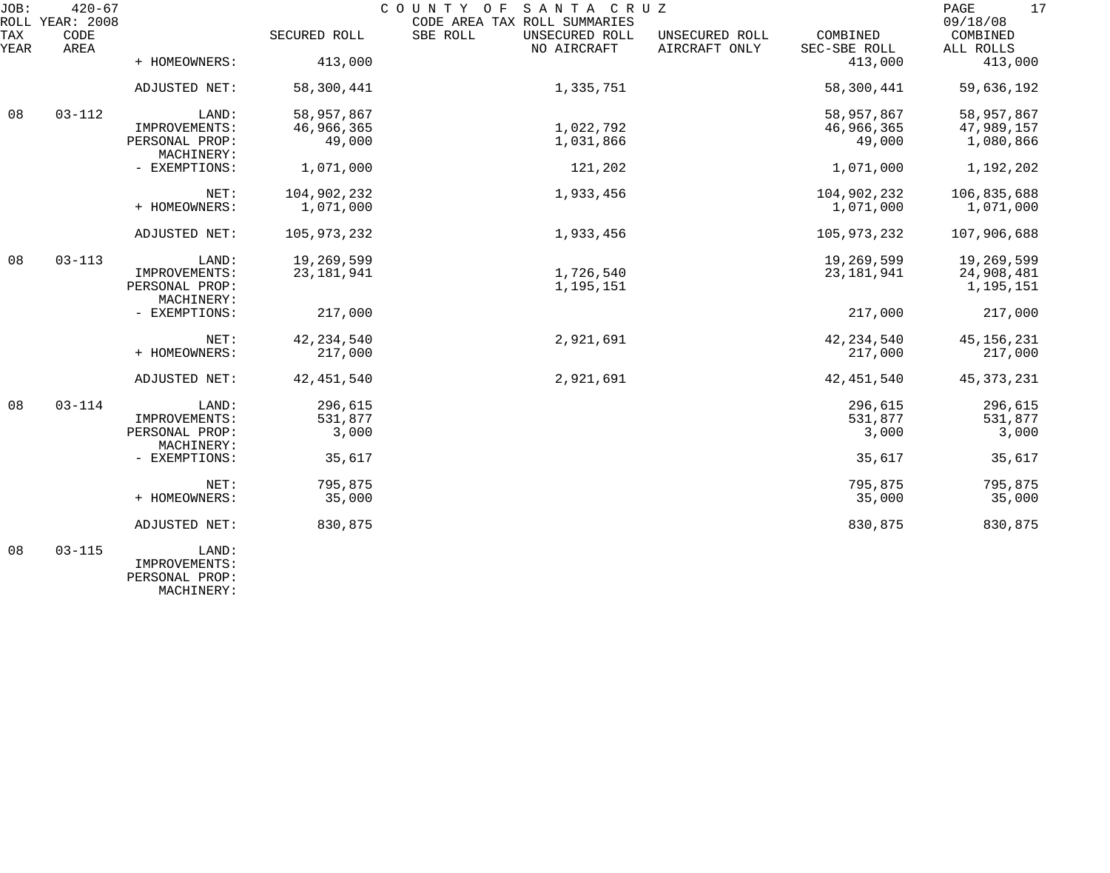| JOB:<br>ROLL YEAR: 2008     | $420 - 67$                      |              | COUNTY OF SANTA CRUZ<br>CODE AREA TAX ROLL SUMMARIES |                                 |                          | PAGE<br>17<br>09/18/08  |
|-----------------------------|---------------------------------|--------------|------------------------------------------------------|---------------------------------|--------------------------|-------------------------|
| TAX<br>CODE<br>YEAR<br>AREA |                                 | SECURED ROLL | SBE ROLL<br>UNSECURED ROLL<br>NO AIRCRAFT            | UNSECURED ROLL<br>AIRCRAFT ONLY | COMBINED<br>SEC-SBE ROLL | COMBINED<br>ALL ROLLS   |
|                             | + HOMEOWNERS:                   | 413,000      |                                                      |                                 | 413,000                  | 413,000                 |
|                             | ADJUSTED NET:                   | 58,300,441   | 1,335,751                                            |                                 | 58,300,441               | 59,636,192              |
| 08<br>$03 - 112$            | LAND:                           | 58,957,867   |                                                      |                                 | 58,957,867               | 58,957,867              |
|                             | IMPROVEMENTS:                   | 46,966,365   | 1,022,792                                            |                                 | 46,966,365               | 47,989,157              |
|                             | PERSONAL PROP:<br>MACHINERY:    | 49,000       | 1,031,866                                            |                                 | 49,000                   | 1,080,866               |
|                             | - EXEMPTIONS:                   | 1,071,000    | 121,202                                              |                                 | 1,071,000                | 1,192,202               |
|                             | NET:                            | 104,902,232  | 1,933,456                                            |                                 | 104,902,232              | 106,835,688             |
|                             | + HOMEOWNERS:                   | 1,071,000    |                                                      |                                 | 1,071,000                | 1,071,000               |
|                             | ADJUSTED NET:                   | 105,973,232  | 1,933,456                                            |                                 | 105,973,232              | 107,906,688             |
| 08<br>$03 - 113$            | LAND:                           | 19,269,599   |                                                      |                                 | 19,269,599               | 19,269,599              |
|                             | IMPROVEMENTS:<br>PERSONAL PROP: | 23, 181, 941 | 1,726,540<br>1,195,151                               |                                 | 23, 181, 941             | 24,908,481<br>1,195,151 |
|                             | MACHINERY:                      |              |                                                      |                                 |                          |                         |
|                             | - EXEMPTIONS:                   | 217,000      |                                                      |                                 | 217,000                  | 217,000                 |
|                             | NET:                            | 42, 234, 540 | 2,921,691                                            |                                 | 42, 234, 540             | 45, 156, 231            |
|                             | + HOMEOWNERS:                   | 217,000      |                                                      |                                 | 217,000                  | 217,000                 |
|                             | ADJUSTED NET:                   | 42, 451, 540 | 2,921,691                                            |                                 | 42, 451, 540             | 45, 373, 231            |
| $03 - 114$<br>08            | LAND:                           | 296,615      |                                                      |                                 | 296,615                  | 296,615                 |
|                             | IMPROVEMENTS:                   | 531,877      |                                                      |                                 | 531,877                  | 531,877                 |
|                             | PERSONAL PROP:                  | 3,000        |                                                      |                                 | 3,000                    | 3,000                   |
|                             | MACHINERY:                      |              |                                                      |                                 |                          |                         |
|                             | - EXEMPTIONS:                   | 35,617       |                                                      |                                 | 35,617                   | 35,617                  |
|                             | NET:                            | 795,875      |                                                      |                                 | 795,875                  | 795,875                 |
|                             | + HOMEOWNERS:                   | 35,000       |                                                      |                                 | 35,000                   | 35,000                  |
|                             | ADJUSTED NET:                   | 830,875      |                                                      |                                 | 830,875                  | 830,875                 |
| $03 - 115$<br>08            | LAND:                           |              |                                                      |                                 |                          |                         |

 IMPROVEMENTS: PERSONAL PROP: MACHINERY: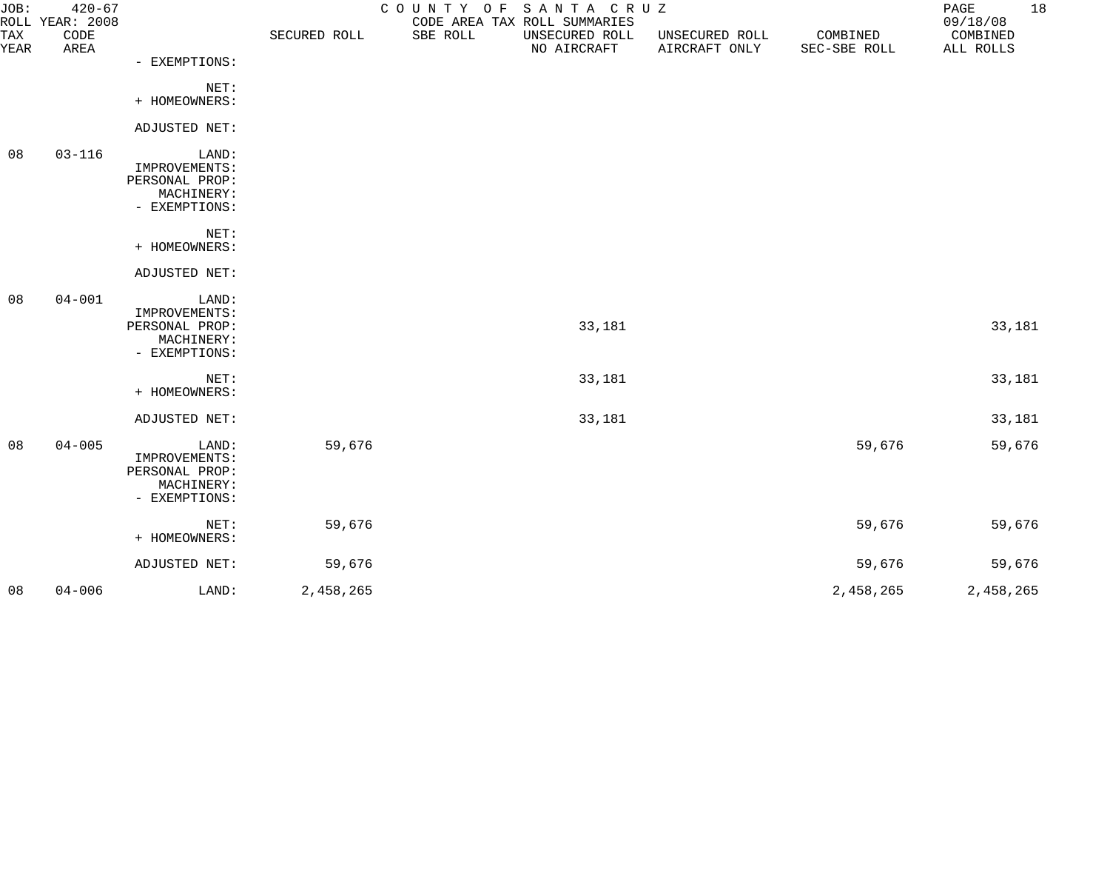| JOB:        | $420 - 67$<br>ROLL YEAR: 2008 |                                                                         |              |          | COUNTY OF SANTA CRUZ<br>CODE AREA TAX ROLL SUMMARIES |                                 |                          | PAGE<br>09/18/08      | 18 |
|-------------|-------------------------------|-------------------------------------------------------------------------|--------------|----------|------------------------------------------------------|---------------------------------|--------------------------|-----------------------|----|
| TAX<br>YEAR | CODE<br>AREA                  |                                                                         | SECURED ROLL | SBE ROLL | UNSECURED ROLL<br>NO AIRCRAFT                        | UNSECURED ROLL<br>AIRCRAFT ONLY | COMBINED<br>SEC-SBE ROLL | COMBINED<br>ALL ROLLS |    |
|             |                               | - EXEMPTIONS:                                                           |              |          |                                                      |                                 |                          |                       |    |
|             |                               | NET:<br>+ HOMEOWNERS:                                                   |              |          |                                                      |                                 |                          |                       |    |
|             |                               | ADJUSTED NET:                                                           |              |          |                                                      |                                 |                          |                       |    |
| 08          | $03 - 116$                    | LAND:<br>IMPROVEMENTS:<br>PERSONAL PROP:<br>MACHINERY:<br>- EXEMPTIONS: |              |          |                                                      |                                 |                          |                       |    |
|             |                               | NET:<br>+ HOMEOWNERS:                                                   |              |          |                                                      |                                 |                          |                       |    |
|             |                               | ADJUSTED NET:                                                           |              |          |                                                      |                                 |                          |                       |    |
| 08          | $04 - 001$                    | LAND:<br>IMPROVEMENTS:<br>PERSONAL PROP:<br>MACHINERY:<br>- EXEMPTIONS: |              |          | 33,181                                               |                                 |                          | 33,181                |    |
|             |                               | NET:<br>+ HOMEOWNERS:                                                   |              |          | 33,181                                               |                                 |                          | 33,181                |    |
|             |                               | ADJUSTED NET:                                                           |              |          | 33,181                                               |                                 |                          | 33,181                |    |
| 08          | $04 - 005$                    | LAND:<br>IMPROVEMENTS:<br>PERSONAL PROP:<br>MACHINERY:<br>- EXEMPTIONS: | 59,676       |          |                                                      |                                 | 59,676                   | 59,676                |    |
|             |                               | NET:<br>+ HOMEOWNERS:                                                   | 59,676       |          |                                                      |                                 | 59,676                   | 59,676                |    |
|             |                               | ADJUSTED NET:                                                           | 59,676       |          |                                                      |                                 | 59,676                   | 59,676                |    |
| 08          | $04 - 006$                    | LAND:                                                                   | 2,458,265    |          |                                                      |                                 | 2,458,265                | 2,458,265             |    |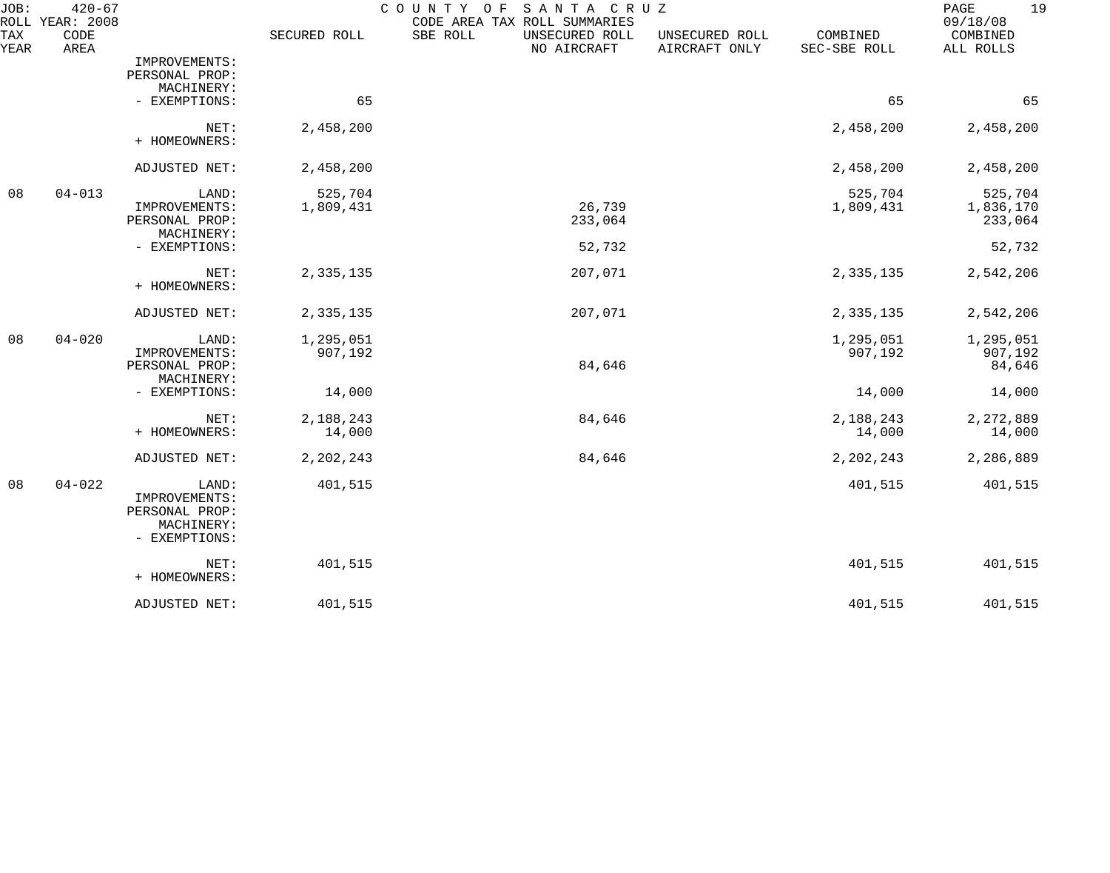| JOB:        | $420 - 67$<br>ROLL YEAR: 2008 |                                                                         |                      | SANTA CRUZ<br>COUNTY<br>O F<br>CODE AREA TAX ROLL SUMMARIES |                                 |                          | 19<br>PAGE<br>09/18/08          |
|-------------|-------------------------------|-------------------------------------------------------------------------|----------------------|-------------------------------------------------------------|---------------------------------|--------------------------|---------------------------------|
| TAX<br>YEAR | CODE<br>AREA                  |                                                                         | SECURED ROLL         | SBE ROLL<br>UNSECURED ROLL<br>NO AIRCRAFT                   | UNSECURED ROLL<br>AIRCRAFT ONLY | COMBINED<br>SEC-SBE ROLL | COMBINED<br>ALL ROLLS           |
|             |                               | IMPROVEMENTS:<br>PERSONAL PROP:<br>MACHINERY:                           |                      |                                                             |                                 |                          |                                 |
|             |                               | - EXEMPTIONS:                                                           | 65                   |                                                             |                                 | 65                       | 65                              |
|             |                               | NET:<br>+ HOMEOWNERS:                                                   | 2,458,200            |                                                             |                                 | 2,458,200                | 2,458,200                       |
|             |                               | ADJUSTED NET:                                                           | 2,458,200            |                                                             |                                 | 2,458,200                | 2,458,200                       |
| 08          | $04 - 013$                    | LAND:<br>IMPROVEMENTS:<br>PERSONAL PROP:<br>MACHINERY:                  | 525,704<br>1,809,431 | 26,739<br>233,064                                           |                                 | 525,704<br>1,809,431     | 525,704<br>1,836,170<br>233,064 |
|             |                               | - EXEMPTIONS:                                                           |                      | 52,732                                                      |                                 |                          | 52,732                          |
|             |                               | NET:<br>+ HOMEOWNERS:                                                   | 2,335,135            | 207,071                                                     |                                 | 2,335,135                | 2,542,206                       |
|             |                               | ADJUSTED NET:                                                           | 2,335,135            | 207,071                                                     |                                 | 2,335,135                | 2,542,206                       |
| 08          | $04 - 020$                    | LAND:<br>IMPROVEMENTS:<br>PERSONAL PROP:                                | 1,295,051<br>907,192 | 84,646                                                      |                                 | 1,295,051<br>907,192     | 1,295,051<br>907,192<br>84,646  |
|             |                               | MACHINERY:<br>- EXEMPTIONS:                                             | 14,000               |                                                             |                                 | 14,000                   | 14,000                          |
|             |                               | NET:<br>+ HOMEOWNERS:                                                   | 2,188,243<br>14,000  | 84,646                                                      |                                 | 2,188,243<br>14,000      | 2,272,889<br>14,000             |
|             |                               | ADJUSTED NET:                                                           | 2,202,243            | 84,646                                                      |                                 | 2,202,243                | 2,286,889                       |
| 08          | $04 - 022$                    | LAND:<br>IMPROVEMENTS:<br>PERSONAL PROP:<br>MACHINERY:<br>- EXEMPTIONS: | 401,515              |                                                             |                                 | 401,515                  | 401,515                         |
|             |                               | NET:<br>+ HOMEOWNERS:                                                   | 401,515              |                                                             |                                 | 401,515                  | 401,515                         |
|             |                               | ADJUSTED NET:                                                           | 401,515              |                                                             |                                 | 401,515                  | 401,515                         |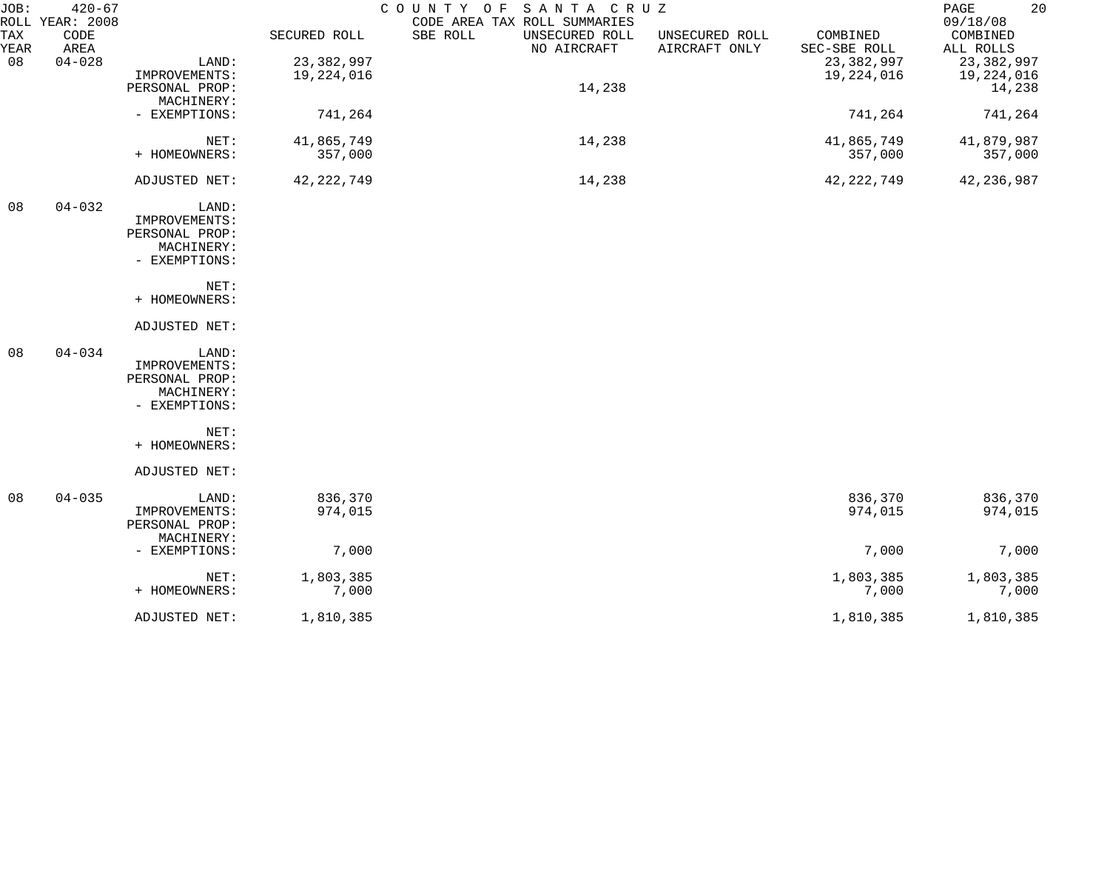| JOB:                | $420 - 67$                 |                                                                         |                    | SANTA CRUZ<br>COUNTY OF                                                   |                                 |                          | 20<br>PAGE                        |
|---------------------|----------------------------|-------------------------------------------------------------------------|--------------------|---------------------------------------------------------------------------|---------------------------------|--------------------------|-----------------------------------|
| ROLL<br>TAX<br>YEAR | YEAR: 2008<br>CODE<br>AREA |                                                                         | SECURED ROLL       | CODE AREA TAX ROLL SUMMARIES<br>SBE ROLL<br>UNSECURED ROLL<br>NO AIRCRAFT | UNSECURED ROLL<br>AIRCRAFT ONLY | COMBINED<br>SEC-SBE ROLL | 09/18/08<br>COMBINED<br>ALL ROLLS |
| 08                  | $04 - 028$                 | LAND:                                                                   | 23,382,997         |                                                                           |                                 | 23, 382, 997             | 23,382,997                        |
|                     |                            | IMPROVEMENTS:                                                           | 19,224,016         |                                                                           |                                 | 19,224,016               | 19,224,016                        |
|                     |                            | PERSONAL PROP:<br>MACHINERY:                                            |                    | 14,238                                                                    |                                 |                          | 14,238                            |
|                     |                            | - EXEMPTIONS:                                                           | 741,264            |                                                                           |                                 | 741,264                  | 741,264                           |
|                     |                            | NET:                                                                    | 41,865,749         | 14,238                                                                    |                                 | 41,865,749               | 41,879,987                        |
|                     |                            | + HOMEOWNERS:                                                           | 357,000            |                                                                           |                                 | 357,000                  | 357,000                           |
|                     |                            | ADJUSTED NET:                                                           | 42, 222, 749       | 14,238                                                                    |                                 | 42, 222, 749             | 42, 236, 987                      |
| 08                  | $04 - 032$                 | LAND:<br>IMPROVEMENTS:<br>PERSONAL PROP:<br>MACHINERY:<br>- EXEMPTIONS: |                    |                                                                           |                                 |                          |                                   |
|                     |                            | NET:<br>+ HOMEOWNERS:                                                   |                    |                                                                           |                                 |                          |                                   |
|                     |                            | ADJUSTED NET:                                                           |                    |                                                                           |                                 |                          |                                   |
| 08                  | $04 - 034$                 | LAND:<br>IMPROVEMENTS:<br>PERSONAL PROP:<br>MACHINERY:<br>- EXEMPTIONS: |                    |                                                                           |                                 |                          |                                   |
|                     |                            | NET:<br>+ HOMEOWNERS:                                                   |                    |                                                                           |                                 |                          |                                   |
|                     |                            | ADJUSTED NET:                                                           |                    |                                                                           |                                 |                          |                                   |
| 08                  | $04 - 035$                 | LAND:<br>IMPROVEMENTS:<br>PERSONAL PROP:                                | 836,370<br>974,015 |                                                                           |                                 | 836,370<br>974,015       | 836,370<br>974,015                |
|                     |                            | MACHINERY:<br>- EXEMPTIONS:                                             | 7,000              |                                                                           |                                 | 7,000                    | 7,000                             |
|                     |                            | NET:                                                                    | 1,803,385          |                                                                           |                                 | 1,803,385                | 1,803,385                         |
|                     |                            | + HOMEOWNERS:                                                           | 7,000              |                                                                           |                                 | 7,000                    | 7,000                             |
|                     |                            | ADJUSTED NET:                                                           | 1,810,385          |                                                                           |                                 | 1,810,385                | 1,810,385                         |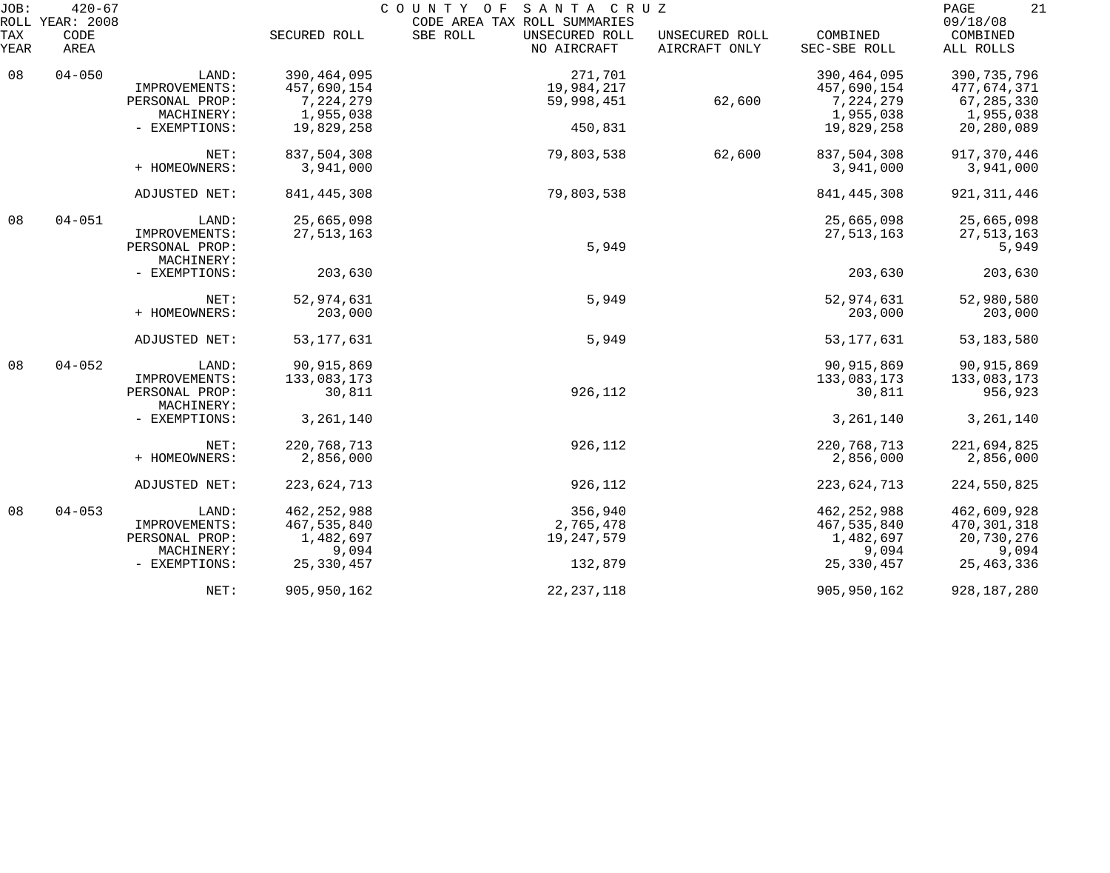| JOB:<br>ROLL | $420 - 67$<br>YEAR: 2008 |                              |               | COUNTY OF SANTA CRUZ<br>CODE AREA TAX ROLL SUMMARIES |                                 |                          | PAGE<br>21<br>09/18/08 |
|--------------|--------------------------|------------------------------|---------------|------------------------------------------------------|---------------------------------|--------------------------|------------------------|
| TAX<br>YEAR  | CODE<br>AREA             |                              | SECURED ROLL  | SBE ROLL<br>UNSECURED ROLL<br>NO AIRCRAFT            | UNSECURED ROLL<br>AIRCRAFT ONLY | COMBINED<br>SEC-SBE ROLL | COMBINED<br>ALL ROLLS  |
| 08           | $04 - 050$               | LAND:                        | 390, 464, 095 | 271,701                                              |                                 | 390, 464, 095            | 390, 735, 796          |
|              |                          | IMPROVEMENTS:                | 457,690,154   | 19,984,217                                           |                                 | 457,690,154              | 477,674,371            |
|              |                          | PERSONAL PROP:               | 7,224,279     | 59,998,451                                           | 62,600                          | 7,224,279                | 67,285,330             |
|              |                          | MACHINERY:                   | 1,955,038     |                                                      |                                 | 1,955,038                | 1,955,038              |
|              |                          | - EXEMPTIONS:                | 19,829,258    | 450,831                                              |                                 | 19,829,258               | 20,280,089             |
|              |                          | NET:                         | 837,504,308   | 79,803,538                                           | 62,600                          | 837,504,308              | 917,370,446            |
|              |                          | + HOMEOWNERS:                | 3,941,000     |                                                      |                                 | 3,941,000                | 3,941,000              |
|              |                          | ADJUSTED NET:                | 841, 445, 308 | 79,803,538                                           |                                 | 841, 445, 308            | 921, 311, 446          |
| 08           | $04 - 051$               | LAND:                        | 25,665,098    |                                                      |                                 | 25,665,098               | 25,665,098             |
|              |                          | IMPROVEMENTS:                | 27, 513, 163  |                                                      |                                 | 27,513,163               | 27, 513, 163           |
|              |                          | PERSONAL PROP:               |               | 5,949                                                |                                 |                          | 5,949                  |
|              |                          | MACHINERY:                   |               |                                                      |                                 |                          |                        |
|              |                          | - EXEMPTIONS:                | 203,630       |                                                      |                                 | 203,630                  | 203,630                |
|              |                          | NET:                         | 52,974,631    | 5,949                                                |                                 | 52,974,631               | 52,980,580             |
|              |                          | + HOMEOWNERS:                | 203,000       |                                                      |                                 | 203,000                  | 203,000                |
|              |                          | ADJUSTED NET:                | 53, 177, 631  | 5,949                                                |                                 | 53, 177, 631             | 53, 183, 580           |
| 08           | $04 - 052$               | LAND:                        | 90, 915, 869  |                                                      |                                 | 90,915,869               | 90, 915, 869           |
|              |                          | IMPROVEMENTS:                | 133,083,173   |                                                      |                                 | 133,083,173              | 133,083,173            |
|              |                          | PERSONAL PROP:<br>MACHINERY: | 30,811        | 926,112                                              |                                 | 30,811                   | 956,923                |
|              |                          | - EXEMPTIONS:                | 3, 261, 140   |                                                      |                                 | 3, 261, 140              | 3, 261, 140            |
|              |                          | NET:                         | 220, 768, 713 | 926,112                                              |                                 | 220, 768, 713            | 221,694,825            |
|              |                          | + HOMEOWNERS:                | 2,856,000     |                                                      |                                 | 2,856,000                | 2,856,000              |
|              |                          | ADJUSTED NET:                | 223,624,713   | 926,112                                              |                                 | 223,624,713              | 224,550,825            |
| 08           | $04 - 053$               | LAND:                        | 462, 252, 988 | 356,940                                              |                                 | 462, 252, 988            | 462,609,928            |
|              |                          | IMPROVEMENTS:                | 467,535,840   | 2,765,478                                            |                                 | 467,535,840              | 470,301,318            |
|              |                          | PERSONAL PROP:               | 1,482,697     | 19, 247, 579                                         |                                 | 1,482,697                | 20,730,276             |
|              |                          | MACHINERY:                   | 9,094         |                                                      |                                 | 9,094                    | 9,094                  |
|              |                          | - EXEMPTIONS:                | 25, 330, 457  | 132,879                                              |                                 | 25,330,457               | 25, 463, 336           |
|              |                          | NET:                         | 905, 950, 162 | 22, 237, 118                                         |                                 | 905, 950, 162            | 928, 187, 280          |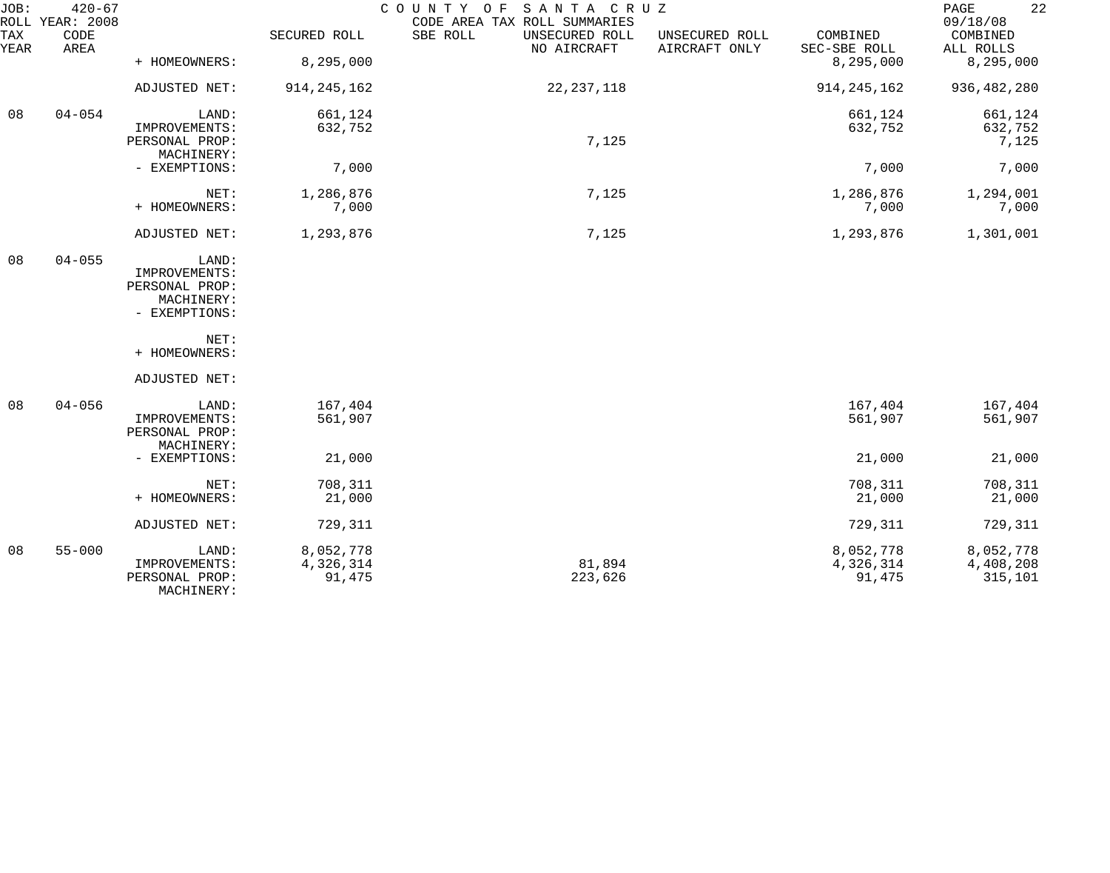| JOB:        | $420 - 67$<br>ROLL YEAR: 2008 |                                 |               | COUNTY OF<br>SANTA CRUZ<br>CODE AREA TAX ROLL SUMMARIES |                                 |                          | 22<br>PAGE<br>09/18/08 |
|-------------|-------------------------------|---------------------------------|---------------|---------------------------------------------------------|---------------------------------|--------------------------|------------------------|
| TAX<br>YEAR | CODE<br>AREA                  |                                 | SECURED ROLL  | SBE ROLL<br>UNSECURED ROLL<br>NO AIRCRAFT               | UNSECURED ROLL<br>AIRCRAFT ONLY | COMBINED<br>SEC-SBE ROLL | COMBINED<br>ALL ROLLS  |
|             |                               | + HOMEOWNERS:                   | 8,295,000     |                                                         |                                 | 8,295,000                | 8,295,000              |
|             |                               | ADJUSTED NET:                   | 914, 245, 162 | 22, 237, 118                                            |                                 | 914, 245, 162            | 936, 482, 280          |
| 08          | $04 - 054$                    | LAND:                           | 661,124       |                                                         |                                 | 661,124                  | 661,124                |
|             |                               | IMPROVEMENTS:<br>PERSONAL PROP: | 632,752       | 7,125                                                   |                                 | 632,752                  | 632,752<br>7,125       |
|             |                               | MACHINERY:                      |               |                                                         |                                 |                          |                        |
|             |                               | - EXEMPTIONS:                   | 7,000         |                                                         |                                 | 7,000                    | 7,000                  |
|             |                               | NET:                            | 1,286,876     | 7,125                                                   |                                 | 1,286,876                | 1,294,001              |
|             |                               | + HOMEOWNERS:                   | 7,000         |                                                         |                                 | 7,000                    | 7,000                  |
|             |                               | ADJUSTED NET:                   | 1,293,876     | 7,125                                                   |                                 | 1,293,876                | 1,301,001              |
| 08          | $04 - 055$                    | LAND:                           |               |                                                         |                                 |                          |                        |
|             |                               | IMPROVEMENTS:                   |               |                                                         |                                 |                          |                        |
|             |                               | PERSONAL PROP:<br>MACHINERY:    |               |                                                         |                                 |                          |                        |
|             |                               | - EXEMPTIONS:                   |               |                                                         |                                 |                          |                        |
|             |                               |                                 |               |                                                         |                                 |                          |                        |
|             |                               | NET:<br>+ HOMEOWNERS:           |               |                                                         |                                 |                          |                        |
|             |                               | ADJUSTED NET:                   |               |                                                         |                                 |                          |                        |
| 08          | $04 - 056$                    | LAND:                           | 167,404       |                                                         |                                 | 167,404                  | 167,404                |
|             |                               | IMPROVEMENTS:                   | 561,907       |                                                         |                                 | 561,907                  | 561,907                |
|             |                               | PERSONAL PROP:<br>MACHINERY:    |               |                                                         |                                 |                          |                        |
|             |                               | - EXEMPTIONS:                   | 21,000        |                                                         |                                 | 21,000                   | 21,000                 |
|             |                               | NET:                            | 708,311       |                                                         |                                 | 708,311                  | 708,311                |
|             |                               | + HOMEOWNERS:                   | 21,000        |                                                         |                                 | 21,000                   | 21,000                 |
|             |                               | ADJUSTED NET:                   | 729,311       |                                                         |                                 | 729,311                  | 729,311                |
| 08          | $55 - 000$                    | LAND:                           | 8,052,778     |                                                         |                                 | 8,052,778                | 8,052,778              |
|             |                               | IMPROVEMENTS:                   | 4,326,314     | 81,894                                                  |                                 | 4,326,314                | 4,408,208              |
|             |                               | PERSONAL PROP:<br>MACHINERY:    | 91,475        | 223,626                                                 |                                 | 91,475                   | 315,101                |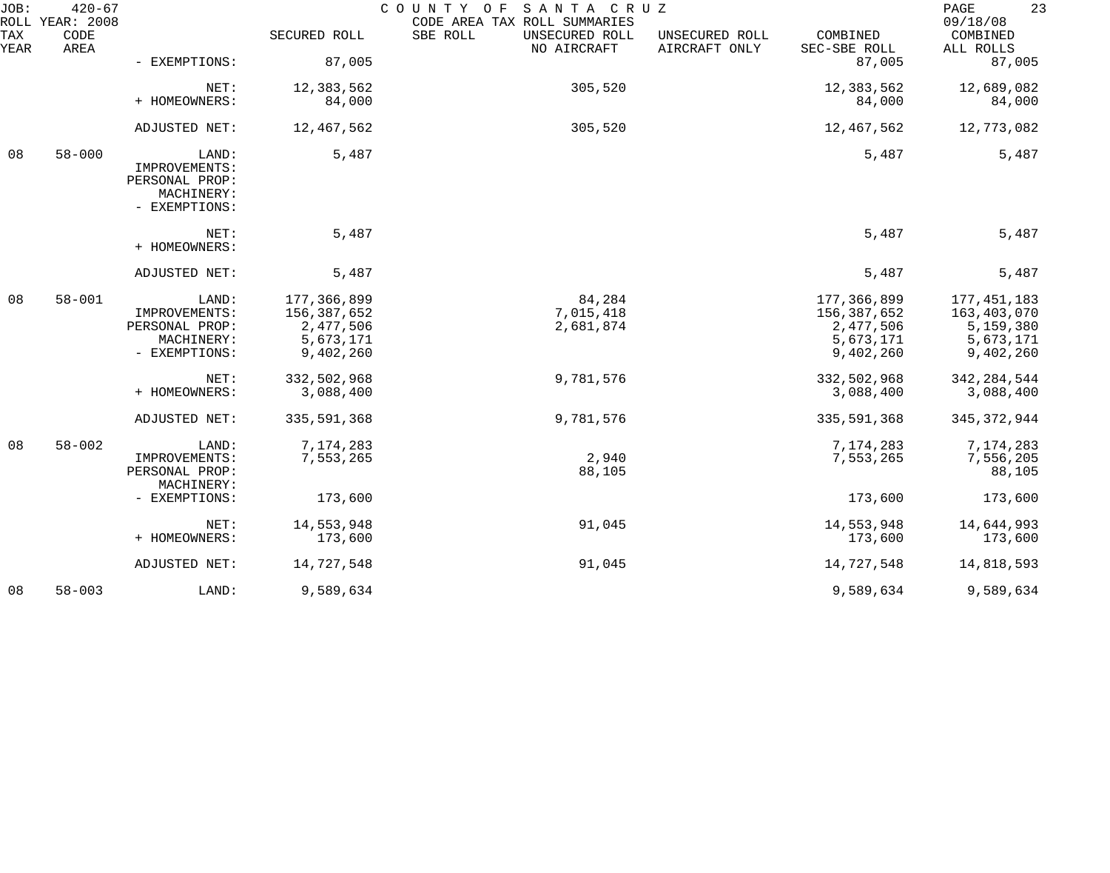| JOB:        | $420 - 67$<br>ROLL YEAR: 2008 |                                                                         |               | COUNTY OF<br>SANTA CRUZ<br>CODE AREA TAX ROLL SUMMARIES |                                 |                          | 23<br>PAGE<br>09/18/08 |
|-------------|-------------------------------|-------------------------------------------------------------------------|---------------|---------------------------------------------------------|---------------------------------|--------------------------|------------------------|
| TAX<br>YEAR | CODE<br>AREA                  |                                                                         | SECURED ROLL  | SBE ROLL<br>UNSECURED ROLL<br>NO AIRCRAFT               | UNSECURED ROLL<br>AIRCRAFT ONLY | COMBINED<br>SEC-SBE ROLL | COMBINED<br>ALL ROLLS  |
|             |                               | - EXEMPTIONS:                                                           | 87,005        |                                                         |                                 | 87,005                   | 87,005                 |
|             |                               | NET:                                                                    | 12,383,562    | 305,520                                                 |                                 | 12,383,562               | 12,689,082             |
|             |                               | + HOMEOWNERS:                                                           | 84,000        |                                                         |                                 | 84,000                   | 84,000                 |
|             |                               | ADJUSTED NET:                                                           | 12,467,562    | 305,520                                                 |                                 | 12,467,562               | 12,773,082             |
| 08          | $58 - 000$                    | LAND:<br>IMPROVEMENTS:<br>PERSONAL PROP:<br>MACHINERY:<br>- EXEMPTIONS: | 5,487         |                                                         |                                 | 5,487                    | 5,487                  |
|             |                               | NET:<br>+ HOMEOWNERS:                                                   | 5,487         |                                                         |                                 | 5,487                    | 5,487                  |
|             |                               | ADJUSTED NET:                                                           | 5,487         |                                                         |                                 | 5,487                    | 5,487                  |
| 08          | $58 - 001$                    | LAND:                                                                   | 177,366,899   | 84,284                                                  |                                 | 177,366,899              | 177, 451, 183          |
|             |                               | IMPROVEMENTS:                                                           | 156,387,652   | 7,015,418                                               |                                 | 156,387,652              | 163,403,070            |
|             |                               | PERSONAL PROP:                                                          | 2,477,506     | 2,681,874                                               |                                 | 2,477,506                | 5,159,380              |
|             |                               | MACHINERY:                                                              | 5,673,171     |                                                         |                                 | 5,673,171                | 5,673,171              |
|             |                               | - EXEMPTIONS:                                                           | 9,402,260     |                                                         |                                 | 9,402,260                | 9,402,260              |
|             |                               | NET:                                                                    | 332,502,968   | 9,781,576                                               |                                 | 332,502,968              | 342, 284, 544          |
|             |                               | + HOMEOWNERS:                                                           | 3,088,400     |                                                         |                                 | 3,088,400                | 3,088,400              |
|             |                               | ADJUSTED NET:                                                           | 335, 591, 368 | 9,781,576                                               |                                 | 335,591,368              | 345, 372, 944          |
| 08          | $58 - 002$                    | LAND:                                                                   | 7,174,283     |                                                         |                                 | 7,174,283                | 7,174,283              |
|             |                               | IMPROVEMENTS:                                                           | 7,553,265     | 2,940                                                   |                                 | 7,553,265                | 7,556,205              |
|             |                               | PERSONAL PROP:                                                          |               | 88,105                                                  |                                 |                          | 88,105                 |
|             |                               | MACHINERY:                                                              |               |                                                         |                                 |                          |                        |
|             |                               | - EXEMPTIONS:                                                           | 173,600       |                                                         |                                 | 173,600                  | 173,600                |
|             |                               | NET:                                                                    | 14,553,948    | 91,045                                                  |                                 | 14,553,948               | 14,644,993             |
|             |                               | + HOMEOWNERS:                                                           | 173,600       |                                                         |                                 | 173,600                  | 173,600                |
|             |                               | ADJUSTED NET:                                                           | 14,727,548    | 91,045                                                  |                                 | 14,727,548               | 14,818,593             |
| 08          | $58 - 003$                    | LAND:                                                                   | 9,589,634     |                                                         |                                 | 9,589,634                | 9,589,634              |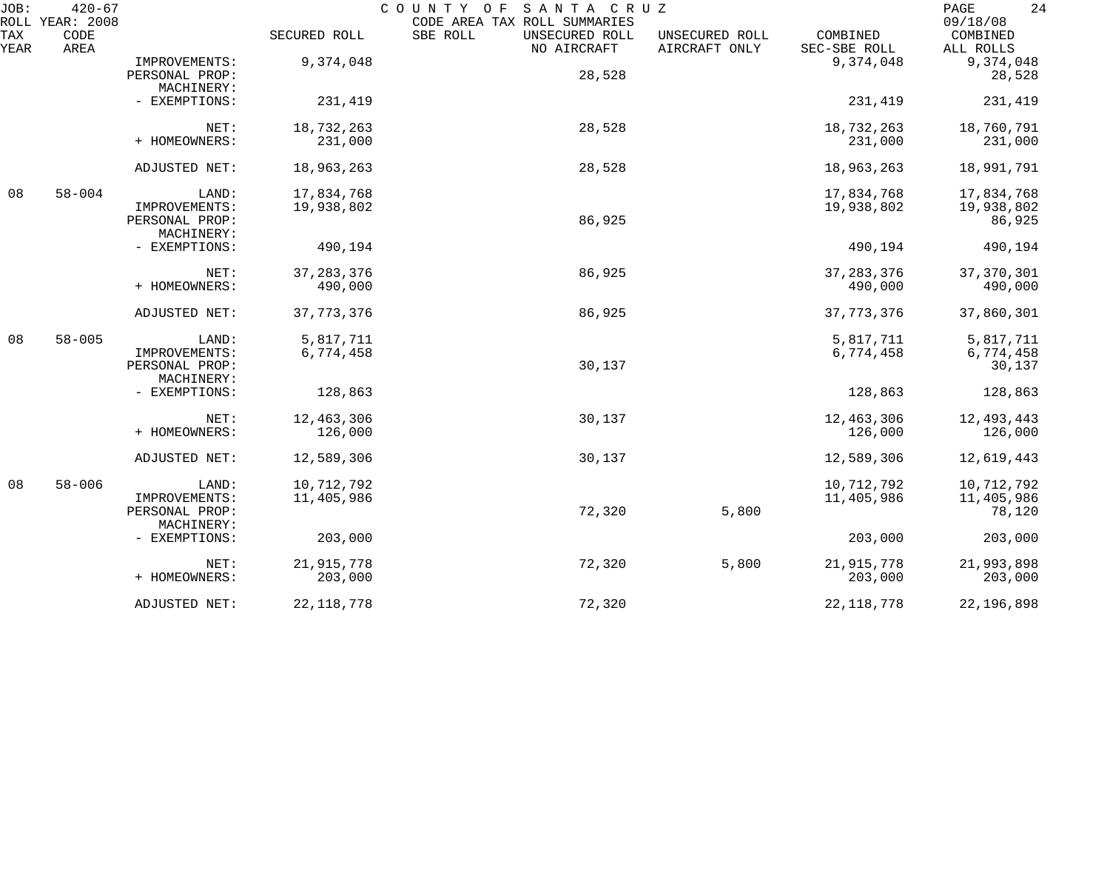| JOB:        | $420 - 67$<br>ROLL YEAR: 2008 |                |              | COUNTY OF<br>SANTA CRUZ<br>CODE AREA TAX ROLL SUMMARIES |                                 |                          | 24<br>PAGE<br>09/18/08 |
|-------------|-------------------------------|----------------|--------------|---------------------------------------------------------|---------------------------------|--------------------------|------------------------|
| TAX<br>YEAR | CODE<br>AREA                  |                | SECURED ROLL | SBE ROLL<br>UNSECURED ROLL<br>NO AIRCRAFT               | UNSECURED ROLL<br>AIRCRAFT ONLY | COMBINED<br>SEC-SBE ROLL | COMBINED<br>ALL ROLLS  |
|             |                               | IMPROVEMENTS:  | 9,374,048    |                                                         |                                 | 9,374,048                | 9,374,048              |
|             |                               | PERSONAL PROP: |              | 28,528                                                  |                                 |                          | 28,528                 |
|             |                               | MACHINERY:     |              |                                                         |                                 |                          |                        |
|             |                               | - EXEMPTIONS:  | 231,419      |                                                         |                                 | 231,419                  | 231,419                |
|             |                               | NET:           | 18,732,263   | 28,528                                                  |                                 | 18,732,263               | 18,760,791             |
|             |                               | + HOMEOWNERS:  | 231,000      |                                                         |                                 | 231,000                  | 231,000                |
|             |                               | ADJUSTED NET:  | 18,963,263   | 28,528                                                  |                                 | 18,963,263               | 18,991,791             |
| 08          | $58 - 004$                    | LAND:          | 17,834,768   |                                                         |                                 | 17,834,768               | 17,834,768             |
|             |                               | IMPROVEMENTS:  | 19,938,802   |                                                         |                                 | 19,938,802               | 19,938,802             |
|             |                               | PERSONAL PROP: |              | 86,925                                                  |                                 |                          | 86,925                 |
|             |                               | MACHINERY:     |              |                                                         |                                 |                          |                        |
|             |                               | - EXEMPTIONS:  | 490,194      |                                                         |                                 | 490,194                  | 490,194                |
|             |                               | NET:           | 37, 283, 376 | 86,925                                                  |                                 | 37, 283, 376             | 37, 370, 301           |
|             |                               | + HOMEOWNERS:  | 490,000      |                                                         |                                 | 490,000                  | 490,000                |
|             |                               | ADJUSTED NET:  | 37, 773, 376 | 86,925                                                  |                                 | 37, 773, 376             | 37,860,301             |
| 08          | $58 - 005$                    | LAND:          | 5,817,711    |                                                         |                                 | 5,817,711                | 5,817,711              |
|             |                               | IMPROVEMENTS:  | 6,774,458    |                                                         |                                 | 6,774,458                | 6,774,458              |
|             |                               | PERSONAL PROP: |              | 30,137                                                  |                                 |                          | 30,137                 |
|             |                               | MACHINERY:     |              |                                                         |                                 |                          |                        |
|             |                               | - EXEMPTIONS:  | 128,863      |                                                         |                                 | 128,863                  | 128,863                |
|             |                               | NET:           | 12,463,306   | 30,137                                                  |                                 | 12,463,306               | 12,493,443             |
|             |                               | + HOMEOWNERS:  | 126,000      |                                                         |                                 | 126,000                  | 126,000                |
|             |                               | ADJUSTED NET:  | 12,589,306   | 30,137                                                  |                                 | 12,589,306               | 12,619,443             |
| 08          | $58 - 006$                    | LAND:          | 10,712,792   |                                                         |                                 | 10,712,792               | 10,712,792             |
|             |                               | IMPROVEMENTS:  | 11,405,986   |                                                         |                                 | 11,405,986               | 11,405,986             |
|             |                               | PERSONAL PROP: |              | 72,320                                                  | 5,800                           |                          | 78,120                 |
|             |                               | MACHINERY:     |              |                                                         |                                 |                          |                        |
|             |                               | - EXEMPTIONS:  | 203,000      |                                                         |                                 | 203,000                  | 203,000                |
|             |                               | NET:           | 21,915,778   | 72,320                                                  | 5,800                           | 21,915,778               | 21,993,898             |
|             |                               | + HOMEOWNERS:  | 203,000      |                                                         |                                 | 203,000                  | 203,000                |
|             |                               | ADJUSTED NET:  | 22, 118, 778 | 72,320                                                  |                                 | 22, 118, 778             | 22,196,898             |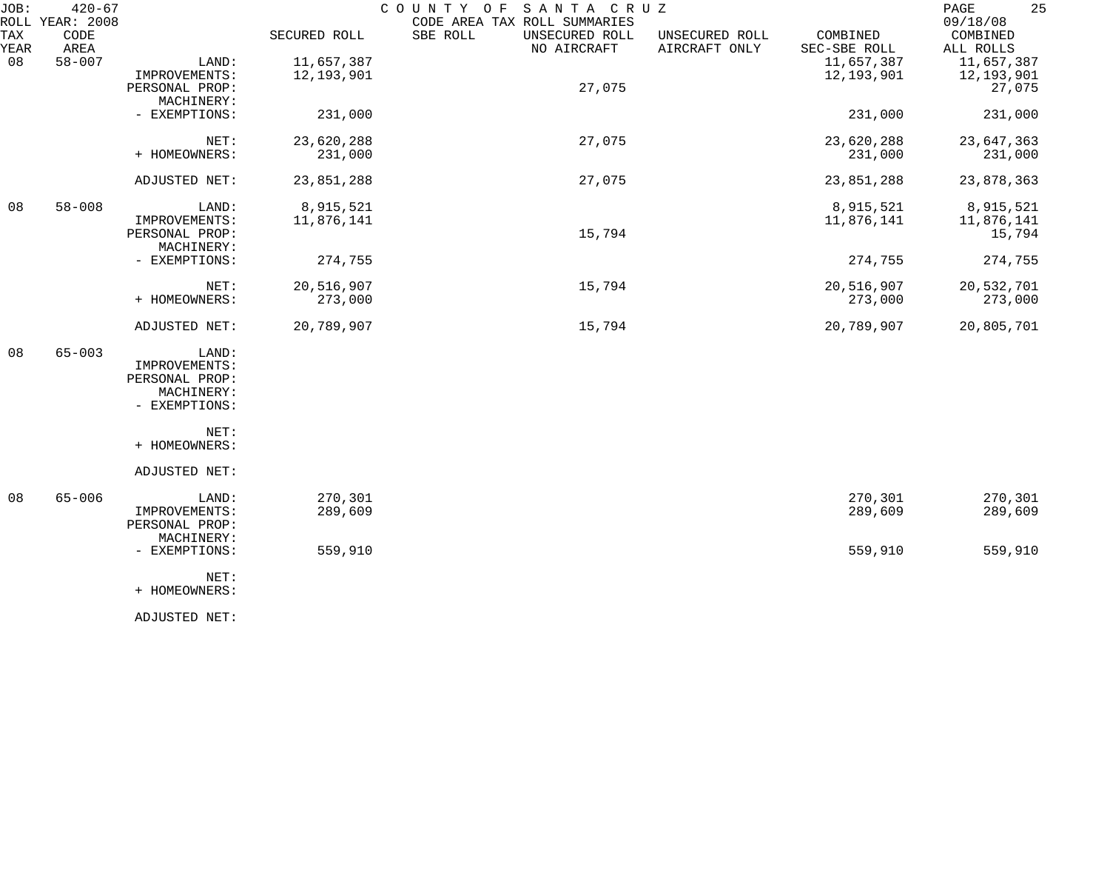| JOB:        | $420 - 67$<br>ROLL YEAR: 2008 |                                                                         |                          | COUNTY OF<br>SANTA CRUZ<br>CODE AREA TAX ROLL SUMMARIES |                                 |                          | 25<br>$\mathop{\mathtt{PAGE}}$<br>09/18/08 |
|-------------|-------------------------------|-------------------------------------------------------------------------|--------------------------|---------------------------------------------------------|---------------------------------|--------------------------|--------------------------------------------|
| TAX<br>YEAR | CODE<br>AREA                  |                                                                         | SECURED ROLL             | SBE ROLL<br>UNSECURED ROLL<br>NO AIRCRAFT               | UNSECURED ROLL<br>AIRCRAFT ONLY | COMBINED<br>SEC-SBE ROLL | COMBINED<br>ALL ROLLS                      |
| 08          | $58 - 007$                    | LAND:<br>IMPROVEMENTS:<br>PERSONAL PROP:                                | 11,657,387<br>12,193,901 | 27,075                                                  |                                 | 11,657,387<br>12,193,901 | 11,657,387<br>12,193,901<br>27,075         |
|             |                               | MACHINERY:<br>- EXEMPTIONS:                                             | 231,000                  |                                                         |                                 | 231,000                  | 231,000                                    |
|             |                               | NET:<br>+ HOMEOWNERS:                                                   | 23,620,288<br>231,000    | 27,075                                                  |                                 | 23,620,288<br>231,000    | 23,647,363<br>231,000                      |
|             |                               | ADJUSTED NET:                                                           | 23,851,288               | 27,075                                                  |                                 | 23,851,288               | 23,878,363                                 |
| 08          | $58 - 008$                    | LAND:<br>IMPROVEMENTS:<br>PERSONAL PROP:                                | 8,915,521<br>11,876,141  | 15,794                                                  |                                 | 8,915,521<br>11,876,141  | 8,915,521<br>11,876,141<br>15,794          |
|             |                               | MACHINERY:<br>- EXEMPTIONS:                                             | 274,755                  |                                                         |                                 | 274,755                  | 274,755                                    |
|             |                               | NET:<br>+ HOMEOWNERS:                                                   | 20,516,907<br>273,000    | 15,794                                                  |                                 | 20,516,907<br>273,000    | 20,532,701<br>273,000                      |
|             |                               | ADJUSTED NET:                                                           | 20,789,907               | 15,794                                                  |                                 | 20,789,907               | 20,805,701                                 |
| 08          | $65 - 003$                    | LAND:<br>IMPROVEMENTS:<br>PERSONAL PROP:<br>MACHINERY:<br>- EXEMPTIONS: |                          |                                                         |                                 |                          |                                            |
|             |                               | NET:<br>+ HOMEOWNERS:                                                   |                          |                                                         |                                 |                          |                                            |
|             |                               | ADJUSTED NET:                                                           |                          |                                                         |                                 |                          |                                            |
| 08          | $65 - 006$                    | LAND:<br>IMPROVEMENTS:<br>PERSONAL PROP:<br>MACHINERY:                  | 270,301<br>289,609       |                                                         |                                 | 270,301<br>289,609       | 270,301<br>289,609                         |
|             |                               | - EXEMPTIONS:<br>NET:<br>+ HOMEOWNERS:                                  | 559,910                  |                                                         |                                 | 559,910                  | 559,910                                    |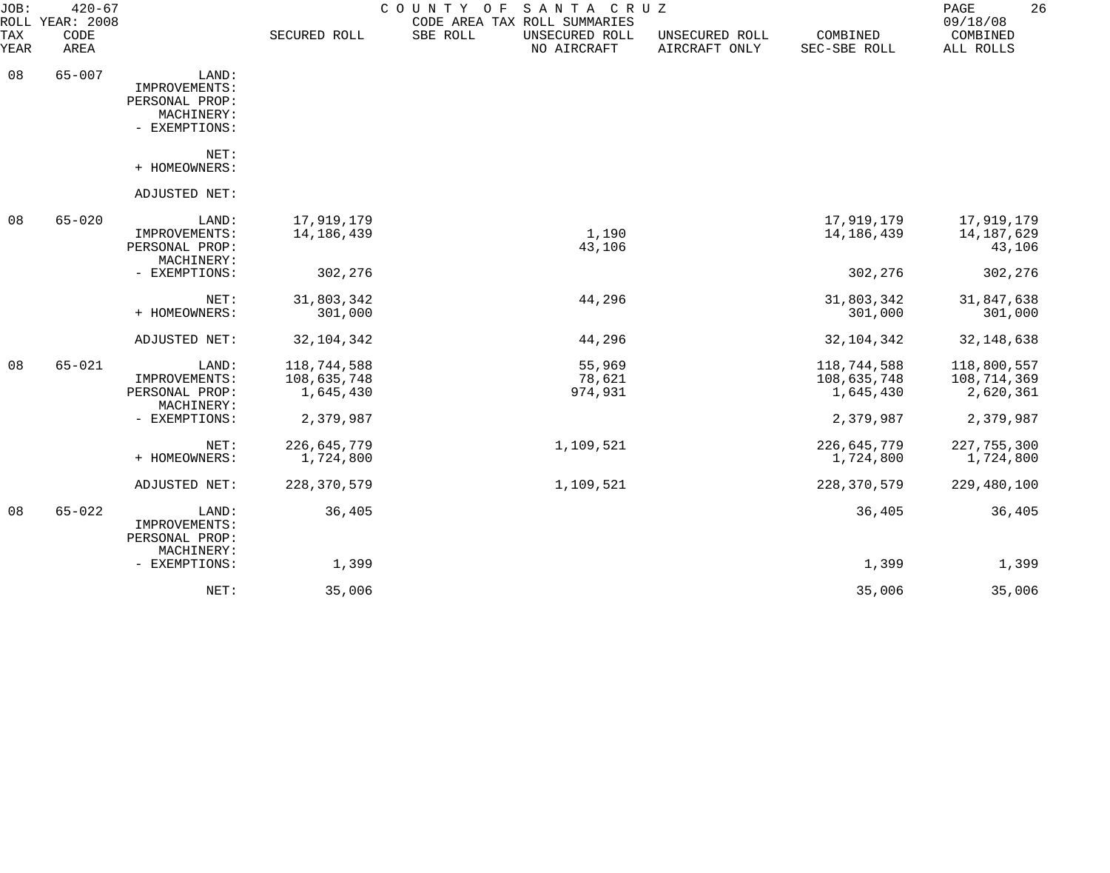| JOB:        | $420 - 67$<br>ROLL YEAR: 2008 |                                                                         |                                                      | COUNTY OF<br>SANTA CRUZ<br>CODE AREA TAX ROLL SUMMARIES |                                 |                                                      | 26<br>PAGE<br>09/18/08                               |
|-------------|-------------------------------|-------------------------------------------------------------------------|------------------------------------------------------|---------------------------------------------------------|---------------------------------|------------------------------------------------------|------------------------------------------------------|
| TAX<br>YEAR | CODE<br>AREA                  |                                                                         | SECURED ROLL                                         | SBE ROLL<br>UNSECURED ROLL<br>NO AIRCRAFT               | UNSECURED ROLL<br>AIRCRAFT ONLY | COMBINED<br>SEC-SBE ROLL                             | COMBINED<br>ALL ROLLS                                |
| 08          | $65 - 007$                    | LAND:<br>IMPROVEMENTS:<br>PERSONAL PROP:<br>MACHINERY:<br>- EXEMPTIONS: |                                                      |                                                         |                                 |                                                      |                                                      |
|             |                               | NET:<br>+ HOMEOWNERS:                                                   |                                                      |                                                         |                                 |                                                      |                                                      |
|             |                               | ADJUSTED NET:                                                           |                                                      |                                                         |                                 |                                                      |                                                      |
| 08          | $65 - 020$                    | LAND:<br>IMPROVEMENTS:<br>PERSONAL PROP:<br>MACHINERY:                  | 17,919,179<br>14,186,439                             | 1,190<br>43,106                                         |                                 | 17,919,179<br>14,186,439                             | 17,919,179<br>14,187,629<br>43,106                   |
|             |                               | - EXEMPTIONS:                                                           | 302,276                                              |                                                         |                                 | 302,276                                              | 302,276                                              |
|             |                               | NET:<br>+ HOMEOWNERS:                                                   | 31,803,342<br>301,000                                | 44,296                                                  |                                 | 31,803,342<br>301,000                                | 31,847,638<br>301,000                                |
|             |                               | ADJUSTED NET:                                                           | 32, 104, 342                                         | 44,296                                                  |                                 | 32, 104, 342                                         | 32, 148, 638                                         |
| 08          | $65 - 021$                    | LAND:<br>IMPROVEMENTS:<br>PERSONAL PROP:<br>MACHINERY:<br>- EXEMPTIONS: | 118,744,588<br>108,635,748<br>1,645,430<br>2,379,987 | 55,969<br>78,621<br>974,931                             |                                 | 118,744,588<br>108,635,748<br>1,645,430<br>2,379,987 | 118,800,557<br>108,714,369<br>2,620,361<br>2,379,987 |
|             |                               | NET:<br>+ HOMEOWNERS:                                                   | 226,645,779<br>1,724,800                             | 1,109,521                                               |                                 | 226,645,779<br>1,724,800                             | 227, 755, 300<br>1,724,800                           |
|             |                               | ADJUSTED NET:                                                           | 228, 370, 579                                        | 1,109,521                                               |                                 | 228, 370, 579                                        | 229,480,100                                          |
| 08          | $65 - 022$                    | LAND:<br>IMPROVEMENTS:<br>PERSONAL PROP:<br>MACHINERY:                  | 36,405                                               |                                                         |                                 | 36,405                                               | 36,405                                               |
|             |                               | - EXEMPTIONS:                                                           | 1,399                                                |                                                         |                                 | 1,399                                                | 1,399                                                |
|             |                               | NET:                                                                    | 35,006                                               |                                                         |                                 | 35,006                                               | 35,006                                               |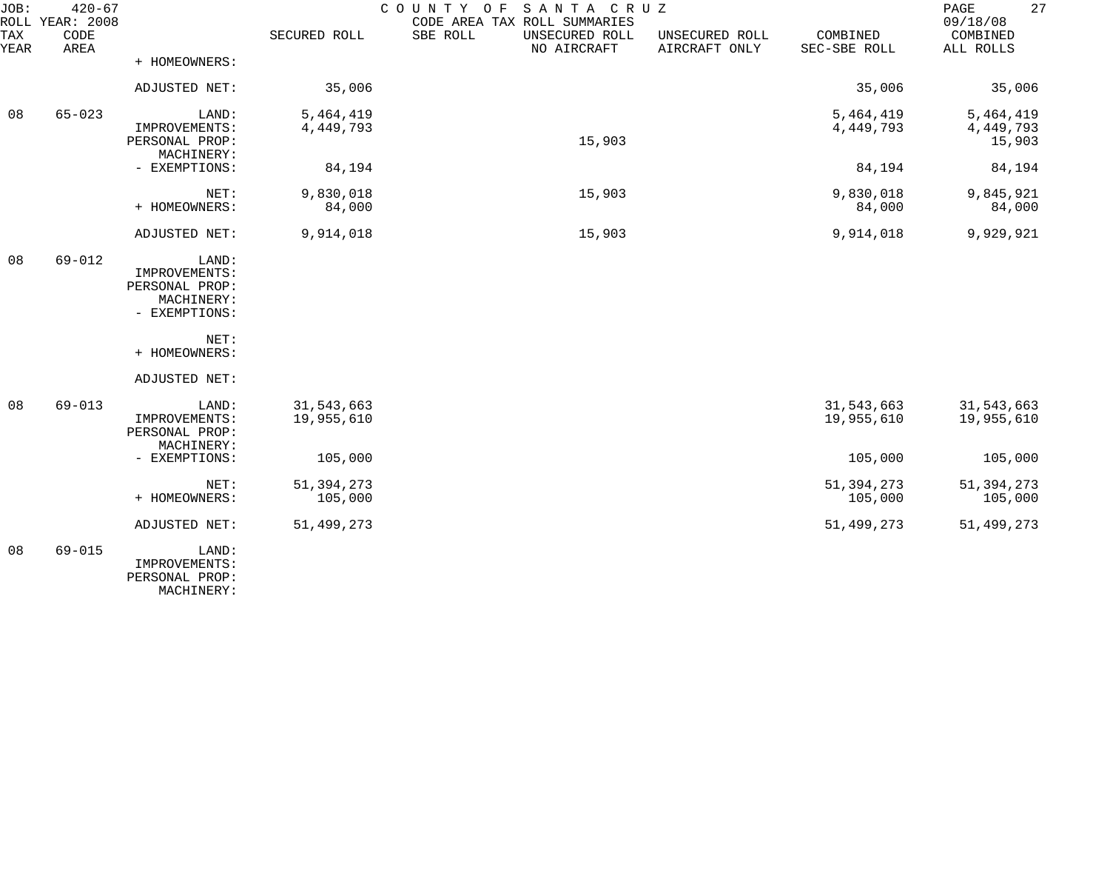| JOB:        | $420 - 67$<br>ROLL YEAR: 2008 |                                               |                          | SANTA CRUZ<br>COUNTY<br>O F<br>CODE AREA TAX ROLL SUMMARIES |                                 |                          | 27<br>PAGE<br>09/18/08   |
|-------------|-------------------------------|-----------------------------------------------|--------------------------|-------------------------------------------------------------|---------------------------------|--------------------------|--------------------------|
| TAX<br>YEAR | CODE<br>AREA                  |                                               | SECURED ROLL             | SBE ROLL<br>UNSECURED ROLL<br>NO AIRCRAFT                   | UNSECURED ROLL<br>AIRCRAFT ONLY | COMBINED<br>SEC-SBE ROLL | COMBINED<br>ALL ROLLS    |
|             |                               | + HOMEOWNERS:                                 |                          |                                                             |                                 |                          |                          |
|             |                               | ADJUSTED NET:                                 | 35,006                   |                                                             |                                 | 35,006                   | 35,006                   |
| 08          | $65 - 023$                    | LAND:                                         | 5,464,419                |                                                             |                                 | 5,464,419                | 5,464,419                |
|             |                               | IMPROVEMENTS:<br>PERSONAL PROP:<br>MACHINERY: | 4,449,793                | 15,903                                                      |                                 | 4,449,793                | 4, 449, 793<br>15,903    |
|             |                               | - EXEMPTIONS:                                 | 84,194                   |                                                             |                                 | 84,194                   | 84,194                   |
|             |                               | NET:                                          | 9,830,018                | 15,903                                                      |                                 | 9,830,018                | 9,845,921                |
|             |                               | + HOMEOWNERS:                                 | 84,000                   |                                                             |                                 | 84,000                   | 84,000                   |
|             |                               | ADJUSTED NET:                                 | 9,914,018                | 15,903                                                      |                                 | 9,914,018                | 9,929,921                |
| 08          | $69 - 012$                    | LAND:<br>IMPROVEMENTS:                        |                          |                                                             |                                 |                          |                          |
|             |                               | PERSONAL PROP:<br>MACHINERY:                  |                          |                                                             |                                 |                          |                          |
|             |                               | - EXEMPTIONS:                                 |                          |                                                             |                                 |                          |                          |
|             |                               | NET:<br>+ HOMEOWNERS:                         |                          |                                                             |                                 |                          |                          |
|             |                               | ADJUSTED NET:                                 |                          |                                                             |                                 |                          |                          |
| 08          | $69 - 013$                    | LAND:<br>IMPROVEMENTS:                        | 31,543,663<br>19,955,610 |                                                             |                                 | 31,543,663<br>19,955,610 | 31,543,663<br>19,955,610 |
|             |                               | PERSONAL PROP:<br>MACHINERY:                  |                          |                                                             |                                 |                          |                          |
|             |                               | - EXEMPTIONS:                                 | 105,000                  |                                                             |                                 | 105,000                  | 105,000                  |
|             |                               | NET:                                          | 51, 394, 273             |                                                             |                                 | 51, 394, 273             | 51, 394, 273             |
|             |                               | + HOMEOWNERS:                                 | 105,000                  |                                                             |                                 | 105,000                  | 105,000                  |
|             |                               | ADJUSTED NET:                                 | 51,499,273               |                                                             |                                 | 51,499,273               | 51,499,273               |
| 08          | $69 - 015$                    | LAND:<br>IMPROVEMENTS:<br>PERSONAL PROP:      |                          |                                                             |                                 |                          |                          |

MACHINERY: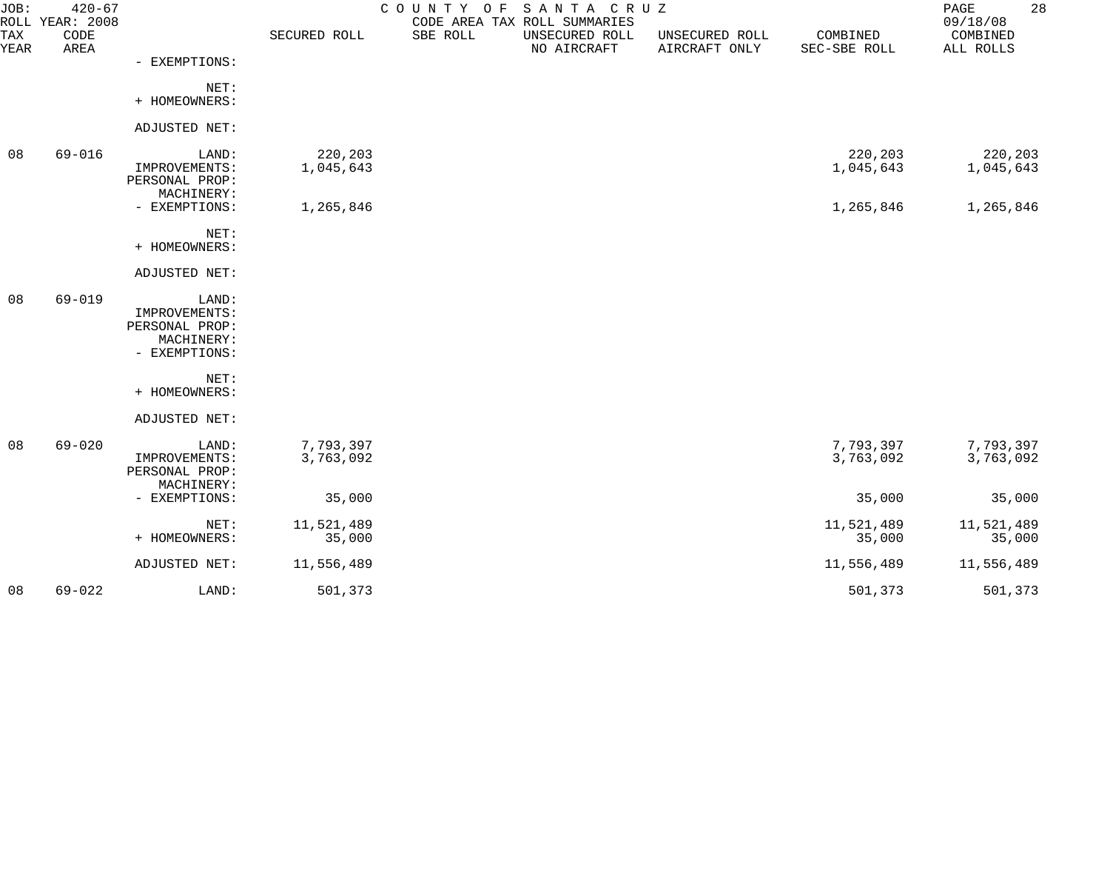| JOB:        | $420 - 67$<br>ROLL YEAR: 2008 |                                 |                      | COUNTY OF | SANTA CRUZ<br>CODE AREA TAX ROLL SUMMARIES |                                 |                          | 28<br>PAGE<br>09/18/08 |
|-------------|-------------------------------|---------------------------------|----------------------|-----------|--------------------------------------------|---------------------------------|--------------------------|------------------------|
| TAX<br>YEAR | CODE<br>AREA                  |                                 | SECURED ROLL         | SBE ROLL  | UNSECURED ROLL<br>NO AIRCRAFT              | UNSECURED ROLL<br>AIRCRAFT ONLY | COMBINED<br>SEC-SBE ROLL | COMBINED<br>ALL ROLLS  |
|             |                               | - EXEMPTIONS:                   |                      |           |                                            |                                 |                          |                        |
|             |                               | NET:<br>+ HOMEOWNERS:           |                      |           |                                            |                                 |                          |                        |
|             |                               |                                 |                      |           |                                            |                                 |                          |                        |
|             |                               | ADJUSTED NET:                   |                      |           |                                            |                                 |                          |                        |
| 08          | $69 - 016$                    | LAND:<br>IMPROVEMENTS:          | 220,203<br>1,045,643 |           |                                            |                                 | 220,203<br>1,045,643     | 220,203<br>1,045,643   |
|             |                               | PERSONAL PROP:                  |                      |           |                                            |                                 |                          |                        |
|             |                               | MACHINERY:<br>- EXEMPTIONS:     | 1,265,846            |           |                                            |                                 | 1,265,846                | 1,265,846              |
|             |                               |                                 |                      |           |                                            |                                 |                          |                        |
|             |                               | NET:<br>+ HOMEOWNERS:           |                      |           |                                            |                                 |                          |                        |
|             |                               | ADJUSTED NET:                   |                      |           |                                            |                                 |                          |                        |
| 08          | $69 - 019$                    | LAND:                           |                      |           |                                            |                                 |                          |                        |
|             |                               | IMPROVEMENTS:<br>PERSONAL PROP: |                      |           |                                            |                                 |                          |                        |
|             |                               | MACHINERY:                      |                      |           |                                            |                                 |                          |                        |
|             |                               | - EXEMPTIONS:                   |                      |           |                                            |                                 |                          |                        |
|             |                               | NET:<br>+ HOMEOWNERS:           |                      |           |                                            |                                 |                          |                        |
|             |                               |                                 |                      |           |                                            |                                 |                          |                        |
|             |                               | ADJUSTED NET:                   |                      |           |                                            |                                 |                          |                        |
| 08          | $69 - 020$                    | LAND:                           | 7,793,397            |           |                                            |                                 | 7,793,397                | 7,793,397              |
|             |                               | IMPROVEMENTS:<br>PERSONAL PROP: | 3,763,092            |           |                                            |                                 | 3,763,092                | 3,763,092              |
|             |                               | MACHINERY:                      |                      |           |                                            |                                 |                          |                        |
|             |                               | - EXEMPTIONS:                   | 35,000               |           |                                            |                                 | 35,000                   | 35,000                 |
|             |                               | NET:                            | 11,521,489           |           |                                            |                                 | 11,521,489               | 11,521,489             |
|             |                               | + HOMEOWNERS:                   | 35,000               |           |                                            |                                 | 35,000                   | 35,000                 |
|             |                               | ADJUSTED NET:                   | 11,556,489           |           |                                            |                                 | 11,556,489               | 11,556,489             |
| 08          | $69 - 022$                    | LAND:                           | 501,373              |           |                                            |                                 | 501,373                  | 501,373                |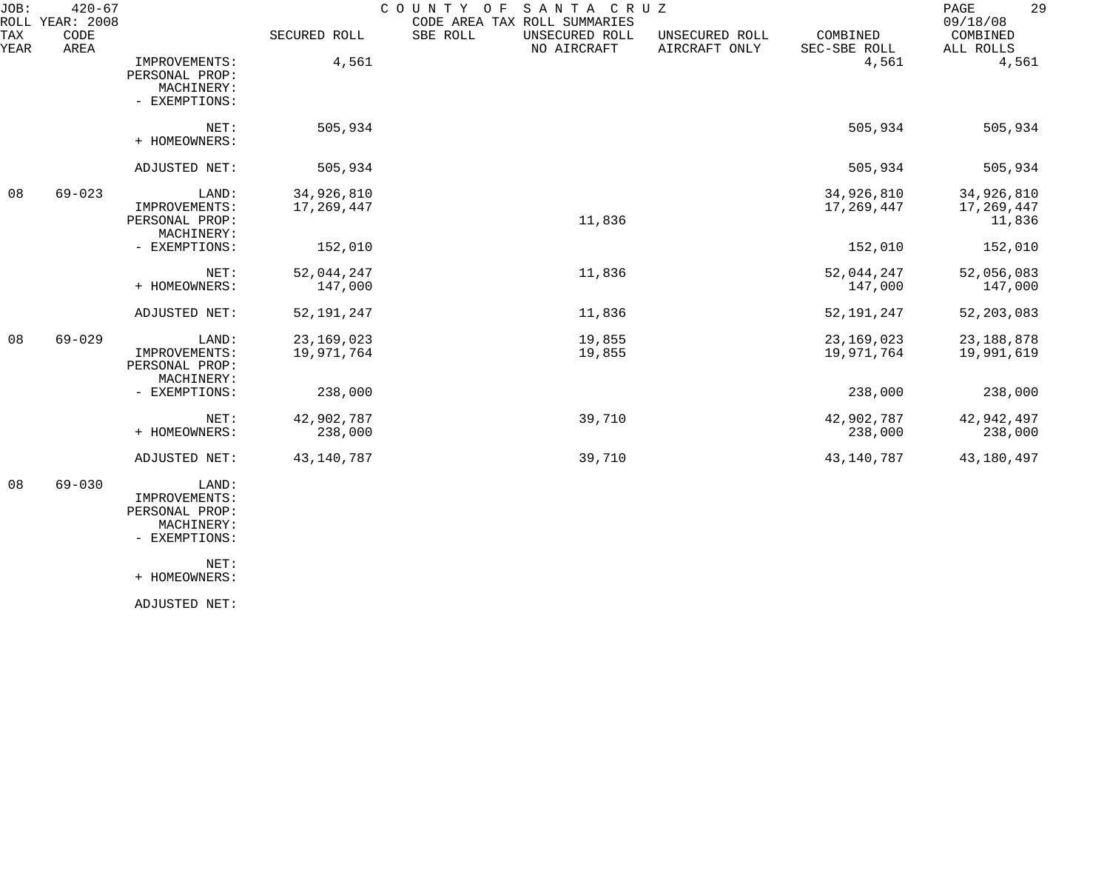| JOB:<br>ROLL | $420 - 67$<br>YEAR: 2008 |                                                                |                            | COUNTY<br>SANTA CRUZ<br>O F<br>CODE AREA TAX ROLL SUMMARIES |                                 |                            | 29<br>PAGE<br>09/18/08             |
|--------------|--------------------------|----------------------------------------------------------------|----------------------------|-------------------------------------------------------------|---------------------------------|----------------------------|------------------------------------|
| TAX<br>YEAR  | CODE<br>AREA             |                                                                | SECURED ROLL               | SBE ROLL<br>UNSECURED ROLL<br>NO AIRCRAFT                   | UNSECURED ROLL<br>AIRCRAFT ONLY | COMBINED<br>SEC-SBE ROLL   | COMBINED<br>ALL ROLLS              |
|              |                          | IMPROVEMENTS:<br>PERSONAL PROP:<br>MACHINERY:<br>- EXEMPTIONS: | 4,561                      |                                                             |                                 | 4,561                      | 4,561                              |
|              |                          | NET:<br>+ HOMEOWNERS:                                          | 505,934                    |                                                             |                                 | 505,934                    | 505,934                            |
|              |                          | ADJUSTED NET:                                                  | 505,934                    |                                                             |                                 | 505,934                    | 505,934                            |
| 08           | $69 - 023$               | LAND:<br>IMPROVEMENTS:<br>PERSONAL PROP:<br>MACHINERY:         | 34,926,810<br>17,269,447   | 11,836                                                      |                                 | 34,926,810<br>17,269,447   | 34,926,810<br>17,269,447<br>11,836 |
|              |                          | - EXEMPTIONS:                                                  | 152,010                    |                                                             |                                 | 152,010                    | 152,010                            |
|              |                          | NET:<br>+ HOMEOWNERS:                                          | 52,044,247<br>147,000      | 11,836                                                      |                                 | 52,044,247<br>147,000      | 52,056,083<br>147,000              |
|              |                          | ADJUSTED NET:                                                  | 52, 191, 247               | 11,836                                                      |                                 | 52, 191, 247               | 52, 203, 083                       |
| 08           | $69 - 029$               | LAND:<br>IMPROVEMENTS:<br>PERSONAL PROP:<br>MACHINERY:         | 23, 169, 023<br>19,971,764 | 19,855<br>19,855                                            |                                 | 23, 169, 023<br>19,971,764 | 23, 188, 878<br>19,991,619         |
|              |                          | - EXEMPTIONS:                                                  | 238,000                    |                                                             |                                 | 238,000                    | 238,000                            |
|              |                          | NET:<br>+ HOMEOWNERS:                                          | 42,902,787<br>238,000      | 39,710                                                      |                                 | 42,902,787<br>238,000      | 42,942,497<br>238,000              |
|              |                          | ADJUSTED NET:                                                  | 43, 140, 787               | 39,710                                                      |                                 | 43, 140, 787               | 43,180,497                         |
| 08           | $69 - 030$               | LAND:<br>IMPROVEMENTS:                                         |                            |                                                             |                                 |                            |                                    |

 PERSONAL PROP: MACHINERY:

- EXEMPTIONS:

NET:

+ HOMEOWNERS: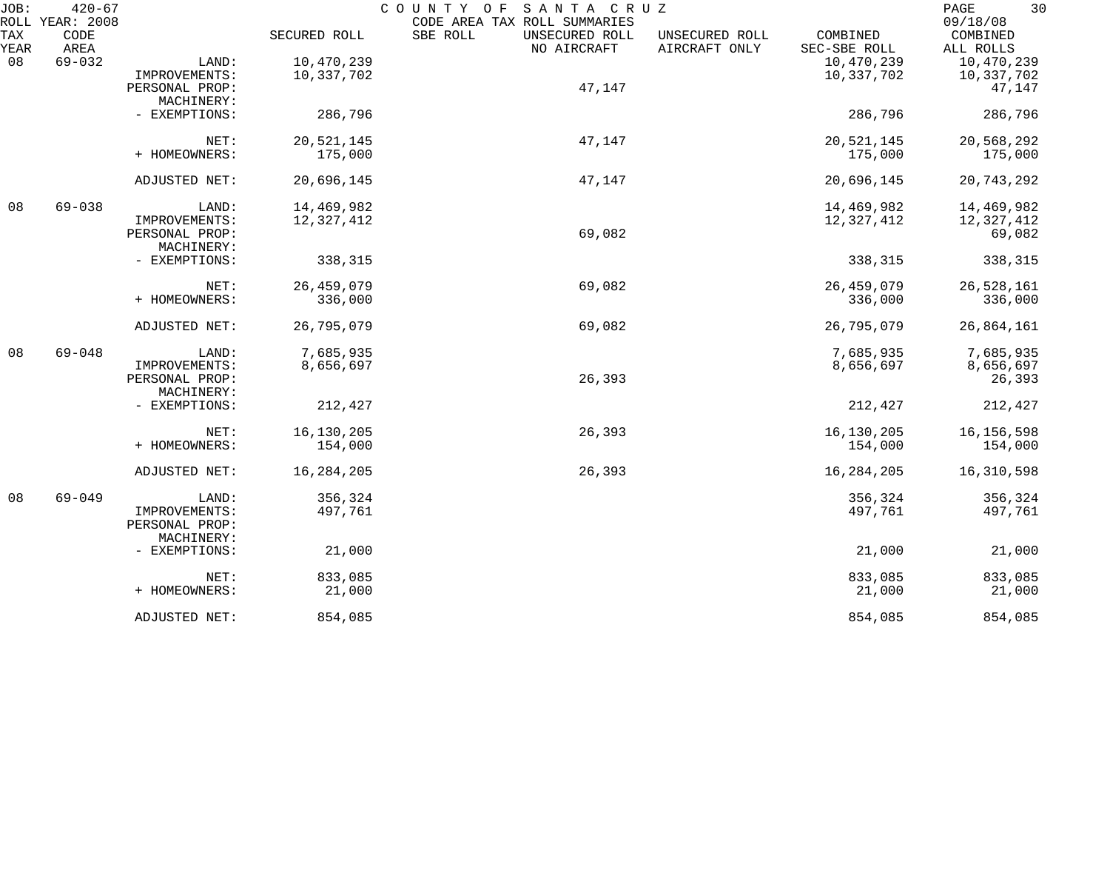| JOB:        | $420 - 67$<br>ROLL YEAR: 2008 |                |              | COUNTY OF<br>SANTA CRUZ<br>CODE AREA TAX ROLL SUMMARIES |                                                             | 30<br>PAGE<br>09/18/08 |
|-------------|-------------------------------|----------------|--------------|---------------------------------------------------------|-------------------------------------------------------------|------------------------|
| TAX<br>YEAR | CODE<br>AREA                  |                | SECURED ROLL | SBE ROLL<br>UNSECURED ROLL<br>NO AIRCRAFT               | COMBINED<br>UNSECURED ROLL<br>AIRCRAFT ONLY<br>SEC-SBE ROLL | COMBINED<br>ALL ROLLS  |
| 08          | $69 - 032$                    | LAND:          | 10,470,239   |                                                         | 10,470,239                                                  | 10,470,239             |
|             |                               | IMPROVEMENTS:  | 10,337,702   |                                                         | 10,337,702                                                  | 10,337,702             |
|             |                               | PERSONAL PROP: |              | 47,147                                                  |                                                             | 47,147                 |
|             |                               | MACHINERY:     |              |                                                         |                                                             |                        |
|             |                               |                |              |                                                         |                                                             |                        |
|             |                               | - EXEMPTIONS:  | 286,796      |                                                         | 286,796                                                     | 286,796                |
|             |                               | NET:           | 20,521,145   | 47,147                                                  | 20,521,145                                                  | 20,568,292             |
|             |                               | + HOMEOWNERS:  | 175,000      |                                                         | 175,000                                                     | 175,000                |
|             |                               | ADJUSTED NET:  | 20,696,145   | 47,147                                                  | 20,696,145                                                  | 20,743,292             |
|             |                               |                |              |                                                         |                                                             |                        |
| 08          | $69 - 038$                    | LAND:          | 14,469,982   |                                                         | 14,469,982                                                  | 14,469,982             |
|             |                               | IMPROVEMENTS:  | 12,327,412   |                                                         | 12,327,412                                                  | 12,327,412             |
|             |                               | PERSONAL PROP: |              | 69,082                                                  |                                                             | 69,082                 |
|             |                               | MACHINERY:     |              |                                                         |                                                             |                        |
|             |                               | - EXEMPTIONS:  | 338,315      |                                                         | 338,315                                                     | 338,315                |
|             |                               | NET:           | 26, 459, 079 | 69,082                                                  | 26,459,079                                                  | 26,528,161             |
|             |                               | + HOMEOWNERS:  | 336,000      |                                                         | 336,000                                                     | 336,000                |
|             |                               | ADJUSTED NET:  | 26,795,079   | 69,082                                                  | 26,795,079                                                  | 26,864,161             |
| 08          | $69 - 048$                    | LAND:          | 7,685,935    |                                                         | 7,685,935                                                   | 7,685,935              |
|             |                               | IMPROVEMENTS:  | 8,656,697    |                                                         | 8,656,697                                                   | 8,656,697              |
|             |                               | PERSONAL PROP: |              | 26,393                                                  |                                                             | 26,393                 |
|             |                               | MACHINERY:     |              |                                                         |                                                             |                        |
|             |                               | - EXEMPTIONS:  | 212,427      |                                                         | 212,427                                                     | 212,427                |
|             |                               |                |              |                                                         |                                                             |                        |
|             |                               | NET:           | 16,130,205   | 26,393                                                  | 16, 130, 205                                                | 16, 156, 598           |
|             |                               | + HOMEOWNERS:  | 154,000      |                                                         | 154,000                                                     | 154,000                |
|             |                               | ADJUSTED NET:  | 16,284,205   | 26,393                                                  | 16,284,205                                                  | 16,310,598             |
| 08          | $69 - 049$                    | LAND:          | 356,324      |                                                         | 356,324                                                     | 356,324                |
|             |                               | IMPROVEMENTS:  | 497,761      |                                                         | 497,761                                                     | 497,761                |
|             |                               | PERSONAL PROP: |              |                                                         |                                                             |                        |
|             |                               | MACHINERY:     |              |                                                         |                                                             |                        |
|             |                               | - EXEMPTIONS:  | 21,000       |                                                         | 21,000                                                      | 21,000                 |
|             |                               | NET:           | 833,085      |                                                         | 833,085                                                     | 833,085                |
|             |                               | + HOMEOWNERS:  | 21,000       |                                                         | 21,000                                                      | 21,000                 |
|             |                               | ADJUSTED NET:  | 854,085      |                                                         | 854,085                                                     | 854,085                |
|             |                               |                |              |                                                         |                                                             |                        |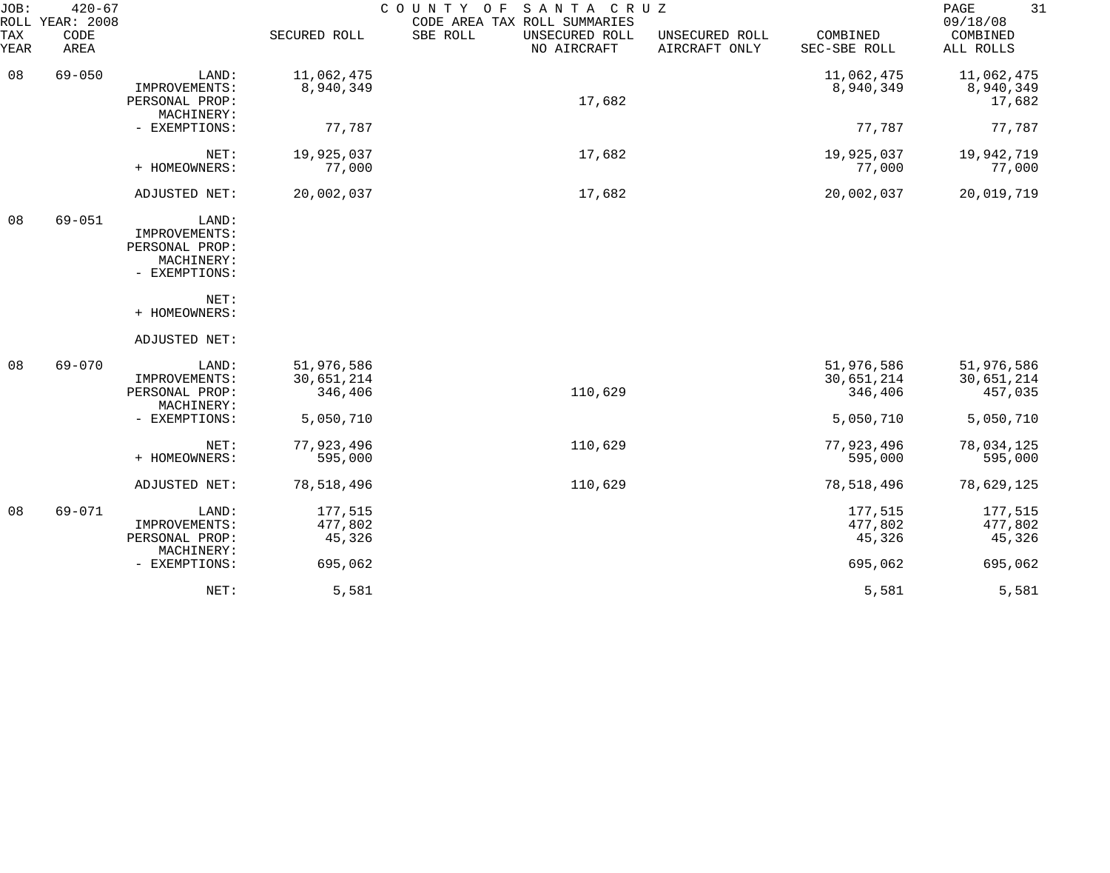| JOB:<br>TAX<br>YEAR | $420 - 67$<br>ROLL YEAR: 2008<br>CODE<br>AREA |                                                                                                  | SECURED ROLL                        | SANTA CRUZ<br>COUNTY<br>O F<br>CODE AREA TAX ROLL SUMMARIES<br>SBE ROLL<br>UNSECURED ROLL<br>NO AIRCRAFT | UNSECURED ROLL<br>AIRCRAFT ONLY | COMBINED<br>SEC-SBE ROLL            | 31<br>PAGE<br>09/18/08<br>COMBINED<br>ALL ROLLS |
|---------------------|-----------------------------------------------|--------------------------------------------------------------------------------------------------|-------------------------------------|----------------------------------------------------------------------------------------------------------|---------------------------------|-------------------------------------|-------------------------------------------------|
| 08                  | $69 - 050$                                    | LAND:<br>IMPROVEMENTS:<br>PERSONAL PROP:<br>MACHINERY:                                           | 11,062,475<br>8,940,349             | 17,682                                                                                                   |                                 | 11,062,475<br>8,940,349             | 11,062,475<br>8,940,349<br>17,682               |
|                     |                                               | - EXEMPTIONS:                                                                                    | 77,787                              |                                                                                                          |                                 | 77,787                              | 77,787                                          |
|                     |                                               | NET:<br>+ HOMEOWNERS:                                                                            | 19,925,037<br>77,000                | 17,682                                                                                                   |                                 | 19,925,037<br>77,000                | 19,942,719<br>77,000                            |
|                     |                                               | ADJUSTED NET:                                                                                    | 20,002,037                          | 17,682                                                                                                   |                                 | 20,002,037                          | 20,019,719                                      |
| 08                  | $69 - 051$                                    | LAND:<br>IMPROVEMENTS:<br>PERSONAL PROP:<br>MACHINERY:<br>- EXEMPTIONS:<br>NET:<br>+ HOMEOWNERS: |                                     |                                                                                                          |                                 |                                     |                                                 |
|                     |                                               | ADJUSTED NET:                                                                                    |                                     |                                                                                                          |                                 |                                     |                                                 |
| 08                  | $69 - 070$                                    | LAND:<br>IMPROVEMENTS:<br>PERSONAL PROP:<br>MACHINERY:                                           | 51,976,586<br>30,651,214<br>346,406 | 110,629                                                                                                  |                                 | 51,976,586<br>30,651,214<br>346,406 | 51,976,586<br>30,651,214<br>457,035             |
|                     |                                               | - EXEMPTIONS:                                                                                    | 5,050,710                           |                                                                                                          |                                 | 5,050,710                           | 5,050,710                                       |
|                     |                                               | NET:<br>+ HOMEOWNERS:                                                                            | 77,923,496<br>595,000               | 110,629                                                                                                  |                                 | 77,923,496<br>595,000               | 78,034,125<br>595,000                           |
|                     |                                               | ADJUSTED NET:                                                                                    | 78,518,496                          | 110,629                                                                                                  |                                 | 78,518,496                          | 78,629,125                                      |
| 08                  | $69 - 071$                                    | LAND:<br>IMPROVEMENTS:<br>PERSONAL PROP:<br>MACHINERY:                                           | 177,515<br>477,802<br>45,326        |                                                                                                          |                                 | 177,515<br>477,802<br>45,326        | 177,515<br>477,802<br>45,326                    |
|                     |                                               | - EXEMPTIONS:                                                                                    | 695,062                             |                                                                                                          |                                 | 695,062                             | 695,062                                         |
|                     |                                               | NET:                                                                                             | 5,581                               |                                                                                                          |                                 | 5,581                               | 5,581                                           |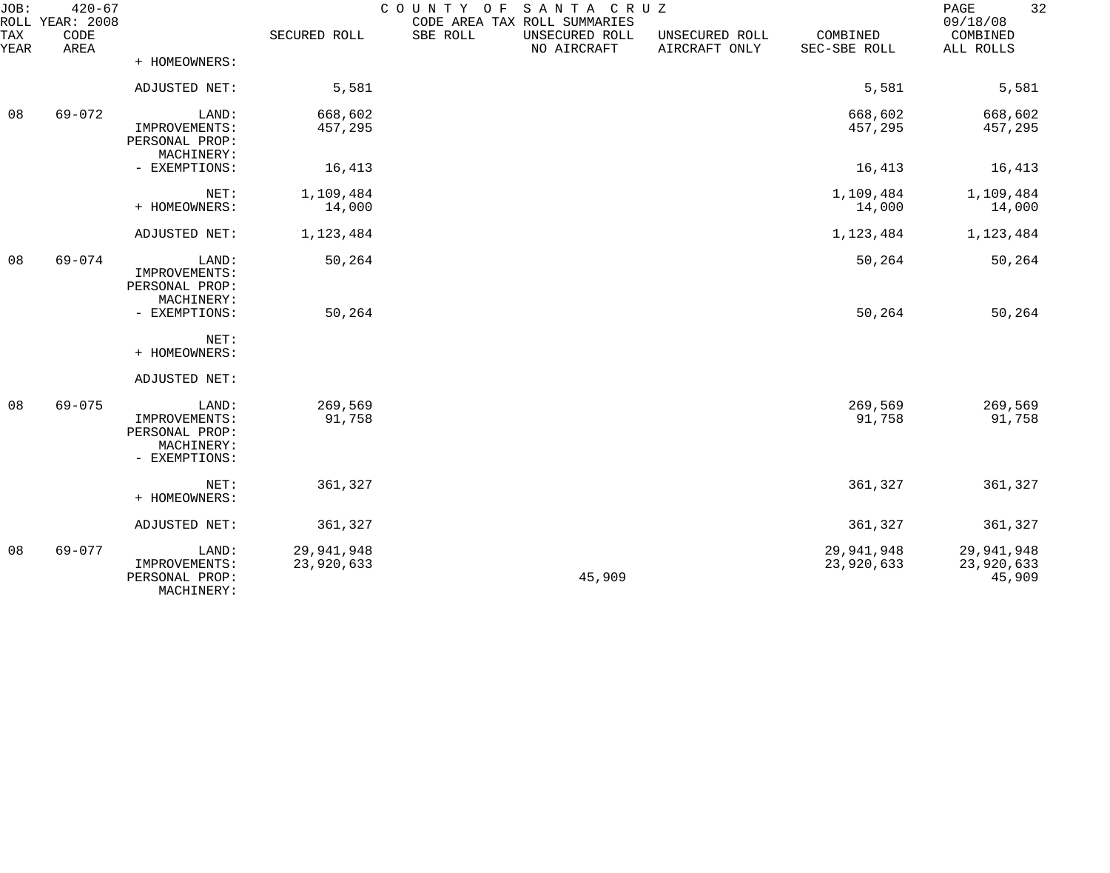| JOB:        | $420 - 67$<br>ROLL YEAR: 2008 |                                                                         |                          | COUNTY OF | SANTA CRUZ<br>CODE AREA TAX ROLL SUMMARIES |                                 |                          | 32<br>PAGE<br>09/18/08             |
|-------------|-------------------------------|-------------------------------------------------------------------------|--------------------------|-----------|--------------------------------------------|---------------------------------|--------------------------|------------------------------------|
| TAX<br>YEAR | CODE<br>AREA                  |                                                                         | SECURED ROLL             | SBE ROLL  | UNSECURED ROLL<br>NO AIRCRAFT              | UNSECURED ROLL<br>AIRCRAFT ONLY | COMBINED<br>SEC-SBE ROLL | COMBINED<br>ALL ROLLS              |
|             |                               | + HOMEOWNERS:                                                           |                          |           |                                            |                                 |                          |                                    |
|             |                               | ADJUSTED NET:                                                           | 5,581                    |           |                                            |                                 | 5,581                    | 5,581                              |
| 08          | $69 - 072$                    | LAND:<br>IMPROVEMENTS:<br>PERSONAL PROP:<br>MACHINERY:                  | 668,602<br>457,295       |           |                                            |                                 | 668,602<br>457,295       | 668,602<br>457,295                 |
|             |                               | - EXEMPTIONS:                                                           | 16,413                   |           |                                            |                                 | 16,413                   | 16,413                             |
|             |                               | NET:<br>+ HOMEOWNERS:                                                   | 1,109,484<br>14,000      |           |                                            |                                 | 1,109,484<br>14,000      | 1,109,484<br>14,000                |
|             |                               | ADJUSTED NET:                                                           | 1,123,484                |           |                                            |                                 | 1,123,484                | 1,123,484                          |
| 08          | $69 - 074$                    | LAND:<br>IMPROVEMENTS:<br>PERSONAL PROP:<br>MACHINERY:                  | 50,264                   |           |                                            |                                 | 50,264                   | 50,264                             |
|             |                               | - EXEMPTIONS:                                                           | 50,264                   |           |                                            |                                 | 50,264                   | 50,264                             |
|             |                               | NET:<br>+ HOMEOWNERS:                                                   |                          |           |                                            |                                 |                          |                                    |
|             |                               | ADJUSTED NET:                                                           |                          |           |                                            |                                 |                          |                                    |
| 08          | $69 - 075$                    | LAND:<br>IMPROVEMENTS:<br>PERSONAL PROP:<br>MACHINERY:<br>- EXEMPTIONS: | 269,569<br>91,758        |           |                                            |                                 | 269,569<br>91,758        | 269,569<br>91,758                  |
|             |                               | NET:<br>+ HOMEOWNERS:                                                   | 361,327                  |           |                                            |                                 | 361,327                  | 361,327                            |
|             |                               | ADJUSTED NET:                                                           | 361,327                  |           |                                            |                                 | 361,327                  | 361,327                            |
| 08          | $69 - 077$                    | LAND:<br>IMPROVEMENTS:<br>PERSONAL PROP:<br>MACHINERY:                  | 29,941,948<br>23,920,633 |           | 45,909                                     |                                 | 29,941,948<br>23,920,633 | 29,941,948<br>23,920,633<br>45,909 |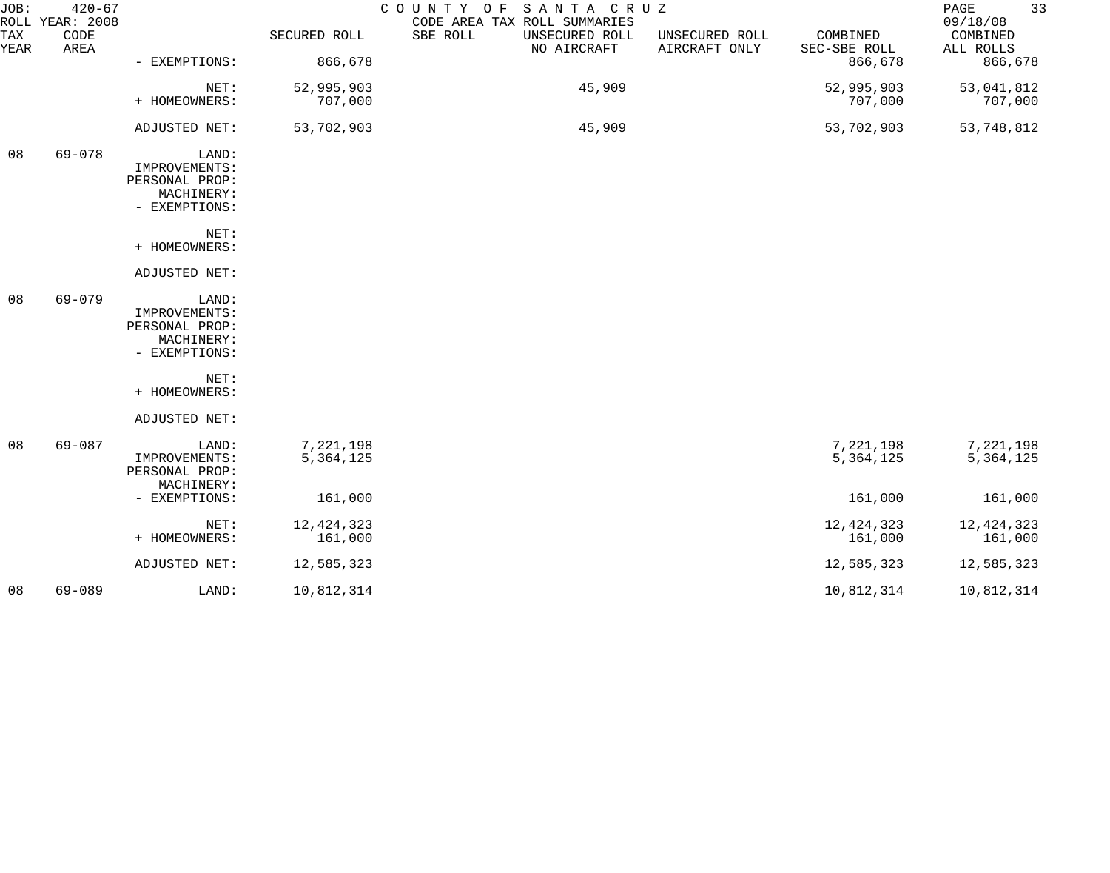| JOB:<br>ROLL | $420 - 67$<br>YEAR: 2008 |                                                                         |                         | COUNTY OF SANTA CRUZ<br>CODE AREA TAX ROLL SUMMARIES |                                 |                          | 33<br>PAGE<br>09/18/08   |
|--------------|--------------------------|-------------------------------------------------------------------------|-------------------------|------------------------------------------------------|---------------------------------|--------------------------|--------------------------|
| TAX<br>YEAR  | CODE<br>AREA             |                                                                         | SECURED ROLL            | SBE ROLL<br>UNSECURED ROLL<br>NO AIRCRAFT            | UNSECURED ROLL<br>AIRCRAFT ONLY | COMBINED<br>SEC-SBE ROLL | COMBINED<br>ALL ROLLS    |
|              |                          | - EXEMPTIONS:                                                           | 866,678                 |                                                      |                                 | 866,678                  | 866,678                  |
|              |                          | NET:<br>+ HOMEOWNERS:                                                   | 52,995,903<br>707,000   | 45,909                                               |                                 | 52,995,903<br>707,000    | 53,041,812<br>707,000    |
|              |                          | ADJUSTED NET:                                                           | 53,702,903              | 45,909                                               |                                 | 53,702,903               | 53,748,812               |
| 08           | 69-078                   | LAND:<br>IMPROVEMENTS:<br>PERSONAL PROP:<br>MACHINERY:<br>- EXEMPTIONS: |                         |                                                      |                                 |                          |                          |
|              |                          | NET:<br>+ HOMEOWNERS:                                                   |                         |                                                      |                                 |                          |                          |
|              |                          | ADJUSTED NET:                                                           |                         |                                                      |                                 |                          |                          |
| 08           | $69 - 079$               | LAND:<br>IMPROVEMENTS:<br>PERSONAL PROP:<br>MACHINERY:<br>- EXEMPTIONS: |                         |                                                      |                                 |                          |                          |
|              |                          | NET:<br>+ HOMEOWNERS:                                                   |                         |                                                      |                                 |                          |                          |
|              |                          | ADJUSTED NET:                                                           |                         |                                                      |                                 |                          |                          |
| 08           | 69-087                   | LAND:<br>IMPROVEMENTS:<br>PERSONAL PROP:<br>MACHINERY:                  | 7,221,198<br>5,364,125  |                                                      |                                 | 7,221,198<br>5,364,125   | 7,221,198<br>5, 364, 125 |
|              |                          | - EXEMPTIONS:                                                           | 161,000                 |                                                      |                                 | 161,000                  | 161,000                  |
|              |                          | NET:<br>+ HOMEOWNERS:                                                   | 12, 424, 323<br>161,000 |                                                      |                                 | 12, 424, 323<br>161,000  | 12, 424, 323<br>161,000  |
|              |                          | ADJUSTED NET:                                                           | 12,585,323              |                                                      |                                 | 12,585,323               | 12,585,323               |
| 08           | 69-089                   | LAND:                                                                   | 10,812,314              |                                                      |                                 | 10,812,314               | 10,812,314               |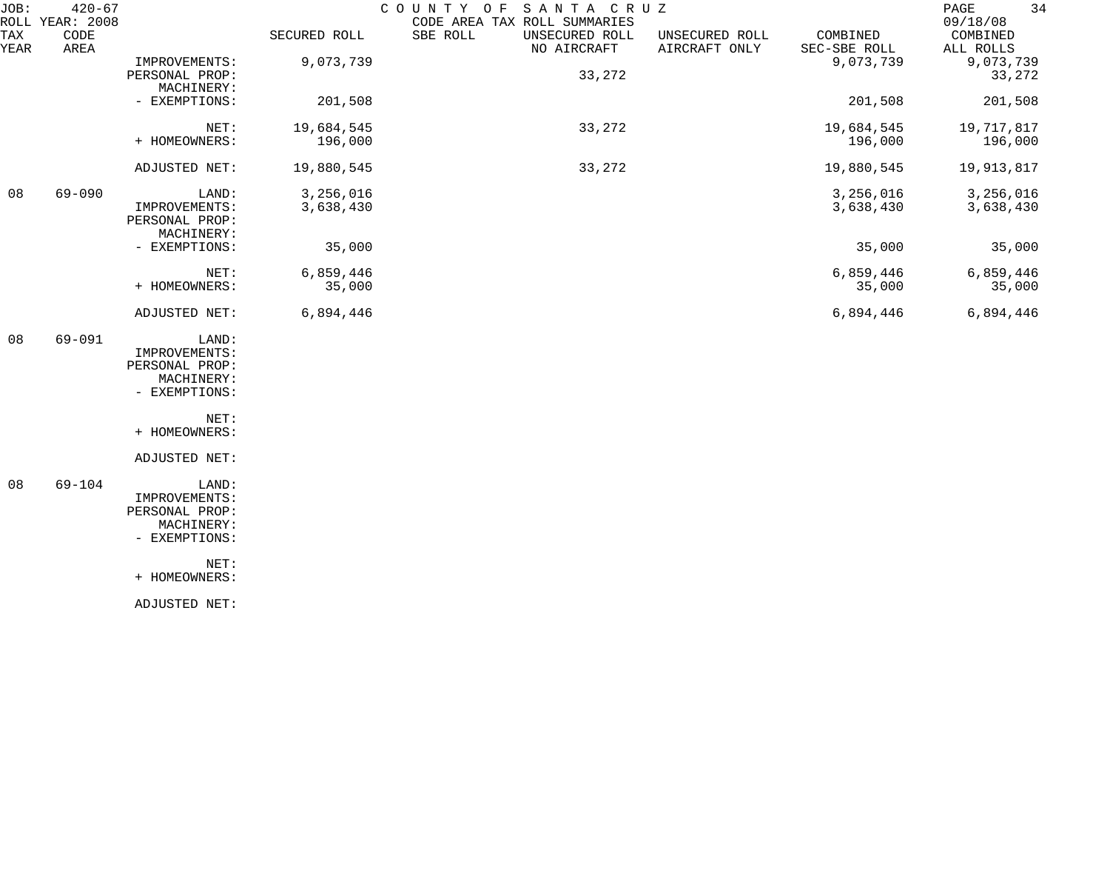| JOB:        | $420 - 67$<br>ROLL YEAR: 2008 |                                                                         |                        | SANTA CRUZ<br>COUNTY OF<br>CODE AREA TAX ROLL SUMMARIES |                                 |                          | 34<br>PAGE<br>09/18/08 |
|-------------|-------------------------------|-------------------------------------------------------------------------|------------------------|---------------------------------------------------------|---------------------------------|--------------------------|------------------------|
| TAX<br>YEAR | CODE<br>AREA                  |                                                                         | SECURED ROLL           | SBE ROLL<br>UNSECURED ROLL<br>NO AIRCRAFT               | UNSECURED ROLL<br>AIRCRAFT ONLY | COMBINED<br>SEC-SBE ROLL | COMBINED<br>ALL ROLLS  |
|             |                               | IMPROVEMENTS:<br>PERSONAL PROP:<br>MACHINERY:                           | 9,073,739              | 33,272                                                  |                                 | 9,073,739                | 9,073,739<br>33,272    |
|             |                               | - EXEMPTIONS:                                                           | 201,508                |                                                         |                                 | 201,508                  | 201,508                |
|             |                               | NET:<br>+ HOMEOWNERS:                                                   | 19,684,545<br>196,000  | 33,272                                                  |                                 | 19,684,545<br>196,000    | 19,717,817<br>196,000  |
|             |                               | ADJUSTED NET:                                                           | 19,880,545             | 33,272                                                  |                                 | 19,880,545               | 19,913,817             |
| 08          | $69 - 090$                    | LAND:<br>IMPROVEMENTS:<br>PERSONAL PROP:<br>MACHINERY:                  | 3,256,016<br>3,638,430 |                                                         |                                 | 3,256,016<br>3,638,430   | 3,256,016<br>3,638,430 |
|             |                               | - EXEMPTIONS:                                                           | 35,000                 |                                                         |                                 | 35,000                   | 35,000                 |
|             |                               | NET:<br>+ HOMEOWNERS:                                                   | 6,859,446<br>35,000    |                                                         |                                 | 6,859,446<br>35,000      | 6,859,446<br>35,000    |
|             |                               | ADJUSTED NET:                                                           | 6,894,446              |                                                         |                                 | 6,894,446                | 6,894,446              |
| 08          | $69 - 091$                    | LAND:<br>IMPROVEMENTS:<br>PERSONAL PROP:<br>MACHINERY:<br>- EXEMPTIONS: |                        |                                                         |                                 |                          |                        |
|             |                               | NET:<br>+ HOMEOWNERS:                                                   |                        |                                                         |                                 |                          |                        |
|             |                               | ADJUSTED NET:                                                           |                        |                                                         |                                 |                          |                        |
| 08          | $69 - 104$                    | LAND:<br>IMPROVEMENTS:<br>PERSONAL PROP:<br>MACHINERY:<br>- EXEMPTIONS: |                        |                                                         |                                 |                          |                        |
|             |                               | NET:<br>+ HOMEOWNERS:                                                   |                        |                                                         |                                 |                          |                        |
|             |                               | ADJUSTED NET:                                                           |                        |                                                         |                                 |                          |                        |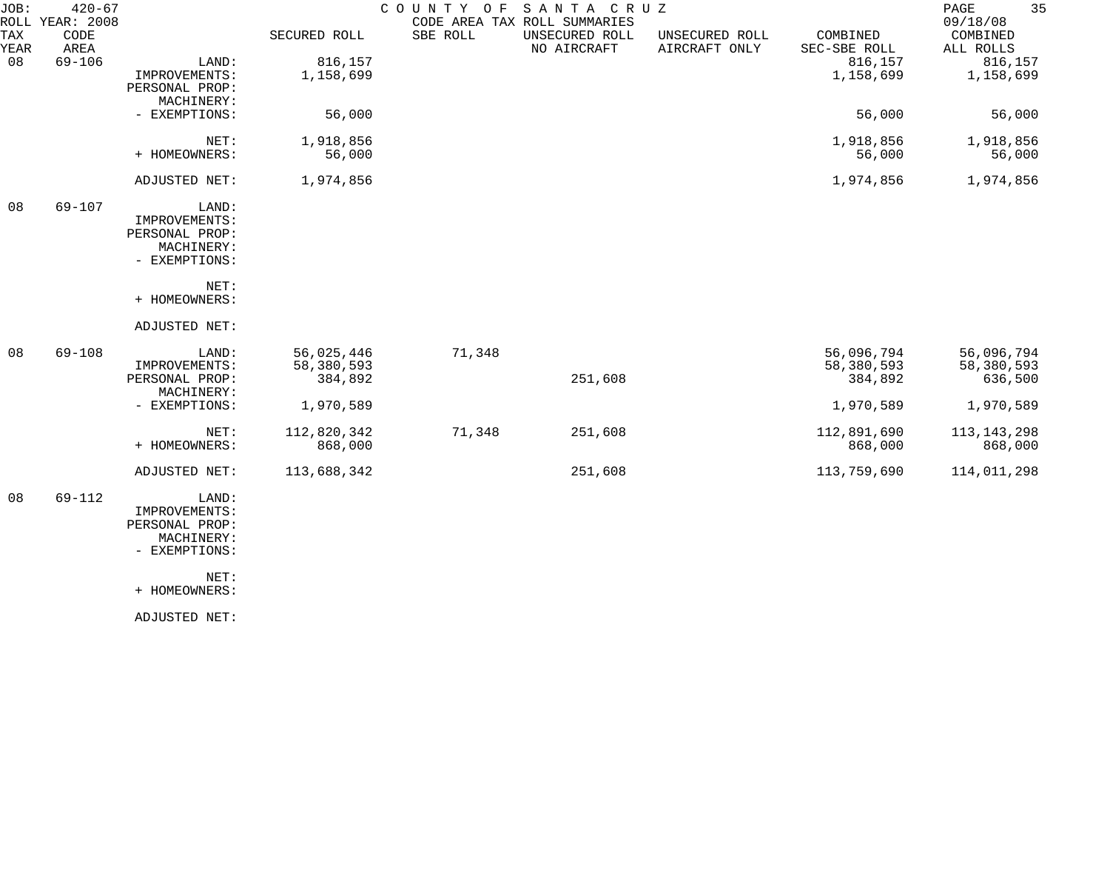| JOB:        | $420 - 67$<br>ROLL YEAR: 2008 |                |              | COUNTY OF | SANTA CRUZ<br>CODE AREA TAX ROLL SUMMARIES |                                 |                          | 35<br>$\mathop{\mathrm{PAGE}}$<br>09/18/08 |
|-------------|-------------------------------|----------------|--------------|-----------|--------------------------------------------|---------------------------------|--------------------------|--------------------------------------------|
| TAX<br>YEAR | CODE<br>AREA                  |                | SECURED ROLL | SBE ROLL  | UNSECURED ROLL<br>NO AIRCRAFT              | UNSECURED ROLL<br>AIRCRAFT ONLY | COMBINED<br>SEC-SBE ROLL | COMBINED<br>ALL ROLLS                      |
| 08          | $69 - 106$                    | LAND:          | 816,157      |           |                                            |                                 | 816,157                  | 816,157                                    |
|             |                               | IMPROVEMENTS:  | 1,158,699    |           |                                            |                                 | 1,158,699                | 1,158,699                                  |
|             |                               | PERSONAL PROP: |              |           |                                            |                                 |                          |                                            |
|             |                               | MACHINERY:     |              |           |                                            |                                 |                          |                                            |
|             |                               | - EXEMPTIONS:  | 56,000       |           |                                            |                                 | 56,000                   | 56,000                                     |
|             |                               | NET:           | 1,918,856    |           |                                            |                                 | 1,918,856                | 1,918,856                                  |
|             |                               | + HOMEOWNERS:  | 56,000       |           |                                            |                                 | 56,000                   | 56,000                                     |
|             |                               | ADJUSTED NET:  | 1,974,856    |           |                                            |                                 | 1,974,856                | 1,974,856                                  |
| 08          | $69 - 107$                    | LAND:          |              |           |                                            |                                 |                          |                                            |
|             |                               | IMPROVEMENTS:  |              |           |                                            |                                 |                          |                                            |
|             |                               | PERSONAL PROP: |              |           |                                            |                                 |                          |                                            |
|             |                               | MACHINERY:     |              |           |                                            |                                 |                          |                                            |
|             |                               | - EXEMPTIONS:  |              |           |                                            |                                 |                          |                                            |
|             |                               | NET:           |              |           |                                            |                                 |                          |                                            |
|             |                               | + HOMEOWNERS:  |              |           |                                            |                                 |                          |                                            |
|             |                               | ADJUSTED NET:  |              |           |                                            |                                 |                          |                                            |
| 08          | $69 - 108$                    | LAND:          | 56,025,446   | 71,348    |                                            |                                 | 56,096,794               | 56,096,794                                 |
|             |                               | IMPROVEMENTS:  | 58,380,593   |           |                                            |                                 | 58,380,593               | 58,380,593                                 |
|             |                               | PERSONAL PROP: | 384,892      |           | 251,608                                    |                                 | 384,892                  | 636,500                                    |
|             |                               | MACHINERY:     |              |           |                                            |                                 |                          |                                            |
|             |                               | - EXEMPTIONS:  | 1,970,589    |           |                                            |                                 | 1,970,589                | 1,970,589                                  |
|             |                               | NET:           | 112,820,342  | 71,348    | 251,608                                    |                                 | 112,891,690              | 113, 143, 298                              |
|             |                               | + HOMEOWNERS:  | 868,000      |           |                                            |                                 | 868,000                  | 868,000                                    |
|             |                               | ADJUSTED NET:  | 113,688,342  |           | 251,608                                    |                                 | 113,759,690              | 114,011,298                                |
| 08          | $69 - 112$                    | LAND:          |              |           |                                            |                                 |                          |                                            |
|             |                               | IMPROVEMENTS:  |              |           |                                            |                                 |                          |                                            |
|             |                               | PERSONAL PROP: |              |           |                                            |                                 |                          |                                            |
|             |                               | MACHINERY:     |              |           |                                            |                                 |                          |                                            |
|             |                               | - EXEMPTIONS:  |              |           |                                            |                                 |                          |                                            |
|             |                               | NET:           |              |           |                                            |                                 |                          |                                            |
|             |                               | + HOMEOWNERS:  |              |           |                                            |                                 |                          |                                            |
|             |                               |                |              |           |                                            |                                 |                          |                                            |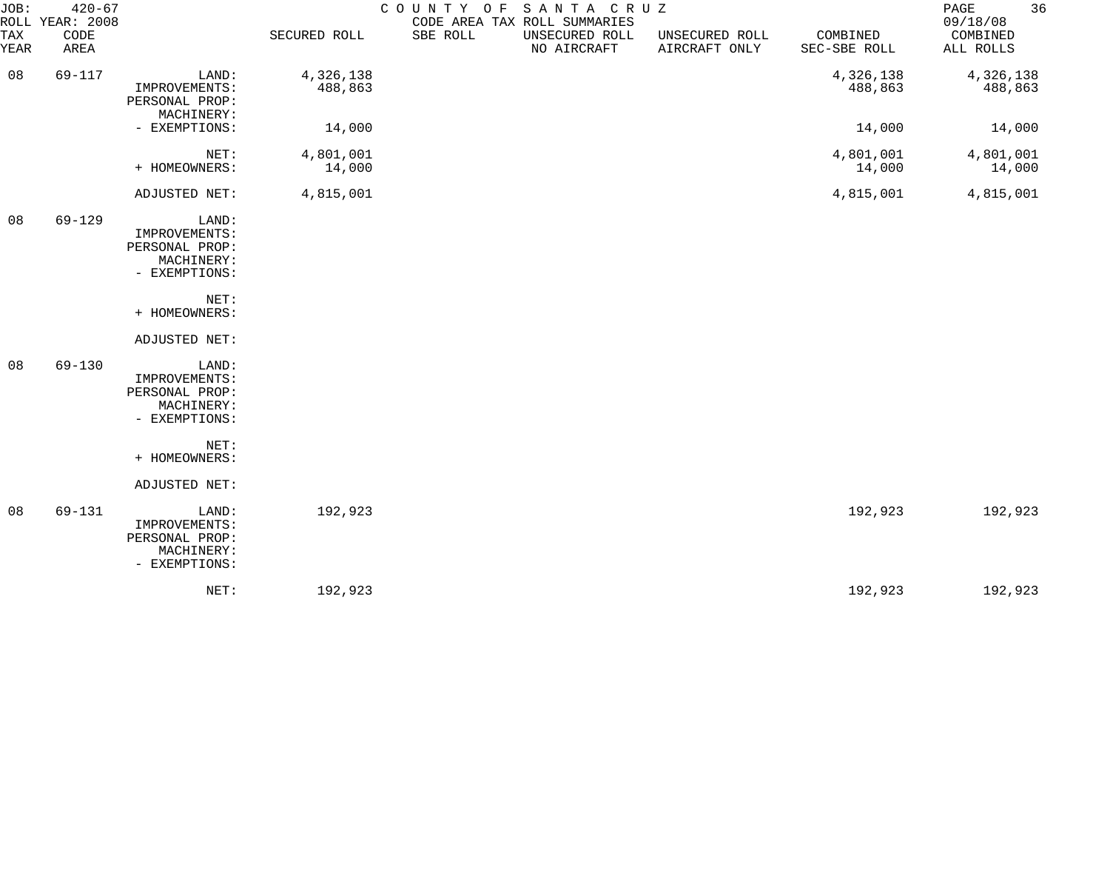| JOB:        | $420 - 67$<br>ROLL YEAR: 2008 |                                                                         |                      | COUNTY OF<br>CODE AREA TAX ROLL SUMMARIES | SANTA CRUZ                    |                                 |                          | 36<br>PAGE<br>09/18/08 |
|-------------|-------------------------------|-------------------------------------------------------------------------|----------------------|-------------------------------------------|-------------------------------|---------------------------------|--------------------------|------------------------|
| TAX<br>YEAR | CODE<br>AREA                  |                                                                         | SECURED ROLL         | SBE ROLL                                  | UNSECURED ROLL<br>NO AIRCRAFT | UNSECURED ROLL<br>AIRCRAFT ONLY | COMBINED<br>SEC-SBE ROLL | COMBINED<br>ALL ROLLS  |
| 08          | 69-117                        | LAND:<br>IMPROVEMENTS:<br>PERSONAL PROP:<br>MACHINERY:                  | 4,326,138<br>488,863 |                                           |                               |                                 | 4,326,138<br>488,863     | 4,326,138<br>488,863   |
|             |                               | - EXEMPTIONS:                                                           | 14,000               |                                           |                               |                                 | 14,000                   | 14,000                 |
|             |                               | NET:<br>+ HOMEOWNERS:                                                   | 4,801,001<br>14,000  |                                           |                               |                                 | 4,801,001<br>14,000      | 4,801,001<br>14,000    |
|             |                               | ADJUSTED NET:                                                           | 4,815,001            |                                           |                               |                                 | 4,815,001                | 4,815,001              |
| 08          | $69 - 129$                    | LAND:<br>IMPROVEMENTS:<br>PERSONAL PROP:<br>MACHINERY:<br>- EXEMPTIONS: |                      |                                           |                               |                                 |                          |                        |
|             |                               | NET:<br>+ HOMEOWNERS:                                                   |                      |                                           |                               |                                 |                          |                        |
|             |                               | ADJUSTED NET:                                                           |                      |                                           |                               |                                 |                          |                        |
| 08          | 69-130                        | LAND:<br>IMPROVEMENTS:<br>PERSONAL PROP:<br>MACHINERY:<br>- EXEMPTIONS: |                      |                                           |                               |                                 |                          |                        |
|             |                               | NET:<br>+ HOMEOWNERS:                                                   |                      |                                           |                               |                                 |                          |                        |
|             |                               | ADJUSTED NET:                                                           |                      |                                           |                               |                                 |                          |                        |
| 08          | $69 - 131$                    | LAND:<br>IMPROVEMENTS:<br>PERSONAL PROP:<br>MACHINERY:<br>- EXEMPTIONS: | 192,923              |                                           |                               |                                 | 192,923                  | 192,923                |
|             |                               | NET:                                                                    | 192,923              |                                           |                               |                                 | 192,923                  | 192,923                |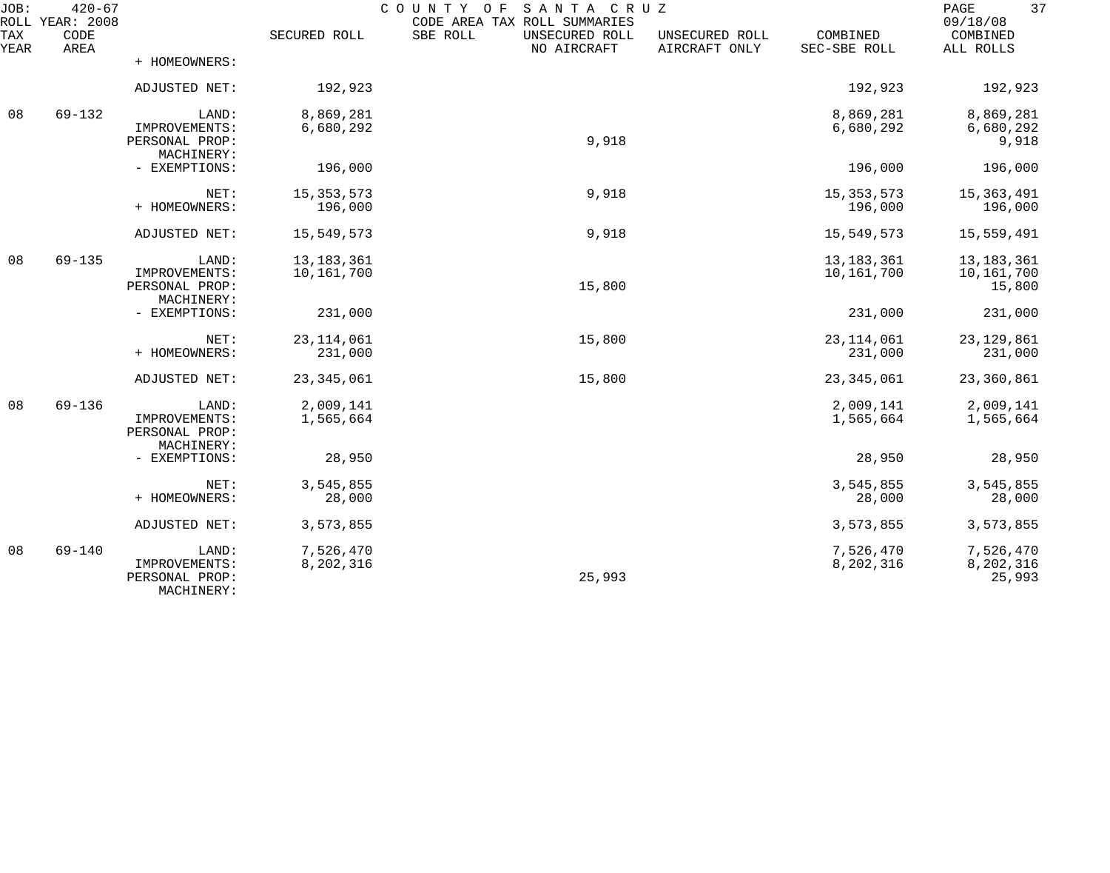| JOB:        | $420 - 67$<br>ROLL YEAR: 2008 |                                               |              | COUNTY<br>O F<br>SANTA CRUZ<br>CODE AREA TAX ROLL SUMMARIES |                                 |                          | 37<br>PAGE<br>09/18/08 |
|-------------|-------------------------------|-----------------------------------------------|--------------|-------------------------------------------------------------|---------------------------------|--------------------------|------------------------|
| TAX<br>YEAR | CODE<br>AREA                  |                                               | SECURED ROLL | SBE ROLL<br>UNSECURED ROLL<br>NO AIRCRAFT                   | UNSECURED ROLL<br>AIRCRAFT ONLY | COMBINED<br>SEC-SBE ROLL | COMBINED<br>ALL ROLLS  |
|             |                               | + HOMEOWNERS:                                 |              |                                                             |                                 |                          |                        |
|             |                               | ADJUSTED NET:                                 | 192,923      |                                                             |                                 | 192,923                  | 192,923                |
| 08          | 69-132                        | LAND:                                         | 8,869,281    |                                                             |                                 | 8,869,281                | 8,869,281              |
|             |                               | IMPROVEMENTS:<br>PERSONAL PROP:<br>MACHINERY: | 6,680,292    | 9,918                                                       |                                 | 6,680,292                | 6,680,292<br>9,918     |
|             |                               | - EXEMPTIONS:                                 | 196,000      |                                                             |                                 | 196,000                  | 196,000                |
|             |                               | NET:                                          | 15, 353, 573 | 9,918                                                       |                                 | 15, 353, 573             | 15, 363, 491           |
|             |                               | + HOMEOWNERS:                                 | 196,000      |                                                             |                                 | 196,000                  | 196,000                |
|             |                               | ADJUSTED NET:                                 | 15,549,573   | 9,918                                                       |                                 | 15,549,573               | 15,559,491             |
| 08          | $69 - 135$                    | LAND:                                         | 13, 183, 361 |                                                             |                                 | 13, 183, 361             | 13, 183, 361           |
|             |                               | IMPROVEMENTS:<br>PERSONAL PROP:               | 10,161,700   | 15,800                                                      |                                 | 10,161,700               | 10,161,700<br>15,800   |
|             |                               | MACHINERY:<br>- EXEMPTIONS:                   | 231,000      |                                                             |                                 | 231,000                  | 231,000                |
|             |                               | NET:                                          | 23, 114, 061 | 15,800                                                      |                                 | 23, 114, 061             | 23, 129, 861           |
|             |                               | + HOMEOWNERS:                                 | 231,000      |                                                             |                                 | 231,000                  | 231,000                |
|             |                               | ADJUSTED NET:                                 | 23, 345, 061 | 15,800                                                      |                                 | 23, 345, 061             | 23,360,861             |
| 08          | $69 - 136$                    | LAND:                                         | 2,009,141    |                                                             |                                 | 2,009,141                | 2,009,141              |
|             |                               | IMPROVEMENTS:<br>PERSONAL PROP:<br>MACHINERY: | 1,565,664    |                                                             |                                 | 1,565,664                | 1,565,664              |
|             |                               | - EXEMPTIONS:                                 | 28,950       |                                                             |                                 | 28,950                   | 28,950                 |
|             |                               | NET:                                          | 3,545,855    |                                                             |                                 | 3,545,855                | 3,545,855              |
|             |                               | + HOMEOWNERS:                                 | 28,000       |                                                             |                                 | 28,000                   | 28,000                 |
|             |                               | ADJUSTED NET:                                 | 3,573,855    |                                                             |                                 | 3,573,855                | 3,573,855              |
| 08          | $69 - 140$                    | LAND:                                         | 7,526,470    |                                                             |                                 | 7,526,470                | 7,526,470              |
|             |                               | IMPROVEMENTS:<br>PERSONAL PROP:<br>MACHINERY: | 8,202,316    | 25,993                                                      |                                 | 8,202,316                | 8,202,316<br>25,993    |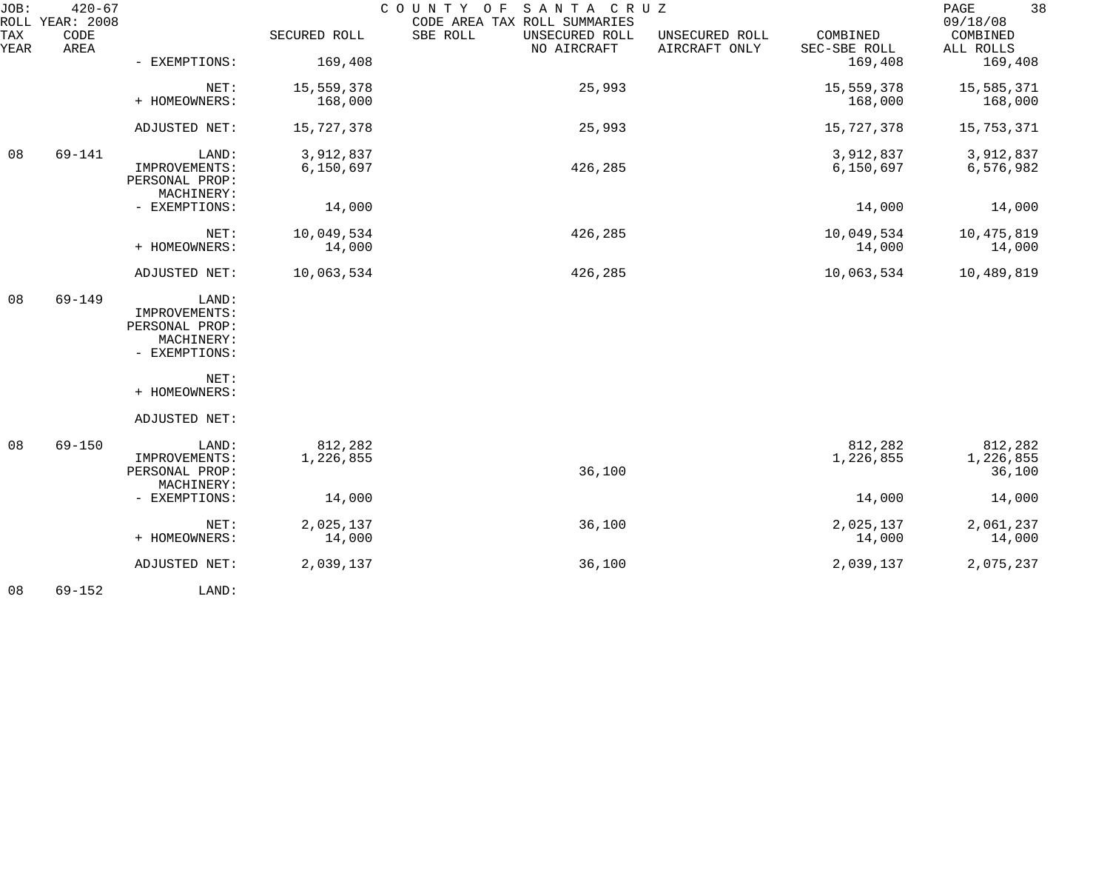| JOB:        | $420 - 67$<br>ROLL YEAR: 2008 |                                               |                       | COUNTY OF<br>SANTA CRUZ<br>CODE AREA TAX ROLL SUMMARIES |                                 |                          | 38<br>PAGE<br>09/18/08 |
|-------------|-------------------------------|-----------------------------------------------|-----------------------|---------------------------------------------------------|---------------------------------|--------------------------|------------------------|
| TAX<br>YEAR | CODE<br>AREA                  |                                               | SECURED ROLL          | SBE ROLL<br>UNSECURED ROLL<br>NO AIRCRAFT               | UNSECURED ROLL<br>AIRCRAFT ONLY | COMBINED<br>SEC-SBE ROLL | COMBINED<br>ALL ROLLS  |
|             |                               | - EXEMPTIONS:                                 | 169,408               |                                                         |                                 | 169,408                  | 169,408                |
|             |                               | NET:<br>+ HOMEOWNERS:                         | 15,559,378<br>168,000 | 25,993                                                  |                                 | 15,559,378<br>168,000    | 15,585,371<br>168,000  |
|             |                               |                                               |                       |                                                         |                                 |                          |                        |
|             |                               | ADJUSTED NET:                                 | 15,727,378            | 25,993                                                  |                                 | 15,727,378               | 15,753,371             |
| 08          | $69 - 141$                    | LAND:                                         | 3,912,837             |                                                         |                                 | 3,912,837                | 3,912,837              |
|             |                               | IMPROVEMENTS:<br>PERSONAL PROP:<br>MACHINERY: | 6,150,697             | 426,285                                                 |                                 | 6,150,697                | 6,576,982              |
|             |                               | - EXEMPTIONS:                                 | 14,000                |                                                         |                                 | 14,000                   | 14,000                 |
|             |                               | NET:                                          | 10,049,534            | 426,285                                                 |                                 | 10,049,534               | 10,475,819             |
|             |                               | + HOMEOWNERS:                                 | 14,000                |                                                         |                                 | 14,000                   | 14,000                 |
|             |                               | ADJUSTED NET:                                 | 10,063,534            | 426,285                                                 |                                 | 10,063,534               | 10,489,819             |
| 08          | $69 - 149$                    | LAND:                                         |                       |                                                         |                                 |                          |                        |
|             |                               | IMPROVEMENTS:<br>PERSONAL PROP:               |                       |                                                         |                                 |                          |                        |
|             |                               | MACHINERY:                                    |                       |                                                         |                                 |                          |                        |
|             |                               | - EXEMPTIONS:                                 |                       |                                                         |                                 |                          |                        |
|             |                               | NET:<br>+ HOMEOWNERS:                         |                       |                                                         |                                 |                          |                        |
|             |                               |                                               |                       |                                                         |                                 |                          |                        |
|             |                               | ADJUSTED NET:                                 |                       |                                                         |                                 |                          |                        |
| 08          | $69 - 150$                    | LAND:                                         | 812,282               |                                                         |                                 | 812,282                  | 812,282                |
|             |                               | IMPROVEMENTS:                                 | 1,226,855             |                                                         |                                 | 1,226,855                | 1,226,855              |
|             |                               | PERSONAL PROP:                                |                       | 36,100                                                  |                                 |                          | 36,100                 |
|             |                               | MACHINERY:                                    |                       |                                                         |                                 |                          |                        |
|             |                               | - EXEMPTIONS:                                 | 14,000                |                                                         |                                 | 14,000                   | 14,000                 |
|             |                               | NET:                                          | 2,025,137             | 36,100                                                  |                                 | 2,025,137                | 2,061,237              |
|             |                               | + HOMEOWNERS:                                 | 14,000                |                                                         |                                 | 14,000                   | 14,000                 |
|             |                               | ADJUSTED NET:                                 | 2,039,137             | 36,100                                                  |                                 | 2,039,137                | 2,075,237              |
| 08          | $69 - 152$                    | LAND:                                         |                       |                                                         |                                 |                          |                        |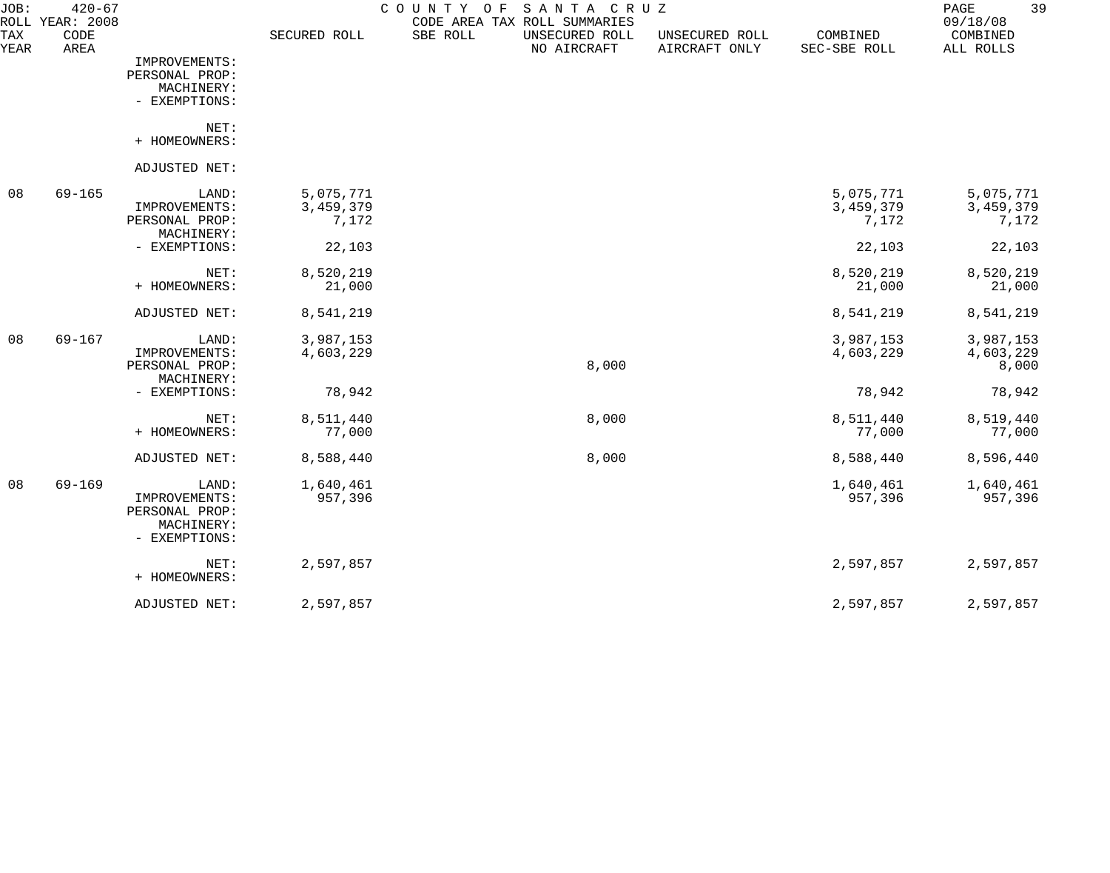| JOB:        | $420 - 67$<br>ROLL YEAR: 2008 |                                                                |                    | COUNTY OF | SANTA CRUZ<br>CODE AREA TAX ROLL SUMMARIES |                                 |                          | 39<br>PAGE<br>09/18/08 |
|-------------|-------------------------------|----------------------------------------------------------------|--------------------|-----------|--------------------------------------------|---------------------------------|--------------------------|------------------------|
| TAX<br>YEAR | CODE<br>AREA                  |                                                                | SECURED ROLL       | SBE ROLL  | UNSECURED ROLL<br>NO AIRCRAFT              | UNSECURED ROLL<br>AIRCRAFT ONLY | COMBINED<br>SEC-SBE ROLL | COMBINED<br>ALL ROLLS  |
|             |                               | IMPROVEMENTS:<br>PERSONAL PROP:                                |                    |           |                                            |                                 |                          |                        |
|             |                               | MACHINERY:<br>- EXEMPTIONS:                                    |                    |           |                                            |                                 |                          |                        |
|             |                               | NET:                                                           |                    |           |                                            |                                 |                          |                        |
|             |                               | + HOMEOWNERS:                                                  |                    |           |                                            |                                 |                          |                        |
|             |                               | ADJUSTED NET:                                                  |                    |           |                                            |                                 |                          |                        |
| 08          | $69 - 165$                    | LAND:                                                          | 5,075,771          |           |                                            |                                 | 5,075,771                | 5,075,771              |
|             |                               | IMPROVEMENTS:<br>PERSONAL PROP:                                | 3,459,379<br>7,172 |           |                                            |                                 | 3,459,379<br>7,172       | 3,459,379<br>7,172     |
|             |                               | MACHINERY:                                                     |                    |           |                                            |                                 |                          |                        |
|             |                               | - EXEMPTIONS:                                                  | 22,103             |           |                                            |                                 | 22,103                   | 22,103                 |
|             |                               | NET:                                                           | 8,520,219          |           |                                            |                                 | 8,520,219                | 8,520,219              |
|             |                               | + HOMEOWNERS:                                                  | 21,000             |           |                                            |                                 | 21,000                   | 21,000                 |
|             |                               | ADJUSTED NET:                                                  | 8,541,219          |           |                                            |                                 | 8,541,219                | 8,541,219              |
| 08          | $69 - 167$                    | LAND:                                                          | 3,987,153          |           |                                            |                                 | 3,987,153                | 3,987,153              |
|             |                               | IMPROVEMENTS:<br>PERSONAL PROP:                                | 4,603,229          |           | 8,000                                      |                                 | 4,603,229                | 4,603,229<br>8,000     |
|             |                               | MACHINERY:                                                     |                    |           |                                            |                                 |                          |                        |
|             |                               | - EXEMPTIONS:                                                  | 78,942             |           |                                            |                                 | 78,942                   | 78,942                 |
|             |                               | NET:                                                           | 8,511,440          |           | 8,000                                      |                                 | 8,511,440                | 8,519,440              |
|             |                               | + HOMEOWNERS:                                                  | 77,000             |           |                                            |                                 | 77,000                   | 77,000                 |
|             |                               | ADJUSTED NET:                                                  | 8,588,440          |           | 8,000                                      |                                 | 8,588,440                | 8,596,440              |
| 08          | $69 - 169$                    | LAND:                                                          | 1,640,461          |           |                                            |                                 | 1,640,461                | 1,640,461              |
|             |                               | IMPROVEMENTS:<br>PERSONAL PROP:<br>MACHINERY:<br>- EXEMPTIONS: | 957,396            |           |                                            |                                 | 957,396                  | 957,396                |
|             |                               | NET:<br>+ HOMEOWNERS:                                          | 2,597,857          |           |                                            |                                 | 2,597,857                | 2,597,857              |
|             |                               | ADJUSTED NET:                                                  | 2,597,857          |           |                                            |                                 | 2,597,857                | 2,597,857              |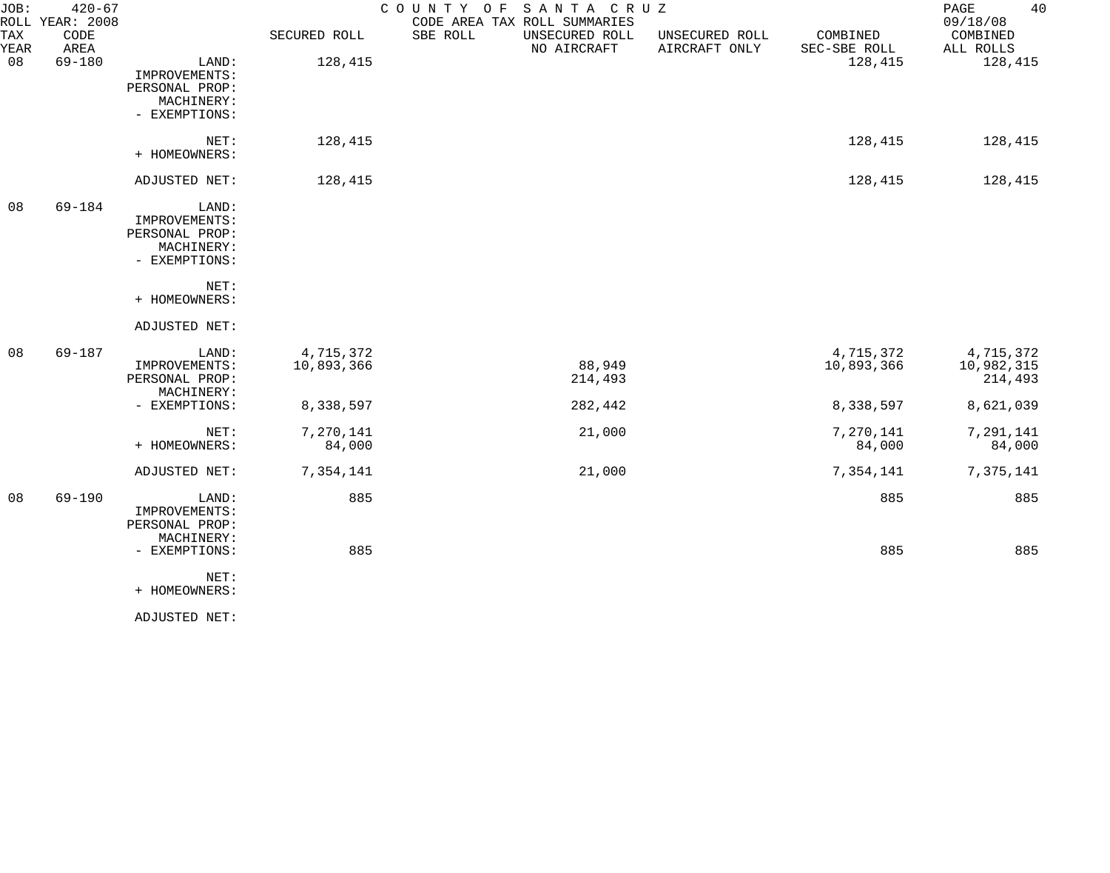| JOB:        | $420 - 67$<br>ROLL YEAR: 2008 |                                                                         |                         | SANTA CRUZ<br>COUNTY OF<br>CODE AREA TAX ROLL SUMMARIES |                                 |                          | 40<br>PAGE<br>09/18/08             |
|-------------|-------------------------------|-------------------------------------------------------------------------|-------------------------|---------------------------------------------------------|---------------------------------|--------------------------|------------------------------------|
| TAX<br>YEAR | CODE<br>AREA                  |                                                                         | SECURED ROLL            | SBE ROLL<br>UNSECURED ROLL<br>NO AIRCRAFT               | UNSECURED ROLL<br>AIRCRAFT ONLY | COMBINED<br>SEC-SBE ROLL | COMBINED<br>ALL ROLLS              |
| 08          | 69-180                        | LAND:<br>IMPROVEMENTS:<br>PERSONAL PROP:<br>MACHINERY:<br>- EXEMPTIONS: | 128,415                 |                                                         |                                 | 128,415                  | 128,415                            |
|             |                               | NET:<br>+ HOMEOWNERS:                                                   | 128,415                 |                                                         |                                 | 128,415                  | 128,415                            |
|             |                               | ADJUSTED NET:                                                           | 128,415                 |                                                         |                                 | 128,415                  | 128,415                            |
| 08          | 69-184                        | LAND:<br>IMPROVEMENTS:<br>PERSONAL PROP:<br>MACHINERY:<br>- EXEMPTIONS: |                         |                                                         |                                 |                          |                                    |
|             |                               | NET:<br>+ HOMEOWNERS:                                                   |                         |                                                         |                                 |                          |                                    |
|             |                               | ADJUSTED NET:                                                           |                         |                                                         |                                 |                          |                                    |
| 08          | 69-187                        | LAND:<br>IMPROVEMENTS:<br>PERSONAL PROP:<br>MACHINERY:                  | 4,715,372<br>10,893,366 | 88,949<br>214,493                                       |                                 | 4,715,372<br>10,893,366  | 4,715,372<br>10,982,315<br>214,493 |
|             |                               | - EXEMPTIONS:                                                           | 8,338,597               | 282,442                                                 |                                 | 8,338,597                | 8,621,039                          |
|             |                               | NET:<br>+ HOMEOWNERS:                                                   | 7,270,141<br>84,000     | 21,000                                                  |                                 | 7,270,141<br>84,000      | 7,291,141<br>84,000                |
|             |                               | ADJUSTED NET:                                                           | 7,354,141               | 21,000                                                  |                                 | 7,354,141                | 7,375,141                          |
| 08          | $69 - 190$                    | LAND:<br>IMPROVEMENTS:<br>PERSONAL PROP:<br>MACHINERY:                  | 885                     |                                                         |                                 | 885                      | 885                                |
|             |                               | - EXEMPTIONS:                                                           | 885                     |                                                         |                                 | 885                      | 885                                |
|             |                               | NET:<br>+ HOMEOWNERS:                                                   |                         |                                                         |                                 |                          |                                    |

ADJUSTED NET: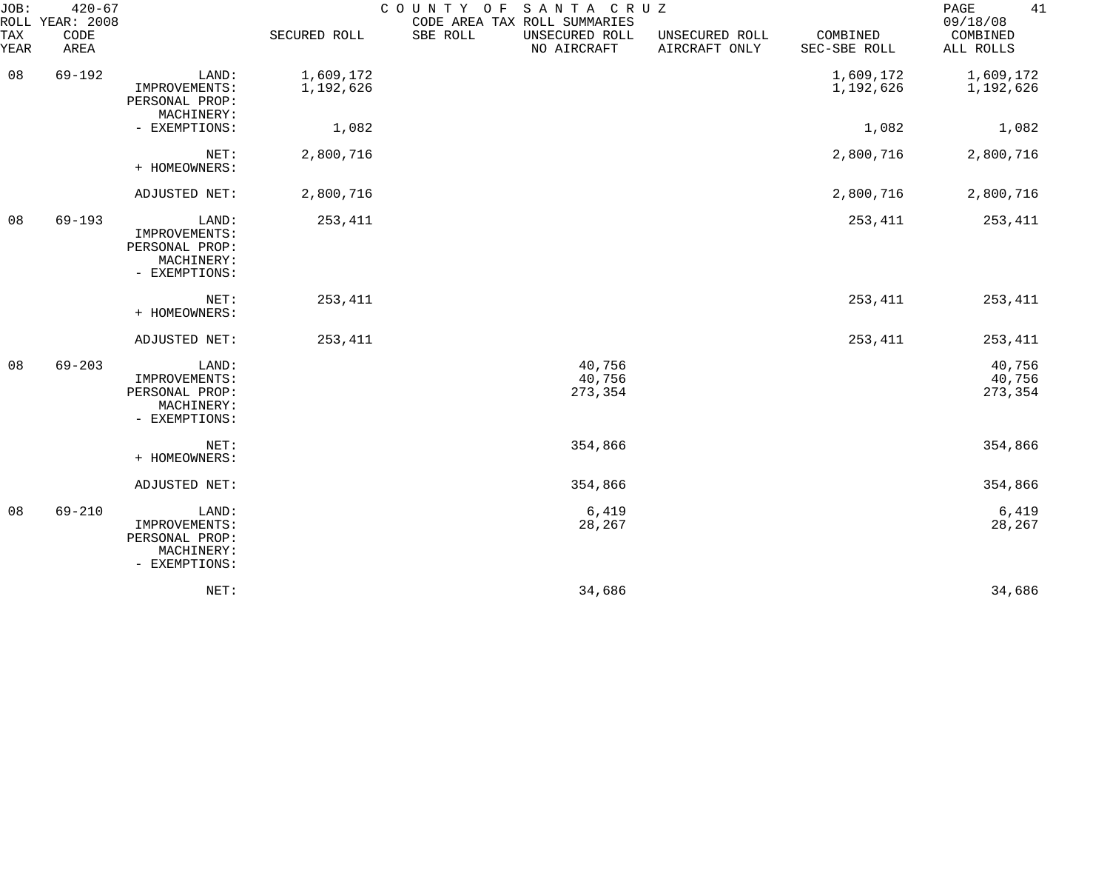| JOB:        | $420 - 67$<br>ROLL YEAR: 2008 |                                                                         |                        | COUNTY OF | SANTA CRUZ<br>CODE AREA TAX ROLL SUMMARIES |                                 |                          | 41<br>PAGE<br>09/18/08      |
|-------------|-------------------------------|-------------------------------------------------------------------------|------------------------|-----------|--------------------------------------------|---------------------------------|--------------------------|-----------------------------|
| TAX<br>YEAR | CODE<br>AREA                  |                                                                         | SECURED ROLL           | SBE ROLL  | UNSECURED ROLL<br>NO AIRCRAFT              | UNSECURED ROLL<br>AIRCRAFT ONLY | COMBINED<br>SEC-SBE ROLL | COMBINED<br>ALL ROLLS       |
| 08          | $69 - 192$                    | LAND:<br>IMPROVEMENTS:<br>PERSONAL PROP:<br>MACHINERY:                  | 1,609,172<br>1,192,626 |           |                                            |                                 | 1,609,172<br>1,192,626   | 1,609,172<br>1,192,626      |
|             |                               | - EXEMPTIONS:                                                           | 1,082                  |           |                                            |                                 | 1,082                    | 1,082                       |
|             |                               | NET:<br>+ HOMEOWNERS:                                                   | 2,800,716              |           |                                            |                                 | 2,800,716                | 2,800,716                   |
|             |                               | ADJUSTED NET:                                                           | 2,800,716              |           |                                            |                                 | 2,800,716                | 2,800,716                   |
| 08          | $69 - 193$                    | LAND:<br>IMPROVEMENTS:<br>PERSONAL PROP:<br>MACHINERY:<br>- EXEMPTIONS: | 253,411                |           |                                            |                                 | 253,411                  | 253,411                     |
|             |                               | NET:<br>+ HOMEOWNERS:                                                   | 253,411                |           |                                            |                                 | 253,411                  | 253,411                     |
|             |                               | ADJUSTED NET:                                                           | 253,411                |           |                                            |                                 | 253,411                  | 253,411                     |
| 08          | $69 - 203$                    | LAND:<br>IMPROVEMENTS:<br>PERSONAL PROP:<br>MACHINERY:<br>- EXEMPTIONS: |                        |           | 40,756<br>40,756<br>273,354                |                                 |                          | 40,756<br>40,756<br>273,354 |
|             |                               | NET:<br>+ HOMEOWNERS:                                                   |                        |           | 354,866                                    |                                 |                          | 354,866                     |
|             |                               | ADJUSTED NET:                                                           |                        |           | 354,866                                    |                                 |                          | 354,866                     |
| 08          | $69 - 210$                    | LAND:<br>IMPROVEMENTS:<br>PERSONAL PROP:<br>MACHINERY:<br>- EXEMPTIONS: |                        |           | 6,419<br>28,267                            |                                 |                          | 6,419<br>28,267             |
|             |                               | NET:                                                                    |                        |           | 34,686                                     |                                 |                          | 34,686                      |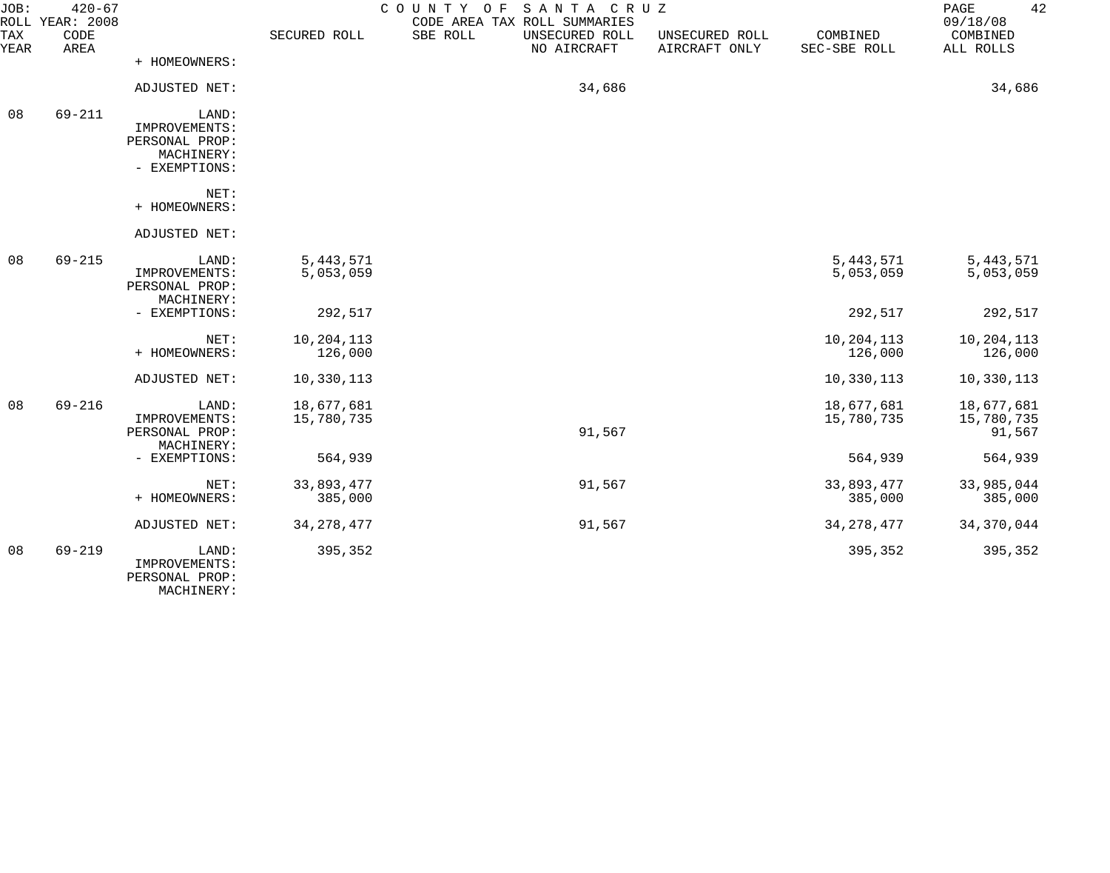| JOB:        | $420 - 67$<br>ROLL YEAR: 2008 |                                          |              | COUNTY OF | SANTA CRUZ<br>CODE AREA TAX ROLL SUMMARIES |                                 |                          | 42<br>PAGE<br>09/18/08 |
|-------------|-------------------------------|------------------------------------------|--------------|-----------|--------------------------------------------|---------------------------------|--------------------------|------------------------|
| TAX<br>YEAR | CODE<br>AREA                  |                                          | SECURED ROLL | SBE ROLL  | UNSECURED ROLL<br>NO AIRCRAFT              | UNSECURED ROLL<br>AIRCRAFT ONLY | COMBINED<br>SEC-SBE ROLL | COMBINED<br>ALL ROLLS  |
|             |                               | + HOMEOWNERS:                            |              |           |                                            |                                 |                          |                        |
|             |                               | ADJUSTED NET:                            |              |           | 34,686                                     |                                 |                          | 34,686                 |
| 08          | $69 - 211$                    | LAND:                                    |              |           |                                            |                                 |                          |                        |
|             |                               | IMPROVEMENTS:                            |              |           |                                            |                                 |                          |                        |
|             |                               | PERSONAL PROP:                           |              |           |                                            |                                 |                          |                        |
|             |                               | MACHINERY:<br>- EXEMPTIONS:              |              |           |                                            |                                 |                          |                        |
|             |                               |                                          |              |           |                                            |                                 |                          |                        |
|             |                               | NET:                                     |              |           |                                            |                                 |                          |                        |
|             |                               | + HOMEOWNERS:                            |              |           |                                            |                                 |                          |                        |
|             |                               | ADJUSTED NET:                            |              |           |                                            |                                 |                          |                        |
| 08          | $69 - 215$                    | LAND:                                    | 5, 443, 571  |           |                                            |                                 | 5, 443, 571              | 5,443,571              |
|             |                               | IMPROVEMENTS:                            | 5,053,059    |           |                                            |                                 | 5,053,059                | 5,053,059              |
|             |                               | PERSONAL PROP:                           |              |           |                                            |                                 |                          |                        |
|             |                               | MACHINERY:                               |              |           |                                            |                                 | 292,517                  |                        |
|             |                               | - EXEMPTIONS:                            | 292,517      |           |                                            |                                 |                          | 292,517                |
|             |                               | NET:                                     | 10,204,113   |           |                                            |                                 | 10,204,113               | 10,204,113             |
|             |                               | + HOMEOWNERS:                            | 126,000      |           |                                            |                                 | 126,000                  | 126,000                |
|             |                               | ADJUSTED NET:                            | 10,330,113   |           |                                            |                                 | 10,330,113               | 10,330,113             |
|             |                               |                                          |              |           |                                            |                                 |                          |                        |
| 08          | $69 - 216$                    | LAND:                                    | 18,677,681   |           |                                            |                                 | 18,677,681               | 18,677,681             |
|             |                               | IMPROVEMENTS:<br>PERSONAL PROP:          | 15,780,735   |           | 91,567                                     |                                 | 15,780,735               | 15,780,735<br>91,567   |
|             |                               | MACHINERY:                               |              |           |                                            |                                 |                          |                        |
|             |                               | - EXEMPTIONS:                            | 564,939      |           |                                            |                                 | 564,939                  | 564,939                |
|             |                               |                                          |              |           |                                            |                                 |                          |                        |
|             |                               | NET:                                     | 33,893,477   |           | 91,567                                     |                                 | 33,893,477               | 33,985,044             |
|             |                               | + HOMEOWNERS:                            | 385,000      |           |                                            |                                 | 385,000                  | 385,000                |
|             |                               | ADJUSTED NET:                            | 34, 278, 477 |           | 91,567                                     |                                 | 34, 278, 477             | 34,370,044             |
| 08          | $69 - 219$                    | LAND:<br>IMPROVEMENTS:<br>PERSONAL PROP: | 395,352      |           |                                            |                                 | 395,352                  | 395,352                |

MACHINERY: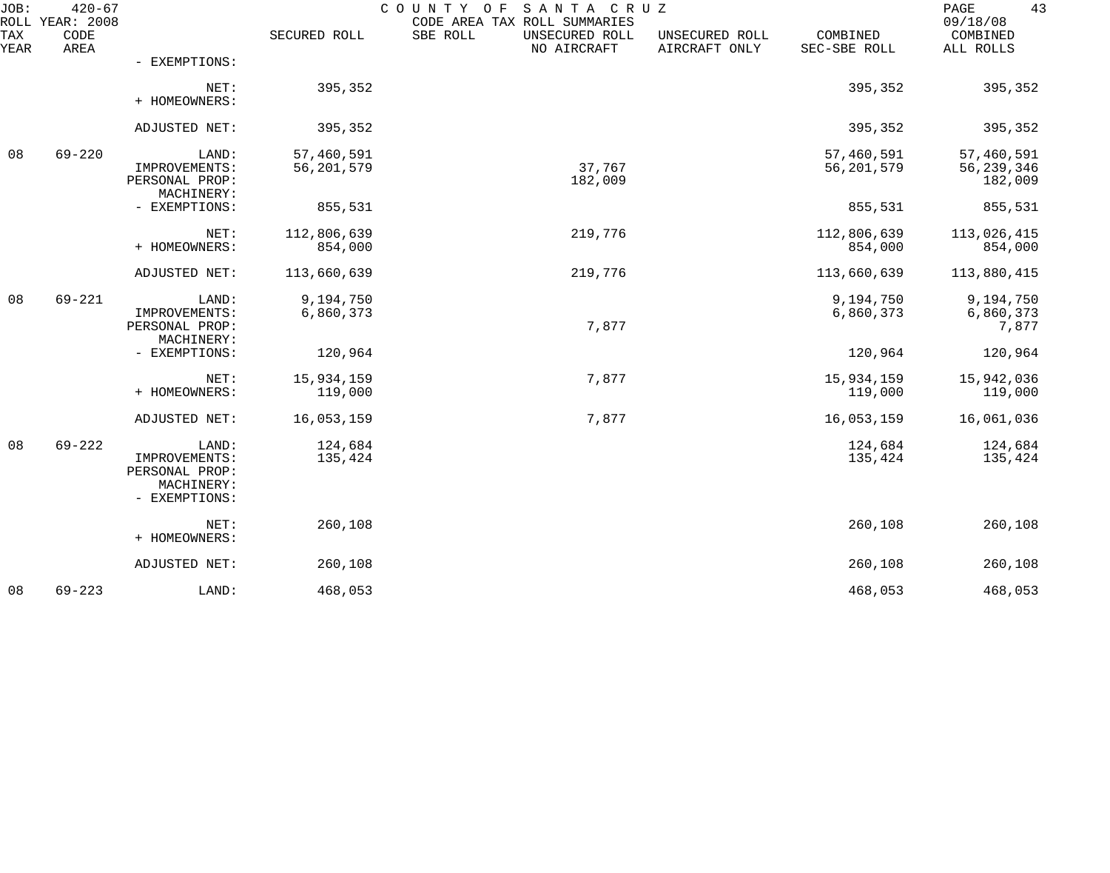| JOB:        | $420 - 67$<br>ROLL YEAR: 2008 |                                                                         |                          | SANTA CRUZ<br>COUNTY OF<br>CODE AREA TAX ROLL SUMMARIES |                                 |                            | 43<br>PAGE<br>09/18/08              |
|-------------|-------------------------------|-------------------------------------------------------------------------|--------------------------|---------------------------------------------------------|---------------------------------|----------------------------|-------------------------------------|
| TAX<br>YEAR | CODE<br>AREA                  |                                                                         | SECURED ROLL             | SBE ROLL<br>UNSECURED ROLL<br>NO AIRCRAFT               | UNSECURED ROLL<br>AIRCRAFT ONLY | COMBINED<br>SEC-SBE ROLL   | COMBINED<br>ALL ROLLS               |
|             |                               | - EXEMPTIONS:                                                           |                          |                                                         |                                 |                            |                                     |
|             |                               | NET:<br>+ HOMEOWNERS:                                                   | 395,352                  |                                                         |                                 | 395,352                    | 395,352                             |
|             |                               | ADJUSTED NET:                                                           | 395,352                  |                                                         |                                 | 395,352                    | 395,352                             |
| 08          | $69 - 220$                    | LAND:<br>IMPROVEMENTS:<br>PERSONAL PROP:<br>MACHINERY:                  | 57,460,591<br>56,201,579 | 37,767<br>182,009                                       |                                 | 57,460,591<br>56, 201, 579 | 57,460,591<br>56,239,346<br>182,009 |
|             |                               | - EXEMPTIONS:                                                           | 855,531                  |                                                         |                                 | 855,531                    | 855,531                             |
|             |                               | NET:<br>+ HOMEOWNERS:                                                   | 112,806,639<br>854,000   | 219,776                                                 |                                 | 112,806,639<br>854,000     | 113,026,415<br>854,000              |
|             |                               | ADJUSTED NET:                                                           | 113,660,639              | 219,776                                                 |                                 | 113,660,639                | 113,880,415                         |
| 08          | $69 - 221$                    | LAND:<br>IMPROVEMENTS:<br>PERSONAL PROP:                                | 9,194,750<br>6,860,373   | 7,877                                                   |                                 | 9,194,750<br>6,860,373     | 9,194,750<br>6,860,373<br>7,877     |
|             |                               | MACHINERY:<br>- EXEMPTIONS:                                             | 120,964                  |                                                         |                                 | 120,964                    | 120,964                             |
|             |                               | NET:<br>+ HOMEOWNERS:                                                   | 15,934,159<br>119,000    | 7,877                                                   |                                 | 15,934,159<br>119,000      | 15,942,036<br>119,000               |
|             |                               | ADJUSTED NET:                                                           | 16,053,159               | 7,877                                                   |                                 | 16,053,159                 | 16,061,036                          |
| 08          | $69 - 222$                    | LAND:<br>IMPROVEMENTS:<br>PERSONAL PROP:<br>MACHINERY:<br>- EXEMPTIONS: | 124,684<br>135,424       |                                                         |                                 | 124,684<br>135,424         | 124,684<br>135,424                  |
|             |                               | NET:<br>+ HOMEOWNERS:                                                   | 260,108                  |                                                         |                                 | 260,108                    | 260,108                             |
|             |                               | ADJUSTED NET:                                                           | 260,108                  |                                                         |                                 | 260,108                    | 260,108                             |
| 08          | $69 - 223$                    | LAND:                                                                   | 468,053                  |                                                         |                                 | 468,053                    | 468,053                             |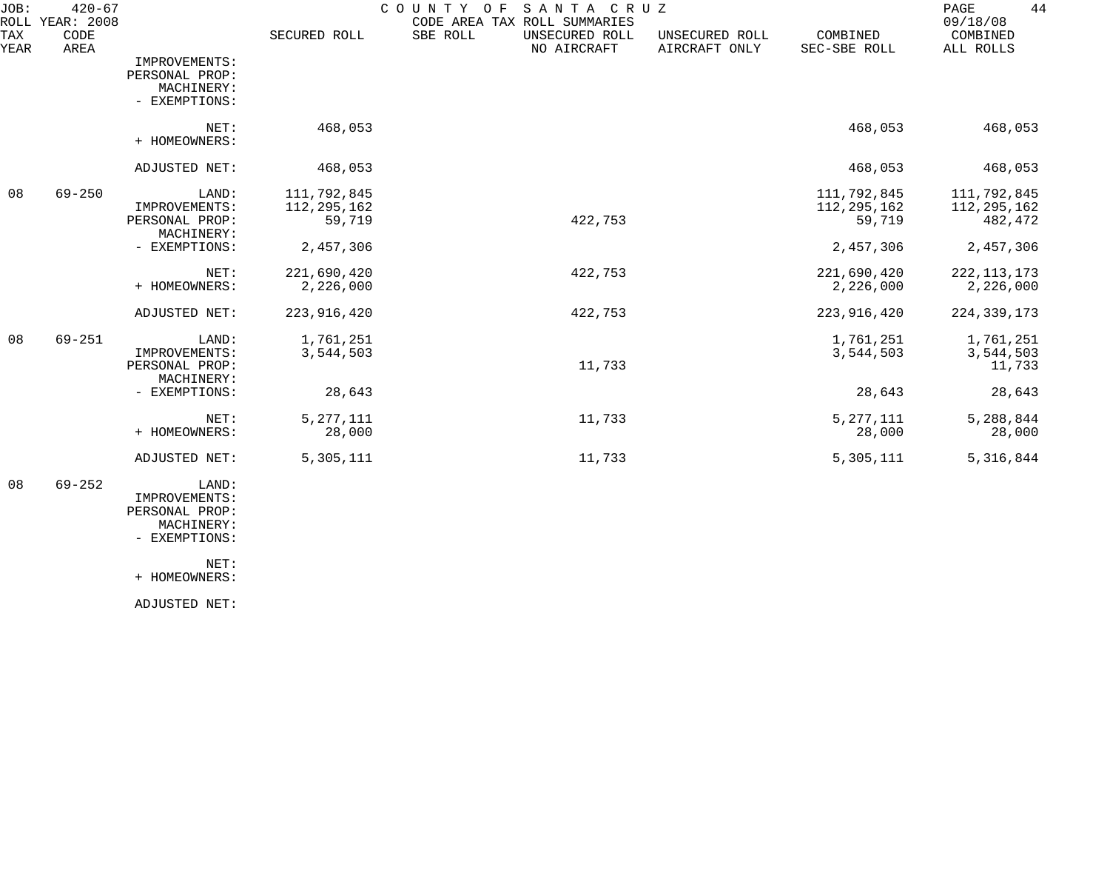| JOB:        | $420 - 67$<br>ROLL YEAR: 2008 |                        |               | COUNTY<br>SANTA CRUZ<br>O F<br>CODE AREA TAX ROLL SUMMARIES |                                 |                          | 44<br>PAGE<br>09/18/08 |
|-------------|-------------------------------|------------------------|---------------|-------------------------------------------------------------|---------------------------------|--------------------------|------------------------|
| TAX<br>YEAR | CODE<br>AREA                  |                        | SECURED ROLL  | SBE ROLL<br>UNSECURED ROLL<br>NO AIRCRAFT                   | UNSECURED ROLL<br>AIRCRAFT ONLY | COMBINED<br>SEC-SBE ROLL | COMBINED<br>ALL ROLLS  |
|             |                               | IMPROVEMENTS:          |               |                                                             |                                 |                          |                        |
|             |                               | PERSONAL PROP:         |               |                                                             |                                 |                          |                        |
|             |                               | MACHINERY:             |               |                                                             |                                 |                          |                        |
|             |                               | - EXEMPTIONS:          |               |                                                             |                                 |                          |                        |
|             |                               | NET:                   | 468,053       |                                                             |                                 | 468,053                  | 468,053                |
|             |                               | + HOMEOWNERS:          |               |                                                             |                                 |                          |                        |
|             |                               | ADJUSTED NET:          | 468,053       |                                                             |                                 | 468,053                  | 468,053                |
| 08          | $69 - 250$                    | LAND:                  | 111,792,845   |                                                             |                                 | 111,792,845              | 111,792,845            |
|             |                               | IMPROVEMENTS:          | 112, 295, 162 |                                                             |                                 | 112, 295, 162            | 112, 295, 162          |
|             |                               | PERSONAL PROP:         | 59,719        | 422,753                                                     |                                 | 59,719                   | 482,472                |
|             |                               | MACHINERY:             |               |                                                             |                                 |                          |                        |
|             |                               | - EXEMPTIONS:          | 2,457,306     |                                                             |                                 | 2,457,306                | 2,457,306              |
|             |                               | NET:                   | 221,690,420   | 422,753                                                     |                                 | 221,690,420              | 222, 113, 173          |
|             |                               | + HOMEOWNERS:          | 2,226,000     |                                                             |                                 | 2,226,000                | 2,226,000              |
|             |                               | ADJUSTED NET:          | 223, 916, 420 | 422,753                                                     |                                 | 223, 916, 420            | 224, 339, 173          |
| 08          | $69 - 251$                    | LAND:                  | 1,761,251     |                                                             |                                 | 1,761,251                | 1,761,251              |
|             |                               | IMPROVEMENTS:          | 3,544,503     |                                                             |                                 | 3,544,503                | 3,544,503              |
|             |                               | PERSONAL PROP:         |               | 11,733                                                      |                                 |                          | 11,733                 |
|             |                               | MACHINERY:             |               |                                                             |                                 |                          |                        |
|             |                               | - EXEMPTIONS:          | 28,643        |                                                             |                                 | 28,643                   | 28,643                 |
|             |                               | NET:                   | 5, 277, 111   | 11,733                                                      |                                 | 5, 277, 111              | 5,288,844              |
|             |                               | + HOMEOWNERS:          | 28,000        |                                                             |                                 | 28,000                   | 28,000                 |
|             |                               | ADJUSTED NET:          | 5,305,111     | 11,733                                                      |                                 | 5,305,111                | 5,316,844              |
| 08          | $69 - 252$                    | LAND:<br>IMPROVEMENTS: |               |                                                             |                                 |                          |                        |
|             |                               | PERSONAL PROP:         |               |                                                             |                                 |                          |                        |

 MACHINERY: - EXEMPTIONS:

NET:

+ HOMEOWNERS:

ADJUSTED NET: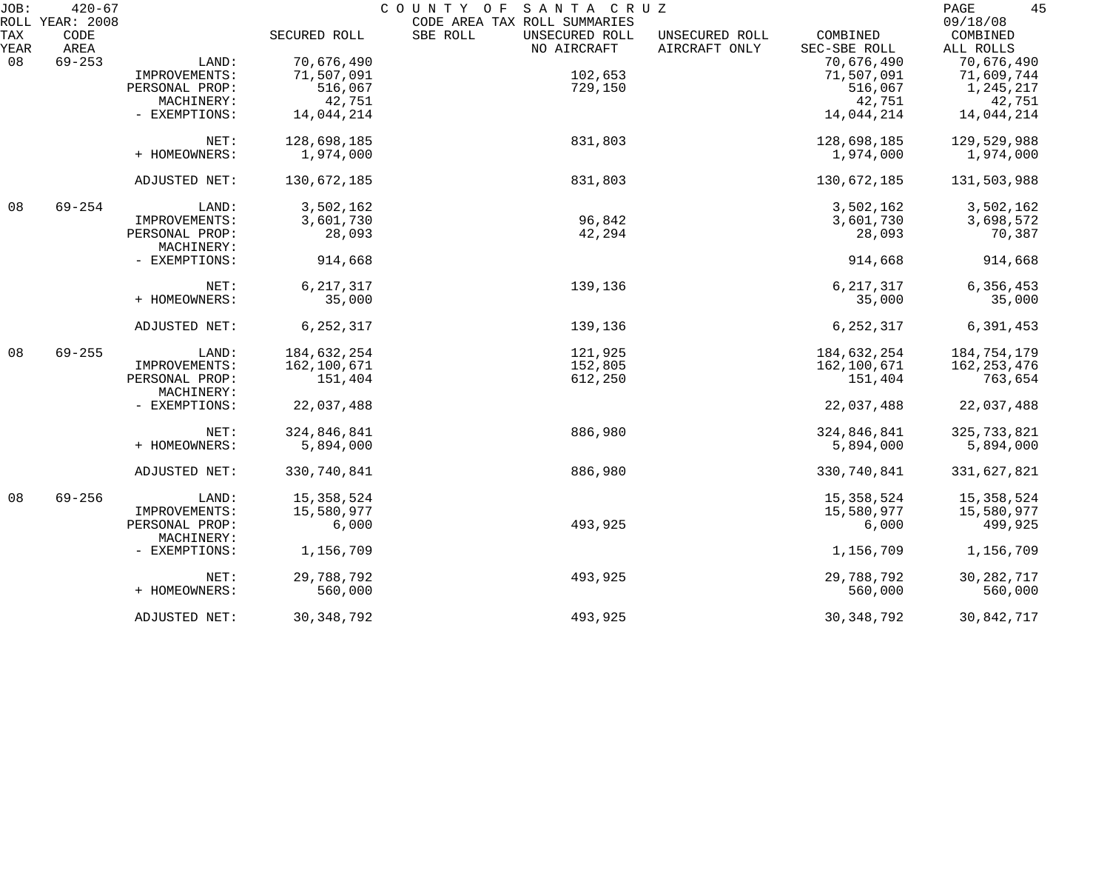| JOB:        | $420 - 67$<br>ROLL YEAR: 2008 |                              |              | COUNTY OF<br>SANTA CRUZ<br>CODE AREA TAX ROLL SUMMARIES                      |                          | 45<br>PAGE<br>09/18/08 |
|-------------|-------------------------------|------------------------------|--------------|------------------------------------------------------------------------------|--------------------------|------------------------|
| TAX<br>YEAR | CODE<br>AREA                  |                              | SECURED ROLL | SBE ROLL<br>UNSECURED ROLL<br>UNSECURED ROLL<br>NO AIRCRAFT<br>AIRCRAFT ONLY | COMBINED<br>SEC-SBE ROLL | COMBINED<br>ALL ROLLS  |
| 08          | $69 - 253$                    | LAND:                        | 70,676,490   |                                                                              | 70,676,490               | 70,676,490             |
|             |                               | IMPROVEMENTS:                | 71,507,091   | 102,653                                                                      | 71,507,091               | 71,609,744             |
|             |                               | PERSONAL PROP:               | 516,067      | 729,150                                                                      | 516,067                  | 1,245,217              |
|             |                               | MACHINERY:                   | 42,751       |                                                                              | 42,751                   | 42,751                 |
|             |                               | - EXEMPTIONS:                |              |                                                                              |                          |                        |
|             |                               |                              | 14,044,214   |                                                                              | 14,044,214               | 14,044,214             |
|             |                               | NET:                         | 128,698,185  | 831,803                                                                      | 128,698,185              | 129,529,988            |
|             |                               | + HOMEOWNERS:                | 1,974,000    |                                                                              | 1,974,000                | 1,974,000              |
|             |                               | ADJUSTED NET:                | 130,672,185  | 831,803                                                                      | 130,672,185              | 131,503,988            |
| 08          | $69 - 254$                    | LAND:                        | 3,502,162    |                                                                              | 3,502,162                | 3,502,162              |
|             |                               | IMPROVEMENTS:                | 3,601,730    | 96,842                                                                       | 3,601,730                | 3,698,572              |
|             |                               | PERSONAL PROP:               | 28,093       | 42,294                                                                       | 28,093                   | 70,387                 |
|             |                               | MACHINERY:                   |              |                                                                              |                          |                        |
|             |                               | - EXEMPTIONS:                | 914,668      |                                                                              | 914,668                  | 914,668                |
|             |                               | NET:                         | 6, 217, 317  | 139,136                                                                      | 6, 217, 317              | 6,356,453              |
|             |                               | + HOMEOWNERS:                | 35,000       |                                                                              | 35,000                   | 35,000                 |
|             |                               | ADJUSTED NET:                | 6, 252, 317  | 139,136                                                                      | 6, 252, 317              | 6,391,453              |
| 08          | $69 - 255$                    | LAND:                        | 184,632,254  | 121,925                                                                      | 184,632,254              | 184,754,179            |
|             |                               | IMPROVEMENTS:                | 162,100,671  | 152,805                                                                      | 162,100,671              | 162, 253, 476          |
|             |                               | PERSONAL PROP:<br>MACHINERY: | 151,404      | 612,250                                                                      | 151,404                  | 763,654                |
|             |                               | - EXEMPTIONS:                | 22,037,488   |                                                                              | 22,037,488               | 22,037,488             |
|             |                               | NET:                         | 324,846,841  | 886,980                                                                      | 324,846,841              | 325,733,821            |
|             |                               | + HOMEOWNERS:                | 5,894,000    |                                                                              | 5,894,000                | 5,894,000              |
|             |                               | ADJUSTED NET:                | 330,740,841  | 886,980                                                                      | 330,740,841              | 331,627,821            |
| 08          | $69 - 256$                    | LAND:                        | 15, 358, 524 |                                                                              | 15,358,524               | 15,358,524             |
|             |                               | IMPROVEMENTS:                | 15,580,977   |                                                                              | 15,580,977               | 15,580,977             |
|             |                               | PERSONAL PROP:<br>MACHINERY: | 6,000        | 493,925                                                                      | 6,000                    | 499,925                |
|             |                               | - EXEMPTIONS:                | 1,156,709    |                                                                              | 1,156,709                | 1,156,709              |
|             |                               | NET:                         | 29,788,792   | 493,925                                                                      | 29,788,792               | 30, 282, 717           |
|             |                               | + HOMEOWNERS:                | 560,000      |                                                                              | 560,000                  | 560,000                |
|             |                               | ADJUSTED NET:                | 30, 348, 792 | 493,925                                                                      | 30, 348, 792             | 30,842,717             |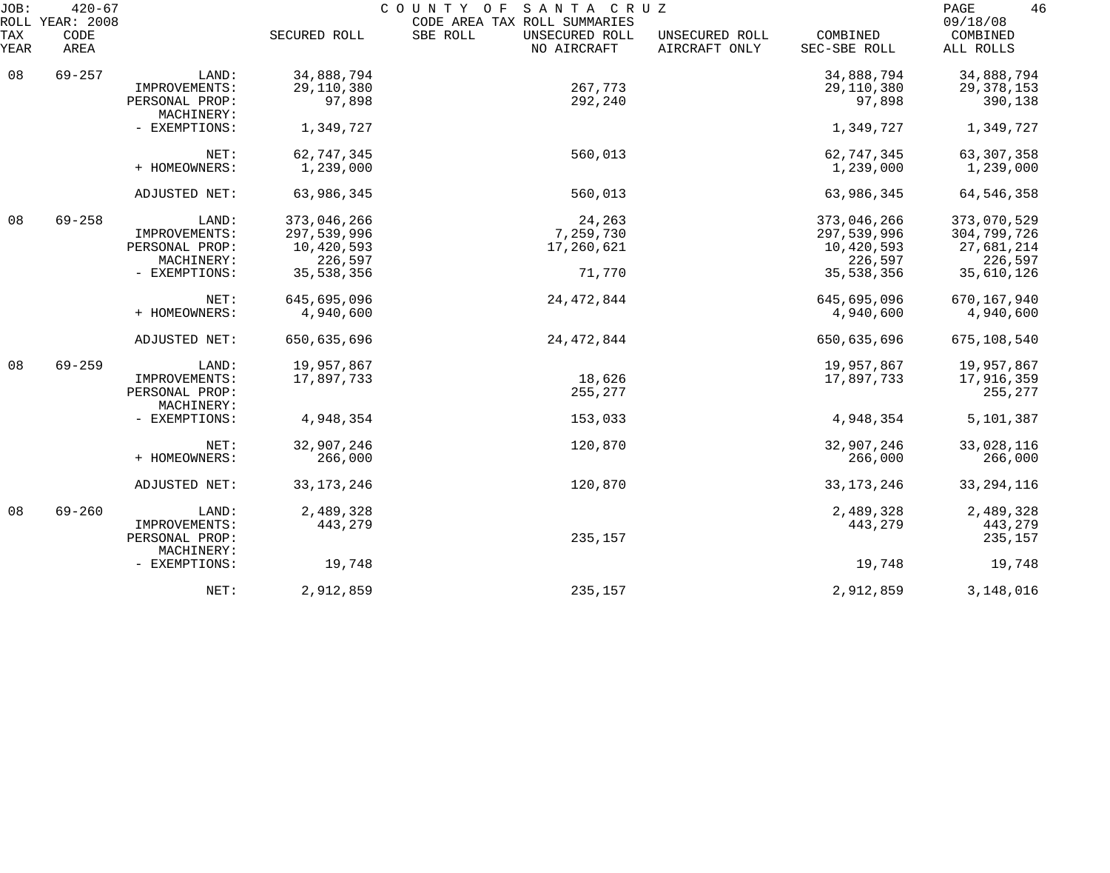| JOB:<br>ROLL | $420 - 67$<br>YEAR: 2008 |                              |              | COUNTY OF<br>SANTA CRUZ<br>CODE AREA TAX ROLL SUMMARIES |                                 |                          | 46<br>PAGE<br>09/18/08 |
|--------------|--------------------------|------------------------------|--------------|---------------------------------------------------------|---------------------------------|--------------------------|------------------------|
| TAX<br>YEAR  | CODE<br>AREA             |                              | SECURED ROLL | SBE ROLL<br>UNSECURED ROLL<br>NO AIRCRAFT               | UNSECURED ROLL<br>AIRCRAFT ONLY | COMBINED<br>SEC-SBE ROLL | COMBINED<br>ALL ROLLS  |
| 08           | $69 - 257$               | LAND:                        | 34,888,794   |                                                         |                                 | 34,888,794               | 34,888,794             |
|              |                          | IMPROVEMENTS:                | 29,110,380   | 267,773                                                 |                                 | 29,110,380               | 29, 378, 153           |
|              |                          | PERSONAL PROP:<br>MACHINERY: | 97,898       | 292,240                                                 |                                 | 97,898                   | 390,138                |
|              |                          | - EXEMPTIONS:                | 1,349,727    |                                                         |                                 | 1,349,727                | 1,349,727              |
|              |                          | NET:                         | 62,747,345   | 560,013                                                 |                                 | 62,747,345               | 63, 307, 358           |
|              |                          | + HOMEOWNERS:                | 1,239,000    |                                                         |                                 | 1,239,000                | 1,239,000              |
|              |                          | ADJUSTED NET:                | 63,986,345   | 560,013                                                 |                                 | 63,986,345               | 64, 546, 358           |
| 08           | $69 - 258$               | LAND:                        | 373,046,266  | 24,263                                                  |                                 | 373,046,266              | 373,070,529            |
|              |                          | IMPROVEMENTS:                | 297,539,996  | 7,259,730                                               |                                 | 297,539,996              | 304,799,726            |
|              |                          | PERSONAL PROP:               | 10,420,593   | 17,260,621                                              |                                 | 10,420,593               | 27,681,214             |
|              |                          | MACHINERY:                   | 226,597      |                                                         |                                 | 226,597                  | 226,597                |
|              |                          | - EXEMPTIONS:                | 35, 538, 356 | 71,770                                                  |                                 | 35,538,356               | 35,610,126             |
|              |                          | NET:                         | 645,695,096  | 24, 472, 844                                            |                                 | 645,695,096              | 670,167,940            |
|              |                          | + HOMEOWNERS:                | 4,940,600    |                                                         |                                 | 4,940,600                | 4,940,600              |
|              |                          | ADJUSTED NET:                | 650,635,696  | 24, 472, 844                                            |                                 | 650,635,696              | 675,108,540            |
| 08           | $69 - 259$               | LAND:                        | 19,957,867   |                                                         |                                 | 19,957,867               | 19,957,867             |
|              |                          | IMPROVEMENTS:                | 17,897,733   | 18,626                                                  |                                 | 17,897,733               | 17,916,359             |
|              |                          | PERSONAL PROP:<br>MACHINERY: |              | 255,277                                                 |                                 |                          | 255,277                |
|              |                          | - EXEMPTIONS:                | 4,948,354    | 153,033                                                 |                                 | 4,948,354                | 5,101,387              |
|              |                          | NET:                         | 32,907,246   | 120,870                                                 |                                 | 32,907,246               | 33,028,116             |
|              |                          | + HOMEOWNERS:                | 266,000      |                                                         |                                 | 266,000                  | 266,000                |
|              |                          | ADJUSTED NET:                | 33, 173, 246 | 120,870                                                 |                                 | 33, 173, 246             | 33, 294, 116           |
| 08           | $69 - 260$               | LAND:                        | 2,489,328    |                                                         |                                 | 2,489,328                | 2,489,328              |
|              |                          | IMPROVEMENTS:                | 443,279      |                                                         |                                 | 443,279                  | 443,279                |
|              |                          | PERSONAL PROP:<br>MACHINERY: |              | 235,157                                                 |                                 |                          | 235,157                |
|              |                          | - EXEMPTIONS:                | 19,748       |                                                         |                                 | 19,748                   | 19,748                 |
|              |                          | NET:                         | 2,912,859    | 235,157                                                 |                                 | 2,912,859                | 3,148,016              |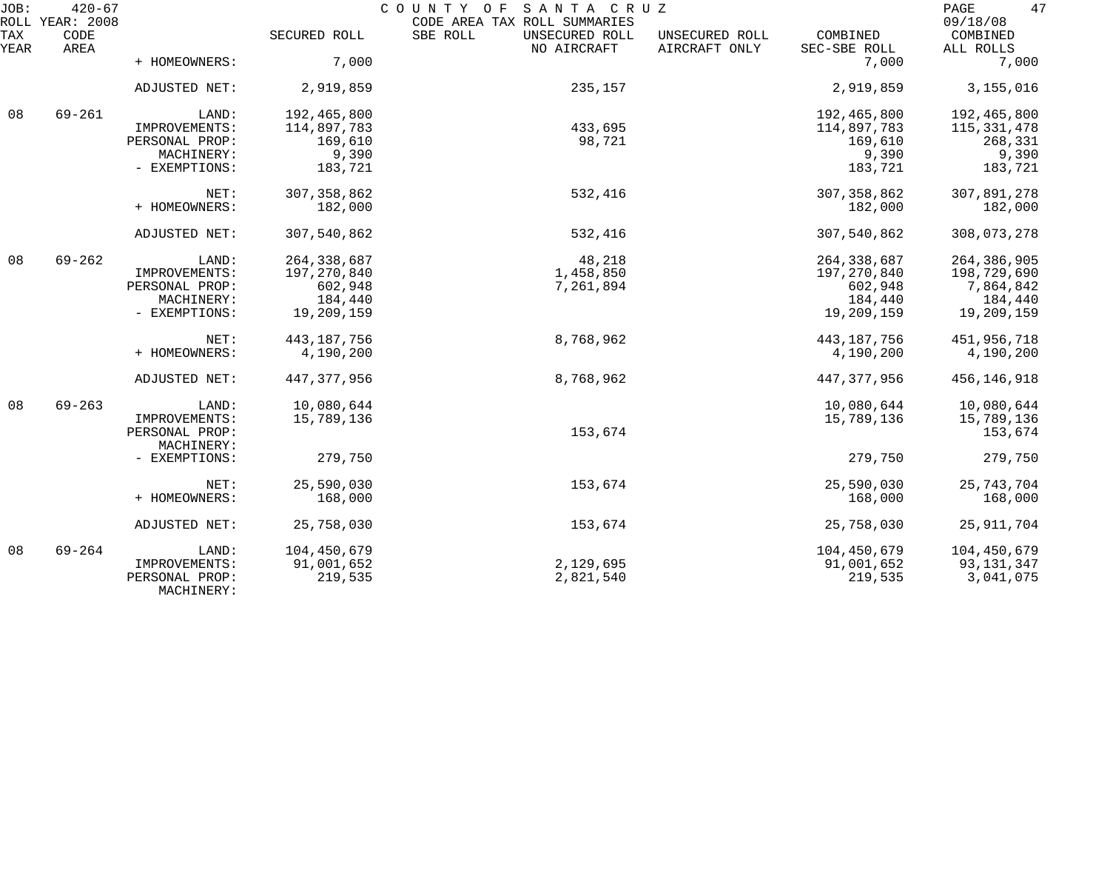| JOB:        | $420 - 67$<br>ROLL YEAR: 2008 |                              |               | COUNTY OF SANTA CRUZ<br>CODE AREA TAX ROLL SUMMARIES |                                 |                          | 47<br>PAGE<br>09/18/08 |
|-------------|-------------------------------|------------------------------|---------------|------------------------------------------------------|---------------------------------|--------------------------|------------------------|
| TAX<br>YEAR | CODE<br>AREA                  |                              | SECURED ROLL  | SBE ROLL<br>UNSECURED ROLL<br>NO AIRCRAFT            | UNSECURED ROLL<br>AIRCRAFT ONLY | COMBINED<br>SEC-SBE ROLL | COMBINED<br>ALL ROLLS  |
|             |                               | + HOMEOWNERS:                | 7,000         |                                                      |                                 | 7,000                    | 7,000                  |
|             |                               | ADJUSTED NET:                | 2,919,859     | 235,157                                              |                                 | 2,919,859                | 3,155,016              |
| 08          | $69 - 261$                    | LAND:                        | 192,465,800   |                                                      |                                 | 192,465,800              | 192,465,800            |
|             |                               | IMPROVEMENTS:                | 114,897,783   | 433,695                                              |                                 | 114,897,783              | 115, 331, 478          |
|             |                               | PERSONAL PROP:               | 169,610       | 98,721                                               |                                 | 169,610                  | 268,331                |
|             |                               | MACHINERY:                   | 9,390         |                                                      |                                 | 9,390                    | 9,390                  |
|             |                               | - EXEMPTIONS:                | 183,721       |                                                      |                                 | 183,721                  | 183,721                |
|             |                               | NET:                         | 307, 358, 862 | 532,416                                              |                                 | 307, 358, 862            | 307,891,278            |
|             |                               | + HOMEOWNERS:                | 182,000       |                                                      |                                 | 182,000                  | 182,000                |
|             |                               | ADJUSTED NET:                | 307,540,862   | 532,416                                              |                                 | 307,540,862              | 308,073,278            |
| 08          | $69 - 262$                    | LAND:                        | 264, 338, 687 | 48,218                                               |                                 | 264, 338, 687            | 264, 386, 905          |
|             |                               | IMPROVEMENTS:                | 197,270,840   | 1,458,850                                            |                                 | 197,270,840              | 198,729,690            |
|             |                               | PERSONAL PROP:               | 602,948       | 7,261,894                                            |                                 | 602,948                  | 7,864,842              |
|             |                               | MACHINERY:                   | 184,440       |                                                      |                                 | 184,440                  | 184,440                |
|             |                               | - EXEMPTIONS:                | 19,209,159    |                                                      |                                 | 19,209,159               | 19,209,159             |
|             |                               | NET:                         | 443, 187, 756 | 8,768,962                                            |                                 | 443, 187, 756            | 451,956,718            |
|             |                               | + HOMEOWNERS:                | 4,190,200     |                                                      |                                 | 4,190,200                | 4,190,200              |
|             |                               | ADJUSTED NET:                | 447, 377, 956 | 8,768,962                                            |                                 | 447, 377, 956            | 456, 146, 918          |
| 08          | $69 - 263$                    | LAND:                        | 10,080,644    |                                                      |                                 | 10,080,644               | 10,080,644             |
|             |                               | IMPROVEMENTS:                | 15,789,136    |                                                      |                                 | 15,789,136               | 15,789,136             |
|             |                               | PERSONAL PROP:               |               | 153,674                                              |                                 |                          | 153,674                |
|             |                               | MACHINERY:                   |               |                                                      |                                 |                          |                        |
|             |                               | - EXEMPTIONS:                | 279,750       |                                                      |                                 | 279,750                  | 279,750                |
|             |                               | NET:                         | 25,590,030    | 153,674                                              |                                 | 25,590,030               | 25, 743, 704           |
|             |                               | + HOMEOWNERS:                | 168,000       |                                                      |                                 | 168,000                  | 168,000                |
|             |                               | ADJUSTED NET:                | 25,758,030    | 153,674                                              |                                 | 25,758,030               | 25, 911, 704           |
| 08          | $69 - 264$                    | LAND:                        | 104,450,679   |                                                      |                                 | 104,450,679              | 104,450,679            |
|             |                               | IMPROVEMENTS:                | 91,001,652    | 2,129,695                                            |                                 | 91,001,652               | 93, 131, 347           |
|             |                               | PERSONAL PROP:<br>MACHINERY: | 219,535       | 2,821,540                                            |                                 | 219,535                  | 3,041,075              |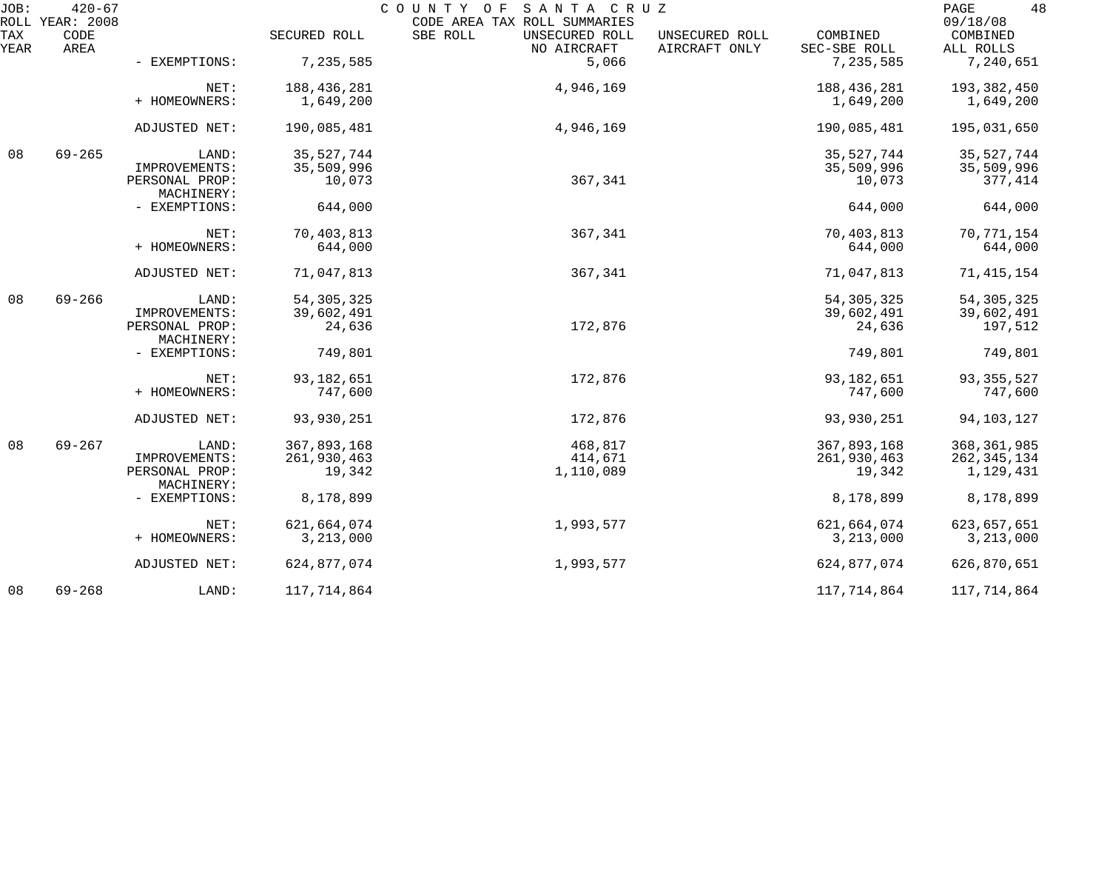| JOB:        | $420 - 67$<br>ROLL YEAR: 2008 |                              |              | COUNTY OF<br>SANTA CRUZ<br>CODE AREA TAX ROLL SUMMARIES |                                                             | 48<br>PAGE<br>09/18/08 |
|-------------|-------------------------------|------------------------------|--------------|---------------------------------------------------------|-------------------------------------------------------------|------------------------|
| TAX<br>YEAR | CODE<br>AREA                  |                              | SECURED ROLL | SBE ROLL<br>UNSECURED ROLL<br>NO AIRCRAFT               | COMBINED<br>UNSECURED ROLL<br>AIRCRAFT ONLY<br>SEC-SBE ROLL | COMBINED<br>ALL ROLLS  |
|             |                               | - EXEMPTIONS:                | 7,235,585    | 5,066                                                   | 7,235,585                                                   | 7,240,651              |
|             |                               | NET:                         | 188,436,281  | 4,946,169                                               | 188,436,281                                                 | 193,382,450            |
|             |                               | + HOMEOWNERS:                | 1,649,200    |                                                         | 1,649,200                                                   | 1,649,200              |
|             |                               | ADJUSTED NET:                | 190,085,481  | 4,946,169                                               | 190,085,481                                                 | 195,031,650            |
| 08          | $69 - 265$                    | LAND:                        | 35, 527, 744 |                                                         | 35, 527, 744                                                | 35,527,744             |
|             |                               | IMPROVEMENTS:                | 35,509,996   |                                                         | 35,509,996                                                  | 35,509,996             |
|             |                               | PERSONAL PROP:<br>MACHINERY: | 10,073       | 367,341                                                 | 10,073                                                      | 377,414                |
|             |                               | - EXEMPTIONS:                | 644,000      |                                                         | 644,000                                                     | 644,000                |
|             |                               | NET:                         | 70,403,813   | 367,341                                                 | 70,403,813                                                  | 70,771,154             |
|             |                               | + HOMEOWNERS:                | 644,000      |                                                         | 644,000                                                     | 644,000                |
|             |                               | ADJUSTED NET:                | 71,047,813   | 367,341                                                 | 71,047,813                                                  | 71, 415, 154           |
| 08          | $69 - 266$                    | LAND:                        | 54, 305, 325 |                                                         | 54, 305, 325                                                | 54, 305, 325           |
|             |                               | IMPROVEMENTS:                | 39,602,491   |                                                         | 39,602,491                                                  | 39,602,491             |
|             |                               | PERSONAL PROP:<br>MACHINERY: | 24,636       | 172,876                                                 | 24,636                                                      | 197,512                |
|             |                               | - EXEMPTIONS:                | 749,801      |                                                         | 749,801                                                     | 749,801                |
|             |                               | NET:                         | 93, 182, 651 | 172,876                                                 | 93, 182, 651                                                | 93, 355, 527           |
|             |                               | + HOMEOWNERS:                | 747,600      |                                                         | 747,600                                                     | 747,600                |
|             |                               | ADJUSTED NET:                | 93,930,251   | 172,876                                                 | 93,930,251                                                  | 94, 103, 127           |
| 08          | $69 - 267$                    | LAND:                        | 367,893,168  | 468,817                                                 | 367,893,168                                                 | 368, 361, 985          |
|             |                               | IMPROVEMENTS:                | 261,930,463  | 414,671                                                 | 261,930,463                                                 | 262, 345, 134          |
|             |                               | PERSONAL PROP:<br>MACHINERY: | 19,342       | 1,110,089                                               | 19,342                                                      | 1,129,431              |
|             |                               | - EXEMPTIONS:                | 8,178,899    |                                                         | 8,178,899                                                   | 8,178,899              |
|             |                               | NET:                         | 621,664,074  | 1,993,577                                               | 621,664,074                                                 | 623, 657, 651          |
|             |                               | + HOMEOWNERS:                | 3, 213, 000  |                                                         | 3, 213, 000                                                 | 3, 213, 000            |
|             |                               | ADJUSTED NET:                | 624,877,074  | 1,993,577                                               | 624,877,074                                                 | 626,870,651            |
| 08          | $69 - 268$                    | LAND:                        | 117,714,864  |                                                         | 117,714,864                                                 | 117,714,864            |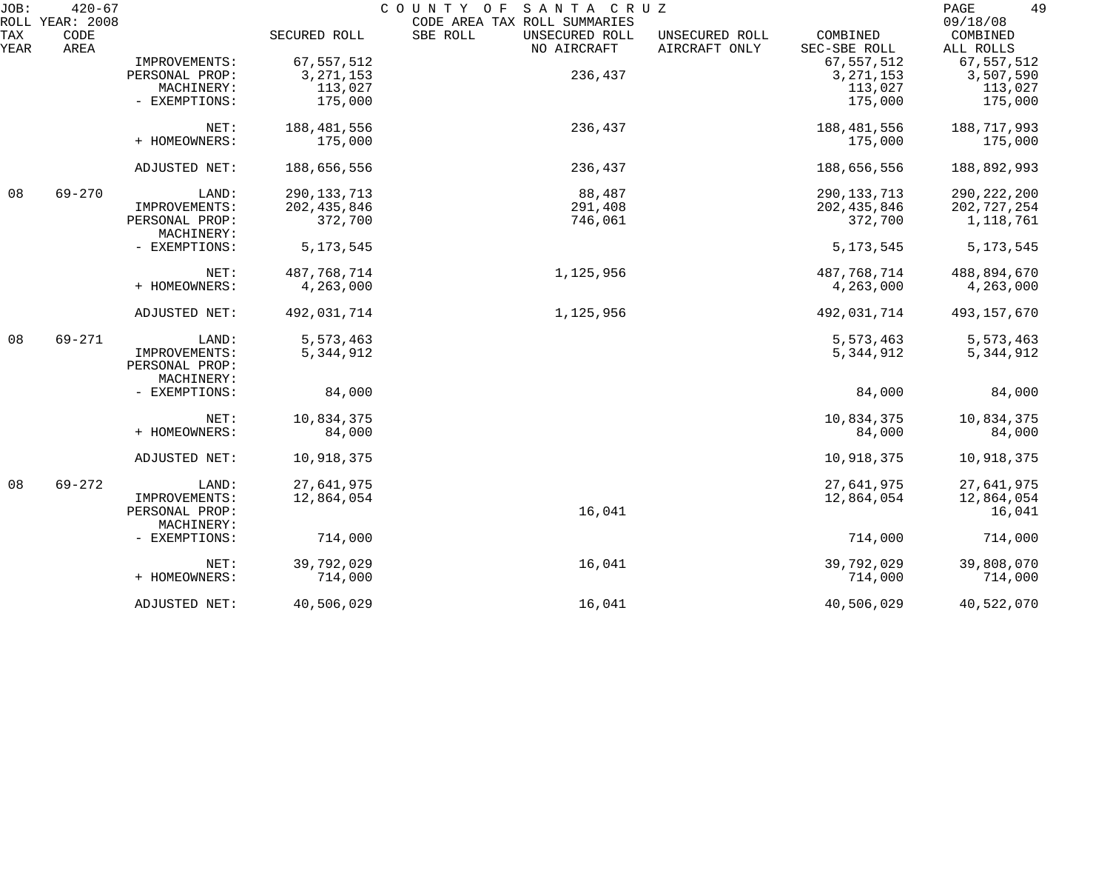| JOB:        | $420 - 67$<br>ROLL YEAR: 2008 |                                               |               | COUNTY OF<br>SANTA CRUZ<br>CODE AREA TAX ROLL SUMMARIES |                                 |                          | 49<br>PAGE<br>09/18/08 |
|-------------|-------------------------------|-----------------------------------------------|---------------|---------------------------------------------------------|---------------------------------|--------------------------|------------------------|
| TAX<br>YEAR | CODE<br>AREA                  |                                               | SECURED ROLL  | SBE ROLL<br>UNSECURED ROLL<br>NO AIRCRAFT               | UNSECURED ROLL<br>AIRCRAFT ONLY | COMBINED<br>SEC-SBE ROLL | COMBINED<br>ALL ROLLS  |
|             |                               | IMPROVEMENTS:                                 | 67,557,512    |                                                         |                                 | 67, 557, 512             | 67,557,512             |
|             |                               | PERSONAL PROP:                                | 3, 271, 153   | 236,437                                                 |                                 | 3, 271, 153              | 3,507,590              |
|             |                               | MACHINERY:                                    | 113,027       |                                                         |                                 | 113,027                  | 113,027                |
|             |                               | - EXEMPTIONS:                                 | 175,000       |                                                         |                                 | 175,000                  | 175,000                |
|             |                               | NET:                                          | 188,481,556   | 236,437                                                 |                                 | 188,481,556              | 188,717,993            |
|             |                               | + HOMEOWNERS:                                 | 175,000       |                                                         |                                 | 175,000                  | 175,000                |
|             |                               | ADJUSTED NET:                                 | 188,656,556   | 236,437                                                 |                                 | 188,656,556              | 188,892,993            |
| 08          | $69 - 270$                    | LAND:                                         | 290, 133, 713 | 88,487                                                  |                                 | 290, 133, 713            | 290, 222, 200          |
|             |                               | IMPROVEMENTS:                                 | 202, 435, 846 | 291,408                                                 |                                 | 202, 435, 846            | 202,727,254            |
|             |                               | PERSONAL PROP:<br>MACHINERY:                  | 372,700       | 746,061                                                 |                                 | 372,700                  | 1,118,761              |
|             |                               | - EXEMPTIONS:                                 | 5, 173, 545   |                                                         |                                 | 5, 173, 545              | 5, 173, 545            |
|             |                               | NET:                                          | 487,768,714   | 1,125,956                                               |                                 | 487,768,714              | 488,894,670            |
|             |                               | + HOMEOWNERS:                                 | 4,263,000     |                                                         |                                 | 4,263,000                | 4,263,000              |
|             |                               | ADJUSTED NET:                                 | 492,031,714   | 1,125,956                                               |                                 | 492,031,714              | 493,157,670            |
| 08          | $69 - 271$                    | LAND:                                         | 5,573,463     |                                                         |                                 | 5,573,463                | 5,573,463              |
|             |                               | IMPROVEMENTS:<br>PERSONAL PROP:<br>MACHINERY: | 5,344,912     |                                                         |                                 | 5,344,912                | 5,344,912              |
|             |                               | - EXEMPTIONS:                                 | 84,000        |                                                         |                                 | 84,000                   | 84,000                 |
|             |                               | NET:                                          | 10,834,375    |                                                         |                                 | 10,834,375               | 10,834,375             |
|             |                               | + HOMEOWNERS:                                 | 84,000        |                                                         |                                 | 84,000                   | 84,000                 |
|             |                               | ADJUSTED NET:                                 | 10,918,375    |                                                         |                                 | 10,918,375               | 10,918,375             |
| 08          | $69 - 272$                    | LAND:                                         | 27,641,975    |                                                         |                                 | 27,641,975               | 27,641,975             |
|             |                               | IMPROVEMENTS:                                 | 12,864,054    |                                                         |                                 | 12,864,054               | 12,864,054             |
|             |                               | PERSONAL PROP:                                |               | 16,041                                                  |                                 |                          | 16,041                 |
|             |                               | MACHINERY:                                    |               |                                                         |                                 |                          |                        |
|             |                               | - EXEMPTIONS:                                 | 714,000       |                                                         |                                 | 714,000                  | 714,000                |
|             |                               | NET:                                          | 39,792,029    | 16,041                                                  |                                 | 39,792,029               | 39,808,070             |
|             |                               | + HOMEOWNERS:                                 | 714,000       |                                                         |                                 | 714,000                  | 714,000                |
|             |                               | ADJUSTED NET:                                 | 40,506,029    | 16,041                                                  |                                 | 40,506,029               | 40,522,070             |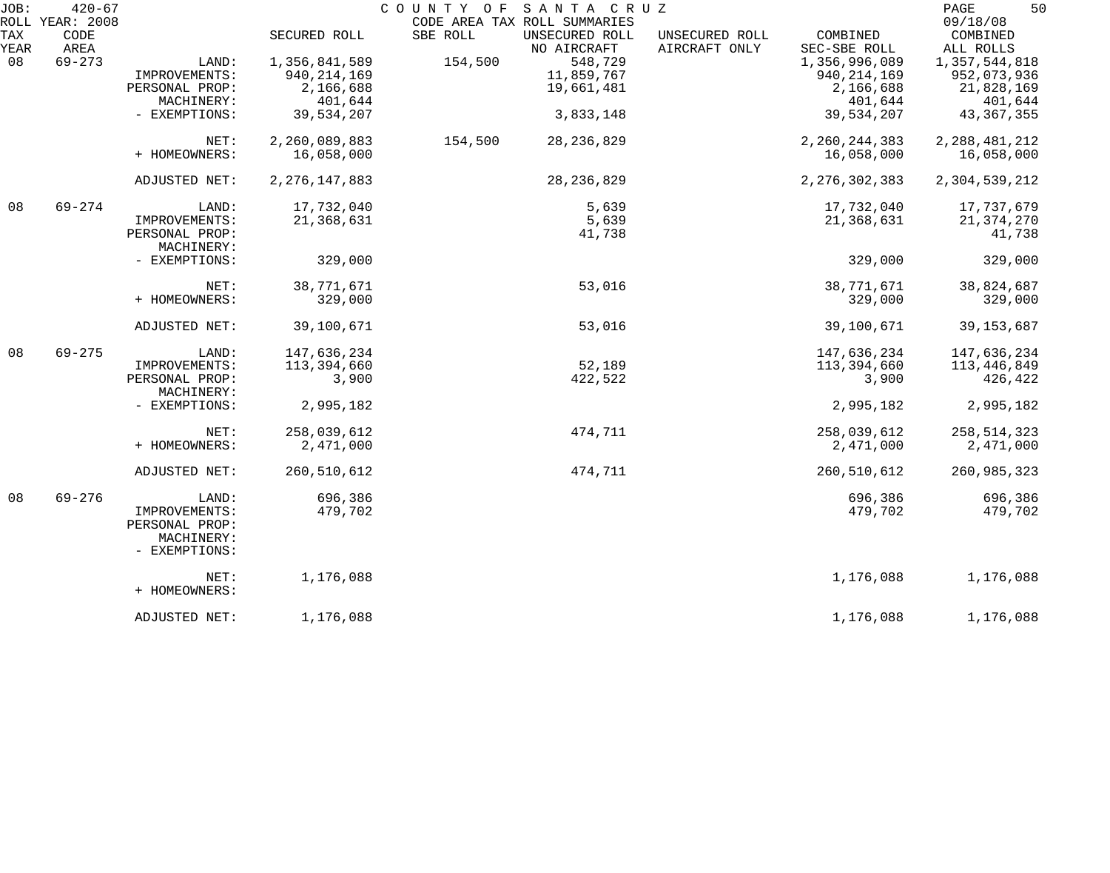| JOB: | $420 - 67$<br>ROLL YEAR: 2008 |                |                  |          | COUNTY OF SANTA CRUZ<br>CODE AREA TAX ROLL SUMMARIES |                |                  | 50<br>PAGE<br>09/18/08 |
|------|-------------------------------|----------------|------------------|----------|------------------------------------------------------|----------------|------------------|------------------------|
| TAX  | CODE                          |                | SECURED ROLL     | SBE ROLL | UNSECURED ROLL                                       | UNSECURED ROLL | COMBINED         | COMBINED               |
| YEAR | AREA                          |                |                  |          | NO AIRCRAFT                                          | AIRCRAFT ONLY  | SEC-SBE ROLL     | ALL ROLLS              |
| 08   | $69 - 273$                    | LAND:          | 1,356,841,589    | 154,500  | 548,729                                              |                | 1,356,996,089    | 1,357,544,818          |
|      |                               | IMPROVEMENTS:  | 940, 214, 169    |          | 11,859,767                                           |                | 940, 214, 169    | 952,073,936            |
|      |                               | PERSONAL PROP: | 2,166,688        |          | 19,661,481                                           |                | 2,166,688        |                        |
|      |                               |                |                  |          |                                                      |                |                  | 21,828,169             |
|      |                               | MACHINERY:     | 401,644          |          |                                                      |                | 401,644          | 401,644                |
|      |                               | - EXEMPTIONS:  | 39,534,207       |          | 3,833,148                                            |                | 39,534,207       | 43, 367, 355           |
|      |                               | NET:           | 2,260,089,883    | 154,500  | 28, 236, 829                                         |                | 2,260,244,383    | 2, 288, 481, 212       |
|      |                               | + HOMEOWNERS:  | 16,058,000       |          |                                                      |                | 16,058,000       | 16,058,000             |
|      |                               |                |                  |          |                                                      |                |                  |                        |
|      |                               | ADJUSTED NET:  | 2, 276, 147, 883 |          | 28, 236, 829                                         |                | 2, 276, 302, 383 | 2,304,539,212          |
| 08   | $69 - 274$                    | LAND:          | 17,732,040       |          | 5,639                                                |                | 17,732,040       | 17,737,679             |
|      |                               | IMPROVEMENTS:  | 21,368,631       |          | 5,639                                                |                | 21,368,631       | 21, 374, 270           |
|      |                               | PERSONAL PROP: |                  |          | 41,738                                               |                |                  | 41,738                 |
|      |                               | MACHINERY:     |                  |          |                                                      |                |                  |                        |
|      |                               | - EXEMPTIONS:  | 329,000          |          |                                                      |                | 329,000          | 329,000                |
|      |                               | NET:           | 38,771,671       |          | 53,016                                               |                | 38,771,671       | 38,824,687             |
|      |                               | + HOMEOWNERS:  | 329,000          |          |                                                      |                | 329,000          | 329,000                |
|      |                               |                |                  |          |                                                      |                |                  |                        |
|      |                               | ADJUSTED NET:  | 39,100,671       |          | 53,016                                               |                | 39,100,671       | 39, 153, 687           |
| 08   | $69 - 275$                    | LAND:          | 147,636,234      |          |                                                      |                | 147,636,234      | 147,636,234            |
|      |                               | IMPROVEMENTS:  | 113,394,660      |          | 52,189                                               |                | 113,394,660      | 113,446,849            |
|      |                               | PERSONAL PROP: | 3,900            |          | 422,522                                              |                | 3,900            | 426,422                |
|      |                               | MACHINERY:     |                  |          |                                                      |                |                  |                        |
|      |                               | - EXEMPTIONS:  | 2,995,182        |          |                                                      |                | 2,995,182        | 2,995,182              |
|      |                               | NET:           | 258,039,612      |          | 474,711                                              |                | 258,039,612      | 258, 514, 323          |
|      |                               | + HOMEOWNERS:  | 2,471,000        |          |                                                      |                | 2,471,000        | 2,471,000              |
|      |                               |                |                  |          |                                                      |                |                  |                        |
|      |                               | ADJUSTED NET:  | 260,510,612      |          | 474,711                                              |                | 260,510,612      | 260,985,323            |
| 08   | $69 - 276$                    | LAND:          | 696,386          |          |                                                      |                | 696,386          | 696,386                |
|      |                               | IMPROVEMENTS:  | 479,702          |          |                                                      |                | 479,702          | 479,702                |
|      |                               | PERSONAL PROP: |                  |          |                                                      |                |                  |                        |
|      |                               | MACHINERY:     |                  |          |                                                      |                |                  |                        |
|      |                               | - EXEMPTIONS:  |                  |          |                                                      |                |                  |                        |
|      |                               | NET:           | 1,176,088        |          |                                                      |                | 1,176,088        | 1,176,088              |
|      |                               | + HOMEOWNERS:  |                  |          |                                                      |                |                  |                        |
|      |                               | ADJUSTED NET:  | 1,176,088        |          |                                                      |                | 1,176,088        | 1,176,088              |
|      |                               |                |                  |          |                                                      |                |                  |                        |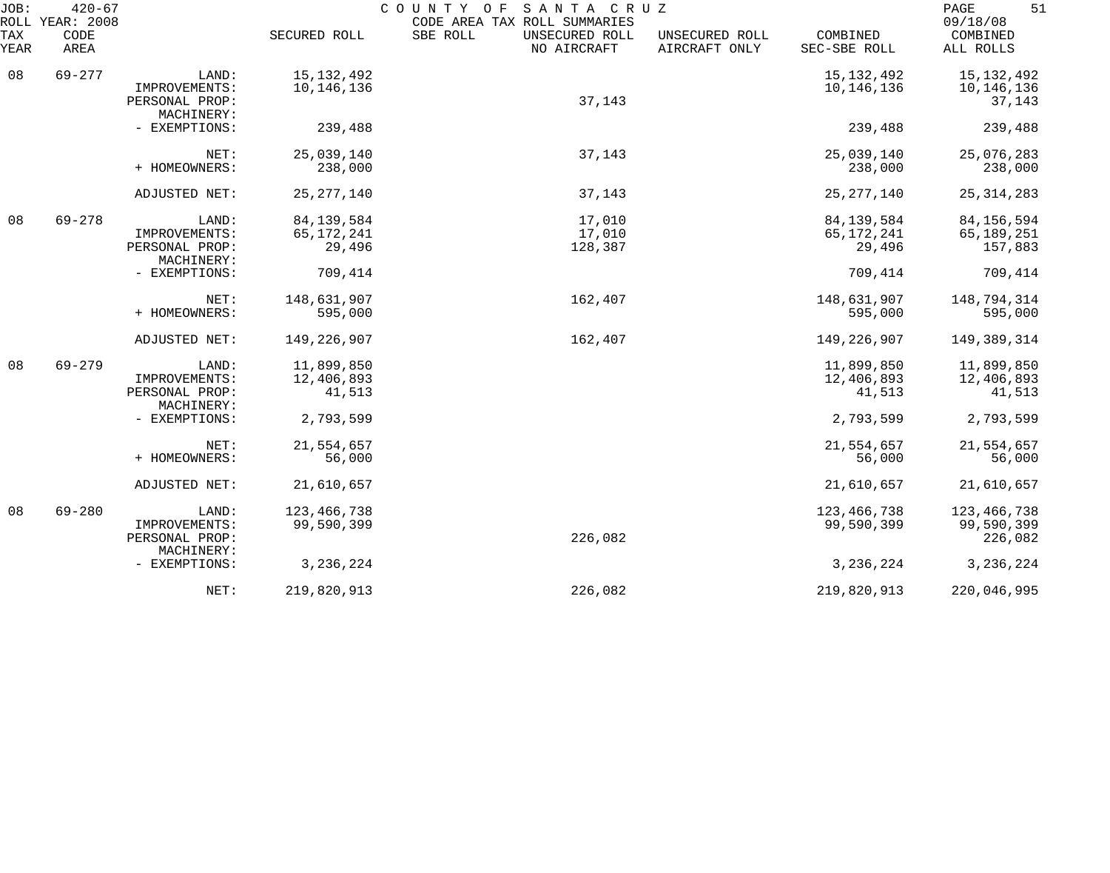| JOB:        | $420 - 67$<br>ROLL YEAR: 2008 |                                               |                           | COUNTY<br>SANTA CRUZ<br>O F<br>CODE AREA TAX ROLL SUMMARIES |                                 |                           |                                      |
|-------------|-------------------------------|-----------------------------------------------|---------------------------|-------------------------------------------------------------|---------------------------------|---------------------------|--------------------------------------|
| TAX<br>YEAR | CODE<br>AREA                  |                                               | SECURED ROLL              | SBE ROLL<br>UNSECURED ROLL<br>NO AIRCRAFT                   | UNSECURED ROLL<br>AIRCRAFT ONLY | COMBINED<br>SEC-SBE ROLL  | 09/18/08<br>COMBINED<br>ALL ROLLS    |
| 08          | $69 - 277$                    | LAND:                                         | 15, 132, 492              |                                                             |                                 | 15, 132, 492              | 15,132,492                           |
|             |                               | IMPROVEMENTS:<br>PERSONAL PROP:               | 10,146,136                | 37,143                                                      |                                 | 10,146,136                | 10,146,136<br>37,143                 |
|             |                               | MACHINERY:<br>- EXEMPTIONS:                   | 239,488                   |                                                             |                                 | 239,488                   | 239,488                              |
|             |                               | NET:                                          | 25,039,140                | 37,143                                                      |                                 | 25,039,140                | 25,076,283                           |
|             |                               | + HOMEOWNERS:                                 | 238,000                   |                                                             |                                 | 238,000                   | 238,000                              |
|             |                               | ADJUSTED NET:                                 | 25, 277, 140              | 37,143                                                      |                                 | 25, 277, 140              | 25, 314, 283                         |
| 08          | $69 - 278$                    | LAND:                                         | 84,139,584                | 17,010                                                      |                                 | 84, 139, 584              | 84, 156, 594                         |
|             |                               | IMPROVEMENTS:<br>PERSONAL PROP:<br>MACHINERY: | 65, 172, 241<br>29,496    | 17,010<br>128,387                                           |                                 | 65,172,241<br>29,496      | 65,189,251<br>157,883                |
|             |                               | - EXEMPTIONS:                                 | 709,414                   |                                                             |                                 | 709,414                   | 709,414                              |
|             |                               | NET:                                          | 148,631,907               | 162,407                                                     |                                 | 148,631,907               | 148,794,314                          |
|             |                               | + HOMEOWNERS:                                 | 595,000                   |                                                             |                                 | 595,000                   | 595,000                              |
|             |                               | ADJUSTED NET:                                 | 149,226,907               | 162,407                                                     |                                 | 149, 226, 907             | 149,389,314                          |
| 08          | $69 - 279$                    | LAND:                                         | 11,899,850                |                                                             |                                 | 11,899,850                | 11,899,850                           |
|             |                               | IMPROVEMENTS:<br>PERSONAL PROP:<br>MACHINERY: | 12,406,893<br>41,513      |                                                             |                                 | 12,406,893<br>41,513      | 12,406,893<br>41,513                 |
|             |                               | - EXEMPTIONS:                                 | 2,793,599                 |                                                             |                                 | 2,793,599                 | 2,793,599                            |
|             |                               | NET:                                          | 21,554,657                |                                                             |                                 | 21,554,657                | 21,554,657                           |
|             |                               | + HOMEOWNERS:                                 | 56,000                    |                                                             |                                 | 56,000                    | 56,000                               |
|             |                               | ADJUSTED NET:                                 | 21,610,657                |                                                             |                                 | 21,610,657                | 21,610,657                           |
| 08          | $69 - 280$                    | LAND:<br>IMPROVEMENTS:<br>PERSONAL PROP:      | 123,466,738<br>99,590,399 | 226,082                                                     |                                 | 123,466,738<br>99,590,399 | 123,466,738<br>99,590,399<br>226,082 |
|             |                               | MACHINERY:<br>- EXEMPTIONS:                   | 3, 236, 224               |                                                             |                                 | 3, 236, 224               | 3, 236, 224                          |
|             |                               | NET:                                          | 219,820,913               | 226,082                                                     |                                 | 219,820,913               | 220,046,995                          |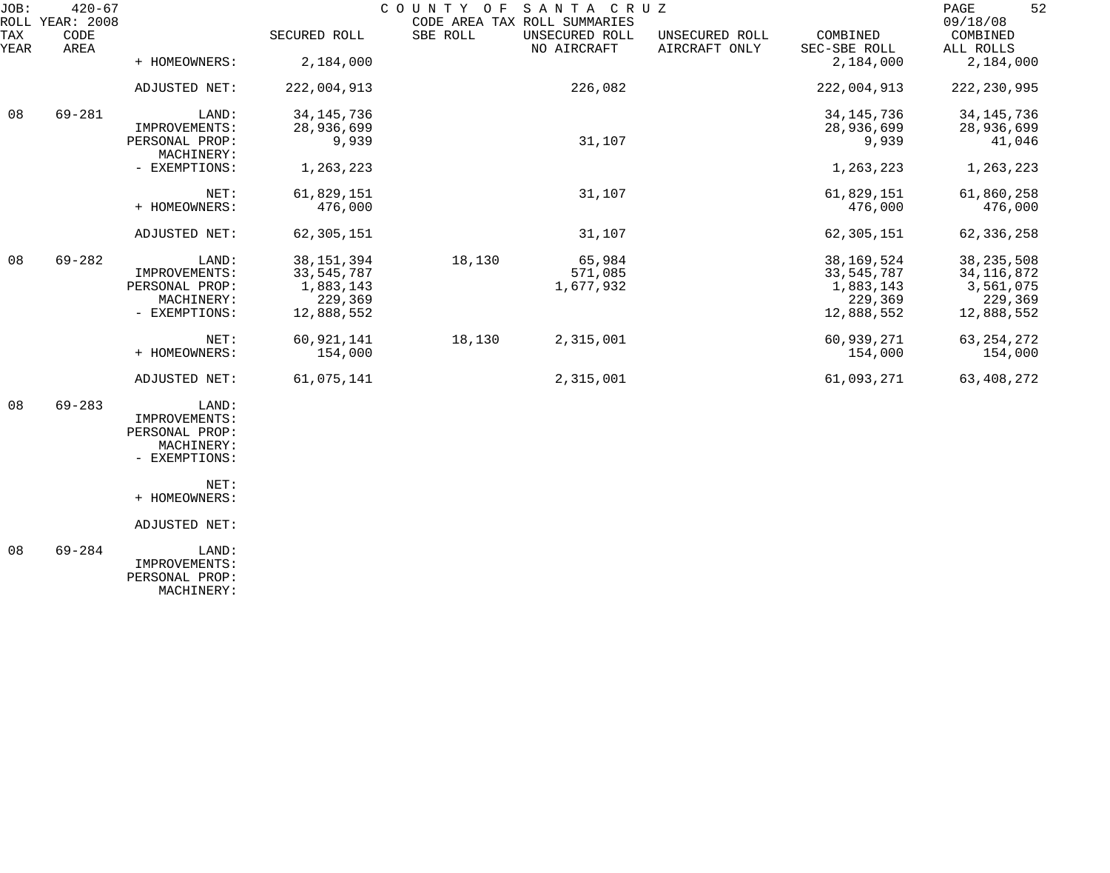| JOB:<br>ROLL | $420 - 67$<br>YEAR: 2008 |                |              | COUNTY<br>O F | SANTA CRUZ<br>CODE AREA TAX ROLL SUMMARIES |                                 |                          | 52<br>PAGE<br>09/18/08 |
|--------------|--------------------------|----------------|--------------|---------------|--------------------------------------------|---------------------------------|--------------------------|------------------------|
| TAX<br>YEAR  | CODE<br>AREA             |                | SECURED ROLL | SBE ROLL      | UNSECURED ROLL<br>NO AIRCRAFT              | UNSECURED ROLL<br>AIRCRAFT ONLY | COMBINED<br>SEC-SBE ROLL | COMBINED<br>ALL ROLLS  |
|              |                          | + HOMEOWNERS:  | 2,184,000    |               |                                            |                                 | 2,184,000                | 2,184,000              |
|              |                          | ADJUSTED NET:  | 222,004,913  |               | 226,082                                    |                                 | 222,004,913              | 222, 230, 995          |
| 08           | $69 - 281$               | LAND:          | 34, 145, 736 |               |                                            |                                 | 34, 145, 736             | 34, 145, 736           |
|              |                          | IMPROVEMENTS:  | 28,936,699   |               |                                            |                                 | 28,936,699               | 28,936,699             |
|              |                          | PERSONAL PROP: | 9,939        |               | 31,107                                     |                                 | 9,939                    | 41,046                 |
|              |                          | MACHINERY:     |              |               |                                            |                                 |                          |                        |
|              |                          | - EXEMPTIONS:  | 1,263,223    |               |                                            |                                 | 1,263,223                | 1,263,223              |
|              |                          | NET:           | 61,829,151   |               | 31,107                                     |                                 | 61,829,151               | 61,860,258             |
|              |                          | + HOMEOWNERS:  | 476,000      |               |                                            |                                 | 476,000                  | 476,000                |
|              |                          | ADJUSTED NET:  | 62,305,151   |               | 31,107                                     |                                 | 62,305,151               | 62, 336, 258           |
| 08           | $69 - 282$               | LAND:          | 38, 151, 394 | 18,130        | 65,984                                     |                                 | 38, 169, 524             | 38, 235, 508           |
|              |                          | IMPROVEMENTS:  | 33, 545, 787 |               | 571,085                                    |                                 | 33,545,787               | 34, 116, 872           |
|              |                          | PERSONAL PROP: | 1,883,143    |               | 1,677,932                                  |                                 | 1,883,143                | 3,561,075              |
|              |                          | MACHINERY:     | 229,369      |               |                                            |                                 | 229,369                  | 229,369                |
|              |                          | - EXEMPTIONS:  | 12,888,552   |               |                                            |                                 | 12,888,552               | 12,888,552             |
|              |                          | NET:           | 60,921,141   | 18,130        | 2,315,001                                  |                                 | 60,939,271               | 63, 254, 272           |
|              |                          | + HOMEOWNERS:  | 154,000      |               |                                            |                                 | 154,000                  | 154,000                |
|              |                          | ADJUSTED NET:  | 61,075,141   |               | 2,315,001                                  |                                 | 61,093,271               | 63,408,272             |
| 08           | $69 - 283$               | LAND:          |              |               |                                            |                                 |                          |                        |
|              |                          | IMPROVEMENTS:  |              |               |                                            |                                 |                          |                        |
|              |                          | PERSONAL PROP: |              |               |                                            |                                 |                          |                        |

+ HOMEOWNERS:

 MACHINERY: - EXEMPTIONS:

NET:

ADJUSTED NET:

 08 69-284 LAND: IMPROVEMENTS: PERSONAL PROP: MACHINERY: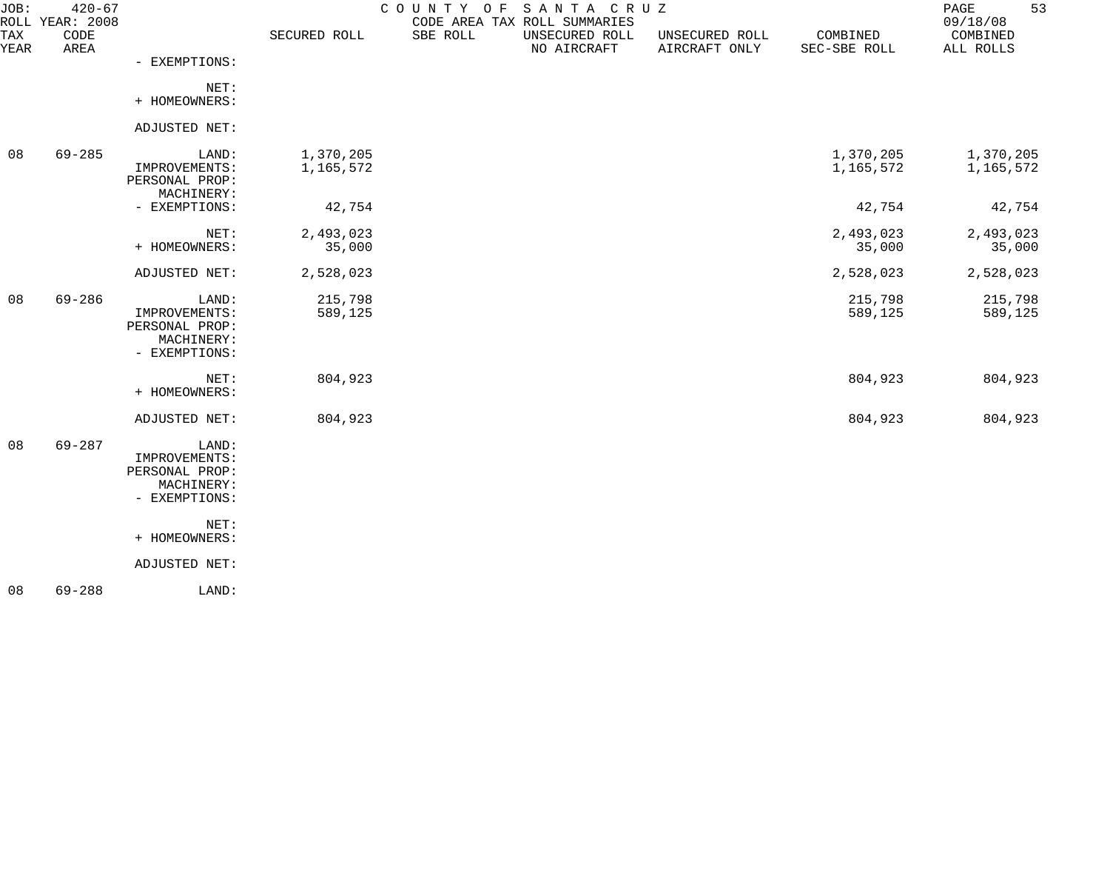| $420 - 67$   |                                                                         |                        |          |                               |                                 |                          | 53<br>PAGE<br>09/18/08 |
|--------------|-------------------------------------------------------------------------|------------------------|----------|-------------------------------|---------------------------------|--------------------------|------------------------|
| CODE<br>AREA |                                                                         | SECURED ROLL           | SBE ROLL | UNSECURED ROLL<br>NO AIRCRAFT | UNSECURED ROLL<br>AIRCRAFT ONLY | COMBINED<br>SEC-SBE ROLL | COMBINED<br>ALL ROLLS  |
|              | - EXEMPTIONS:                                                           |                        |          |                               |                                 |                          |                        |
|              | NET:<br>+ HOMEOWNERS:                                                   |                        |          |                               |                                 |                          |                        |
|              | ADJUSTED NET:                                                           |                        |          |                               |                                 |                          |                        |
| $69 - 285$   | LAND:<br>IMPROVEMENTS:<br>PERSONAL PROP:                                | 1,370,205<br>1,165,572 |          |                               |                                 | 1,370,205<br>1,165,572   | 1,370,205<br>1,165,572 |
|              | - EXEMPTIONS:                                                           | 42,754                 |          |                               |                                 | 42,754                   | 42,754                 |
|              | NET:<br>+ HOMEOWNERS:                                                   | 2,493,023<br>35,000    |          |                               |                                 | 2,493,023<br>35,000      | 2,493,023<br>35,000    |
|              | ADJUSTED NET:                                                           | 2,528,023              |          |                               |                                 | 2,528,023                | 2,528,023              |
| $69 - 286$   | LAND:<br>IMPROVEMENTS:<br>PERSONAL PROP:<br>MACHINERY:<br>- EXEMPTIONS: | 215,798<br>589,125     |          |                               |                                 | 215,798<br>589,125       | 215,798<br>589,125     |
|              | NET:<br>+ HOMEOWNERS:                                                   | 804,923                |          |                               |                                 | 804,923                  | 804,923                |
|              | ADJUSTED NET:                                                           | 804,923                |          |                               |                                 | 804,923                  | 804,923                |
| $69 - 287$   | LAND:<br>IMPROVEMENTS:<br>PERSONAL PROP:<br>MACHINERY:<br>- EXEMPTIONS: |                        |          |                               |                                 |                          |                        |
|              | NET:<br>+ HOMEOWNERS:                                                   |                        |          |                               |                                 |                          |                        |
|              | ADJUSTED NET:                                                           |                        |          |                               |                                 |                          |                        |
| $69 - 288$   | LAND:                                                                   |                        |          |                               |                                 |                          |                        |
|              | ROLL YEAR: 2008                                                         | MACHINERY:             |          | COUNTY OF                     | CODE AREA TAX ROLL SUMMARIES    | SANTA CRUZ               |                        |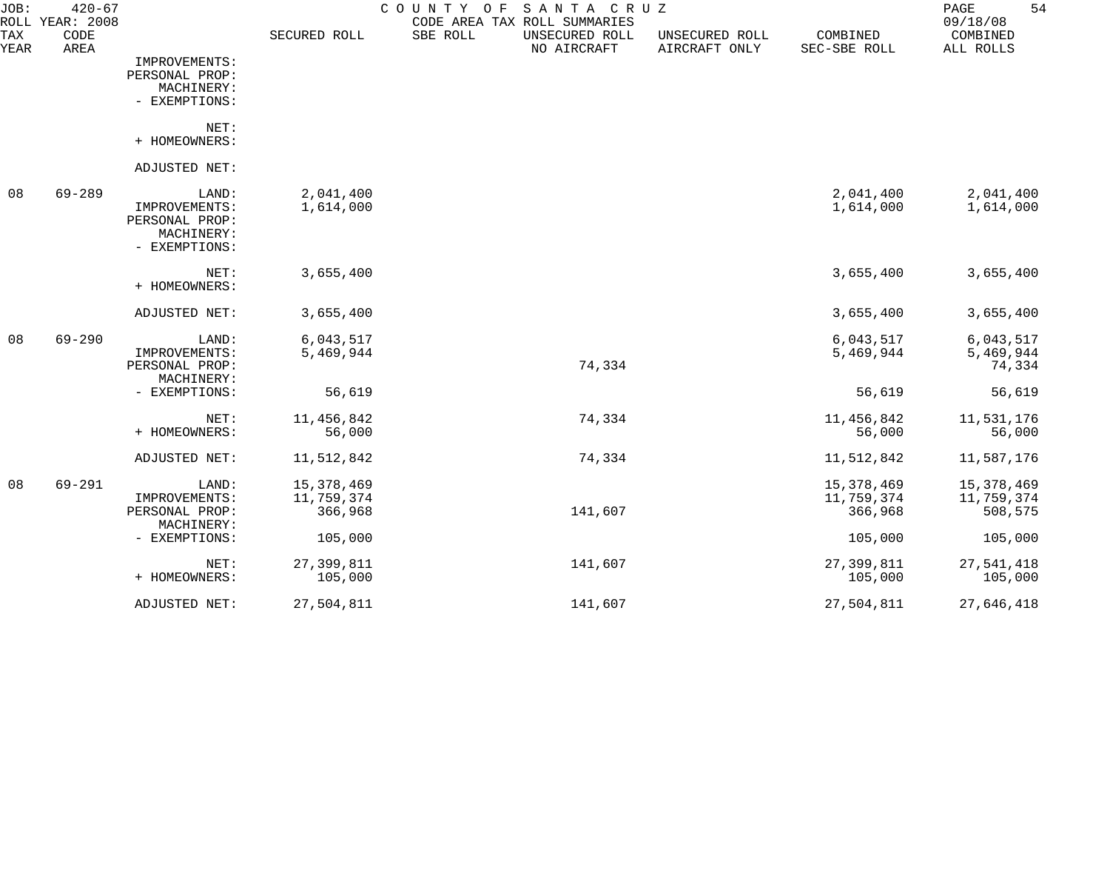| JOB:<br>ROLL | $420 - 67$<br><b>YEAR: 2008</b> |                |              | COUNTY<br>O F | SANTA CRUZ<br>CODE AREA TAX ROLL SUMMARIES |                                 |                          | 54<br>PAGE<br>09/18/08 |
|--------------|---------------------------------|----------------|--------------|---------------|--------------------------------------------|---------------------------------|--------------------------|------------------------|
| TAX<br>YEAR  | CODE<br>AREA                    |                | SECURED ROLL | SBE ROLL      | UNSECURED ROLL<br>NO AIRCRAFT              | UNSECURED ROLL<br>AIRCRAFT ONLY | COMBINED<br>SEC-SBE ROLL | COMBINED<br>ALL ROLLS  |
|              |                                 | IMPROVEMENTS:  |              |               |                                            |                                 |                          |                        |
|              |                                 | PERSONAL PROP: |              |               |                                            |                                 |                          |                        |
|              |                                 | MACHINERY:     |              |               |                                            |                                 |                          |                        |
|              |                                 | - EXEMPTIONS:  |              |               |                                            |                                 |                          |                        |
|              |                                 | NET:           |              |               |                                            |                                 |                          |                        |
|              |                                 | + HOMEOWNERS:  |              |               |                                            |                                 |                          |                        |
|              |                                 | ADJUSTED NET:  |              |               |                                            |                                 |                          |                        |
| 08           | $69 - 289$                      | LAND:          | 2,041,400    |               |                                            |                                 | 2,041,400                | 2,041,400              |
|              |                                 | IMPROVEMENTS:  | 1,614,000    |               |                                            |                                 | 1,614,000                | 1,614,000              |
|              |                                 | PERSONAL PROP: |              |               |                                            |                                 |                          |                        |
|              |                                 | MACHINERY:     |              |               |                                            |                                 |                          |                        |
|              |                                 | - EXEMPTIONS:  |              |               |                                            |                                 |                          |                        |
|              |                                 | NET:           | 3,655,400    |               |                                            |                                 | 3,655,400                | 3,655,400              |
|              |                                 | + HOMEOWNERS:  |              |               |                                            |                                 |                          |                        |
|              |                                 | ADJUSTED NET:  | 3,655,400    |               |                                            |                                 | 3,655,400                | 3,655,400              |
| 08           | $69 - 290$                      | LAND:          | 6,043,517    |               |                                            |                                 | 6,043,517                | 6,043,517              |
|              |                                 | IMPROVEMENTS:  | 5,469,944    |               |                                            |                                 | 5,469,944                | 5,469,944              |
|              |                                 | PERSONAL PROP: |              |               | 74,334                                     |                                 |                          | 74,334                 |
|              |                                 | MACHINERY:     |              |               |                                            |                                 |                          |                        |
|              |                                 | - EXEMPTIONS:  | 56,619       |               |                                            |                                 | 56,619                   | 56,619                 |
|              |                                 | NET:           | 11,456,842   |               | 74,334                                     |                                 | 11,456,842               | 11,531,176             |
|              |                                 | + HOMEOWNERS:  | 56,000       |               |                                            |                                 | 56,000                   | 56,000                 |
|              |                                 | ADJUSTED NET:  | 11,512,842   |               | 74,334                                     |                                 | 11,512,842               | 11,587,176             |
| 08           | $69 - 291$                      | LAND:          | 15,378,469   |               |                                            |                                 | 15, 378, 469             | 15,378,469             |
|              |                                 | IMPROVEMENTS:  | 11,759,374   |               |                                            |                                 | 11,759,374               | 11,759,374             |
|              |                                 | PERSONAL PROP: | 366,968      |               | 141,607                                    |                                 | 366,968                  | 508,575                |
|              |                                 | MACHINERY:     |              |               |                                            |                                 |                          |                        |
|              |                                 | - EXEMPTIONS:  | 105,000      |               |                                            |                                 | 105,000                  | 105,000                |
|              |                                 | NET:           | 27,399,811   |               | 141,607                                    |                                 | 27,399,811               | 27,541,418             |
|              |                                 | + HOMEOWNERS:  | 105,000      |               |                                            |                                 | 105,000                  | 105,000                |
|              |                                 | ADJUSTED NET:  | 27,504,811   |               | 141,607                                    |                                 | 27,504,811               | 27,646,418             |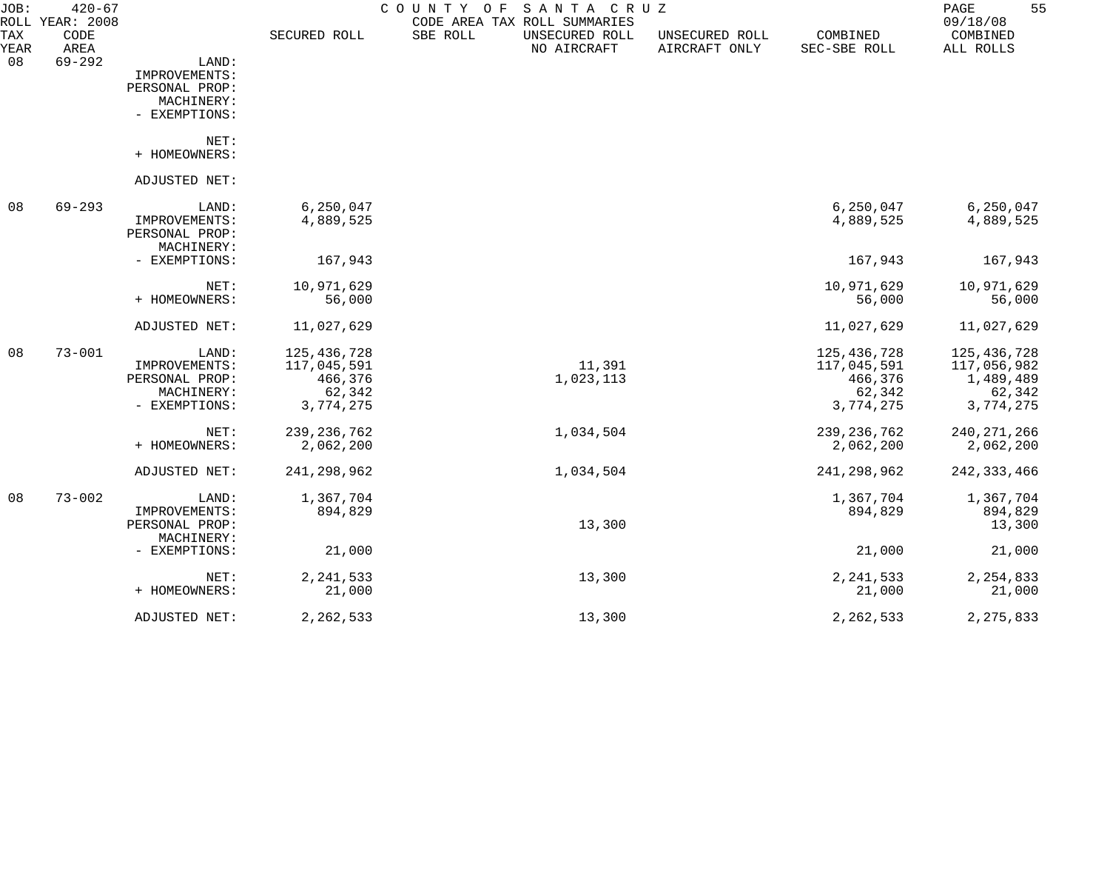| JOB:        | $420 - 67$<br>ROLL YEAR: 2008 |                |               | COUNTY OF | SANTA CRUZ<br>CODE AREA TAX ROLL SUMMARIES |                                 |                          | 55<br>PAGE<br>09/18/08 |
|-------------|-------------------------------|----------------|---------------|-----------|--------------------------------------------|---------------------------------|--------------------------|------------------------|
| TAX<br>YEAR | CODE<br>AREA                  |                | SECURED ROLL  | SBE ROLL  | UNSECURED ROLL<br>NO AIRCRAFT              | UNSECURED ROLL<br>AIRCRAFT ONLY | COMBINED<br>SEC-SBE ROLL | COMBINED<br>ALL ROLLS  |
| 08          | $69 - 292$                    | LAND:          |               |           |                                            |                                 |                          |                        |
|             |                               | IMPROVEMENTS:  |               |           |                                            |                                 |                          |                        |
|             |                               | PERSONAL PROP: |               |           |                                            |                                 |                          |                        |
|             |                               | MACHINERY:     |               |           |                                            |                                 |                          |                        |
|             |                               | - EXEMPTIONS:  |               |           |                                            |                                 |                          |                        |
|             |                               | NET:           |               |           |                                            |                                 |                          |                        |
|             |                               | + HOMEOWNERS:  |               |           |                                            |                                 |                          |                        |
|             |                               | ADJUSTED NET:  |               |           |                                            |                                 |                          |                        |
| 08          | $69 - 293$                    | LAND:          | 6, 250, 047   |           |                                            |                                 | 6, 250, 047              | 6,250,047              |
|             |                               | IMPROVEMENTS:  | 4,889,525     |           |                                            |                                 | 4,889,525                | 4,889,525              |
|             |                               | PERSONAL PROP: |               |           |                                            |                                 |                          |                        |
|             |                               | MACHINERY:     |               |           |                                            |                                 |                          |                        |
|             |                               | - EXEMPTIONS:  | 167,943       |           |                                            |                                 | 167,943                  | 167,943                |
|             |                               | NET:           | 10,971,629    |           |                                            |                                 | 10,971,629               | 10,971,629             |
|             |                               | + HOMEOWNERS:  | 56,000        |           |                                            |                                 | 56,000                   | 56,000                 |
|             |                               | ADJUSTED NET:  | 11,027,629    |           |                                            |                                 | 11,027,629               | 11,027,629             |
| 08          | $73 - 001$                    | LAND:          | 125,436,728   |           |                                            |                                 | 125,436,728              | 125, 436, 728          |
|             |                               | IMPROVEMENTS:  | 117,045,591   |           | 11,391                                     |                                 | 117,045,591              | 117,056,982            |
|             |                               | PERSONAL PROP: | 466,376       |           | 1,023,113                                  |                                 | 466,376                  | 1,489,489              |
|             |                               | MACHINERY:     | 62,342        |           |                                            |                                 | 62,342                   | 62,342                 |
|             |                               | - EXEMPTIONS:  | 3,774,275     |           |                                            |                                 | 3,774,275                | 3,774,275              |
|             |                               | NET:           | 239, 236, 762 |           | 1,034,504                                  |                                 | 239, 236, 762            | 240, 271, 266          |
|             |                               | + HOMEOWNERS:  | 2,062,200     |           |                                            |                                 | 2,062,200                | 2,062,200              |
|             |                               | ADJUSTED NET:  | 241, 298, 962 |           | 1,034,504                                  |                                 | 241,298,962              | 242, 333, 466          |
| 08          | $73 - 002$                    | LAND:          | 1,367,704     |           |                                            |                                 | 1,367,704                | 1,367,704              |
|             |                               | IMPROVEMENTS:  | 894,829       |           |                                            |                                 | 894,829                  | 894,829                |
|             |                               | PERSONAL PROP: |               |           | 13,300                                     |                                 |                          | 13,300                 |
|             |                               | MACHINERY:     |               |           |                                            |                                 |                          |                        |
|             |                               | - EXEMPTIONS:  | 21,000        |           |                                            |                                 | 21,000                   | 21,000                 |
|             |                               | NET:           | 2, 241, 533   |           | 13,300                                     |                                 | 2, 241, 533              | 2, 254, 833            |
|             |                               | + HOMEOWNERS:  | 21,000        |           |                                            |                                 | 21,000                   | 21,000                 |
|             |                               | ADJUSTED NET:  | 2, 262, 533   |           | 13,300                                     |                                 | 2, 262, 533              | 2, 275, 833            |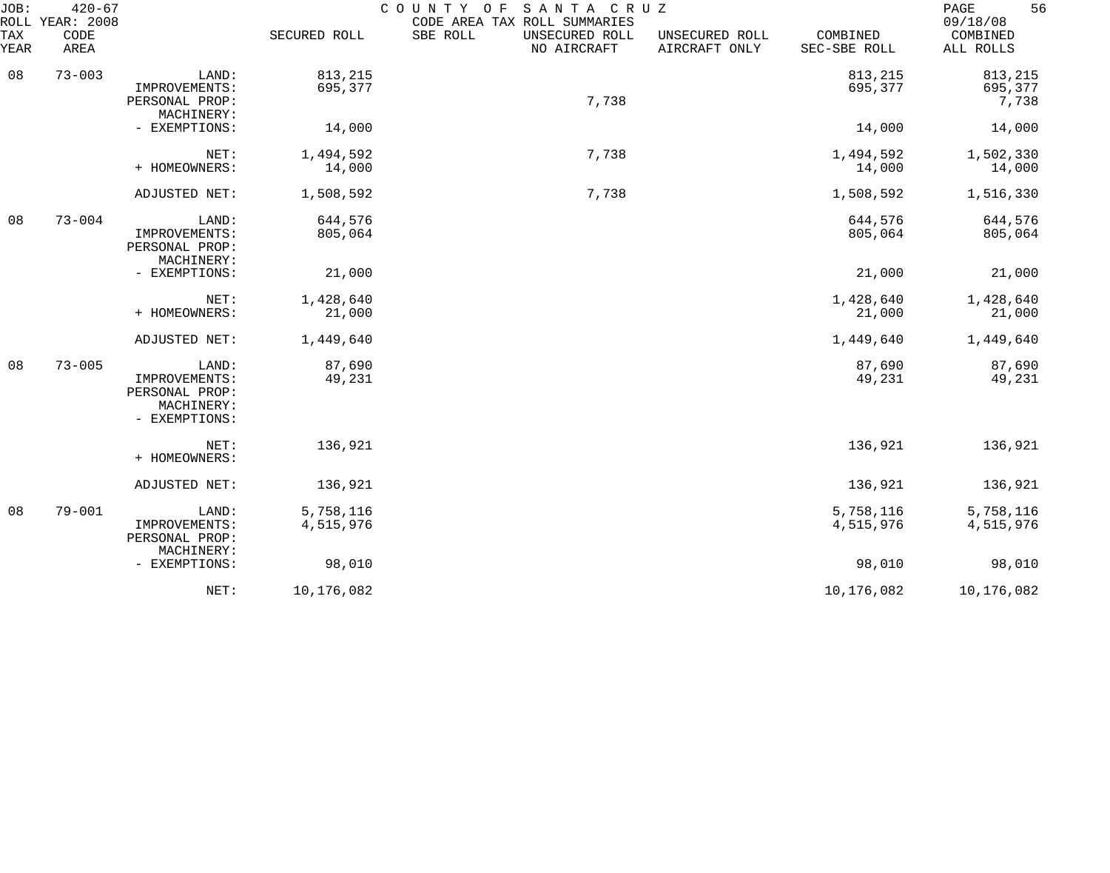| JOB:<br>ROLL | $420 - 67$<br><b>YEAR: 2008</b> |                                                                         |                        | COUNTY OF<br>SANTA CRUZ<br>CODE AREA TAX ROLL SUMMARIES |                                 |                          | 56<br>PAGE<br>09/18/08      |
|--------------|---------------------------------|-------------------------------------------------------------------------|------------------------|---------------------------------------------------------|---------------------------------|--------------------------|-----------------------------|
| TAX<br>YEAR  | CODE<br>AREA                    |                                                                         | SECURED ROLL           | SBE ROLL<br>UNSECURED ROLL<br>NO AIRCRAFT               | UNSECURED ROLL<br>AIRCRAFT ONLY | COMBINED<br>SEC-SBE ROLL | COMBINED<br>ALL ROLLS       |
| 08           | $73 - 003$                      | LAND:<br>IMPROVEMENTS:<br>PERSONAL PROP:<br>MACHINERY:                  | 813,215<br>695,377     | 7,738                                                   |                                 | 813,215<br>695,377       | 813,215<br>695,377<br>7,738 |
|              |                                 | - EXEMPTIONS:                                                           | 14,000                 |                                                         |                                 | 14,000                   | 14,000                      |
|              |                                 | NET:<br>+ HOMEOWNERS:                                                   | 1,494,592<br>14,000    | 7,738                                                   |                                 | 1,494,592<br>14,000      | 1,502,330<br>14,000         |
|              |                                 | ADJUSTED NET:                                                           | 1,508,592              | 7,738                                                   |                                 | 1,508,592                | 1,516,330                   |
| 08           | $73 - 004$                      | LAND:<br>IMPROVEMENTS:<br>PERSONAL PROP:<br>MACHINERY:                  | 644,576<br>805,064     |                                                         |                                 | 644,576<br>805,064       | 644,576<br>805,064          |
|              |                                 | - EXEMPTIONS:                                                           | 21,000                 |                                                         |                                 | 21,000                   | 21,000                      |
|              |                                 | NET:<br>+ HOMEOWNERS:                                                   | 1,428,640<br>21,000    |                                                         |                                 | 1,428,640<br>21,000      | 1,428,640<br>21,000         |
|              |                                 | ADJUSTED NET:                                                           | 1,449,640              |                                                         |                                 | 1,449,640                | 1,449,640                   |
| 08           | $73 - 005$                      | LAND:<br>IMPROVEMENTS:<br>PERSONAL PROP:<br>MACHINERY:<br>- EXEMPTIONS: | 87,690<br>49,231       |                                                         |                                 | 87,690<br>49,231         | 87,690<br>49,231            |
|              |                                 | NET:<br>+ HOMEOWNERS:                                                   | 136,921                |                                                         |                                 | 136,921                  | 136,921                     |
|              |                                 | ADJUSTED NET:                                                           | 136,921                |                                                         |                                 | 136,921                  | 136,921                     |
| 08           | $79 - 001$                      | LAND:<br>IMPROVEMENTS:<br>PERSONAL PROP:                                | 5,758,116<br>4,515,976 |                                                         |                                 | 5,758,116<br>4,515,976   | 5,758,116<br>4,515,976      |
|              |                                 | MACHINERY:<br>- EXEMPTIONS:                                             | 98,010                 |                                                         |                                 | 98,010                   | 98,010                      |
|              |                                 | NET:                                                                    | 10,176,082             |                                                         |                                 | 10,176,082               | 10,176,082                  |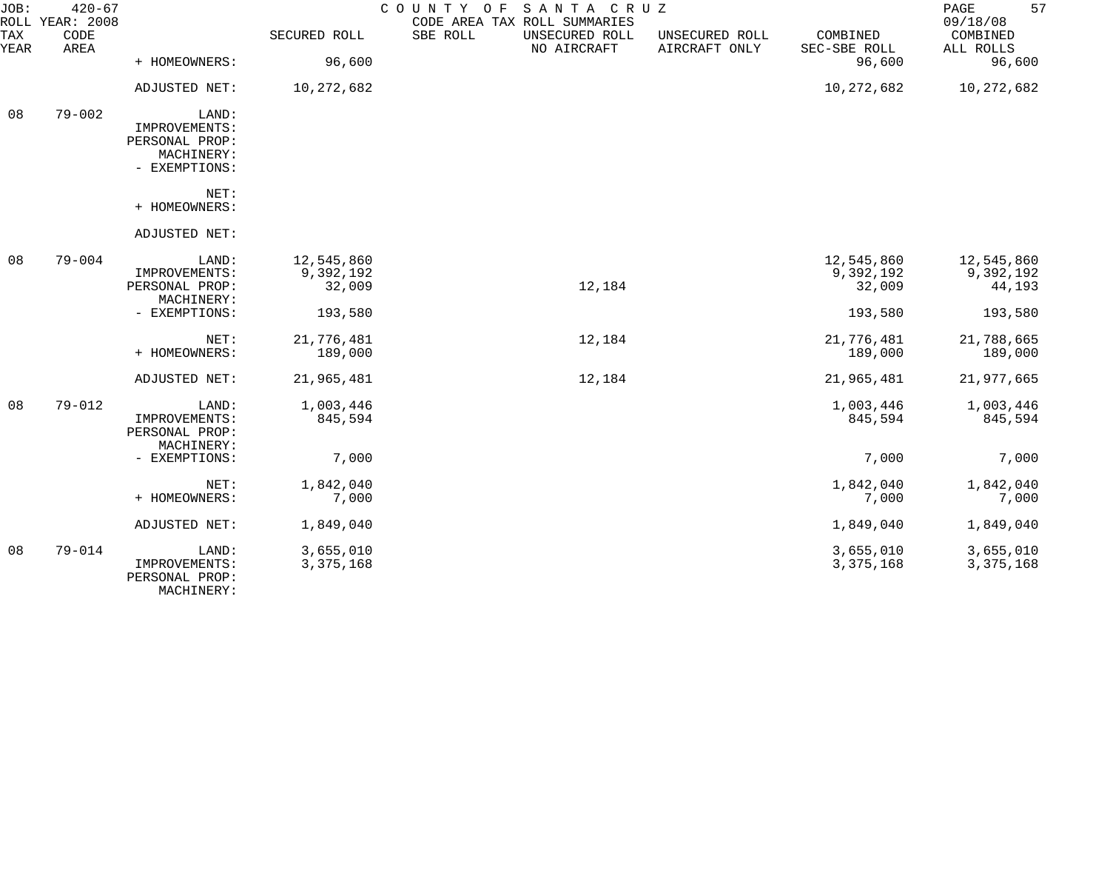| JOB:               | $420 - 67$<br>ROLL YEAR: 2008 |                                                                         |                                   | COUNTY OF<br>SANTA CRUZ<br>CODE AREA TAX ROLL SUMMARIES |                                 |                                   | 57<br>PAGE<br>09/18/08            |
|--------------------|-------------------------------|-------------------------------------------------------------------------|-----------------------------------|---------------------------------------------------------|---------------------------------|-----------------------------------|-----------------------------------|
| <b>TAX</b><br>YEAR | CODE<br>AREA                  |                                                                         | SECURED ROLL                      | SBE ROLL<br>UNSECURED ROLL<br>NO AIRCRAFT               | UNSECURED ROLL<br>AIRCRAFT ONLY | COMBINED<br>SEC-SBE ROLL          | COMBINED<br>ALL ROLLS             |
|                    |                               | + HOMEOWNERS:                                                           | 96,600                            |                                                         |                                 | 96,600                            | 96,600                            |
|                    |                               | ADJUSTED NET:                                                           | 10,272,682                        |                                                         |                                 | 10,272,682                        | 10,272,682                        |
| 08                 | $79 - 002$                    | LAND:<br>IMPROVEMENTS:<br>PERSONAL PROP:<br>MACHINERY:<br>- EXEMPTIONS: |                                   |                                                         |                                 |                                   |                                   |
|                    |                               | NET:<br>+ HOMEOWNERS:                                                   |                                   |                                                         |                                 |                                   |                                   |
|                    |                               | ADJUSTED NET:                                                           |                                   |                                                         |                                 |                                   |                                   |
| 08                 | $79 - 004$                    | LAND:<br>IMPROVEMENTS:<br>PERSONAL PROP:<br>MACHINERY:                  | 12,545,860<br>9,392,192<br>32,009 | 12,184                                                  |                                 | 12,545,860<br>9,392,192<br>32,009 | 12,545,860<br>9,392,192<br>44,193 |
|                    |                               | - EXEMPTIONS:                                                           | 193,580                           |                                                         |                                 | 193,580                           | 193,580                           |
|                    |                               | NET:<br>+ HOMEOWNERS:                                                   | 21,776,481<br>189,000             | 12,184                                                  |                                 | 21,776,481<br>189,000             | 21,788,665<br>189,000             |
|                    |                               | ADJUSTED NET:                                                           | 21,965,481                        | 12,184                                                  |                                 | 21,965,481                        | 21,977,665                        |
| 08                 | $79 - 012$                    | LAND:<br>IMPROVEMENTS:<br>PERSONAL PROP:<br>MACHINERY:                  | 1,003,446<br>845,594              |                                                         |                                 | 1,003,446<br>845,594              | 1,003,446<br>845,594              |
|                    |                               | - EXEMPTIONS:                                                           | 7,000                             |                                                         |                                 | 7,000                             | 7,000                             |
|                    |                               | NET:<br>+ HOMEOWNERS:                                                   | 1,842,040<br>7,000                |                                                         |                                 | 1,842,040<br>7,000                | 1,842,040<br>7,000                |
|                    |                               | ADJUSTED NET:                                                           | 1,849,040                         |                                                         |                                 | 1,849,040                         | 1,849,040                         |
| 08                 | $79 - 014$                    | LAND:<br>IMPROVEMENTS:<br>PERSONAL PROP:<br>MACHINERY:                  | 3,655,010<br>3, 375, 168          |                                                         |                                 | 3,655,010<br>3, 375, 168          | 3,655,010<br>3, 375, 168          |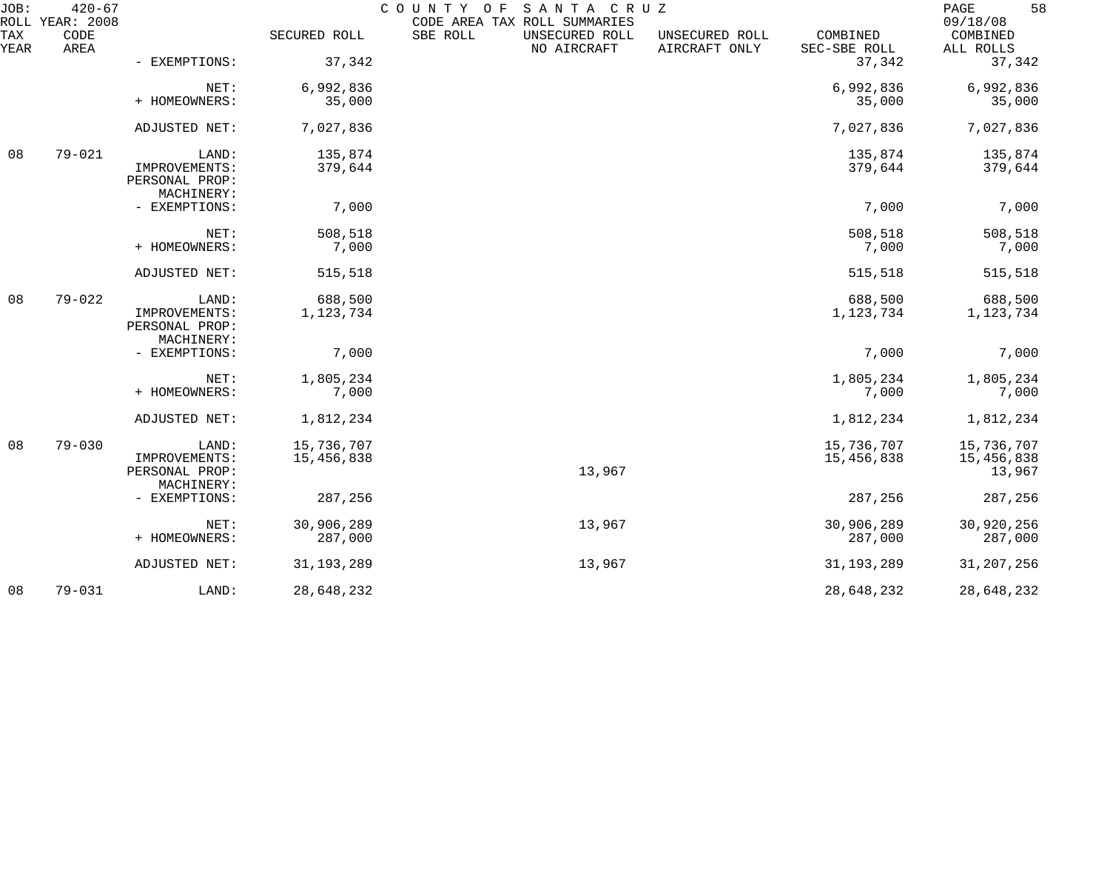| JOB:        | $420 - 67$<br>ROLL YEAR: 2008 |                                               |              | COUNTY OF<br>SANTA CRUZ<br>CODE AREA TAX ROLL SUMMARIES |                                 |                          | 58<br>PAGE<br>09/18/08 |
|-------------|-------------------------------|-----------------------------------------------|--------------|---------------------------------------------------------|---------------------------------|--------------------------|------------------------|
| TAX<br>YEAR | CODE<br>AREA                  |                                               | SECURED ROLL | SBE ROLL<br>UNSECURED ROLL<br>NO AIRCRAFT               | UNSECURED ROLL<br>AIRCRAFT ONLY | COMBINED<br>SEC-SBE ROLL | COMBINED<br>ALL ROLLS  |
|             |                               | - EXEMPTIONS:                                 | 37,342       |                                                         |                                 | 37,342                   | 37,342                 |
|             |                               | NET:                                          | 6,992,836    |                                                         |                                 | 6,992,836                | 6,992,836              |
|             |                               | + HOMEOWNERS:                                 | 35,000       |                                                         |                                 | 35,000                   | 35,000                 |
|             |                               | ADJUSTED NET:                                 | 7,027,836    |                                                         |                                 | 7,027,836                | 7,027,836              |
| 08          | $79 - 021$                    | LAND:                                         | 135,874      |                                                         |                                 | 135,874                  | 135,874                |
|             |                               | IMPROVEMENTS:<br>PERSONAL PROP:               | 379,644      |                                                         |                                 | 379,644                  | 379,644                |
|             |                               | MACHINERY:<br>- EXEMPTIONS:                   | 7,000        |                                                         |                                 | 7,000                    | 7,000                  |
|             |                               | NET:                                          | 508,518      |                                                         |                                 | 508,518                  | 508,518                |
|             |                               | + HOMEOWNERS:                                 | 7,000        |                                                         |                                 | 7,000                    | 7,000                  |
|             |                               | ADJUSTED NET:                                 | 515,518      |                                                         |                                 | 515,518                  | 515,518                |
| 08          | $79 - 022$                    | LAND:                                         | 688,500      |                                                         |                                 | 688,500                  | 688,500                |
|             |                               | IMPROVEMENTS:<br>PERSONAL PROP:<br>MACHINERY: | 1,123,734    |                                                         |                                 | 1,123,734                | 1,123,734              |
|             |                               | - EXEMPTIONS:                                 | 7,000        |                                                         |                                 | 7,000                    | 7,000                  |
|             |                               | NET:                                          | 1,805,234    |                                                         |                                 | 1,805,234                | 1,805,234              |
|             |                               | + HOMEOWNERS:                                 | 7,000        |                                                         |                                 | 7,000                    | 7,000                  |
|             |                               | ADJUSTED NET:                                 | 1,812,234    |                                                         |                                 | 1,812,234                | 1,812,234              |
| 08          | $79 - 030$                    | LAND:                                         | 15,736,707   |                                                         |                                 | 15,736,707               | 15,736,707             |
|             |                               | IMPROVEMENTS:<br>PERSONAL PROP:               | 15,456,838   | 13,967                                                  |                                 | 15,456,838               | 15,456,838<br>13,967   |
|             |                               | MACHINERY:                                    |              |                                                         |                                 |                          |                        |
|             |                               | - EXEMPTIONS:                                 | 287,256      |                                                         |                                 | 287,256                  | 287,256                |
|             |                               | NET:                                          | 30,906,289   | 13,967                                                  |                                 | 30,906,289               | 30,920,256             |
|             |                               | + HOMEOWNERS:                                 | 287,000      |                                                         |                                 | 287,000                  | 287,000                |
|             |                               | ADJUSTED NET:                                 | 31, 193, 289 | 13,967                                                  |                                 | 31, 193, 289             | 31, 207, 256           |
| 08          | $79 - 031$                    | LAND:                                         | 28,648,232   |                                                         |                                 | 28,648,232               | 28,648,232             |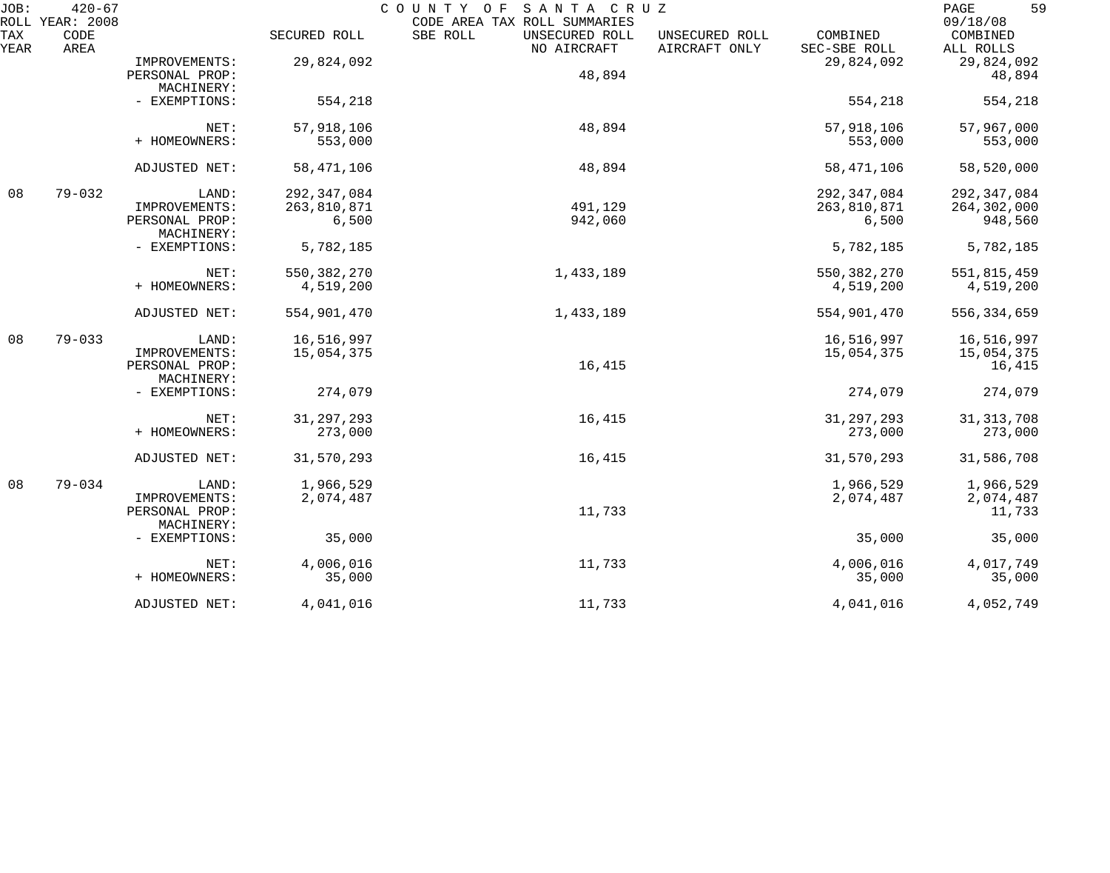| JOB:        | $420 - 67$<br>ROLL YEAR: 2008 |                              | COUNTY OF SANTA CRUZ<br>CODE AREA TAX ROLL SUMMARIES |                                           |                                 |                          |                                   |  |  |
|-------------|-------------------------------|------------------------------|------------------------------------------------------|-------------------------------------------|---------------------------------|--------------------------|-----------------------------------|--|--|
| TAX<br>YEAR | CODE<br>AREA                  |                              | SECURED ROLL                                         | SBE ROLL<br>UNSECURED ROLL<br>NO AIRCRAFT | UNSECURED ROLL<br>AIRCRAFT ONLY | COMBINED<br>SEC-SBE ROLL | 09/18/08<br>COMBINED<br>ALL ROLLS |  |  |
|             |                               | IMPROVEMENTS:                | 29,824,092                                           |                                           |                                 | 29,824,092               | 29,824,092                        |  |  |
|             |                               | PERSONAL PROP:               |                                                      | 48,894                                    |                                 |                          | 48,894                            |  |  |
|             |                               | MACHINERY:                   |                                                      |                                           |                                 |                          |                                   |  |  |
|             |                               | - EXEMPTIONS:                | 554,218                                              |                                           |                                 | 554,218                  | 554,218                           |  |  |
|             |                               | NET:                         | 57,918,106                                           | 48,894                                    |                                 | 57,918,106               | 57,967,000                        |  |  |
|             |                               | + HOMEOWNERS:                | 553,000                                              |                                           |                                 | 553,000                  | 553,000                           |  |  |
|             |                               | ADJUSTED NET:                | 58, 471, 106                                         | 48,894                                    |                                 | 58, 471, 106             | 58,520,000                        |  |  |
| 08          | $79 - 032$                    | LAND:                        | 292, 347, 084                                        |                                           |                                 | 292,347,084              | 292, 347, 084                     |  |  |
|             |                               | IMPROVEMENTS:                | 263,810,871                                          | 491,129                                   |                                 | 263,810,871              | 264,302,000                       |  |  |
|             |                               | PERSONAL PROP:<br>MACHINERY: | 6,500                                                | 942,060                                   |                                 | 6,500                    | 948,560                           |  |  |
|             |                               | - EXEMPTIONS:                | 5,782,185                                            |                                           |                                 | 5,782,185                | 5,782,185                         |  |  |
|             |                               | NET:                         | 550, 382, 270                                        | 1,433,189                                 |                                 | 550, 382, 270            | 551,815,459                       |  |  |
|             |                               | + HOMEOWNERS:                | 4,519,200                                            |                                           |                                 | 4,519,200                | 4,519,200                         |  |  |
|             |                               | ADJUSTED NET:                | 554,901,470                                          | 1,433,189                                 |                                 | 554,901,470              | 556, 334, 659                     |  |  |
| 08          | $79 - 033$                    | LAND:                        | 16,516,997                                           |                                           |                                 | 16,516,997               | 16,516,997                        |  |  |
|             |                               | IMPROVEMENTS:                | 15,054,375                                           |                                           |                                 | 15,054,375               | 15,054,375                        |  |  |
|             |                               | PERSONAL PROP:<br>MACHINERY: |                                                      | 16,415                                    |                                 |                          | 16,415                            |  |  |
|             |                               | - EXEMPTIONS:                | 274,079                                              |                                           |                                 | 274,079                  | 274,079                           |  |  |
|             |                               | NET:                         | 31, 297, 293                                         | 16,415                                    |                                 | 31, 297, 293             | 31, 313, 708                      |  |  |
|             |                               | + HOMEOWNERS:                | 273,000                                              |                                           |                                 | 273,000                  | 273,000                           |  |  |
|             |                               | ADJUSTED NET:                | 31,570,293                                           | 16,415                                    |                                 | 31,570,293               | 31,586,708                        |  |  |
| 08          | $79 - 034$                    | LAND:                        | 1,966,529                                            |                                           |                                 | 1,966,529                | 1,966,529                         |  |  |
|             |                               | IMPROVEMENTS:                | 2,074,487                                            |                                           |                                 | 2,074,487                | 2,074,487                         |  |  |
|             |                               | PERSONAL PROP:<br>MACHINERY: |                                                      | 11,733                                    |                                 |                          | 11,733                            |  |  |
|             |                               | - EXEMPTIONS:                | 35,000                                               |                                           |                                 | 35,000                   | 35,000                            |  |  |
|             |                               | NET:                         | 4,006,016                                            | 11,733                                    |                                 | 4,006,016                | 4,017,749                         |  |  |
|             |                               | + HOMEOWNERS:                | 35,000                                               |                                           |                                 | 35,000                   | 35,000                            |  |  |
|             |                               | ADJUSTED NET:                | 4,041,016                                            | 11,733                                    |                                 | 4,041,016                | 4,052,749                         |  |  |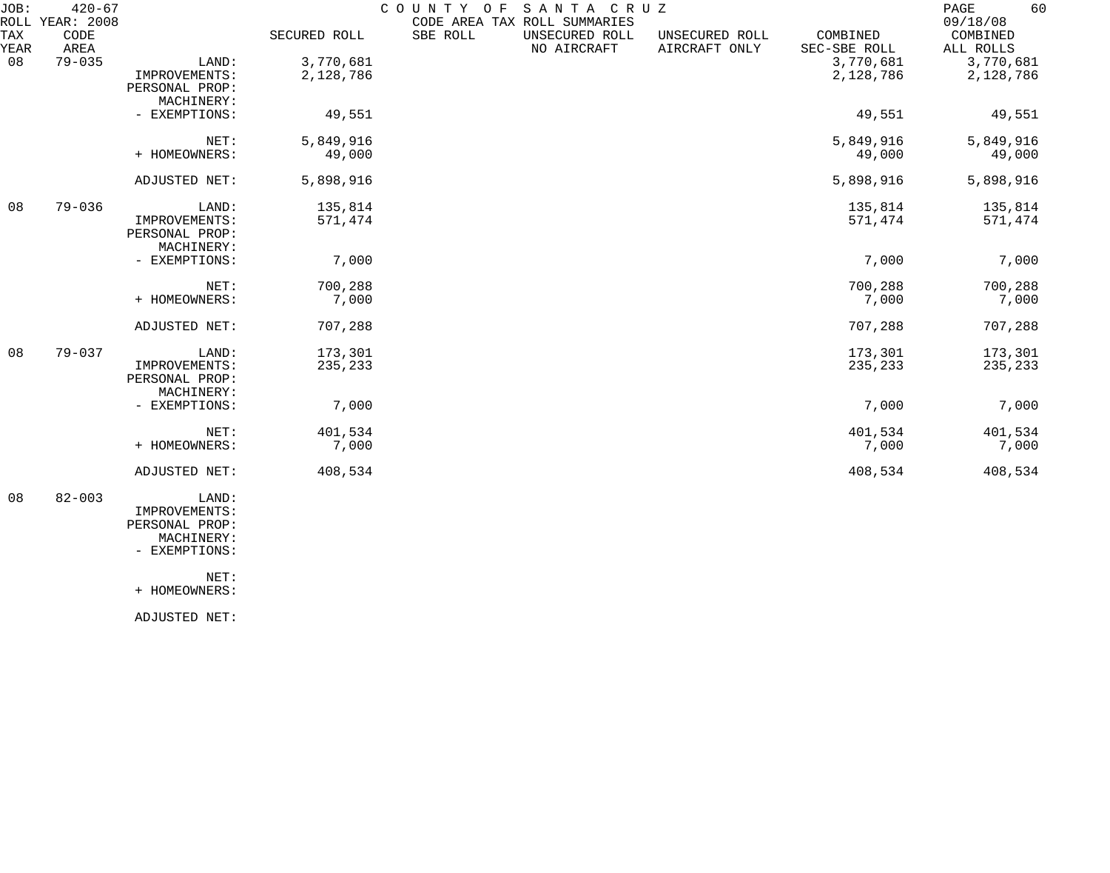| JOB:<br>ROLL | $420 - 67$<br>YEAR: 2008 |                              |              | COUNTY OF | SANTA CRUZ<br>CODE AREA TAX ROLL SUMMARIES |                                 |                          | 60<br>PAGE<br>09/18/08 |
|--------------|--------------------------|------------------------------|--------------|-----------|--------------------------------------------|---------------------------------|--------------------------|------------------------|
| TAX<br>YEAR  | CODE<br>AREA             |                              | SECURED ROLL | SBE ROLL  | UNSECURED ROLL<br>NO AIRCRAFT              | UNSECURED ROLL<br>AIRCRAFT ONLY | COMBINED<br>SEC-SBE ROLL | COMBINED<br>ALL ROLLS  |
| 08           | $79 - 035$               | LAND:                        | 3,770,681    |           |                                            |                                 | 3,770,681                | 3,770,681              |
|              |                          | IMPROVEMENTS:                | 2,128,786    |           |                                            |                                 | 2,128,786                | 2,128,786              |
|              |                          | PERSONAL PROP:<br>MACHINERY: |              |           |                                            |                                 |                          |                        |
|              |                          | - EXEMPTIONS:                | 49,551       |           |                                            |                                 | 49,551                   | 49,551                 |
|              |                          | NET:                         | 5,849,916    |           |                                            |                                 | 5,849,916                | 5,849,916              |
|              |                          | + HOMEOWNERS:                | 49,000       |           |                                            |                                 | 49,000                   | 49,000                 |
|              |                          | ADJUSTED NET:                | 5,898,916    |           |                                            |                                 | 5,898,916                | 5,898,916              |
| 08           | $79 - 036$               | LAND:                        | 135,814      |           |                                            |                                 | 135,814                  | 135,814                |
|              |                          | IMPROVEMENTS:                | 571,474      |           |                                            |                                 | 571,474                  | 571,474                |
|              |                          | PERSONAL PROP:<br>MACHINERY: |              |           |                                            |                                 |                          |                        |
|              |                          | - EXEMPTIONS:                | 7,000        |           |                                            |                                 | 7,000                    | 7,000                  |
|              |                          | NET:                         | 700,288      |           |                                            |                                 | 700,288                  | 700,288                |
|              |                          | + HOMEOWNERS:                | 7,000        |           |                                            |                                 | 7,000                    | 7,000                  |
|              |                          | ADJUSTED NET:                | 707,288      |           |                                            |                                 | 707,288                  | 707,288                |
| 08           | $79 - 037$               | LAND:                        | 173,301      |           |                                            |                                 | 173,301                  | 173,301                |
|              |                          | IMPROVEMENTS:                | 235,233      |           |                                            |                                 | 235,233                  | 235,233                |
|              |                          | PERSONAL PROP:<br>MACHINERY: |              |           |                                            |                                 |                          |                        |
|              |                          | - EXEMPTIONS:                | 7,000        |           |                                            |                                 | 7,000                    | 7,000                  |
|              |                          | NET:                         | 401,534      |           |                                            |                                 | 401,534                  | 401,534                |
|              |                          | + HOMEOWNERS:                | 7,000        |           |                                            |                                 | 7,000                    | 7,000                  |
|              |                          | ADJUSTED NET:                | 408,534      |           |                                            |                                 | 408,534                  | 408,534                |
|              |                          |                              |              |           |                                            |                                 |                          |                        |

 08 82-003 LAND: IMPROVEMENTS: PERSONAL PROP: MACHINERY: - EXEMPTIONS:

NET:

+ HOMEOWNERS:

ADJUSTED NET: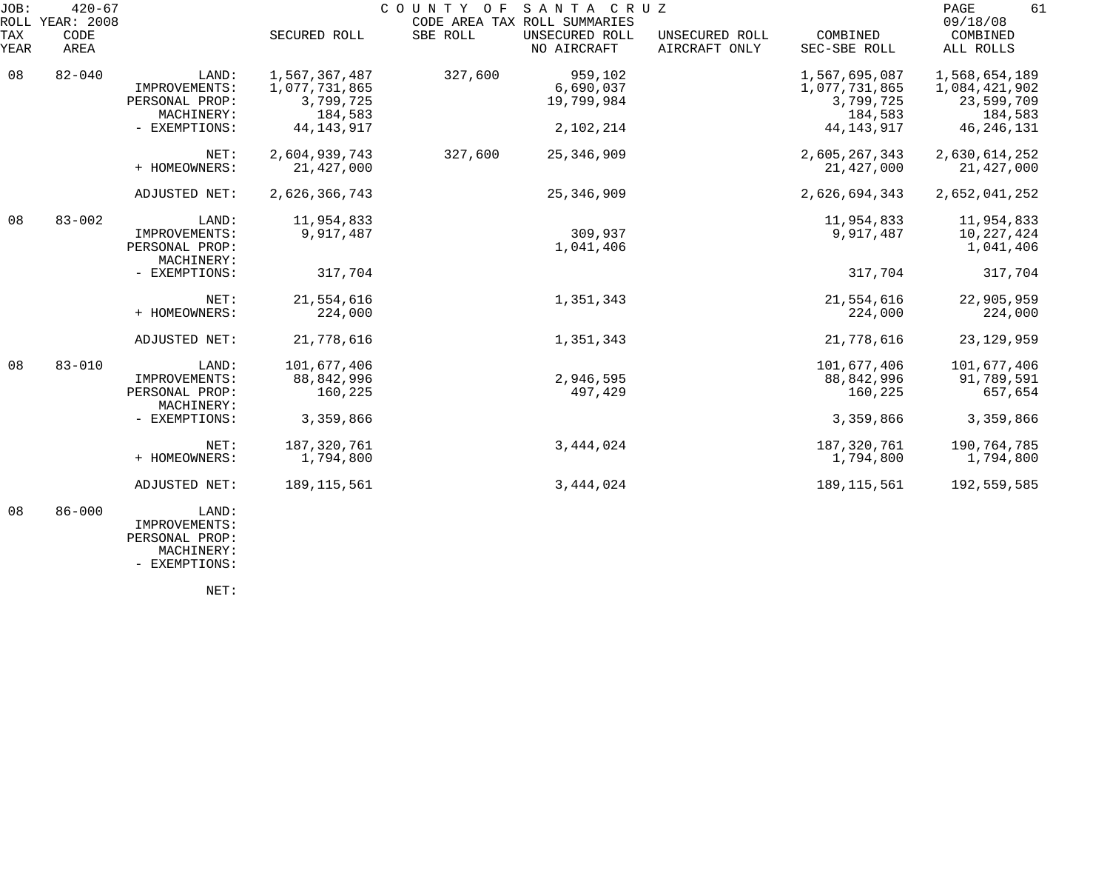| JOB:             | $420 - 67$<br>ROLL YEAR: 2008                          |                                                        |                                        |                                    | COUNTY OF SANTA CRUZ<br>CODE AREA TAX ROLL SUMMARIES |                                                        |                                                         | 61<br>PAGE<br>09/18/08                |
|------------------|--------------------------------------------------------|--------------------------------------------------------|----------------------------------------|------------------------------------|------------------------------------------------------|--------------------------------------------------------|---------------------------------------------------------|---------------------------------------|
| TAX<br>YEAR      | CODE<br>AREA                                           |                                                        | SECURED ROLL                           | SBE ROLL                           | UNSECURED ROLL<br>NO AIRCRAFT                        | UNSECURED ROLL<br>AIRCRAFT ONLY                        | COMBINED<br>SEC-SBE ROLL                                | COMBINED<br>ALL ROLLS                 |
| 08<br>$82 - 040$ | LAND:<br>IMPROVEMENTS:<br>PERSONAL PROP:<br>MACHINERY: | 1,567,367,487<br>1,077,731,865<br>3,799,725<br>184,583 | 327,600                                | 959,102<br>6,690,037<br>19,799,984 |                                                      | 1,567,695,087<br>1,077,731,865<br>3,799,725<br>184,583 | 1,568,654,189<br>1,084,421,902<br>23,599,709<br>184,583 |                                       |
|                  |                                                        | - EXEMPTIONS:                                          | 44, 143, 917                           |                                    | 2,102,214                                            |                                                        | 44, 143, 917                                            | 46, 246, 131                          |
|                  |                                                        | NET:<br>+ HOMEOWNERS:                                  | 2,604,939,743<br>21,427,000            | 327,600                            | 25, 346, 909                                         |                                                        | 2,605,267,343<br>21,427,000                             | 2,630,614,252<br>21, 427, 000         |
|                  |                                                        | ADJUSTED NET:                                          | 2,626,366,743                          |                                    | 25, 346, 909                                         |                                                        | 2,626,694,343                                           | 2,652,041,252                         |
| 08               | $83 - 002$                                             | LAND:<br>IMPROVEMENTS:<br>PERSONAL PROP:<br>MACHINERY: | 11,954,833<br>9,917,487                |                                    | 309,937<br>1,041,406                                 |                                                        | 11,954,833<br>9,917,487                                 | 11,954,833<br>10,227,424<br>1,041,406 |
|                  |                                                        | - EXEMPTIONS:                                          | 317,704                                |                                    |                                                      |                                                        | 317,704                                                 | 317,704                               |
|                  |                                                        | NET:<br>+ HOMEOWNERS:                                  | 21,554,616<br>224,000                  |                                    | 1,351,343                                            |                                                        | 21,554,616<br>224,000                                   | 22,905,959<br>224,000                 |
|                  |                                                        | ADJUSTED NET:                                          | 21,778,616                             |                                    | 1,351,343                                            |                                                        | 21,778,616                                              | 23, 129, 959                          |
| 08               | $83 - 010$                                             | LAND:<br>IMPROVEMENTS:<br>PERSONAL PROP:<br>MACHINERY: | 101,677,406<br>88, 842, 996<br>160,225 |                                    | 2,946,595<br>497,429                                 |                                                        | 101,677,406<br>88,842,996<br>160,225                    | 101,677,406<br>91,789,591<br>657,654  |
|                  |                                                        | - EXEMPTIONS:                                          | 3,359,866                              |                                    |                                                      |                                                        | 3,359,866                                               | 3,359,866                             |
|                  |                                                        | NET:<br>+ HOMEOWNERS:                                  | 187, 320, 761<br>1,794,800             |                                    | 3,444,024                                            |                                                        | 187,320,761<br>1,794,800                                | 190,764,785<br>1,794,800              |
|                  |                                                        | ADJUSTED NET:                                          | 189, 115, 561                          |                                    | 3,444,024                                            |                                                        | 189, 115, 561                                           | 192,559,585                           |
| 08               | $86 - 000$                                             | LAND:<br>IMPROVEMENTS:                                 |                                        |                                    |                                                      |                                                        |                                                         |                                       |

 PERSONAL PROP: MACHINERY:

- EXEMPTIONS:

NET: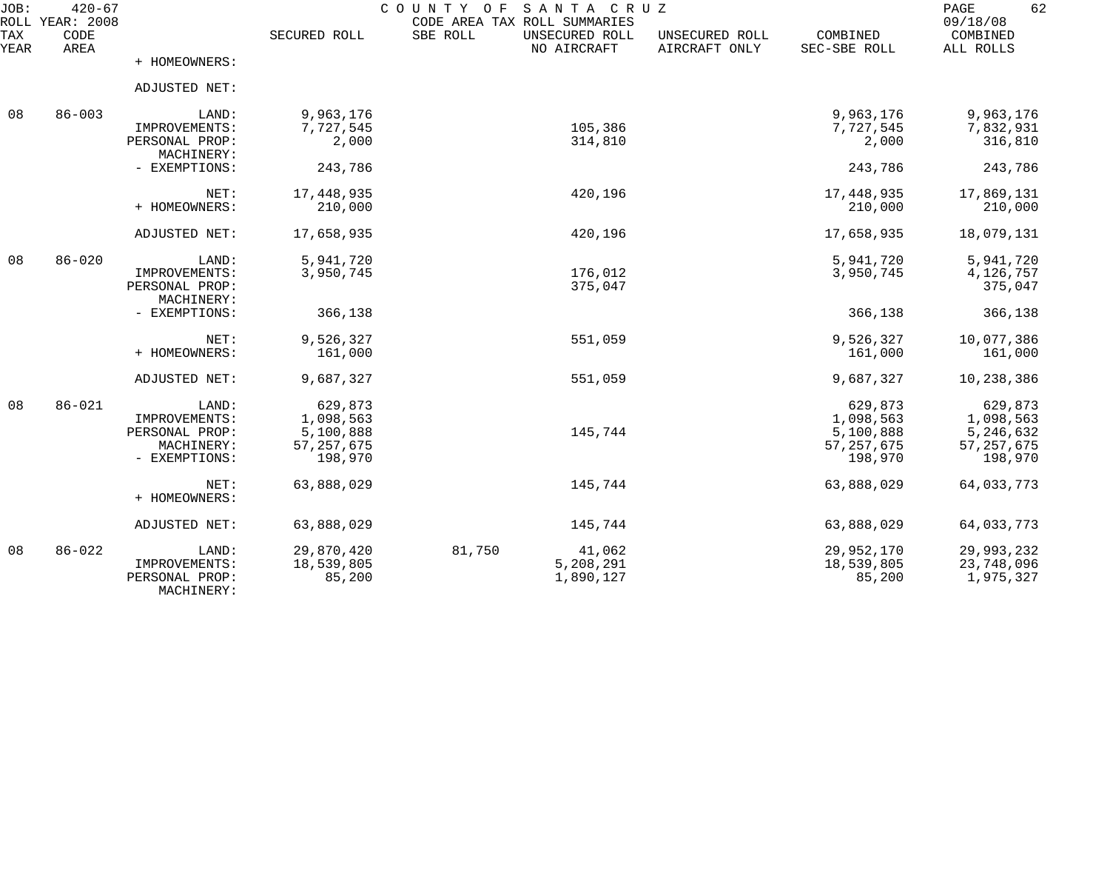| JOB:<br>ROLL | $420 - 67$<br>YEAR: 2008 |                              |                         | COUNTY<br>SANTA CRUZ<br>O F<br>CODE AREA TAX ROLL SUMMARIES |                                 |                          | 62<br>PAGE<br>09/18/08  |
|--------------|--------------------------|------------------------------|-------------------------|-------------------------------------------------------------|---------------------------------|--------------------------|-------------------------|
| TAX<br>YEAR  | CODE<br>AREA             |                              | SECURED ROLL            | SBE ROLL<br>UNSECURED ROLL<br>NO AIRCRAFT                   | UNSECURED ROLL<br>AIRCRAFT ONLY | COMBINED<br>SEC-SBE ROLL | COMBINED<br>ALL ROLLS   |
|              |                          | + HOMEOWNERS:                |                         |                                                             |                                 |                          |                         |
|              |                          | ADJUSTED NET:                |                         |                                                             |                                 |                          |                         |
| 08           | $86 - 003$               | LAND:                        | 9,963,176               |                                                             |                                 | 9,963,176                | 9,963,176               |
|              |                          | IMPROVEMENTS:                | 7,727,545               | 105,386                                                     |                                 | 7,727,545                | 7,832,931               |
|              |                          | PERSONAL PROP:<br>MACHINERY: | 2,000                   | 314,810                                                     |                                 | 2,000                    | 316,810                 |
|              |                          | - EXEMPTIONS:                | 243,786                 |                                                             |                                 | 243,786                  | 243,786                 |
|              |                          | NET:                         | 17,448,935              | 420,196                                                     |                                 | 17,448,935               | 17,869,131              |
|              |                          | + HOMEOWNERS:                | 210,000                 |                                                             |                                 | 210,000                  | 210,000                 |
|              |                          | ADJUSTED NET:                | 17,658,935              | 420,196                                                     |                                 | 17,658,935               | 18,079,131              |
| 08           | $86 - 020$               | LAND:                        | 5,941,720               |                                                             |                                 | 5,941,720                | 5,941,720               |
|              |                          | IMPROVEMENTS:                | 3,950,745               | 176,012                                                     |                                 | 3,950,745                | 4,126,757               |
|              |                          | PERSONAL PROP:               |                         | 375,047                                                     |                                 |                          | 375,047                 |
|              |                          | MACHINERY:                   |                         |                                                             |                                 |                          |                         |
|              |                          | - EXEMPTIONS:                | 366,138                 |                                                             |                                 | 366,138                  | 366,138                 |
|              |                          | NET:                         | 9,526,327               | 551,059                                                     |                                 | 9,526,327                | 10,077,386              |
|              |                          | + HOMEOWNERS:                | 161,000                 |                                                             |                                 | 161,000                  | 161,000                 |
|              |                          | ADJUSTED NET:                | 9,687,327               | 551,059                                                     |                                 | 9,687,327                | 10,238,386              |
| 08           | $86 - 021$               | LAND:                        | 629,873                 |                                                             |                                 | 629,873                  | 629,873                 |
|              |                          | IMPROVEMENTS:                | 1,098,563               |                                                             |                                 | 1,098,563                | 1,098,563               |
|              |                          | PERSONAL PROP:               | 5,100,888               | 145,744                                                     |                                 | 5,100,888                | 5,246,632               |
|              |                          | MACHINERY:<br>- EXEMPTIONS:  | 57, 257, 675<br>198,970 |                                                             |                                 | 57, 257, 675<br>198,970  | 57, 257, 675<br>198,970 |
|              |                          |                              |                         |                                                             |                                 |                          |                         |
|              |                          | NET:                         | 63,888,029              | 145,744                                                     |                                 | 63,888,029               | 64,033,773              |
|              |                          | + HOMEOWNERS:                |                         |                                                             |                                 |                          |                         |
|              |                          | ADJUSTED NET:                | 63,888,029              | 145,744                                                     |                                 | 63,888,029               | 64,033,773              |
| 08           | $86 - 022$               | LAND:                        | 29,870,420              | 81,750<br>41,062                                            |                                 | 29,952,170               | 29,993,232              |
|              |                          | IMPROVEMENTS:                | 18,539,805              | 5,208,291                                                   |                                 | 18,539,805               | 23,748,096              |
|              |                          | PERSONAL PROP:<br>MACHINERY: | 85,200                  | 1,890,127                                                   |                                 | 85,200                   | 1,975,327               |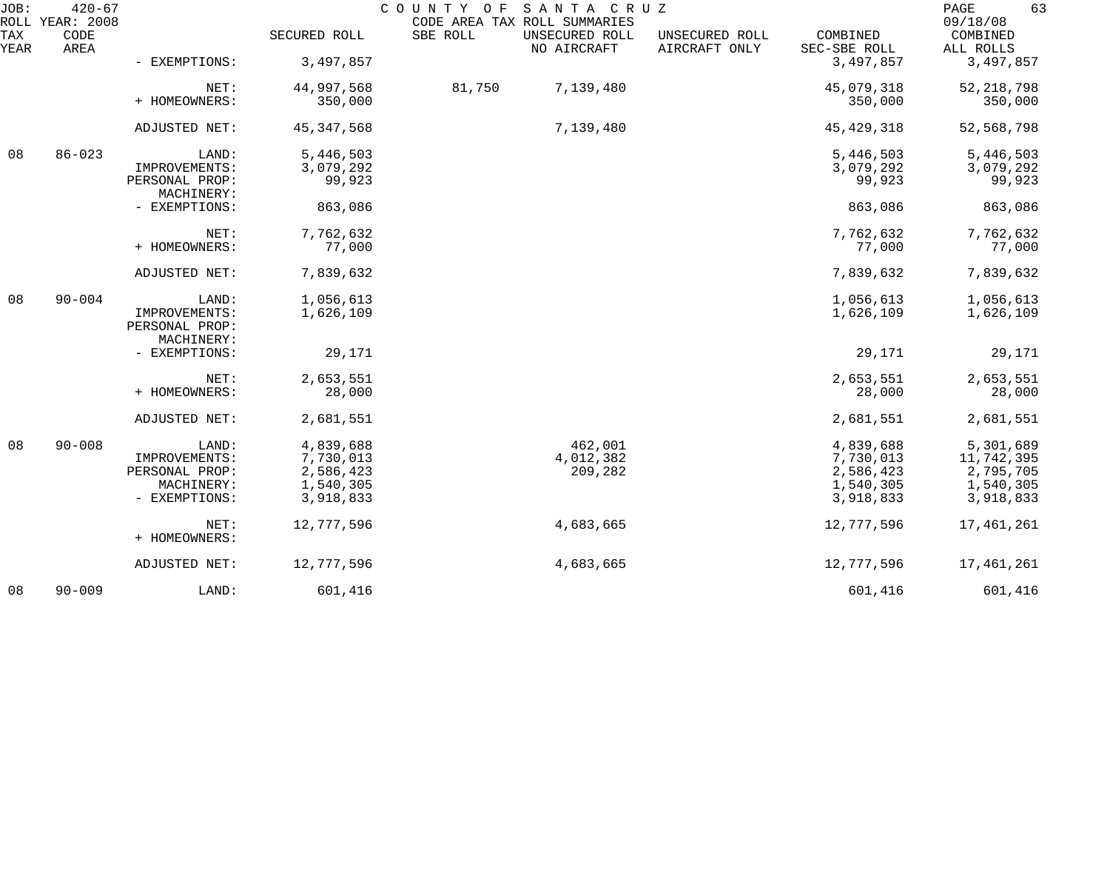| JOB:        | $420 - 67$<br>ROLL YEAR: 2008 |                                               |              | COUNTY OF | SANTA CRUZ<br>CODE AREA TAX ROLL SUMMARIES |                                 |                          | 63<br>PAGE<br>09/18/08 |
|-------------|-------------------------------|-----------------------------------------------|--------------|-----------|--------------------------------------------|---------------------------------|--------------------------|------------------------|
| TAX<br>YEAR | CODE<br>AREA                  |                                               | SECURED ROLL | SBE ROLL  | UNSECURED ROLL<br>NO AIRCRAFT              | UNSECURED ROLL<br>AIRCRAFT ONLY | COMBINED<br>SEC-SBE ROLL | COMBINED<br>ALL ROLLS  |
|             |                               | - EXEMPTIONS:                                 | 3,497,857    |           |                                            |                                 | 3,497,857                | 3,497,857              |
|             |                               | NET:                                          | 44,997,568   | 81,750    | 7,139,480                                  |                                 | 45,079,318               | 52, 218, 798           |
|             |                               | + HOMEOWNERS:                                 | 350,000      |           |                                            |                                 | 350,000                  | 350,000                |
|             |                               | ADJUSTED NET:                                 | 45, 347, 568 |           | 7,139,480                                  |                                 | 45, 429, 318             | 52,568,798             |
| 08          | $86 - 023$                    | LAND:                                         | 5,446,503    |           |                                            |                                 | 5,446,503                | 5,446,503              |
|             |                               | IMPROVEMENTS:                                 | 3,079,292    |           |                                            |                                 | 3,079,292                | 3,079,292              |
|             |                               | PERSONAL PROP:<br>MACHINERY:                  | 99,923       |           |                                            |                                 | 99,923                   | 99,923                 |
|             |                               | - EXEMPTIONS:                                 | 863,086      |           |                                            |                                 | 863,086                  | 863,086                |
|             |                               | NET:                                          | 7,762,632    |           |                                            |                                 | 7,762,632                | 7,762,632              |
|             |                               | + HOMEOWNERS:                                 | 77,000       |           |                                            |                                 | 77,000                   | 77,000                 |
|             |                               | ADJUSTED NET:                                 | 7,839,632    |           |                                            |                                 | 7,839,632                | 7,839,632              |
| 08          | $90 - 004$                    | LAND:                                         | 1,056,613    |           |                                            |                                 | 1,056,613                | 1,056,613              |
|             |                               | IMPROVEMENTS:<br>PERSONAL PROP:<br>MACHINERY: | 1,626,109    |           |                                            |                                 | 1,626,109                | 1,626,109              |
|             |                               | - EXEMPTIONS:                                 | 29,171       |           |                                            |                                 | 29,171                   | 29,171                 |
|             |                               | NET:                                          | 2,653,551    |           |                                            |                                 | 2,653,551                | 2,653,551              |
|             |                               | + HOMEOWNERS:                                 | 28,000       |           |                                            |                                 | 28,000                   | 28,000                 |
|             |                               | ADJUSTED NET:                                 | 2,681,551    |           |                                            |                                 | 2,681,551                | 2,681,551              |
| 08          | $90 - 008$                    | LAND:                                         | 4,839,688    |           | 462,001                                    |                                 | 4,839,688                | 5,301,689              |
|             |                               | IMPROVEMENTS:                                 | 7,730,013    |           | 4,012,382                                  |                                 | 7,730,013                | 11,742,395             |
|             |                               | PERSONAL PROP:                                | 2,586,423    |           | 209,282                                    |                                 | 2,586,423                | 2,795,705              |
|             |                               | MACHINERY:                                    | 1,540,305    |           |                                            |                                 | 1,540,305                | 1,540,305              |
|             |                               | - EXEMPTIONS:                                 | 3,918,833    |           |                                            |                                 | 3,918,833                | 3,918,833              |
|             |                               | NET:                                          | 12,777,596   |           | 4,683,665                                  |                                 | 12,777,596               | 17,461,261             |
|             |                               | + HOMEOWNERS:                                 |              |           |                                            |                                 |                          |                        |
|             |                               | ADJUSTED NET:                                 | 12,777,596   |           | 4,683,665                                  |                                 | 12,777,596               | 17,461,261             |
| 08          | $90 - 009$                    | LAND:                                         | 601,416      |           |                                            |                                 | 601,416                  | 601,416                |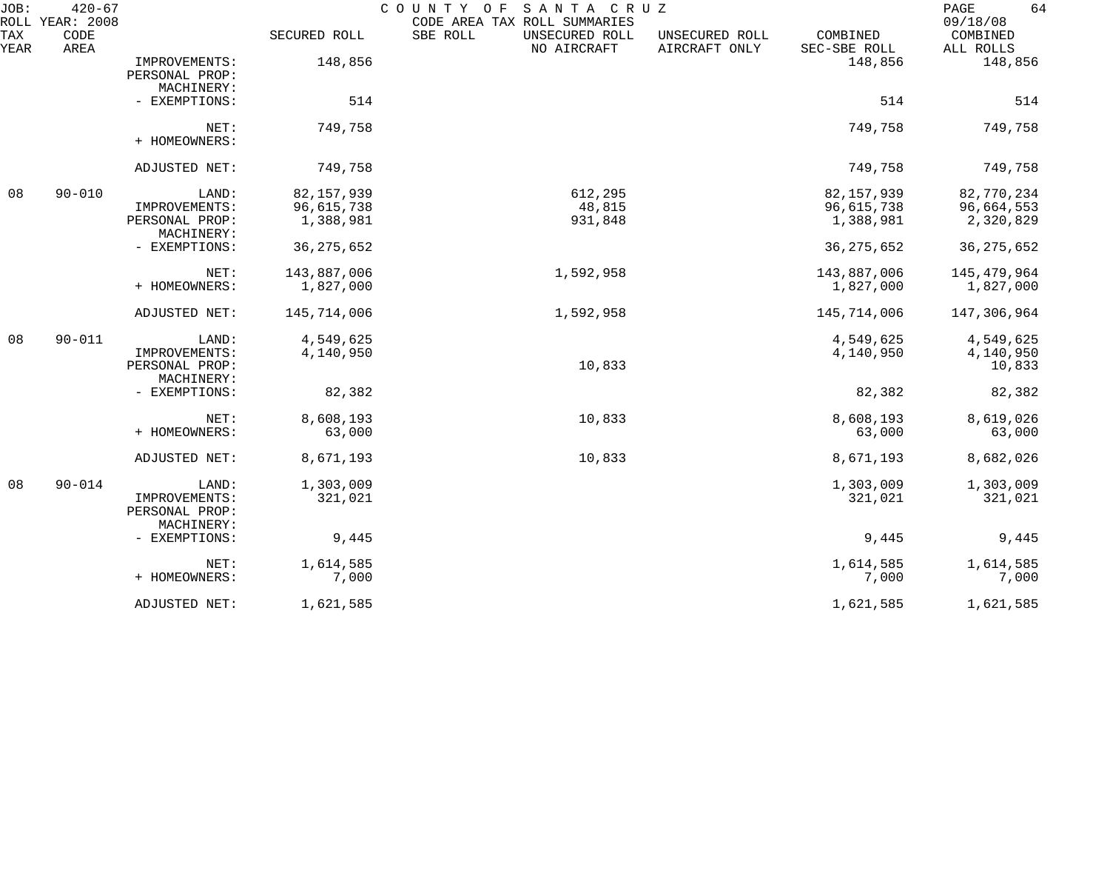| JOB:        | $420 - 67$<br>ROLL YEAR: 2008 |                                                        |                          | COUNTY OF<br>SANTA CRUZ<br>CODE AREA TAX ROLL SUMMARIES |                                 |                          | 64<br>PAGE<br>09/18/08           |
|-------------|-------------------------------|--------------------------------------------------------|--------------------------|---------------------------------------------------------|---------------------------------|--------------------------|----------------------------------|
| TAX<br>YEAR | CODE<br>AREA                  |                                                        | SECURED ROLL             | SBE ROLL<br>UNSECURED ROLL<br>NO AIRCRAFT               | UNSECURED ROLL<br>AIRCRAFT ONLY | COMBINED<br>SEC-SBE ROLL | COMBINED<br>ALL ROLLS            |
|             |                               | IMPROVEMENTS:<br>PERSONAL PROP:<br>MACHINERY:          | 148,856                  |                                                         |                                 | 148,856                  | 148,856                          |
|             |                               | - EXEMPTIONS:                                          | 514                      |                                                         |                                 | 514                      | 514                              |
|             |                               | NET:<br>+ HOMEOWNERS:                                  | 749,758                  |                                                         |                                 | 749,758                  | 749,758                          |
|             |                               | ADJUSTED NET:                                          | 749,758                  |                                                         |                                 | 749,758                  | 749,758                          |
| 08          | $90 - 010$                    | LAND:                                                  | 82, 157, 939             | 612,295                                                 |                                 | 82, 157, 939             | 82,770,234                       |
|             |                               | IMPROVEMENTS:<br>PERSONAL PROP:<br>MACHINERY:          | 96,615,738<br>1,388,981  | 48,815<br>931,848                                       |                                 | 96,615,738<br>1,388,981  | 96,664,553<br>2,320,829          |
|             |                               | - EXEMPTIONS:                                          | 36, 275, 652             |                                                         |                                 | 36, 275, 652             | 36, 275, 652                     |
|             |                               | NET:<br>+ HOMEOWNERS:                                  | 143,887,006<br>1,827,000 | 1,592,958                                               |                                 | 143,887,006<br>1,827,000 | 145, 479, 964<br>1,827,000       |
|             |                               | ADJUSTED NET:                                          | 145,714,006              | 1,592,958                                               |                                 | 145,714,006              | 147,306,964                      |
| 08          | $90 - 011$                    | LAND:<br>IMPROVEMENTS:<br>PERSONAL PROP:<br>MACHINERY: | 4,549,625<br>4,140,950   | 10,833                                                  |                                 | 4,549,625<br>4,140,950   | 4,549,625<br>4,140,950<br>10,833 |
|             |                               | - EXEMPTIONS:                                          | 82,382                   |                                                         |                                 | 82,382                   | 82,382                           |
|             |                               | NET:<br>+ HOMEOWNERS:                                  | 8,608,193<br>63,000      | 10,833                                                  |                                 | 8,608,193<br>63,000      | 8,619,026<br>63,000              |
|             |                               | ADJUSTED NET:                                          | 8,671,193                | 10,833                                                  |                                 | 8,671,193                | 8,682,026                        |
| 08          | $90 - 014$                    | LAND:<br>IMPROVEMENTS:<br>PERSONAL PROP:<br>MACHINERY: | 1,303,009<br>321,021     |                                                         |                                 | 1,303,009<br>321,021     | 1,303,009<br>321,021             |
|             |                               | - EXEMPTIONS:                                          | 9,445                    |                                                         |                                 | 9,445                    | 9,445                            |
|             |                               | NET:<br>+ HOMEOWNERS:                                  | 1,614,585<br>7,000       |                                                         |                                 | 1,614,585<br>7,000       | 1,614,585<br>7,000               |
|             |                               | ADJUSTED NET:                                          | 1,621,585                |                                                         |                                 | 1,621,585                | 1,621,585                        |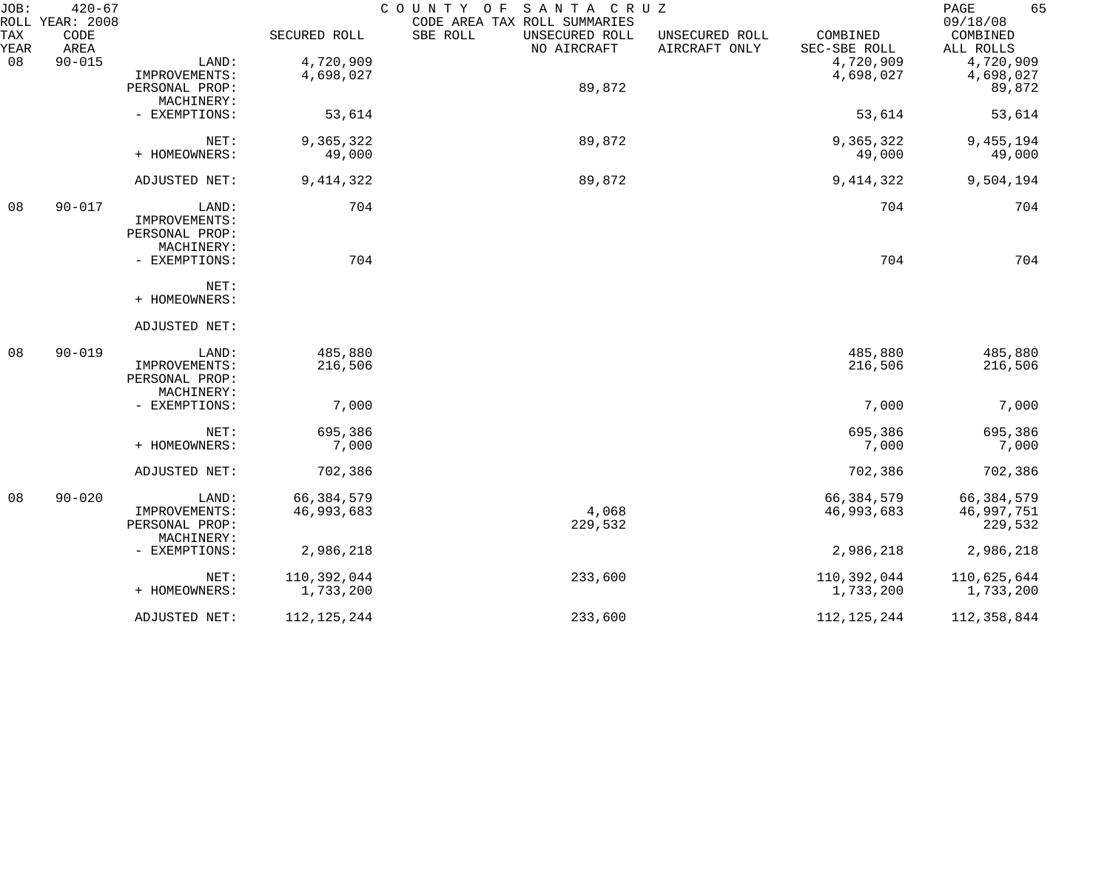| JOB:        | $420 - 67$<br>ROLL YEAR: 2008 |                              |               | SANTA CRUZ<br>COUNTY OF<br>CODE AREA TAX ROLL SUMMARIES |                                 |                          | 65<br>PAGE<br>09/18/08 |
|-------------|-------------------------------|------------------------------|---------------|---------------------------------------------------------|---------------------------------|--------------------------|------------------------|
| TAX<br>YEAR | CODE<br>AREA                  |                              | SECURED ROLL  | SBE ROLL<br>UNSECURED ROLL<br>NO AIRCRAFT               | UNSECURED ROLL<br>AIRCRAFT ONLY | COMBINED<br>SEC-SBE ROLL | COMBINED<br>ALL ROLLS  |
| 08          | $90 - 015$                    | LAND:                        | 4,720,909     |                                                         |                                 | 4,720,909                | 4,720,909              |
|             |                               | IMPROVEMENTS:                | 4,698,027     |                                                         |                                 | 4,698,027                | 4,698,027              |
|             |                               | PERSONAL PROP:               |               | 89,872                                                  |                                 |                          | 89,872                 |
|             |                               | MACHINERY:                   |               |                                                         |                                 |                          |                        |
|             |                               | - EXEMPTIONS:                | 53,614        |                                                         |                                 | 53,614                   | 53,614                 |
|             |                               | NET:                         | 9,365,322     | 89,872                                                  |                                 | 9,365,322                | 9,455,194              |
|             |                               | + HOMEOWNERS:                | 49,000        |                                                         |                                 | 49,000                   | 49,000                 |
|             |                               | ADJUSTED NET:                | 9, 414, 322   | 89,872                                                  |                                 | 9, 414, 322              | 9,504,194              |
| 08          | $90 - 017$                    | LAND:                        | 704           |                                                         |                                 | 704                      | 704                    |
|             |                               | IMPROVEMENTS:                |               |                                                         |                                 |                          |                        |
|             |                               | PERSONAL PROP:               |               |                                                         |                                 |                          |                        |
|             |                               | MACHINERY:                   |               |                                                         |                                 |                          |                        |
|             |                               | - EXEMPTIONS:                | 704           |                                                         |                                 | 704                      | 704                    |
|             |                               | NET:                         |               |                                                         |                                 |                          |                        |
|             |                               | + HOMEOWNERS:                |               |                                                         |                                 |                          |                        |
|             |                               | ADJUSTED NET:                |               |                                                         |                                 |                          |                        |
| 08          | $90 - 019$                    | LAND:                        | 485,880       |                                                         |                                 | 485,880                  | 485,880                |
|             |                               | IMPROVEMENTS:                | 216,506       |                                                         |                                 | 216,506                  | 216,506                |
|             |                               | PERSONAL PROP:               |               |                                                         |                                 |                          |                        |
|             |                               | MACHINERY:                   |               |                                                         |                                 |                          |                        |
|             |                               | - EXEMPTIONS:                | 7,000         |                                                         |                                 | 7,000                    | 7,000                  |
|             |                               | NET:                         | 695,386       |                                                         |                                 | 695,386                  | 695,386                |
|             |                               | + HOMEOWNERS:                | 7,000         |                                                         |                                 | 7,000                    | 7,000                  |
|             |                               | ADJUSTED NET:                | 702,386       |                                                         |                                 | 702,386                  | 702,386                |
| 08          | $90 - 020$                    | LAND:                        | 66, 384, 579  |                                                         |                                 | 66, 384, 579             | 66, 384, 579           |
|             |                               | IMPROVEMENTS:                | 46,993,683    | 4,068                                                   |                                 | 46,993,683               | 46,997,751             |
|             |                               | PERSONAL PROP:<br>MACHINERY: |               | 229,532                                                 |                                 |                          | 229,532                |
|             |                               | - EXEMPTIONS:                | 2,986,218     |                                                         |                                 | 2,986,218                | 2,986,218              |
|             |                               | NET:                         | 110,392,044   | 233,600                                                 |                                 | 110,392,044              | 110,625,644            |
|             |                               | + HOMEOWNERS:                | 1,733,200     |                                                         |                                 | 1,733,200                | 1,733,200              |
|             |                               | ADJUSTED NET:                | 112, 125, 244 | 233,600                                                 |                                 | 112, 125, 244            | 112,358,844            |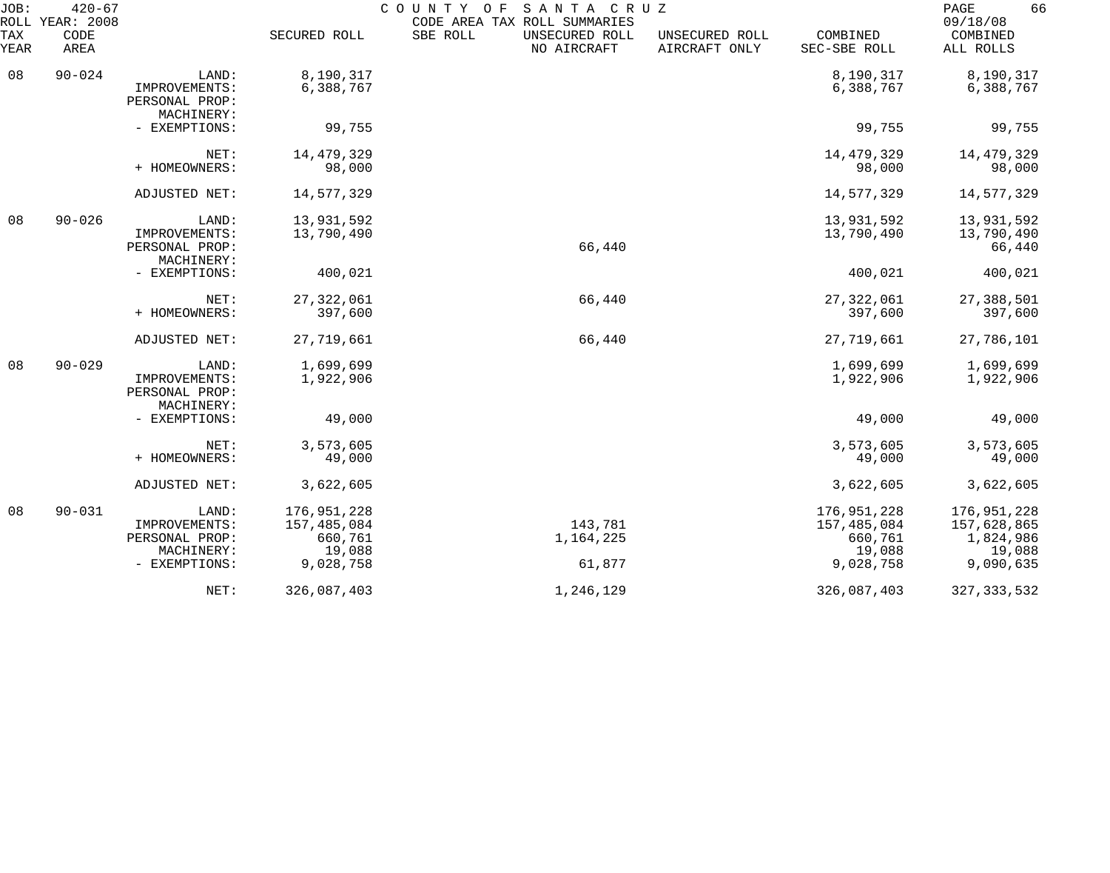| JOB:        | $420 - 67$<br>ROLL YEAR: 2008 |                                                                         |                                                              | SANTA CRUZ<br>COUNTY OF<br>CODE AREA TAX ROLL SUMMARIES |                                 |                                                              | 66<br>PAGE<br>09/18/08                                         |
|-------------|-------------------------------|-------------------------------------------------------------------------|--------------------------------------------------------------|---------------------------------------------------------|---------------------------------|--------------------------------------------------------------|----------------------------------------------------------------|
| TAX<br>YEAR | CODE<br>AREA                  |                                                                         | SECURED ROLL                                                 | SBE ROLL<br>UNSECURED ROLL<br>NO AIRCRAFT               | UNSECURED ROLL<br>AIRCRAFT ONLY | COMBINED<br>SEC-SBE ROLL                                     | COMBINED<br>ALL ROLLS                                          |
| 08          | $90 - 024$                    | LAND:<br>IMPROVEMENTS:<br>PERSONAL PROP:<br>MACHINERY:                  | 8,190,317<br>6,388,767                                       |                                                         |                                 | 8,190,317<br>6,388,767                                       | 8,190,317<br>6,388,767                                         |
|             |                               | - EXEMPTIONS:                                                           | 99,755                                                       |                                                         |                                 | 99,755                                                       | 99,755                                                         |
|             |                               | NET:<br>+ HOMEOWNERS:                                                   | 14, 479, 329<br>98,000                                       |                                                         |                                 | 14, 479, 329<br>98,000                                       | 14,479,329<br>98,000                                           |
|             |                               | ADJUSTED NET:                                                           | 14,577,329                                                   |                                                         |                                 | 14,577,329                                                   | 14,577,329                                                     |
| 08          | $90 - 026$                    | LAND:<br>IMPROVEMENTS:<br>PERSONAL PROP:<br>MACHINERY:                  | 13,931,592<br>13,790,490                                     | 66,440                                                  |                                 | 13,931,592<br>13,790,490                                     | 13,931,592<br>13,790,490<br>66,440                             |
|             |                               | - EXEMPTIONS:                                                           | 400,021                                                      |                                                         |                                 | 400,021                                                      | 400,021                                                        |
|             |                               | NET:<br>+ HOMEOWNERS:                                                   | 27, 322, 061<br>397,600                                      | 66,440                                                  |                                 | 27, 322, 061<br>397,600                                      | 27,388,501<br>397,600                                          |
|             |                               | ADJUSTED NET:                                                           | 27,719,661                                                   | 66,440                                                  |                                 | 27,719,661                                                   | 27,786,101                                                     |
| 08          | $90 - 029$                    | LAND:<br>IMPROVEMENTS:<br>PERSONAL PROP:<br>MACHINERY:                  | 1,699,699<br>1,922,906                                       |                                                         |                                 | 1,699,699<br>1,922,906                                       | 1,699,699<br>1,922,906                                         |
|             |                               | - EXEMPTIONS:                                                           | 49,000                                                       |                                                         |                                 | 49,000                                                       | 49,000                                                         |
|             |                               | NET:<br>+ HOMEOWNERS:                                                   | 3,573,605<br>49,000                                          |                                                         |                                 | 3,573,605<br>49,000                                          | 3,573,605<br>49,000                                            |
|             |                               | ADJUSTED NET:                                                           | 3,622,605                                                    |                                                         |                                 | 3,622,605                                                    | 3,622,605                                                      |
| 08          | $90 - 031$                    | LAND:<br>IMPROVEMENTS:<br>PERSONAL PROP:<br>MACHINERY:<br>- EXEMPTIONS: | 176,951,228<br>157,485,084<br>660,761<br>19,088<br>9,028,758 | 143,781<br>1,164,225<br>61,877                          |                                 | 176,951,228<br>157,485,084<br>660,761<br>19,088<br>9,028,758 | 176,951,228<br>157,628,865<br>1,824,986<br>19,088<br>9,090,635 |
|             |                               | NET:                                                                    | 326,087,403                                                  | 1,246,129                                               |                                 | 326,087,403                                                  | 327, 333, 532                                                  |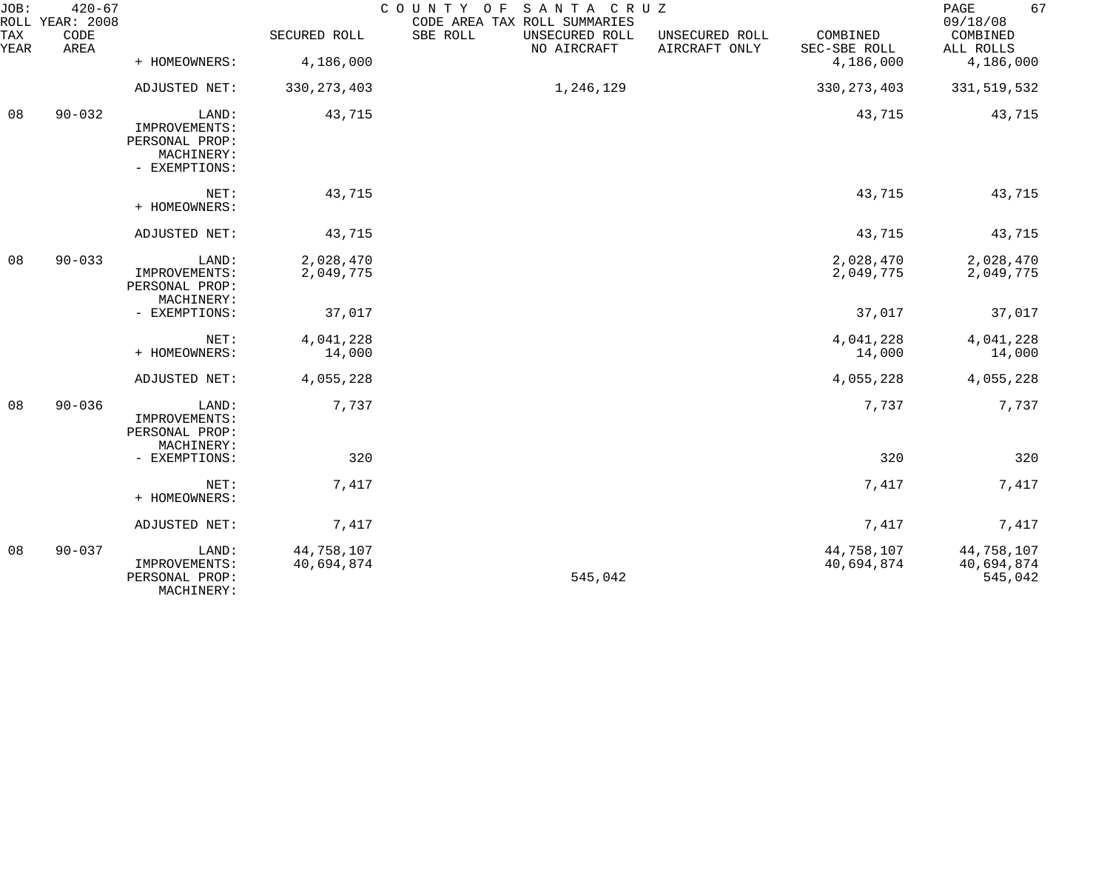| JOB:             | $420 - 67$<br>ROLL YEAR: 2008                                           |                                                        |                          | COUNTY OF<br>SANTA CRUZ<br>CODE AREA TAX ROLL SUMMARIES |                                 |                          | 67<br>PAGE<br>09/18/08              |
|------------------|-------------------------------------------------------------------------|--------------------------------------------------------|--------------------------|---------------------------------------------------------|---------------------------------|--------------------------|-------------------------------------|
| TAX<br>YEAR      | CODE<br>AREA                                                            |                                                        | SECURED ROLL             | SBE ROLL<br>UNSECURED ROLL<br>NO AIRCRAFT               | UNSECURED ROLL<br>AIRCRAFT ONLY | COMBINED<br>SEC-SBE ROLL | COMBINED<br>ALL ROLLS               |
|                  |                                                                         | + HOMEOWNERS:                                          | 4,186,000                |                                                         |                                 | 4,186,000                | 4,186,000                           |
|                  |                                                                         | ADJUSTED NET:                                          | 330, 273, 403            | 1,246,129                                               |                                 | 330, 273, 403            | 331, 519, 532                       |
| $90 - 032$<br>08 | LAND:<br>IMPROVEMENTS:<br>PERSONAL PROP:<br>MACHINERY:<br>- EXEMPTIONS: | 43,715                                                 |                          |                                                         | 43,715                          | 43,715                   |                                     |
|                  |                                                                         | NET:<br>+ HOMEOWNERS:                                  | 43,715                   |                                                         |                                 | 43,715                   | 43,715                              |
|                  |                                                                         | ADJUSTED NET:                                          | 43,715                   |                                                         |                                 | 43,715                   | 43,715                              |
| 08               | $90 - 033$                                                              | LAND:<br>IMPROVEMENTS:<br>PERSONAL PROP:<br>MACHINERY: | 2,028,470<br>2,049,775   |                                                         |                                 | 2,028,470<br>2,049,775   | 2,028,470<br>2,049,775              |
|                  |                                                                         | - EXEMPTIONS:                                          | 37,017                   |                                                         |                                 | 37,017                   | 37,017                              |
|                  |                                                                         | NET:<br>+ HOMEOWNERS:                                  | 4,041,228<br>14,000      |                                                         |                                 | 4,041,228<br>14,000      | 4,041,228<br>14,000                 |
|                  |                                                                         | ADJUSTED NET:                                          | 4,055,228                |                                                         |                                 | 4,055,228                | 4,055,228                           |
| 08               | $90 - 036$                                                              | LAND:<br>IMPROVEMENTS:<br>PERSONAL PROP:<br>MACHINERY: | 7,737                    |                                                         |                                 | 7,737                    | 7,737                               |
|                  |                                                                         | - EXEMPTIONS:                                          | 320                      |                                                         |                                 | 320                      | 320                                 |
|                  |                                                                         | NET:<br>+ HOMEOWNERS:                                  | 7,417                    |                                                         |                                 | 7,417                    | 7,417                               |
|                  |                                                                         | ADJUSTED NET:                                          | 7,417                    |                                                         |                                 | 7,417                    | 7,417                               |
| 08               | $90 - 037$                                                              | LAND:<br>IMPROVEMENTS:<br>PERSONAL PROP:<br>MACHINERY: | 44,758,107<br>40,694,874 | 545,042                                                 |                                 | 44,758,107<br>40,694,874 | 44,758,107<br>40,694,874<br>545,042 |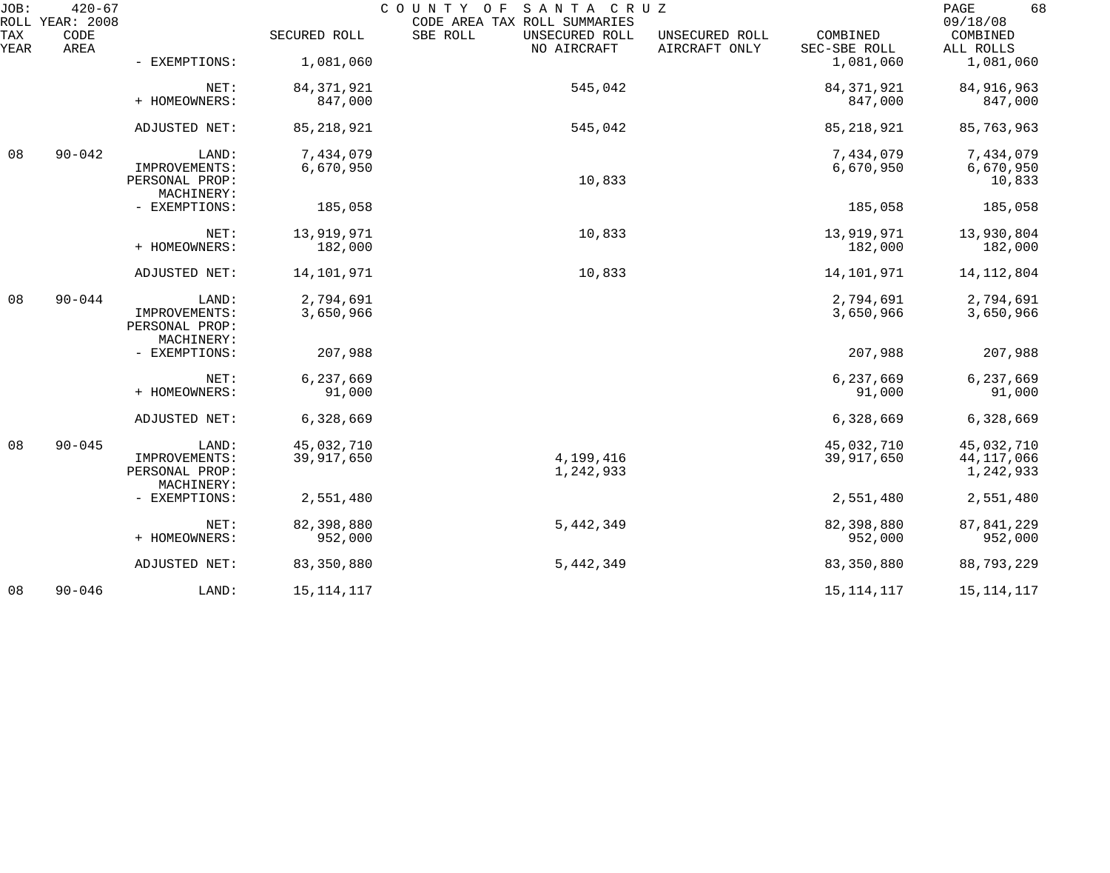| JOB:        | $420 - 67$<br>ROLL YEAR: 2008 |                                               |              | COUNTY OF SANTA CRUZ<br>CODE AREA TAX ROLL SUMMARIES |                                 |                          | 68<br>PAGE<br>09/18/08 |
|-------------|-------------------------------|-----------------------------------------------|--------------|------------------------------------------------------|---------------------------------|--------------------------|------------------------|
| TAX<br>YEAR | CODE<br>AREA                  |                                               | SECURED ROLL | SBE ROLL<br>UNSECURED ROLL<br>NO AIRCRAFT            | UNSECURED ROLL<br>AIRCRAFT ONLY | COMBINED<br>SEC-SBE ROLL | COMBINED<br>ALL ROLLS  |
|             |                               | - EXEMPTIONS:                                 | 1,081,060    |                                                      |                                 | 1,081,060                | 1,081,060              |
|             |                               | NET:                                          | 84, 371, 921 | 545,042                                              |                                 | 84, 371, 921             | 84, 916, 963           |
|             |                               | + HOMEOWNERS:                                 | 847,000      |                                                      |                                 | 847,000                  | 847,000                |
|             |                               | ADJUSTED NET:                                 | 85, 218, 921 | 545,042                                              |                                 | 85, 218, 921             | 85,763,963             |
| 08          | $90 - 042$                    | LAND:                                         | 7,434,079    |                                                      |                                 | 7,434,079                | 7,434,079              |
|             |                               | IMPROVEMENTS:                                 | 6,670,950    | 10,833                                               |                                 | 6,670,950                | 6,670,950              |
|             |                               | PERSONAL PROP:<br>MACHINERY:                  |              |                                                      |                                 |                          | 10,833                 |
|             |                               | - EXEMPTIONS:                                 | 185,058      |                                                      |                                 | 185,058                  | 185,058                |
|             |                               | NET:                                          | 13,919,971   | 10,833                                               |                                 | 13,919,971               | 13,930,804             |
|             |                               | + HOMEOWNERS:                                 | 182,000      |                                                      |                                 | 182,000                  | 182,000                |
|             |                               | ADJUSTED NET:                                 | 14,101,971   | 10,833                                               |                                 | 14,101,971               | 14, 112, 804           |
| 08          | $90 - 044$                    | LAND:                                         | 2,794,691    |                                                      |                                 | 2,794,691                | 2,794,691              |
|             |                               | IMPROVEMENTS:<br>PERSONAL PROP:<br>MACHINERY: | 3,650,966    |                                                      |                                 | 3,650,966                | 3,650,966              |
|             |                               | - EXEMPTIONS:                                 | 207,988      |                                                      |                                 | 207,988                  | 207,988                |
|             |                               | NET:                                          | 6,237,669    |                                                      |                                 | 6,237,669                | 6,237,669              |
|             |                               | + HOMEOWNERS:                                 | 91,000       |                                                      |                                 | 91,000                   | 91,000                 |
|             |                               | ADJUSTED NET:                                 | 6,328,669    |                                                      |                                 | 6,328,669                | 6,328,669              |
| 08          | $90 - 045$                    | LAND:                                         | 45,032,710   |                                                      |                                 | 45,032,710               | 45,032,710             |
|             |                               | IMPROVEMENTS:                                 | 39,917,650   | 4,199,416                                            |                                 | 39,917,650               | 44, 117, 066           |
|             |                               | PERSONAL PROP:<br>MACHINERY:                  |              | 1,242,933                                            |                                 |                          | 1,242,933              |
|             |                               | - EXEMPTIONS:                                 | 2,551,480    |                                                      |                                 | 2,551,480                | 2,551,480              |
|             |                               | NET:                                          | 82,398,880   | 5,442,349                                            |                                 | 82,398,880               | 87, 841, 229           |
|             |                               | + HOMEOWNERS:                                 | 952,000      |                                                      |                                 | 952,000                  | 952,000                |
|             |                               | ADJUSTED NET:                                 | 83, 350, 880 | 5,442,349                                            |                                 | 83,350,880               | 88,793,229             |
| 08          | $90 - 046$                    | LAND:                                         | 15, 114, 117 |                                                      |                                 | 15, 114, 117             | 15, 114, 117           |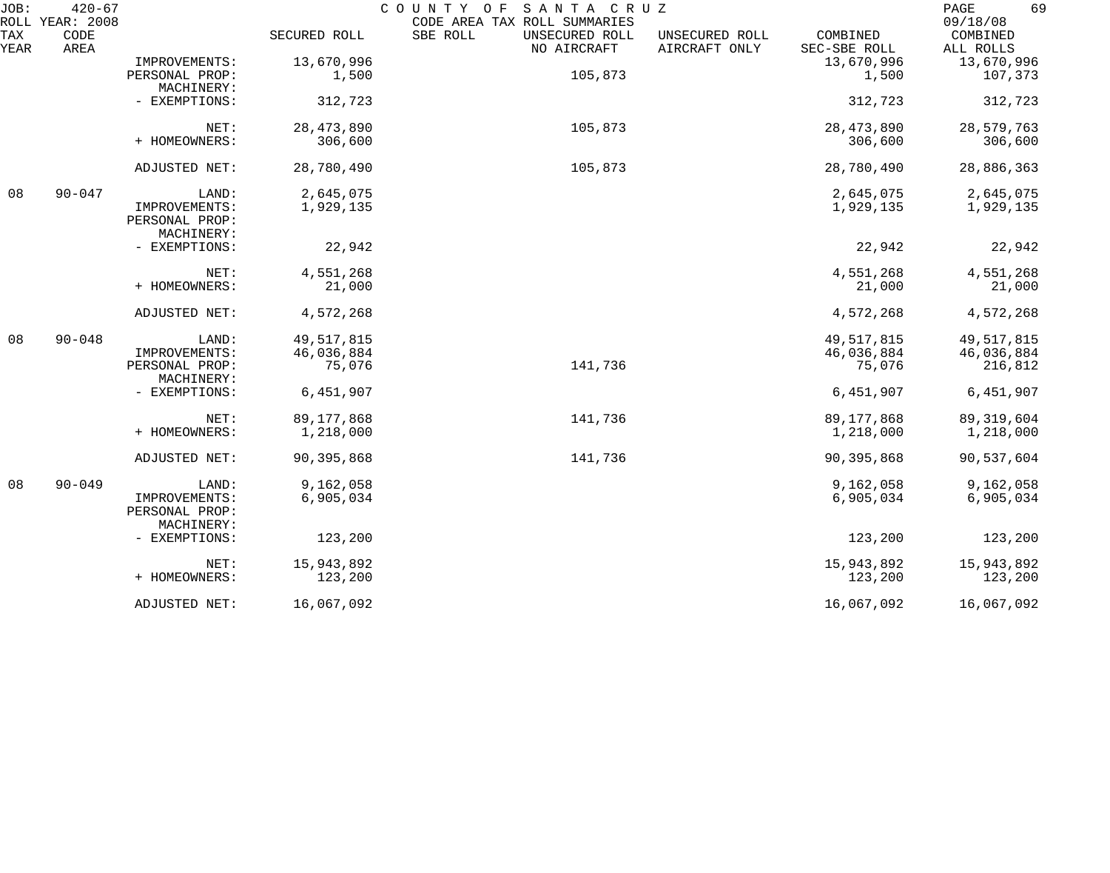| JOB:        | $420 - 67$<br>ROLL YEAR: 2008 |                                               |              | SANTA CRUZ<br>COUNTY OF<br>CODE AREA TAX ROLL SUMMARIES |                                                             | 69<br>PAGE<br>09/18/08 |
|-------------|-------------------------------|-----------------------------------------------|--------------|---------------------------------------------------------|-------------------------------------------------------------|------------------------|
| TAX<br>YEAR | CODE<br>AREA                  |                                               | SECURED ROLL | SBE ROLL<br>UNSECURED ROLL<br>NO AIRCRAFT               | COMBINED<br>UNSECURED ROLL<br>AIRCRAFT ONLY<br>SEC-SBE ROLL | COMBINED<br>ALL ROLLS  |
|             |                               | IMPROVEMENTS:                                 | 13,670,996   |                                                         | 13,670,996                                                  | 13,670,996             |
|             |                               | PERSONAL PROP:<br>MACHINERY:                  | 1,500        | 105,873                                                 | 1,500                                                       | 107,373                |
|             |                               | - EXEMPTIONS:                                 | 312,723      |                                                         | 312,723                                                     | 312,723                |
|             |                               | NET:                                          | 28, 473, 890 | 105,873                                                 | 28, 473, 890                                                | 28,579,763             |
|             |                               | + HOMEOWNERS:                                 | 306,600      |                                                         | 306,600                                                     | 306,600                |
|             |                               | ADJUSTED NET:                                 | 28,780,490   | 105,873                                                 | 28,780,490                                                  | 28,886,363             |
| 08          | $90 - 047$                    | LAND:                                         | 2,645,075    |                                                         | 2,645,075                                                   | 2,645,075              |
|             |                               | IMPROVEMENTS:<br>PERSONAL PROP:<br>MACHINERY: | 1,929,135    |                                                         | 1,929,135                                                   | 1,929,135              |
|             |                               | - EXEMPTIONS:                                 | 22,942       |                                                         | 22,942                                                      | 22,942                 |
|             |                               | NET:                                          | 4,551,268    |                                                         | 4,551,268                                                   | 4,551,268              |
|             |                               | + HOMEOWNERS:                                 | 21,000       |                                                         | 21,000                                                      | 21,000                 |
|             |                               | ADJUSTED NET:                                 | 4,572,268    |                                                         | 4,572,268                                                   | 4,572,268              |
| 08          | $90 - 048$                    | LAND:                                         | 49,517,815   |                                                         | 49, 517, 815                                                | 49,517,815             |
|             |                               | IMPROVEMENTS:                                 | 46,036,884   |                                                         | 46,036,884                                                  | 46,036,884             |
|             |                               | PERSONAL PROP:<br>MACHINERY:                  | 75,076       | 141,736                                                 | 75,076                                                      | 216,812                |
|             |                               | - EXEMPTIONS:                                 | 6,451,907    |                                                         | 6,451,907                                                   | 6,451,907              |
|             |                               | NET:                                          | 89, 177, 868 | 141,736                                                 | 89, 177, 868                                                | 89, 319, 604           |
|             |                               | + HOMEOWNERS:                                 | 1,218,000    |                                                         | 1,218,000                                                   | 1,218,000              |
|             |                               | ADJUSTED NET:                                 | 90,395,868   | 141,736                                                 | 90,395,868                                                  | 90,537,604             |
| 08          | $90 - 049$                    | LAND:                                         | 9,162,058    |                                                         | 9,162,058                                                   | 9,162,058              |
|             |                               | IMPROVEMENTS:<br>PERSONAL PROP:<br>MACHINERY: | 6,905,034    |                                                         | 6,905,034                                                   | 6,905,034              |
|             |                               | - EXEMPTIONS:                                 | 123,200      |                                                         | 123,200                                                     | 123,200                |
|             |                               | NET:                                          | 15,943,892   |                                                         | 15,943,892                                                  | 15,943,892             |
|             |                               | + HOMEOWNERS:                                 | 123,200      |                                                         | 123,200                                                     | 123,200                |
|             |                               | ADJUSTED NET:                                 | 16,067,092   |                                                         | 16,067,092                                                  | 16,067,092             |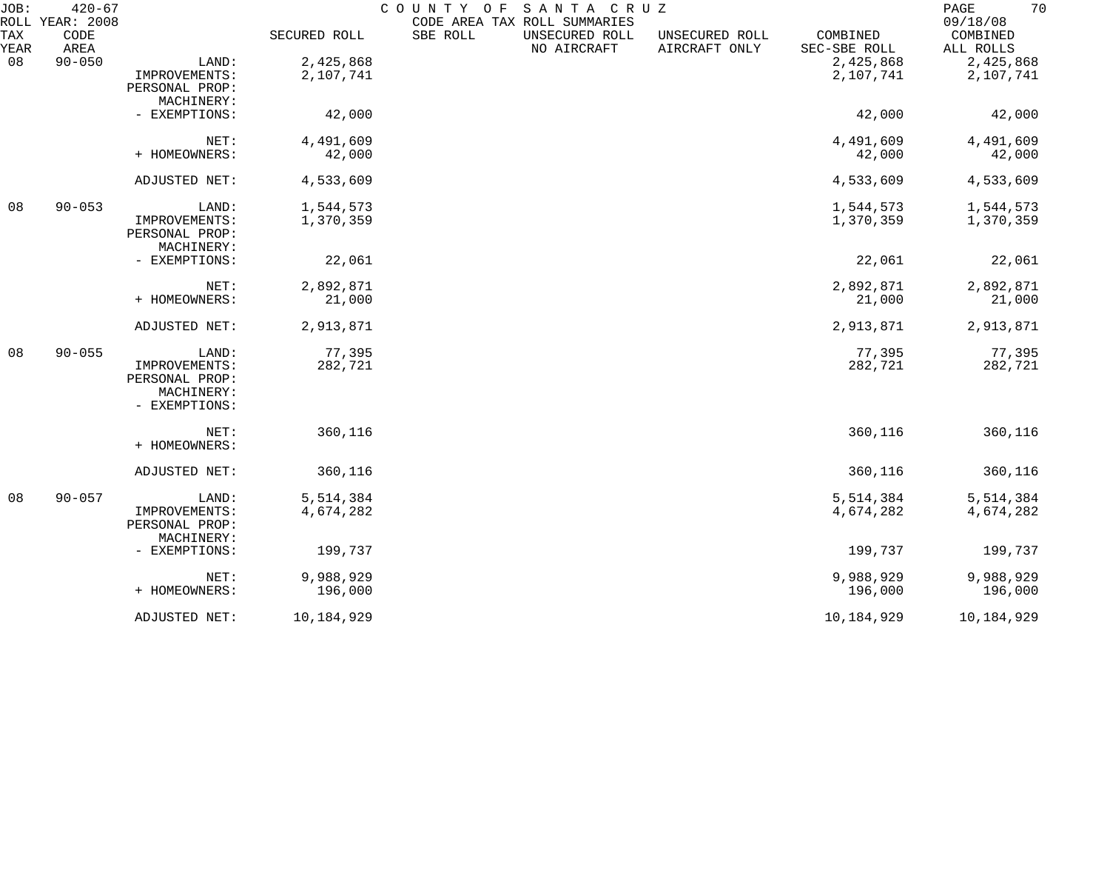| JOB:        | $420 - 67$<br>ROLL YEAR: 2008 |                |              | COUNTY OF | SANTA CRUZ<br>CODE AREA TAX ROLL SUMMARIES |                                 |                          | 70<br>PAGE<br>09/18/08 |
|-------------|-------------------------------|----------------|--------------|-----------|--------------------------------------------|---------------------------------|--------------------------|------------------------|
| TAX<br>YEAR | CODE<br>AREA                  |                | SECURED ROLL | SBE ROLL  | UNSECURED ROLL<br>NO AIRCRAFT              | UNSECURED ROLL<br>AIRCRAFT ONLY | COMBINED<br>SEC-SBE ROLL | COMBINED<br>ALL ROLLS  |
| 08          | $90 - 050$                    | LAND:          | 2,425,868    |           |                                            |                                 | 2,425,868                | 2,425,868              |
|             |                               | IMPROVEMENTS:  | 2,107,741    |           |                                            |                                 | 2,107,741                | 2,107,741              |
|             |                               | PERSONAL PROP: |              |           |                                            |                                 |                          |                        |
|             |                               | MACHINERY:     |              |           |                                            |                                 |                          |                        |
|             |                               | - EXEMPTIONS:  | 42,000       |           |                                            |                                 | 42,000                   | 42,000                 |
|             |                               | NET:           | 4,491,609    |           |                                            |                                 | 4,491,609                | 4,491,609              |
|             |                               |                |              |           |                                            |                                 |                          |                        |
|             |                               | + HOMEOWNERS:  | 42,000       |           |                                            |                                 | 42,000                   | 42,000                 |
|             |                               | ADJUSTED NET:  | 4,533,609    |           |                                            |                                 | 4,533,609                | 4,533,609              |
| 08          | $90 - 053$                    | LAND:          | 1,544,573    |           |                                            |                                 | 1,544,573                | 1,544,573              |
|             |                               | IMPROVEMENTS:  | 1,370,359    |           |                                            |                                 | 1,370,359                | 1,370,359              |
|             |                               | PERSONAL PROP: |              |           |                                            |                                 |                          |                        |
|             |                               | MACHINERY:     |              |           |                                            |                                 |                          |                        |
|             |                               | - EXEMPTIONS:  | 22,061       |           |                                            |                                 | 22,061                   | 22,061                 |
|             |                               | NET:           | 2,892,871    |           |                                            |                                 | 2,892,871                | 2,892,871              |
|             |                               | + HOMEOWNERS:  | 21,000       |           |                                            |                                 | 21,000                   | 21,000                 |
|             |                               |                |              |           |                                            |                                 |                          |                        |
|             |                               | ADJUSTED NET:  | 2,913,871    |           |                                            |                                 | 2,913,871                | 2,913,871              |
| 08          | $90 - 055$                    | LAND:          | 77,395       |           |                                            |                                 | 77,395                   | 77,395                 |
|             |                               | IMPROVEMENTS:  | 282,721      |           |                                            |                                 | 282,721                  | 282,721                |
|             |                               | PERSONAL PROP: |              |           |                                            |                                 |                          |                        |
|             |                               | MACHINERY:     |              |           |                                            |                                 |                          |                        |
|             |                               | - EXEMPTIONS:  |              |           |                                            |                                 |                          |                        |
|             |                               | NET:           | 360,116      |           |                                            |                                 | 360,116                  | 360,116                |
|             |                               | + HOMEOWNERS:  |              |           |                                            |                                 |                          |                        |
|             |                               | ADJUSTED NET:  | 360,116      |           |                                            |                                 | 360,116                  | 360,116                |
| 08          | $90 - 057$                    | LAND:          | 5,514,384    |           |                                            |                                 | 5,514,384                | 5,514,384              |
|             |                               | IMPROVEMENTS:  | 4,674,282    |           |                                            |                                 | 4,674,282                | 4,674,282              |
|             |                               | PERSONAL PROP: |              |           |                                            |                                 |                          |                        |
|             |                               | MACHINERY:     |              |           |                                            |                                 |                          |                        |
|             |                               | - EXEMPTIONS:  | 199,737      |           |                                            |                                 | 199,737                  | 199,737                |
|             |                               | NET:           | 9,988,929    |           |                                            |                                 | 9,988,929                | 9,988,929              |
|             |                               | + HOMEOWNERS:  | 196,000      |           |                                            |                                 | 196,000                  | 196,000                |
|             |                               |                |              |           |                                            |                                 |                          |                        |
|             |                               | ADJUSTED NET:  | 10,184,929   |           |                                            |                                 | 10,184,929               | 10,184,929             |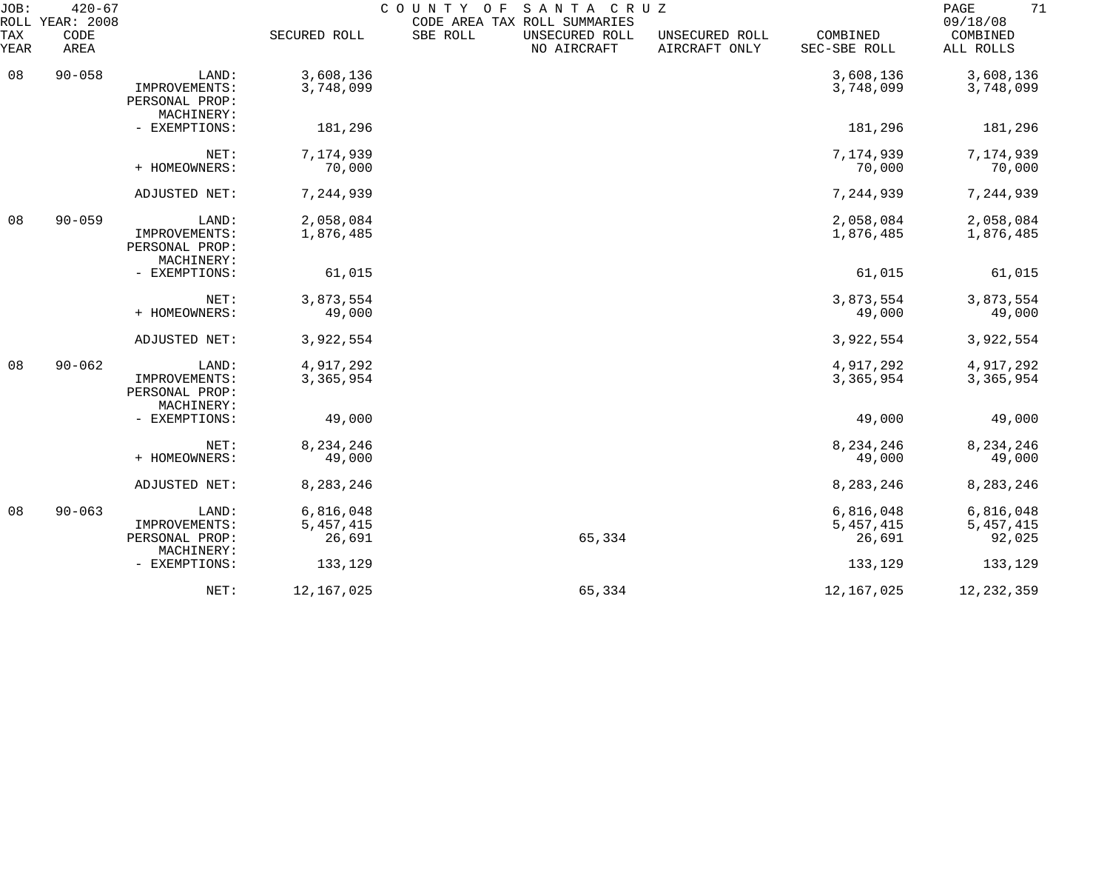| JOB:        | $420 - 67$<br>ROLL YEAR: 2008 |                                                        |                                    | COUNTY OF<br>CODE AREA TAX ROLL SUMMARIES | SANTA CRUZ                    |                                 |                                    | 71<br>PAGE<br>09/18/08             |
|-------------|-------------------------------|--------------------------------------------------------|------------------------------------|-------------------------------------------|-------------------------------|---------------------------------|------------------------------------|------------------------------------|
| TAX<br>YEAR | CODE<br>AREA                  |                                                        | SECURED ROLL                       | SBE ROLL                                  | UNSECURED ROLL<br>NO AIRCRAFT | UNSECURED ROLL<br>AIRCRAFT ONLY | COMBINED<br>SEC-SBE ROLL           | COMBINED<br>ALL ROLLS              |
| 08          | $90 - 058$                    | LAND:<br>IMPROVEMENTS:                                 | 3,608,136                          |                                           |                               |                                 | 3,608,136                          | 3,608,136                          |
|             |                               | PERSONAL PROP:<br>MACHINERY:                           | 3,748,099                          |                                           |                               |                                 | 3,748,099                          | 3,748,099                          |
|             |                               | - EXEMPTIONS:                                          | 181,296                            |                                           |                               |                                 | 181,296                            | 181,296                            |
|             |                               | NET:<br>+ HOMEOWNERS:                                  | 7,174,939<br>70,000                |                                           |                               |                                 | 7,174,939<br>70,000                | 7,174,939<br>70,000                |
|             |                               | ADJUSTED NET:                                          | 7,244,939                          |                                           |                               |                                 | 7,244,939                          | 7,244,939                          |
| 08          | $90 - 059$                    | LAND:                                                  | 2,058,084                          |                                           |                               |                                 | 2,058,084                          | 2,058,084                          |
|             |                               | IMPROVEMENTS:<br>PERSONAL PROP:<br>MACHINERY:          | 1,876,485                          |                                           |                               |                                 | 1,876,485                          | 1,876,485                          |
|             |                               | - EXEMPTIONS:                                          | 61,015                             |                                           |                               |                                 | 61,015                             | 61,015                             |
|             |                               | NET:<br>+ HOMEOWNERS:                                  | 3,873,554<br>49,000                |                                           |                               |                                 | 3,873,554<br>49,000                | 3,873,554<br>49,000                |
|             |                               |                                                        |                                    |                                           |                               |                                 | 3,922,554                          |                                    |
|             |                               | ADJUSTED NET:                                          | 3,922,554                          |                                           |                               |                                 |                                    | 3,922,554                          |
| 08          | $90 - 062$                    | LAND:<br>IMPROVEMENTS:<br>PERSONAL PROP:<br>MACHINERY: | 4,917,292<br>3,365,954             |                                           |                               |                                 | 4,917,292<br>3,365,954             | 4,917,292<br>3,365,954             |
|             |                               | - EXEMPTIONS:                                          | 49,000                             |                                           |                               |                                 | 49,000                             | 49,000                             |
|             |                               | NET:                                                   | 8,234,246                          |                                           |                               |                                 | 8,234,246<br>49,000                | 8, 234, 246                        |
|             |                               | + HOMEOWNERS:                                          | 49,000                             |                                           |                               |                                 |                                    | 49,000                             |
|             |                               | ADJUSTED NET:                                          | 8,283,246                          |                                           |                               |                                 | 8,283,246                          | 8,283,246                          |
| 08          | $90 - 063$                    | LAND:<br>IMPROVEMENTS:<br>PERSONAL PROP:               | 6,816,048<br>5, 457, 415<br>26,691 |                                           | 65,334                        |                                 | 6,816,048<br>5, 457, 415<br>26,691 | 6,816,048<br>5, 457, 415<br>92,025 |
|             |                               | MACHINERY:<br>- EXEMPTIONS:                            | 133,129                            |                                           |                               |                                 | 133,129                            | 133,129                            |
|             |                               | NET:                                                   | 12,167,025                         |                                           | 65,334                        |                                 | 12,167,025                         | 12, 232, 359                       |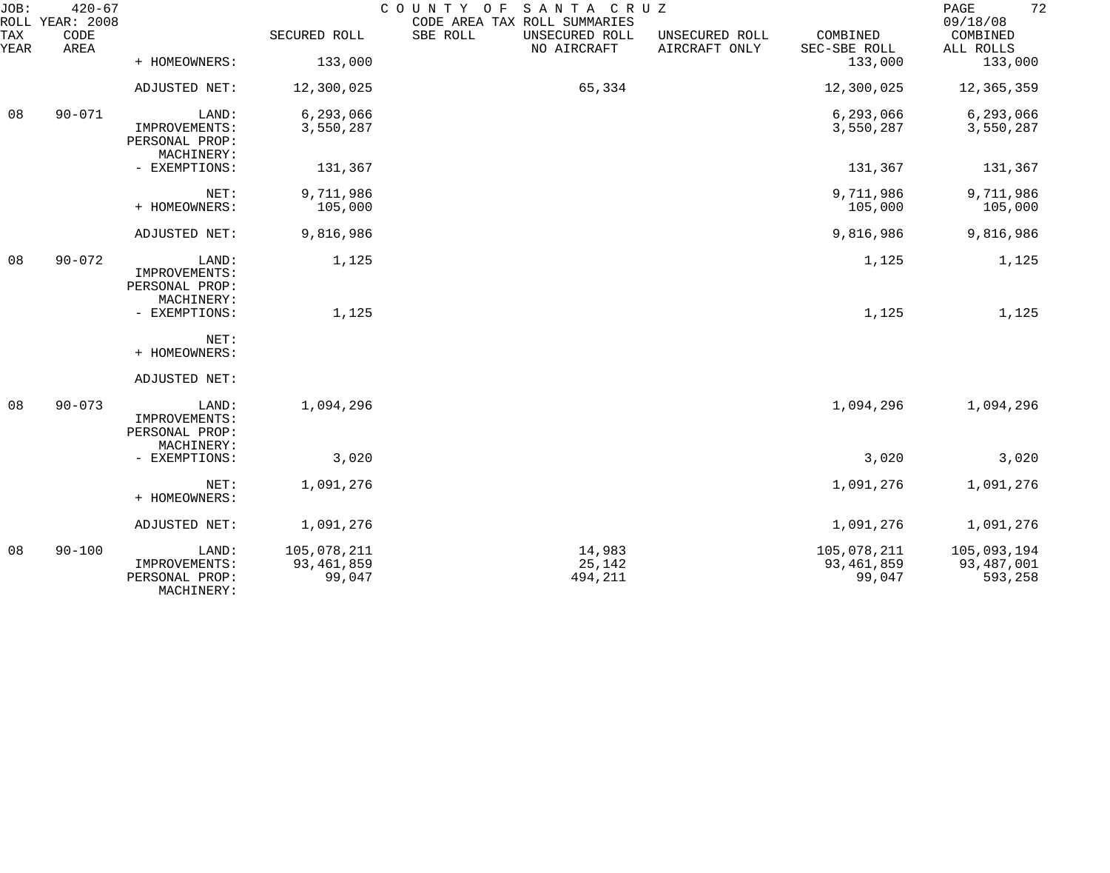| JOB:        | $420 - 67$<br>ROLL YEAR: 2008 |                                                        |                                       | SANTA CRUZ<br>COUNTY OF<br>CODE AREA TAX ROLL SUMMARIES |                                 |                                       | 72<br>PAGE<br>09/18/08               |
|-------------|-------------------------------|--------------------------------------------------------|---------------------------------------|---------------------------------------------------------|---------------------------------|---------------------------------------|--------------------------------------|
| TAX<br>YEAR | CODE<br>AREA                  |                                                        | SECURED ROLL                          | SBE ROLL<br>UNSECURED ROLL<br>NO AIRCRAFT               | UNSECURED ROLL<br>AIRCRAFT ONLY | COMBINED<br>SEC-SBE ROLL              | COMBINED<br>ALL ROLLS                |
|             |                               | + HOMEOWNERS:                                          | 133,000                               |                                                         |                                 | 133,000                               | 133,000                              |
|             |                               | ADJUSTED NET:                                          | 12,300,025                            | 65,334                                                  |                                 | 12,300,025                            | 12,365,359                           |
| 08          | $90 - 071$                    | LAND:                                                  | 6, 293, 066                           |                                                         |                                 | 6,293,066                             | 6,293,066                            |
|             |                               | IMPROVEMENTS:<br>PERSONAL PROP:<br>MACHINERY:          | 3,550,287                             |                                                         |                                 | 3,550,287                             | 3,550,287                            |
|             |                               | - EXEMPTIONS:                                          | 131,367                               |                                                         |                                 | 131,367                               | 131,367                              |
|             |                               | NET:<br>+ HOMEOWNERS:                                  | 9,711,986<br>105,000                  |                                                         |                                 | 9,711,986<br>105,000                  | 9,711,986<br>105,000                 |
|             |                               | ADJUSTED NET:                                          | 9,816,986                             |                                                         |                                 | 9,816,986                             | 9,816,986                            |
| 08          | $90 - 072$                    | LAND:<br>IMPROVEMENTS:<br>PERSONAL PROP:<br>MACHINERY: | 1,125                                 |                                                         |                                 | 1,125                                 | 1,125                                |
|             |                               | - EXEMPTIONS:                                          | 1,125                                 |                                                         |                                 | 1,125                                 | 1,125                                |
|             |                               | NET:<br>+ HOMEOWNERS:                                  |                                       |                                                         |                                 |                                       |                                      |
|             |                               | ADJUSTED NET:                                          |                                       |                                                         |                                 |                                       |                                      |
| 08          | $90 - 073$                    | LAND:<br>IMPROVEMENTS:<br>PERSONAL PROP:<br>MACHINERY: | 1,094,296                             |                                                         |                                 | 1,094,296                             | 1,094,296                            |
|             |                               | - EXEMPTIONS:                                          | 3,020                                 |                                                         |                                 | 3,020                                 | 3,020                                |
|             |                               | NET:<br>+ HOMEOWNERS:                                  | 1,091,276                             |                                                         |                                 | 1,091,276                             | 1,091,276                            |
|             |                               | ADJUSTED NET:                                          | 1,091,276                             |                                                         |                                 | 1,091,276                             | 1,091,276                            |
| 08          | $90 - 100$                    | LAND:<br>IMPROVEMENTS:<br>PERSONAL PROP:<br>MACHINERY: | 105,078,211<br>93, 461, 859<br>99,047 | 14,983<br>25,142<br>494,211                             |                                 | 105,078,211<br>93, 461, 859<br>99,047 | 105,093,194<br>93,487,001<br>593,258 |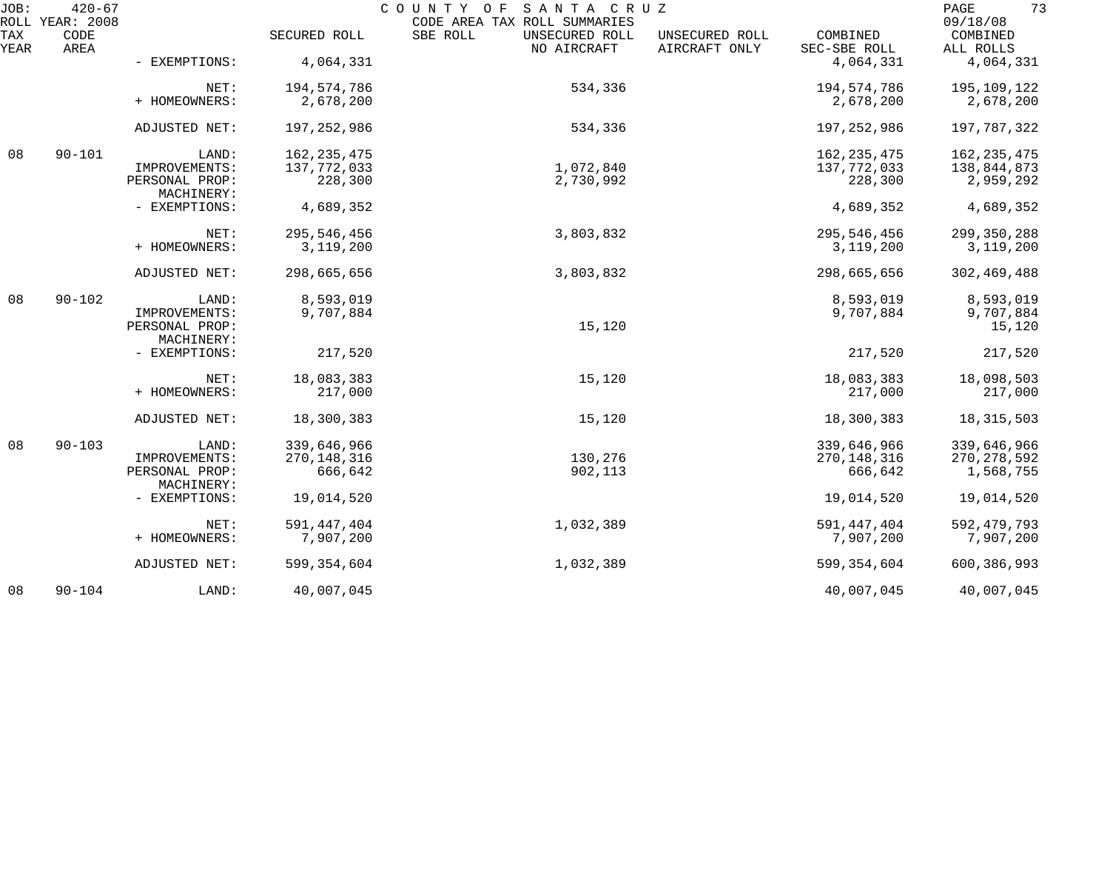| JOB:        | $420 - 67$<br>ROLL YEAR: 2008 |                              |               | COUNTY OF<br>SANTA CRUZ<br>CODE AREA TAX ROLL SUMMARIES |                                 |                          | 73<br>PAGE<br>09/18/08 |
|-------------|-------------------------------|------------------------------|---------------|---------------------------------------------------------|---------------------------------|--------------------------|------------------------|
| TAX<br>YEAR | CODE<br>AREA                  |                              | SECURED ROLL  | SBE ROLL<br>UNSECURED ROLL<br>NO AIRCRAFT               | UNSECURED ROLL<br>AIRCRAFT ONLY | COMBINED<br>SEC-SBE ROLL | COMBINED<br>ALL ROLLS  |
|             |                               | - EXEMPTIONS:                | 4,064,331     |                                                         |                                 | 4,064,331                | 4,064,331              |
|             |                               | NET:                         | 194,574,786   | 534,336                                                 |                                 | 194,574,786              | 195,109,122            |
|             |                               | + HOMEOWNERS:                | 2,678,200     |                                                         |                                 | 2,678,200                | 2,678,200              |
|             |                               | ADJUSTED NET:                | 197, 252, 986 | 534,336                                                 |                                 | 197,252,986              | 197,787,322            |
| 08          | $90 - 101$                    | LAND:                        | 162, 235, 475 |                                                         |                                 | 162, 235, 475            | 162, 235, 475          |
|             |                               | IMPROVEMENTS:                | 137, 772, 033 | 1,072,840                                               |                                 | 137,772,033              | 138,844,873            |
|             |                               | PERSONAL PROP:<br>MACHINERY: | 228,300       | 2,730,992                                               |                                 | 228,300                  | 2,959,292              |
|             |                               | - EXEMPTIONS:                | 4,689,352     |                                                         |                                 | 4,689,352                | 4,689,352              |
|             |                               | NET:                         | 295,546,456   | 3,803,832                                               |                                 | 295,546,456              | 299,350,288            |
|             |                               | + HOMEOWNERS:                | 3,119,200     |                                                         |                                 | 3,119,200                | 3, 119, 200            |
|             |                               | ADJUSTED NET:                | 298,665,656   | 3,803,832                                               |                                 | 298,665,656              | 302,469,488            |
| 08          | $90 - 102$                    | LAND:                        | 8,593,019     |                                                         |                                 | 8,593,019                | 8,593,019              |
|             |                               | IMPROVEMENTS:                | 9,707,884     |                                                         |                                 | 9,707,884                | 9,707,884              |
|             |                               | PERSONAL PROP:               |               | 15,120                                                  |                                 |                          | 15,120                 |
|             |                               | MACHINERY:                   |               |                                                         |                                 |                          |                        |
|             |                               | - EXEMPTIONS:                | 217,520       |                                                         |                                 | 217,520                  | 217,520                |
|             |                               | NET:                         | 18,083,383    | 15,120                                                  |                                 | 18,083,383               | 18,098,503             |
|             |                               | + HOMEOWNERS:                | 217,000       |                                                         |                                 | 217,000                  | 217,000                |
|             |                               | ADJUSTED NET:                | 18,300,383    | 15,120                                                  |                                 | 18,300,383               | 18, 315, 503           |
| 08          | $90 - 103$                    | LAND:                        | 339,646,966   |                                                         |                                 | 339,646,966              | 339,646,966            |
|             |                               | IMPROVEMENTS:                | 270, 148, 316 | 130,276                                                 |                                 | 270, 148, 316            | 270, 278, 592          |
|             |                               | PERSONAL PROP:               | 666,642       | 902,113                                                 |                                 | 666,642                  | 1,568,755              |
|             |                               | MACHINERY:                   |               |                                                         |                                 |                          |                        |
|             |                               | - EXEMPTIONS:                | 19,014,520    |                                                         |                                 | 19,014,520               | 19,014,520             |
|             |                               | NET:                         | 591, 447, 404 | 1,032,389                                               |                                 | 591, 447, 404            | 592, 479, 793          |
|             |                               | + HOMEOWNERS:                | 7,907,200     |                                                         |                                 | 7,907,200                | 7,907,200              |
|             |                               | ADJUSTED NET:                | 599, 354, 604 | 1,032,389                                               |                                 | 599, 354, 604            | 600,386,993            |
| 08          | $90 - 104$                    | LAND:                        | 40,007,045    |                                                         |                                 | 40,007,045               | 40,007,045             |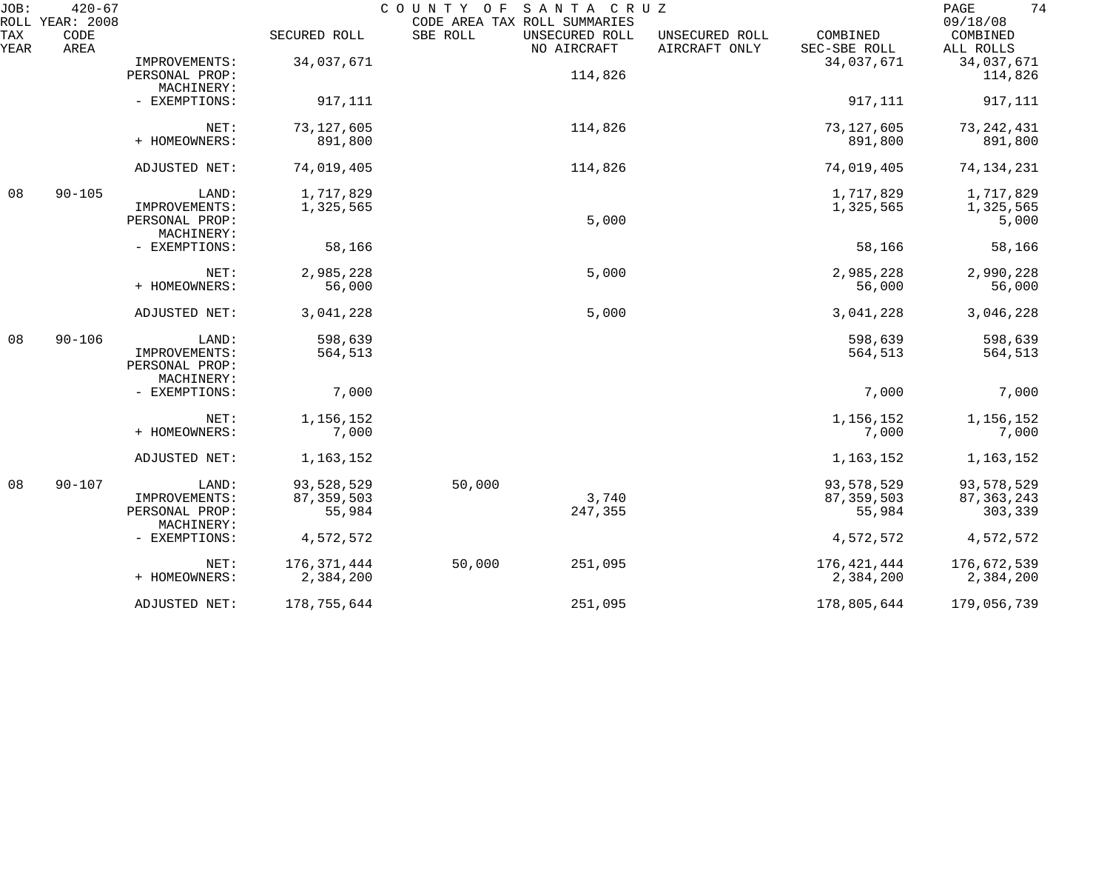| JOB:        | $420 - 67$<br>ROLL YEAR: 2008 |                                                        |                                      | COUNTY OF<br>CODE AREA TAX ROLL SUMMARIES | SANTA CRUZ                    |                                 |                                      | 74<br>PAGE<br>09/18/08                |
|-------------|-------------------------------|--------------------------------------------------------|--------------------------------------|-------------------------------------------|-------------------------------|---------------------------------|--------------------------------------|---------------------------------------|
| TAX<br>YEAR | CODE<br>AREA                  |                                                        | SECURED ROLL                         | SBE ROLL                                  | UNSECURED ROLL<br>NO AIRCRAFT | UNSECURED ROLL<br>AIRCRAFT ONLY | COMBINED<br>SEC-SBE ROLL             | COMBINED<br>ALL ROLLS                 |
|             |                               | IMPROVEMENTS:<br>PERSONAL PROP:                        | 34,037,671                           |                                           | 114,826                       |                                 | 34,037,671                           | 34,037,671<br>114,826                 |
|             |                               | MACHINERY:<br>- EXEMPTIONS:                            | 917,111                              |                                           |                               |                                 | 917,111                              | 917,111                               |
|             |                               | NET:<br>+ HOMEOWNERS:                                  | 73, 127, 605<br>891,800              |                                           | 114,826                       |                                 | 73, 127, 605<br>891,800              | 73, 242, 431<br>891,800               |
|             |                               | ADJUSTED NET:                                          | 74,019,405                           |                                           | 114,826                       |                                 | 74,019,405                           | 74, 134, 231                          |
| 08          | $90 - 105$                    | LAND:<br>IMPROVEMENTS:<br>PERSONAL PROP:               | 1,717,829<br>1,325,565               |                                           | 5,000                         |                                 | 1,717,829<br>1,325,565               | 1,717,829<br>1,325,565<br>5,000       |
|             |                               | MACHINERY:<br>- EXEMPTIONS:                            | 58,166                               |                                           |                               |                                 | 58,166                               | 58,166                                |
|             |                               | NET:<br>+ HOMEOWNERS:                                  | 2,985,228<br>56,000                  |                                           | 5,000                         |                                 | 2,985,228<br>56,000                  | 2,990,228<br>56,000                   |
|             |                               | ADJUSTED NET:                                          | 3,041,228                            |                                           | 5,000                         |                                 | 3,041,228                            | 3,046,228                             |
| 08          | $90 - 106$                    | LAND:<br>IMPROVEMENTS:<br>PERSONAL PROP:               | 598,639<br>564,513                   |                                           |                               |                                 | 598,639<br>564,513                   | 598,639<br>564,513                    |
|             |                               | MACHINERY:<br>- EXEMPTIONS:                            | 7,000                                |                                           |                               |                                 | 7,000                                | 7,000                                 |
|             |                               | NET:<br>+ HOMEOWNERS:                                  | 1,156,152<br>7,000                   |                                           |                               |                                 | 1,156,152<br>7,000                   | 1,156,152<br>7,000                    |
|             |                               | ADJUSTED NET:                                          | 1,163,152                            |                                           |                               |                                 | 1,163,152                            | 1,163,152                             |
| 08          | $90 - 107$                    | LAND:<br>IMPROVEMENTS:<br>PERSONAL PROP:<br>MACHINERY: | 93,528,529<br>87, 359, 503<br>55,984 | 50,000                                    | 3,740<br>247,355              |                                 | 93,578,529<br>87, 359, 503<br>55,984 | 93,578,529<br>87, 363, 243<br>303,339 |
|             |                               | - EXEMPTIONS:                                          | 4,572,572                            |                                           |                               |                                 | 4,572,572                            | 4,572,572                             |
|             |                               | NET:<br>+ HOMEOWNERS:                                  | 176,371,444<br>2,384,200             | 50,000                                    | 251,095                       |                                 | 176,421,444<br>2,384,200             | 176,672,539<br>2,384,200              |
|             |                               | ADJUSTED NET:                                          | 178,755,644                          |                                           | 251,095                       |                                 | 178,805,644                          | 179,056,739                           |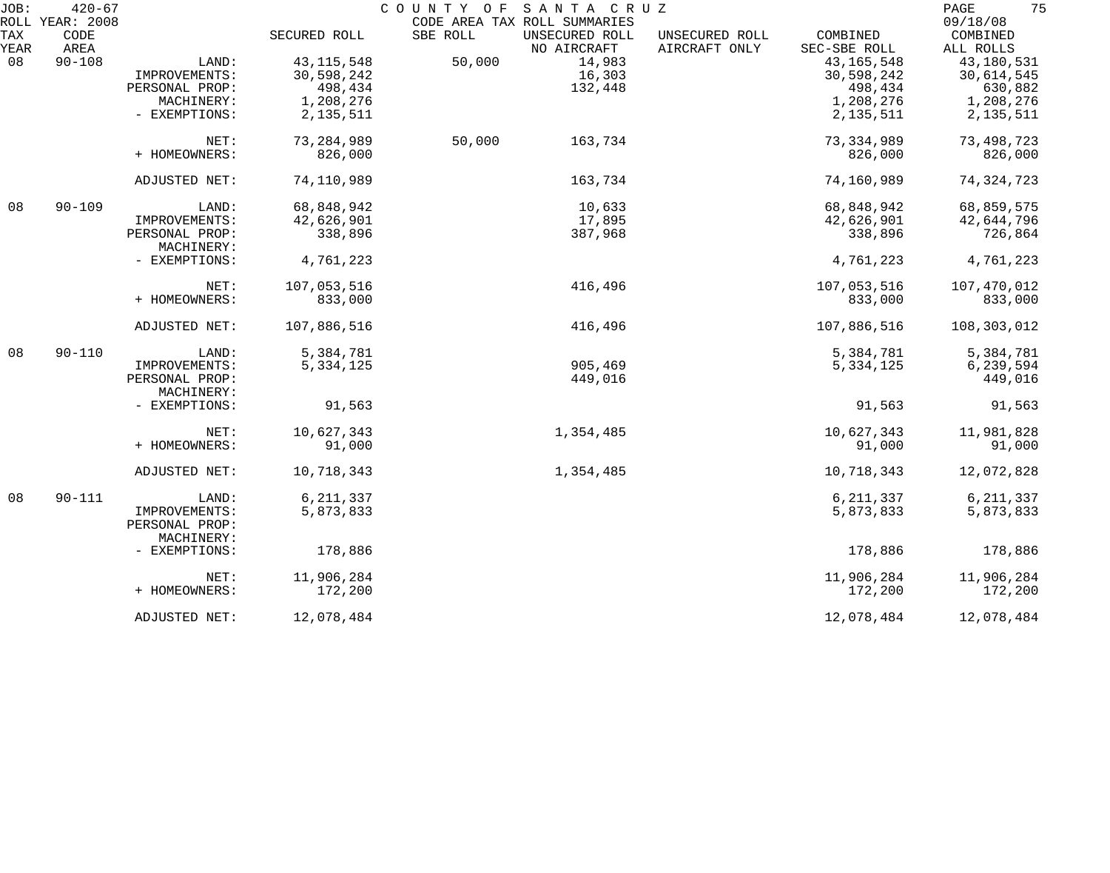| JOB: | $420 - 67$<br>ROLL YEAR: 2008 |                |              | COUNTY OF | SANTA CRUZ<br>CODE AREA TAX ROLL SUMMARIES |                |                              | 75<br>PAGE<br>09/18/08 |
|------|-------------------------------|----------------|--------------|-----------|--------------------------------------------|----------------|------------------------------|------------------------|
| TAX  | CODE                          |                | SECURED ROLL | SBE ROLL  | UNSECURED ROLL                             | UNSECURED ROLL | COMBINED                     | COMBINED               |
| YEAR | AREA<br>$90 - 108$            |                |              | 50,000    | NO AIRCRAFT<br>14,983                      | AIRCRAFT ONLY  | SEC-SBE ROLL<br>43, 165, 548 | ALL ROLLS              |
| 08   |                               | LAND:          | 43, 115, 548 |           |                                            |                |                              | 43,180,531             |
|      |                               | IMPROVEMENTS:  | 30,598,242   |           | 16,303                                     |                | 30,598,242                   | 30,614,545             |
|      |                               | PERSONAL PROP: | 498,434      |           | 132,448                                    |                | 498,434                      | 630,882                |
|      |                               | MACHINERY:     | 1,208,276    |           |                                            |                | 1,208,276                    | 1,208,276              |
|      |                               | - EXEMPTIONS:  | 2, 135, 511  |           |                                            |                | 2, 135, 511                  | 2, 135, 511            |
|      |                               | NET:           | 73, 284, 989 | 50,000    | 163,734                                    |                | 73, 334, 989                 | 73,498,723             |
|      |                               | + HOMEOWNERS:  | 826,000      |           |                                            |                | 826,000                      | 826,000                |
|      |                               | ADJUSTED NET:  | 74,110,989   |           | 163,734                                    |                | 74,160,989                   | 74, 324, 723           |
| 08   | $90 - 109$                    | LAND:          | 68,848,942   |           | 10,633                                     |                | 68,848,942                   | 68,859,575             |
|      |                               | IMPROVEMENTS:  | 42,626,901   |           | 17,895                                     |                | 42,626,901                   | 42,644,796             |
|      |                               | PERSONAL PROP: | 338,896      |           | 387,968                                    |                | 338,896                      | 726,864                |
|      |                               | MACHINERY:     |              |           |                                            |                |                              |                        |
|      |                               | - EXEMPTIONS:  | 4,761,223    |           |                                            |                | 4,761,223                    | 4,761,223              |
|      |                               | NET:           | 107,053,516  |           | 416,496                                    |                | 107,053,516                  | 107,470,012            |
|      |                               | + HOMEOWNERS:  | 833,000      |           |                                            |                | 833,000                      | 833,000                |
|      |                               | ADJUSTED NET:  | 107,886,516  |           | 416,496                                    |                | 107,886,516                  | 108,303,012            |
| 08   | $90 - 110$                    | LAND:          | 5,384,781    |           |                                            |                | 5,384,781                    | 5,384,781              |
|      |                               | IMPROVEMENTS:  | 5,334,125    |           | 905,469                                    |                | 5,334,125                    | 6,239,594              |
|      |                               | PERSONAL PROP: |              |           | 449,016                                    |                |                              | 449,016                |
|      |                               | MACHINERY:     |              |           |                                            |                |                              |                        |
|      |                               | - EXEMPTIONS:  | 91,563       |           |                                            |                | 91,563                       | 91,563                 |
|      |                               | NET:           | 10,627,343   |           | 1,354,485                                  |                | 10,627,343                   | 11,981,828             |
|      |                               | + HOMEOWNERS:  | 91,000       |           |                                            |                | 91,000                       | 91,000                 |
|      |                               | ADJUSTED NET:  | 10,718,343   |           | 1,354,485                                  |                | 10,718,343                   | 12,072,828             |
| 08   | $90 - 111$                    | LAND:          | 6, 211, 337  |           |                                            |                | 6, 211, 337                  | 6, 211, 337            |
|      |                               | IMPROVEMENTS:  | 5,873,833    |           |                                            |                | 5,873,833                    | 5,873,833              |
|      |                               | PERSONAL PROP: |              |           |                                            |                |                              |                        |
|      |                               | MACHINERY:     |              |           |                                            |                |                              |                        |
|      |                               | - EXEMPTIONS:  | 178,886      |           |                                            |                | 178,886                      | 178,886                |
|      |                               | NET:           | 11,906,284   |           |                                            |                | 11,906,284                   | 11,906,284             |
|      |                               | + HOMEOWNERS:  | 172,200      |           |                                            |                | 172,200                      | 172,200                |
|      |                               | ADJUSTED NET:  | 12,078,484   |           |                                            |                | 12,078,484                   | 12,078,484             |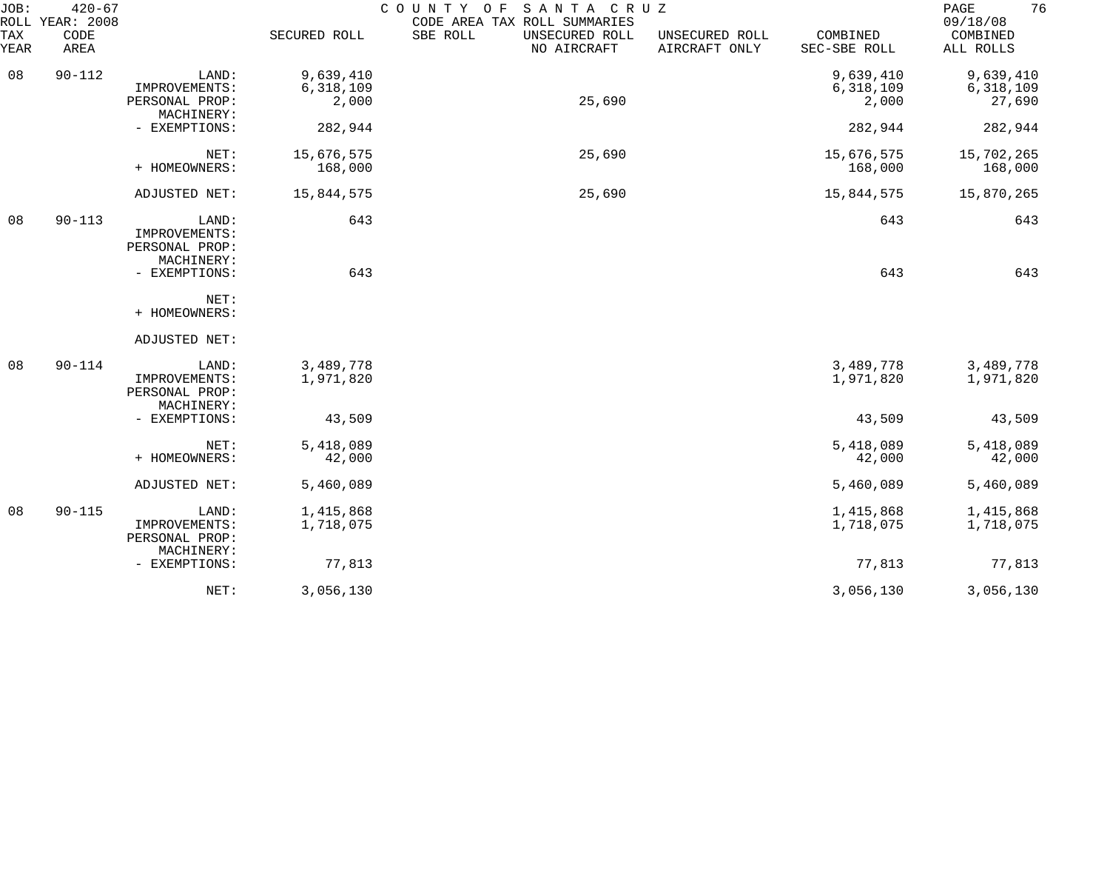| JOB:<br>ROLL       | $420 - 67$<br>YEAR: 2008 |                                                        |                                 | COUNTY OF SANTA CRUZ<br>CODE AREA TAX ROLL SUMMARIES |                                 |                                 | 76<br>PAGE<br>09/18/08           |
|--------------------|--------------------------|--------------------------------------------------------|---------------------------------|------------------------------------------------------|---------------------------------|---------------------------------|----------------------------------|
| <b>TAX</b><br>YEAR | CODE<br>AREA             |                                                        | SECURED ROLL                    | SBE ROLL<br>UNSECURED ROLL<br>NO AIRCRAFT            | UNSECURED ROLL<br>AIRCRAFT ONLY | COMBINED<br>SEC-SBE ROLL        | COMBINED<br>ALL ROLLS            |
| 08                 | $90 - 112$               | LAND:<br>IMPROVEMENTS:<br>PERSONAL PROP:               | 9,639,410<br>6,318,109<br>2,000 | 25,690                                               |                                 | 9,639,410<br>6,318,109<br>2,000 | 9,639,410<br>6,318,109<br>27,690 |
|                    |                          | MACHINERY:<br>- EXEMPTIONS:                            | 282,944                         |                                                      |                                 | 282,944                         | 282,944                          |
|                    |                          | NET:<br>+ HOMEOWNERS:                                  | 15,676,575<br>168,000           | 25,690                                               |                                 | 15,676,575<br>168,000           | 15,702,265<br>168,000            |
|                    |                          | ADJUSTED NET:                                          | 15,844,575                      | 25,690                                               |                                 | 15,844,575                      | 15,870,265                       |
| 08                 | $90 - 113$               | LAND:<br>IMPROVEMENTS:<br>PERSONAL PROP:<br>MACHINERY: | 643                             |                                                      |                                 | 643                             | 643                              |
|                    |                          | - EXEMPTIONS:                                          | 643                             |                                                      |                                 | 643                             | 643                              |
|                    |                          | NET:<br>+ HOMEOWNERS:                                  |                                 |                                                      |                                 |                                 |                                  |
|                    |                          | ADJUSTED NET:                                          |                                 |                                                      |                                 |                                 |                                  |
| 08                 | $90 - 114$               | LAND:<br>IMPROVEMENTS:<br>PERSONAL PROP:<br>MACHINERY: | 3,489,778<br>1,971,820          |                                                      |                                 | 3,489,778<br>1,971,820          | 3,489,778<br>1,971,820           |
|                    |                          | - EXEMPTIONS:                                          | 43,509                          |                                                      |                                 | 43,509                          | 43,509                           |
|                    |                          | NET:<br>+ HOMEOWNERS:                                  | 5,418,089<br>42,000             |                                                      |                                 | 5,418,089<br>42,000             | 5,418,089<br>42,000              |
|                    |                          | ADJUSTED NET:                                          | 5,460,089                       |                                                      |                                 | 5,460,089                       | 5,460,089                        |
| 08                 | $90 - 115$               | LAND:<br>IMPROVEMENTS:<br>PERSONAL PROP:<br>MACHINERY: | 1,415,868<br>1,718,075          |                                                      |                                 | 1,415,868<br>1,718,075          | 1,415,868<br>1,718,075           |
|                    |                          | - EXEMPTIONS:                                          | 77,813                          |                                                      |                                 | 77,813                          | 77,813                           |
|                    |                          | NET:                                                   | 3,056,130                       |                                                      |                                 | 3,056,130                       | 3,056,130                        |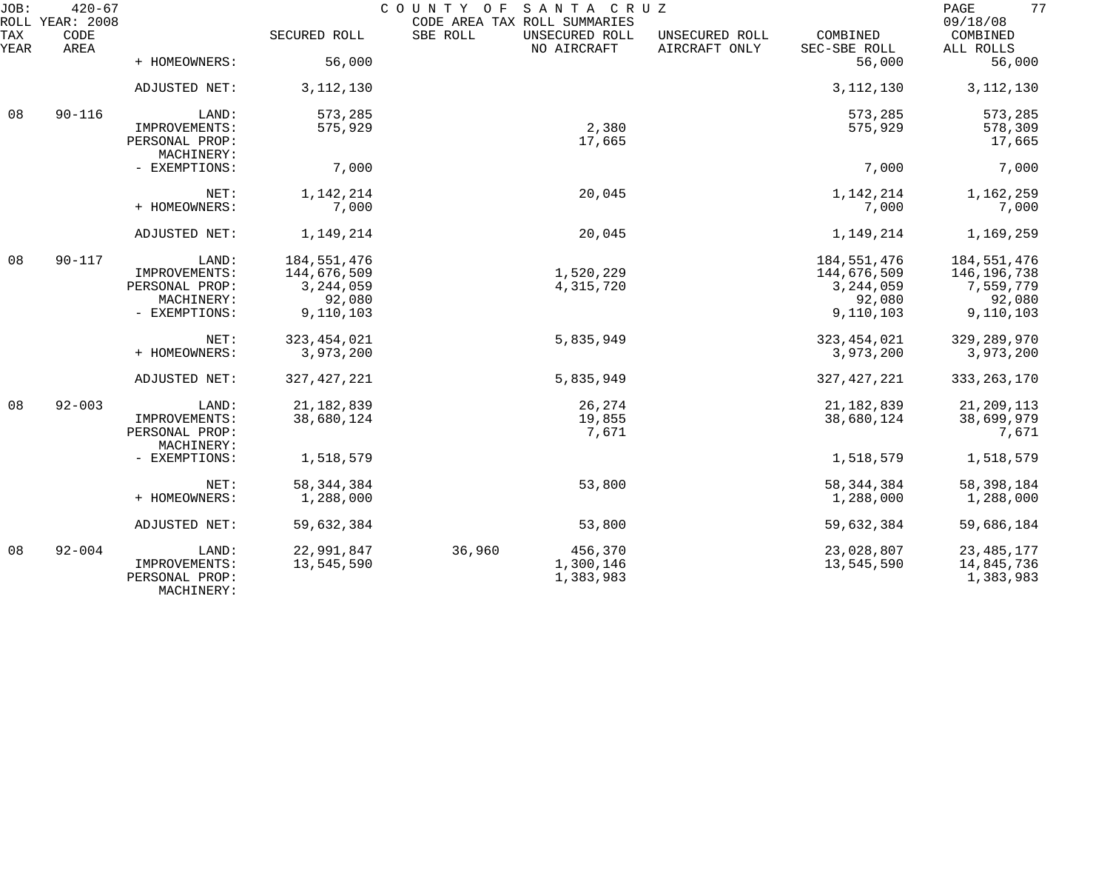| JOB:        | $420 - 67$<br>ROLL YEAR: 2008 |                                               |               | COUNTY OF<br>SANTA CRUZ<br>CODE AREA TAX ROLL SUMMARIES |                                 |                          | 77<br>PAGE<br>09/18/08 |
|-------------|-------------------------------|-----------------------------------------------|---------------|---------------------------------------------------------|---------------------------------|--------------------------|------------------------|
| TAX<br>YEAR | CODE<br>AREA                  |                                               | SECURED ROLL  | SBE ROLL<br>UNSECURED ROLL<br>NO AIRCRAFT               | UNSECURED ROLL<br>AIRCRAFT ONLY | COMBINED<br>SEC-SBE ROLL | COMBINED<br>ALL ROLLS  |
|             |                               | + HOMEOWNERS:                                 | 56,000        |                                                         |                                 | 56,000                   | 56,000                 |
|             |                               | ADJUSTED NET:                                 | 3, 112, 130   |                                                         |                                 | 3, 112, 130              | 3, 112, 130            |
| 08          | $90 - 116$                    | LAND:                                         | 573,285       |                                                         |                                 | 573,285                  | 573,285                |
|             |                               | IMPROVEMENTS:<br>PERSONAL PROP:<br>MACHINERY: | 575,929       | 2,380<br>17,665                                         |                                 | 575,929                  | 578,309<br>17,665      |
|             |                               | - EXEMPTIONS:                                 | 7,000         |                                                         |                                 | 7,000                    | 7,000                  |
|             |                               | NET:                                          | 1,142,214     | 20,045                                                  |                                 | 1,142,214                | 1,162,259              |
|             |                               | + HOMEOWNERS:                                 | 7,000         |                                                         |                                 | 7,000                    | 7,000                  |
|             |                               | ADJUSTED NET:                                 | 1,149,214     | 20,045                                                  |                                 | 1,149,214                | 1,169,259              |
| 08          | $90 - 117$                    | LAND:                                         | 184, 551, 476 |                                                         |                                 | 184,551,476              | 184, 551, 476          |
|             |                               | IMPROVEMENTS:                                 | 144,676,509   | 1,520,229                                               |                                 | 144,676,509              | 146,196,738            |
|             |                               | PERSONAL PROP:                                | 3, 244, 059   | 4,315,720                                               |                                 | 3, 244, 059              | 7,559,779              |
|             |                               | MACHINERY:                                    | 92,080        |                                                         |                                 | 92,080                   | 92,080                 |
|             |                               | - EXEMPTIONS:                                 | 9,110,103     |                                                         |                                 | 9,110,103                | 9,110,103              |
|             |                               | NET:                                          | 323, 454, 021 | 5,835,949                                               |                                 | 323, 454, 021            | 329, 289, 970          |
|             |                               | + HOMEOWNERS:                                 | 3,973,200     |                                                         |                                 | 3,973,200                | 3,973,200              |
|             |                               | ADJUSTED NET:                                 | 327, 427, 221 | 5,835,949                                               |                                 | 327, 427, 221            | 333, 263, 170          |
| 08          | $92 - 003$                    | LAND:                                         | 21, 182, 839  | 26,274                                                  |                                 | 21, 182, 839             | 21,209,113             |
|             |                               | IMPROVEMENTS:                                 | 38,680,124    | 19,855                                                  |                                 | 38,680,124               | 38,699,979             |
|             |                               | PERSONAL PROP:                                |               | 7,671                                                   |                                 |                          | 7,671                  |
|             |                               | MACHINERY:<br>- EXEMPTIONS:                   | 1,518,579     |                                                         |                                 | 1,518,579                | 1,518,579              |
|             |                               |                                               |               |                                                         |                                 |                          |                        |
|             |                               | NET:                                          | 58, 344, 384  | 53,800                                                  |                                 | 58, 344, 384             | 58,398,184             |
|             |                               | + HOMEOWNERS:                                 | 1,288,000     |                                                         |                                 | 1,288,000                | 1,288,000              |
|             |                               | ADJUSTED NET:                                 | 59,632,384    | 53,800                                                  |                                 | 59,632,384               | 59,686,184             |
| 08          | $92 - 004$                    | LAND:                                         | 22,991,847    | 36,960<br>456,370                                       |                                 | 23,028,807               | 23, 485, 177           |
|             |                               | IMPROVEMENTS:                                 | 13,545,590    | 1,300,146                                               |                                 | 13,545,590               | 14,845,736             |
|             |                               | PERSONAL PROP:<br>MACHINERY:                  |               | 1,383,983                                               |                                 |                          | 1,383,983              |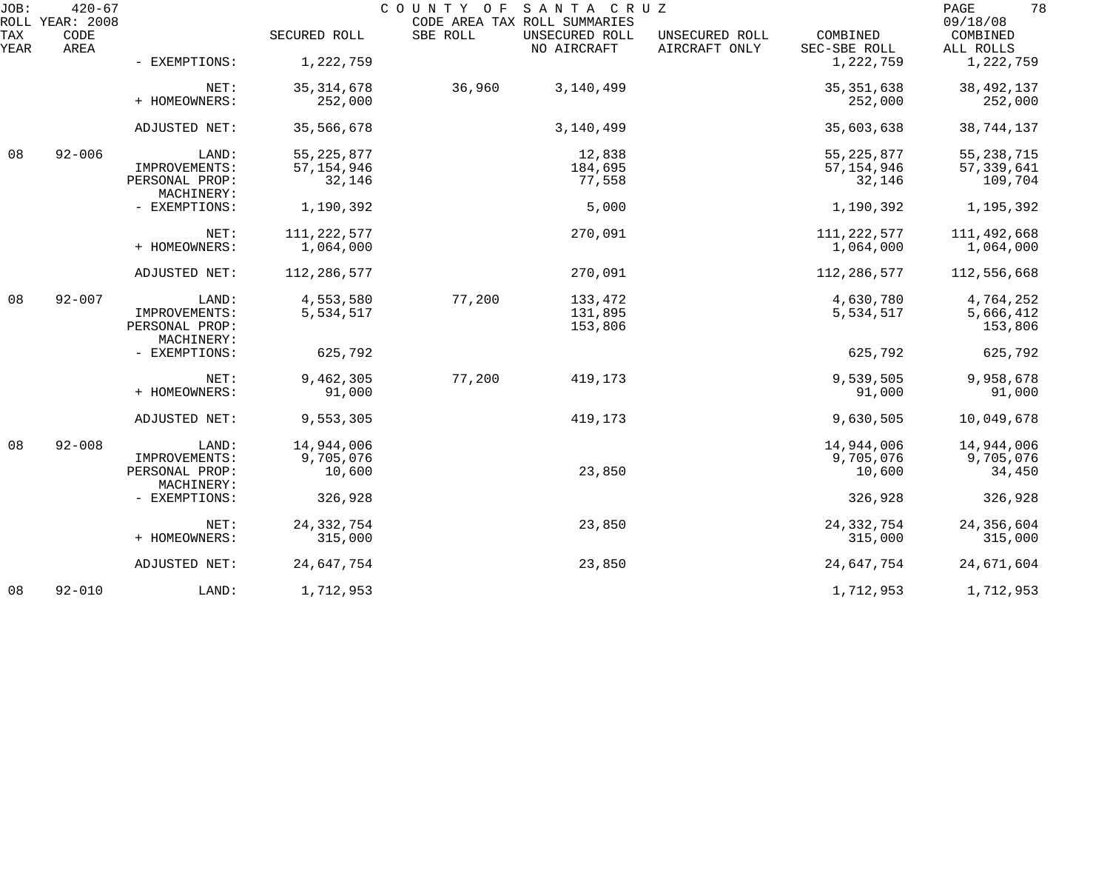| JOB:        | $420 - 67$<br>ROLL YEAR: 2008 |                              |               | COUNTY OF SANTA CRUZ | CODE AREA TAX ROLL SUMMARIES  |                                 |                          | 78<br>PAGE<br>09/18/08 |
|-------------|-------------------------------|------------------------------|---------------|----------------------|-------------------------------|---------------------------------|--------------------------|------------------------|
| TAX<br>YEAR | CODE<br>AREA                  |                              | SECURED ROLL  | SBE ROLL             | UNSECURED ROLL<br>NO AIRCRAFT | UNSECURED ROLL<br>AIRCRAFT ONLY | COMBINED<br>SEC-SBE ROLL | COMBINED<br>ALL ROLLS  |
|             |                               | - EXEMPTIONS:                | 1,222,759     |                      |                               |                                 | 1,222,759                | 1,222,759              |
|             |                               | NET:                         | 35, 314, 678  | 36,960               | 3,140,499                     |                                 | 35, 351, 638             | 38, 492, 137           |
|             |                               | + HOMEOWNERS:                | 252,000       |                      |                               |                                 | 252,000                  | 252,000                |
|             |                               | ADJUSTED NET:                | 35,566,678    |                      | 3,140,499                     |                                 | 35,603,638               | 38,744,137             |
| 08          | $92 - 006$                    | LAND:                        | 55, 225, 877  |                      | 12,838                        |                                 | 55, 225, 877             | 55, 238, 715           |
|             |                               | IMPROVEMENTS:                | 57, 154, 946  |                      | 184,695                       |                                 | 57, 154, 946             | 57, 339, 641           |
|             |                               | PERSONAL PROP:<br>MACHINERY: | 32,146        |                      | 77,558                        |                                 | 32,146                   | 109,704                |
|             |                               | - EXEMPTIONS:                | 1,190,392     |                      | 5,000                         |                                 | 1,190,392                | 1,195,392              |
|             |                               | NET:                         | 111, 222, 577 |                      | 270,091                       |                                 | 111, 222, 577            | 111,492,668            |
|             |                               | + HOMEOWNERS:                | 1,064,000     |                      |                               |                                 | 1,064,000                | 1,064,000              |
|             |                               |                              |               |                      |                               |                                 |                          |                        |
|             |                               | ADJUSTED NET:                | 112,286,577   |                      | 270,091                       |                                 | 112,286,577              | 112,556,668            |
| 08          | $92 - 007$                    | LAND:                        | 4,553,580     | 77,200               | 133,472                       |                                 | 4,630,780                | 4,764,252              |
|             |                               | IMPROVEMENTS:                | 5,534,517     |                      | 131,895                       |                                 | 5,534,517                | 5,666,412              |
|             |                               | PERSONAL PROP:               |               |                      | 153,806                       |                                 |                          | 153,806                |
|             |                               | MACHINERY:                   |               |                      |                               |                                 |                          |                        |
|             |                               | - EXEMPTIONS:                | 625,792       |                      |                               |                                 | 625,792                  | 625,792                |
|             |                               |                              |               |                      |                               |                                 |                          |                        |
|             |                               | NET:                         | 9,462,305     | 77,200               | 419,173                       |                                 | 9,539,505                | 9,958,678              |
|             |                               | + HOMEOWNERS:                | 91,000        |                      |                               |                                 | 91,000                   | 91,000                 |
|             |                               | ADJUSTED NET:                | 9,553,305     |                      | 419,173                       |                                 | 9,630,505                | 10,049,678             |
| 08          | $92 - 008$                    | LAND:                        | 14,944,006    |                      |                               |                                 | 14,944,006               | 14,944,006             |
|             |                               | IMPROVEMENTS:                | 9,705,076     |                      |                               |                                 | 9,705,076                | 9,705,076              |
|             |                               | PERSONAL PROP:               | 10,600        |                      | 23,850                        |                                 | 10,600                   | 34,450                 |
|             |                               | MACHINERY:                   |               |                      |                               |                                 |                          |                        |
|             |                               | - EXEMPTIONS:                | 326,928       |                      |                               |                                 | 326,928                  | 326,928                |
|             |                               | NET:                         | 24, 332, 754  |                      | 23,850                        |                                 | 24, 332, 754             | 24,356,604             |
|             |                               | + HOMEOWNERS:                | 315,000       |                      |                               |                                 | 315,000                  | 315,000                |
|             |                               | ADJUSTED NET:                | 24,647,754    |                      | 23,850                        |                                 | 24,647,754               | 24,671,604             |
| 08          | $92 - 010$                    | LAND:                        | 1,712,953     |                      |                               |                                 | 1,712,953                | 1,712,953              |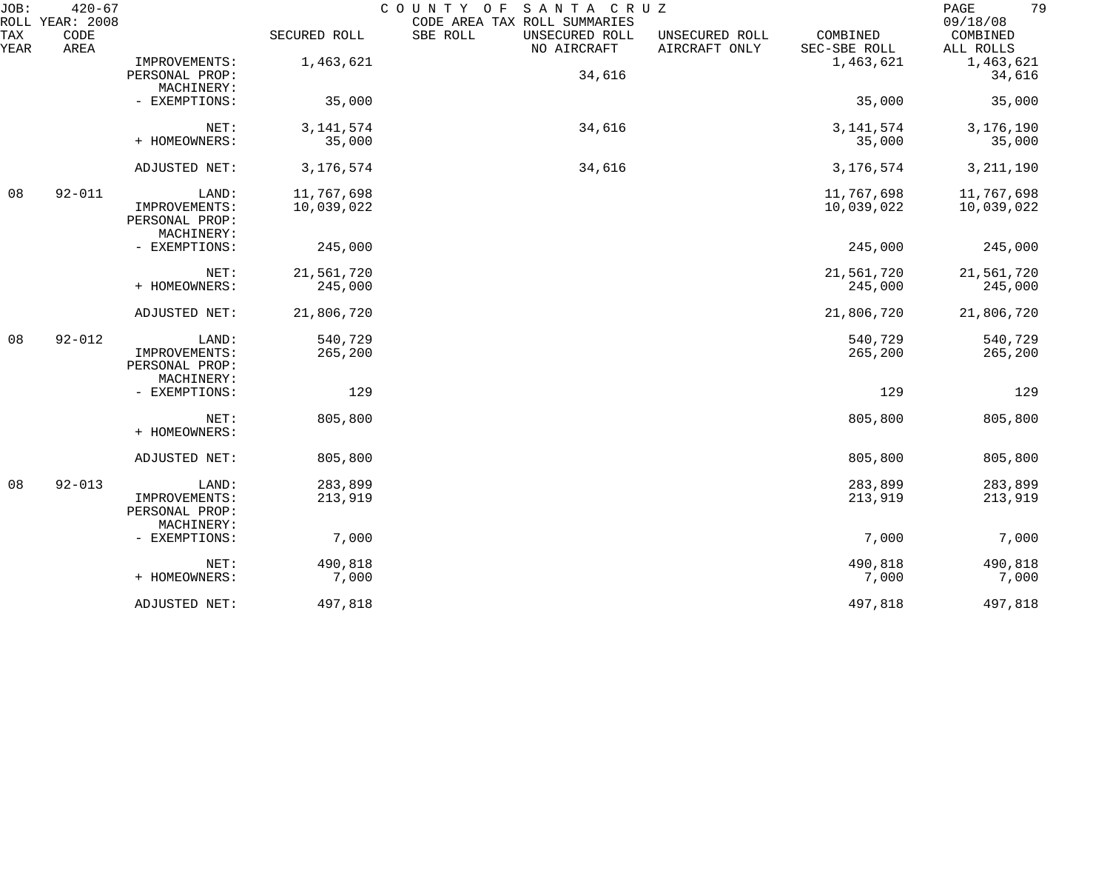| JOB:        | $420 - 67$<br>ROLL YEAR: 2008 |                                                        |                          | COUNTY OF<br>SANTA CRUZ<br>CODE AREA TAX ROLL SUMMARIES |                                                             | 79<br>$\mathop{\mathrm{PAGE}}$<br>09/18/08 |
|-------------|-------------------------------|--------------------------------------------------------|--------------------------|---------------------------------------------------------|-------------------------------------------------------------|--------------------------------------------|
| TAX<br>YEAR | CODE<br>AREA                  |                                                        | SECURED ROLL             | SBE ROLL<br>UNSECURED ROLL<br>NO AIRCRAFT               | COMBINED<br>UNSECURED ROLL<br>AIRCRAFT ONLY<br>SEC-SBE ROLL | COMBINED<br>ALL ROLLS                      |
|             |                               | IMPROVEMENTS:<br>PERSONAL PROP:<br>MACHINERY:          | 1,463,621                | 34,616                                                  | 1,463,621                                                   | 1,463,621<br>34,616                        |
|             |                               | - EXEMPTIONS:                                          | 35,000                   |                                                         | 35,000                                                      | 35,000                                     |
|             |                               | NET:<br>+ HOMEOWNERS:                                  | 3, 141, 574<br>35,000    | 34,616                                                  | 3, 141, 574<br>35,000                                       | 3,176,190<br>35,000                        |
|             |                               | ADJUSTED NET:                                          | 3,176,574                | 34,616                                                  | 3, 176, 574                                                 | 3, 211, 190                                |
| 08          | $92 - 011$                    | LAND:<br>IMPROVEMENTS:<br>PERSONAL PROP:<br>MACHINERY: | 11,767,698<br>10,039,022 |                                                         | 11,767,698<br>10,039,022                                    | 11,767,698<br>10,039,022                   |
|             |                               | - EXEMPTIONS:                                          | 245,000                  |                                                         | 245,000                                                     | 245,000                                    |
|             |                               | NET:<br>+ HOMEOWNERS:                                  | 21,561,720<br>245,000    |                                                         | 21,561,720<br>245,000                                       | 21,561,720<br>245,000                      |
|             |                               | ADJUSTED NET:                                          | 21,806,720               |                                                         | 21,806,720                                                  | 21,806,720                                 |
| 08          | $92 - 012$                    | LAND:<br>IMPROVEMENTS:<br>PERSONAL PROP:<br>MACHINERY: | 540,729<br>265,200       |                                                         | 540,729<br>265,200                                          | 540,729<br>265,200                         |
|             |                               | - EXEMPTIONS:                                          | 129                      |                                                         | 129                                                         | 129                                        |
|             |                               | NET:<br>+ HOMEOWNERS:                                  | 805,800                  |                                                         | 805,800                                                     | 805,800                                    |
|             |                               | ADJUSTED NET:                                          | 805,800                  |                                                         | 805,800                                                     | 805,800                                    |
| 08          | $92 - 013$                    | LAND:<br>IMPROVEMENTS:<br>PERSONAL PROP:<br>MACHINERY: | 283,899<br>213,919       |                                                         | 283,899<br>213,919                                          | 283,899<br>213,919                         |
|             |                               | - EXEMPTIONS:                                          | 7,000                    |                                                         | 7,000                                                       | 7,000                                      |
|             |                               | NET:<br>+ HOMEOWNERS:                                  | 490,818<br>7,000         |                                                         | 490,818<br>7,000                                            | 490,818<br>7,000                           |
|             |                               | ADJUSTED NET:                                          | 497,818                  |                                                         | 497,818                                                     | 497,818                                    |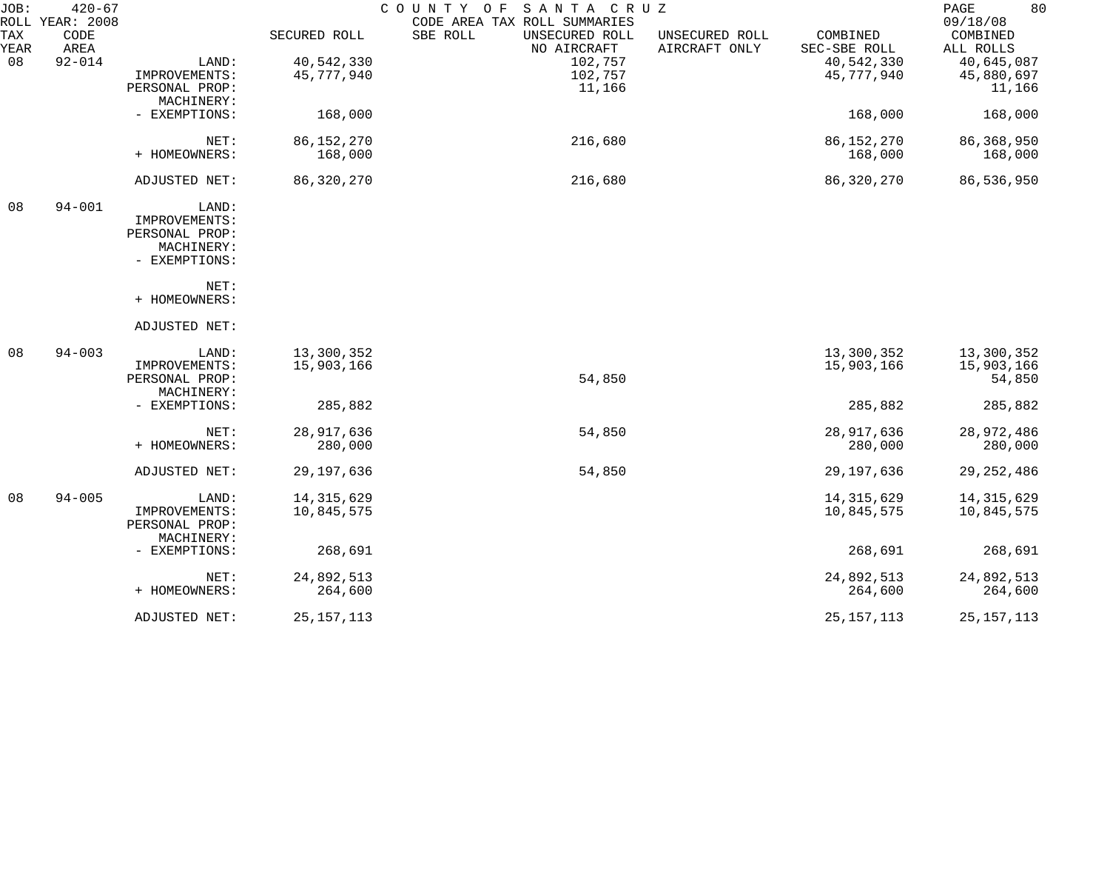| JOB:        | $420 - 67$<br>ROLL YEAR: 2008 |                |              | COUNTY OF<br>SANTA CRUZ<br>CODE AREA TAX ROLL SUMMARIES |                                                             | 80<br>PAGE<br>09/18/08 |
|-------------|-------------------------------|----------------|--------------|---------------------------------------------------------|-------------------------------------------------------------|------------------------|
| TAX<br>YEAR | CODE<br>AREA                  |                | SECURED ROLL | SBE ROLL<br>UNSECURED ROLL<br>NO AIRCRAFT               | COMBINED<br>UNSECURED ROLL<br>AIRCRAFT ONLY<br>SEC-SBE ROLL | COMBINED<br>ALL ROLLS  |
| 08          | $92 - 014$                    | LAND:          | 40,542,330   | 102,757                                                 | 40,542,330                                                  | 40,645,087             |
|             |                               | IMPROVEMENTS:  | 45,777,940   | 102,757                                                 | 45,777,940                                                  | 45,880,697             |
|             |                               | PERSONAL PROP: |              | 11,166                                                  |                                                             | 11,166                 |
|             |                               | MACHINERY:     |              |                                                         |                                                             |                        |
|             |                               | - EXEMPTIONS:  | 168,000      |                                                         | 168,000                                                     | 168,000                |
|             |                               | NET:           | 86, 152, 270 | 216,680                                                 | 86, 152, 270                                                | 86, 368, 950           |
|             |                               | + HOMEOWNERS:  | 168,000      |                                                         | 168,000                                                     | 168,000                |
|             |                               |                |              |                                                         |                                                             |                        |
|             |                               | ADJUSTED NET:  | 86,320,270   | 216,680                                                 | 86,320,270                                                  | 86,536,950             |
| 08          | $94 - 001$                    | LAND:          |              |                                                         |                                                             |                        |
|             |                               | IMPROVEMENTS:  |              |                                                         |                                                             |                        |
|             |                               | PERSONAL PROP: |              |                                                         |                                                             |                        |
|             |                               | MACHINERY:     |              |                                                         |                                                             |                        |
|             |                               | - EXEMPTIONS:  |              |                                                         |                                                             |                        |
|             |                               | NET:           |              |                                                         |                                                             |                        |
|             |                               | + HOMEOWNERS:  |              |                                                         |                                                             |                        |
|             |                               | ADJUSTED NET:  |              |                                                         |                                                             |                        |
| 08          | $94 - 003$                    | LAND:          | 13,300,352   |                                                         | 13,300,352                                                  | 13,300,352             |
|             |                               | IMPROVEMENTS:  | 15,903,166   |                                                         | 15,903,166                                                  | 15,903,166             |
|             |                               | PERSONAL PROP: |              | 54,850                                                  |                                                             | 54,850                 |
|             |                               | MACHINERY:     |              |                                                         |                                                             |                        |
|             |                               | - EXEMPTIONS:  | 285,882      |                                                         | 285,882                                                     | 285,882                |
|             |                               | NET:           | 28, 917, 636 | 54,850                                                  | 28,917,636                                                  | 28,972,486             |
|             |                               | + HOMEOWNERS:  | 280,000      |                                                         | 280,000                                                     | 280,000                |
|             |                               | ADJUSTED NET:  | 29,197,636   | 54,850                                                  | 29,197,636                                                  | 29, 252, 486           |
| 08          | $94 - 005$                    | LAND:          | 14, 315, 629 |                                                         | 14, 315, 629                                                | 14, 315, 629           |
|             |                               | IMPROVEMENTS:  | 10,845,575   |                                                         | 10,845,575                                                  | 10,845,575             |
|             |                               | PERSONAL PROP: |              |                                                         |                                                             |                        |
|             |                               | MACHINERY:     |              |                                                         |                                                             |                        |
|             |                               | - EXEMPTIONS:  | 268,691      |                                                         | 268,691                                                     | 268,691                |
|             |                               | NET:           | 24,892,513   |                                                         | 24,892,513                                                  | 24,892,513             |
|             |                               | + HOMEOWNERS:  | 264,600      |                                                         | 264,600                                                     | 264,600                |
|             |                               | ADJUSTED NET:  | 25, 157, 113 |                                                         | 25, 157, 113                                                | 25, 157, 113           |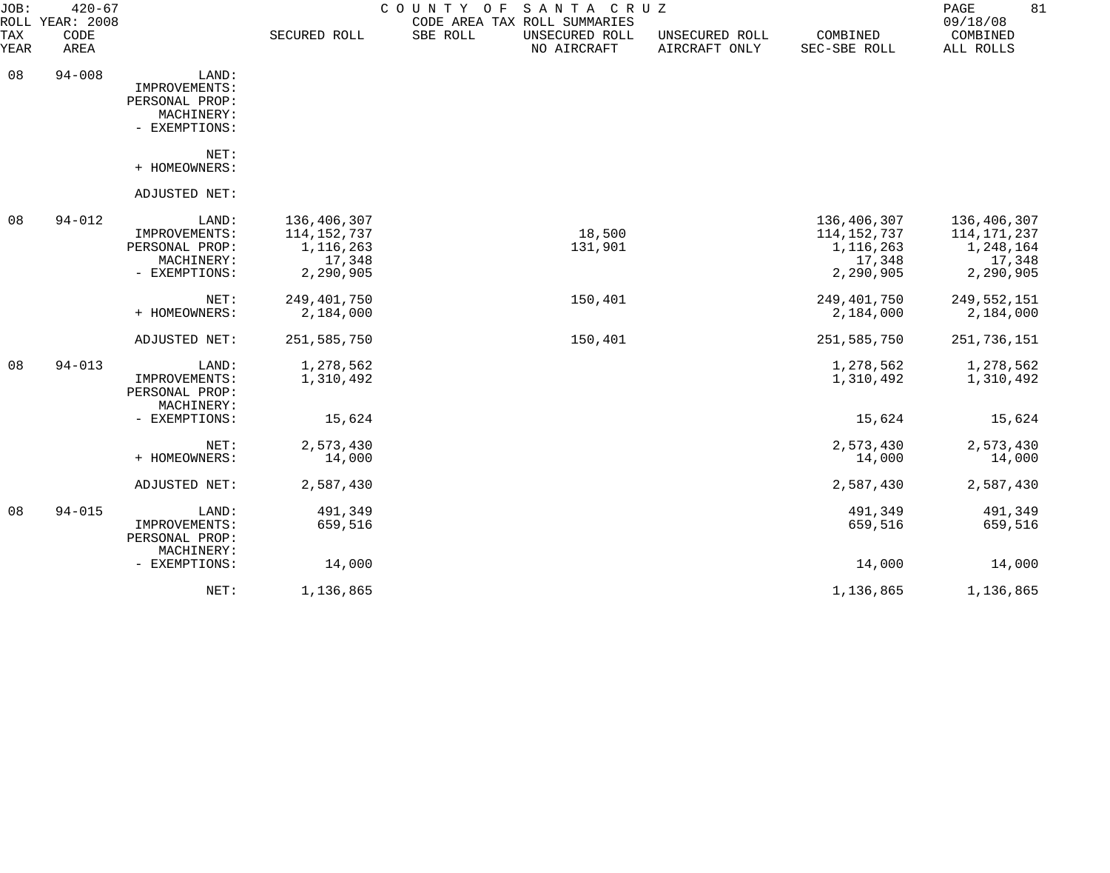| JOB:               | $420 - 67$<br>ROLL YEAR: 2008 |                                                                         |                                                                  | COUNTY OF<br>SANTA CRUZ<br>CODE AREA TAX ROLL SUMMARIES |                                 |                                                                | 81<br>PAGE<br>09/18/08                                         |
|--------------------|-------------------------------|-------------------------------------------------------------------------|------------------------------------------------------------------|---------------------------------------------------------|---------------------------------|----------------------------------------------------------------|----------------------------------------------------------------|
| <b>TAX</b><br>YEAR | CODE<br>AREA                  |                                                                         | SECURED ROLL                                                     | SBE ROLL<br>UNSECURED ROLL<br>NO AIRCRAFT               | UNSECURED ROLL<br>AIRCRAFT ONLY | COMBINED<br>SEC-SBE ROLL                                       | COMBINED<br>ALL ROLLS                                          |
| 08                 | $94 - 008$                    | LAND:<br>IMPROVEMENTS:<br>PERSONAL PROP:<br>MACHINERY:<br>- EXEMPTIONS: |                                                                  |                                                         |                                 |                                                                |                                                                |
|                    |                               | NET:<br>+ HOMEOWNERS:                                                   |                                                                  |                                                         |                                 |                                                                |                                                                |
|                    |                               | ADJUSTED NET:                                                           |                                                                  |                                                         |                                 |                                                                |                                                                |
| 08                 | $94 - 012$                    | LAND:<br>IMPROVEMENTS:<br>PERSONAL PROP:<br>MACHINERY:<br>- EXEMPTIONS: | 136,406,307<br>114, 152, 737<br>1,116,263<br>17,348<br>2,290,905 | 18,500<br>131,901                                       |                                 | 136,406,307<br>114,152,737<br>1,116,263<br>17,348<br>2,290,905 | 136,406,307<br>114,171,237<br>1,248,164<br>17,348<br>2,290,905 |
|                    |                               | NET:<br>+ HOMEOWNERS:                                                   | 249,401,750<br>2,184,000                                         | 150,401                                                 |                                 | 249,401,750<br>2,184,000                                       | 249, 552, 151<br>2,184,000                                     |
|                    |                               | ADJUSTED NET:                                                           | 251,585,750                                                      | 150,401                                                 |                                 | 251,585,750                                                    | 251,736,151                                                    |
| 08                 | $94 - 013$                    | LAND:<br>IMPROVEMENTS:<br>PERSONAL PROP:<br>MACHINERY:                  | 1,278,562<br>1,310,492                                           |                                                         |                                 | 1,278,562<br>1,310,492                                         | 1,278,562<br>1,310,492                                         |
|                    |                               | - EXEMPTIONS:                                                           | 15,624                                                           |                                                         |                                 | 15,624                                                         | 15,624                                                         |
|                    |                               | NET:<br>+ HOMEOWNERS:                                                   | 2,573,430<br>14,000                                              |                                                         |                                 | 2,573,430<br>14,000                                            | 2,573,430<br>14,000                                            |
|                    |                               | ADJUSTED NET:                                                           | 2,587,430                                                        |                                                         |                                 | 2,587,430                                                      | 2,587,430                                                      |
| 08                 | $94 - 015$                    | LAND:<br>IMPROVEMENTS:<br>PERSONAL PROP:                                | 491,349<br>659,516                                               |                                                         |                                 | 491,349<br>659,516                                             | 491,349<br>659,516                                             |
|                    |                               | MACHINERY:<br>- EXEMPTIONS:                                             | 14,000                                                           |                                                         |                                 | 14,000                                                         | 14,000                                                         |
|                    |                               | NET:                                                                    | 1,136,865                                                        |                                                         |                                 | 1,136,865                                                      | 1,136,865                                                      |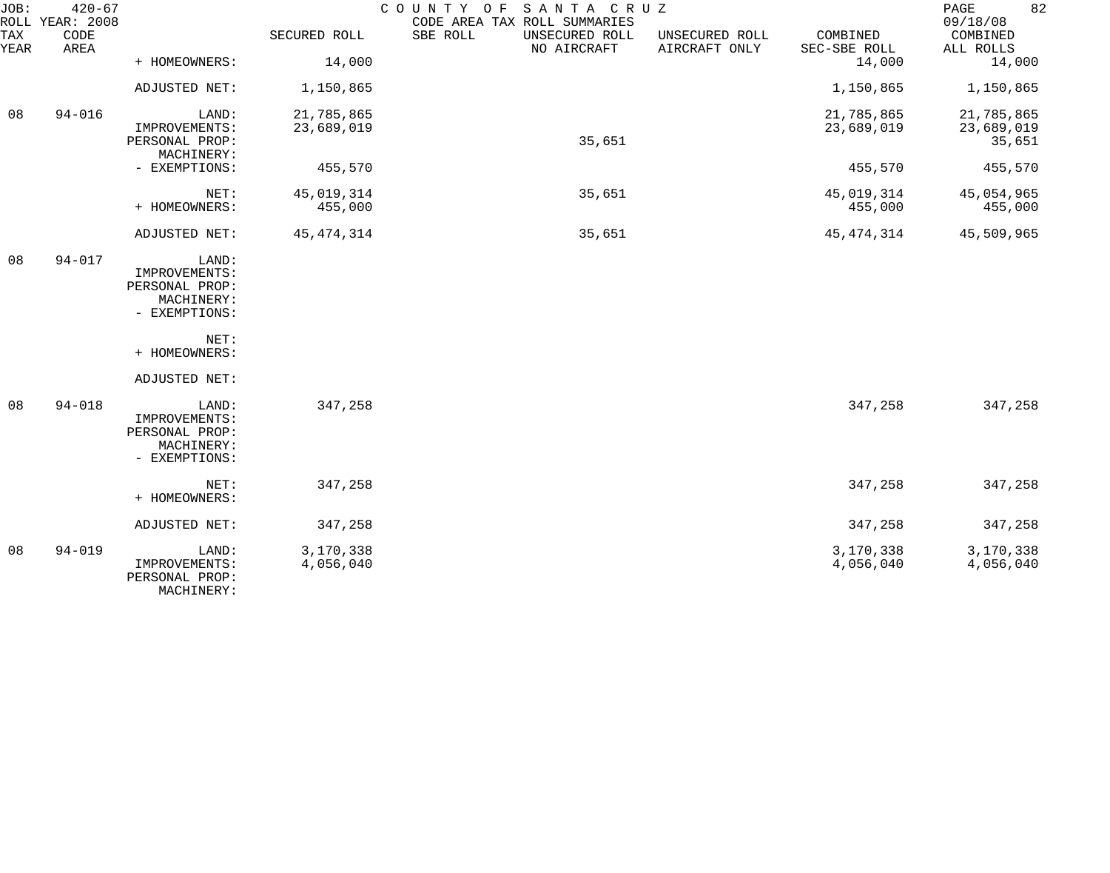| JOB:        | $420 - 67$<br>ROLL YEAR: 2008 |                                                                         |                        | COUNTY OF SANTA CRUZ<br>CODE AREA TAX ROLL SUMMARIES                         |                          | 82<br>PAGE<br>09/18/08 |
|-------------|-------------------------------|-------------------------------------------------------------------------|------------------------|------------------------------------------------------------------------------|--------------------------|------------------------|
| TAX<br>YEAR | CODE<br>AREA                  |                                                                         | SECURED ROLL           | SBE ROLL<br>UNSECURED ROLL<br>UNSECURED ROLL<br>NO AIRCRAFT<br>AIRCRAFT ONLY | COMBINED<br>SEC-SBE ROLL | COMBINED<br>ALL ROLLS  |
|             |                               | + HOMEOWNERS:                                                           | 14,000                 |                                                                              | 14,000                   | 14,000                 |
|             |                               | ADJUSTED NET:                                                           | 1,150,865              |                                                                              | 1,150,865                | 1,150,865              |
| 08          | $94 - 016$                    | LAND:                                                                   | 21,785,865             |                                                                              | 21,785,865               | 21,785,865             |
|             |                               | IMPROVEMENTS:<br>PERSONAL PROP:<br>MACHINERY:                           | 23,689,019             | 35,651                                                                       | 23,689,019               | 23,689,019<br>35,651   |
|             |                               | - EXEMPTIONS:                                                           | 455,570                |                                                                              | 455,570                  | 455,570                |
|             |                               | NET:<br>+ HOMEOWNERS:                                                   | 45,019,314<br>455,000  | 35,651                                                                       | 45,019,314<br>455,000    | 45,054,965<br>455,000  |
|             |                               | ADJUSTED NET:                                                           | 45, 474, 314           | 35,651                                                                       | 45, 474, 314             | 45,509,965             |
| 08          | $94 - 017$                    | LAND:<br>IMPROVEMENTS:<br>PERSONAL PROP:<br>MACHINERY:<br>- EXEMPTIONS: |                        |                                                                              |                          |                        |
|             |                               | NET:<br>+ HOMEOWNERS:                                                   |                        |                                                                              |                          |                        |
|             |                               | ADJUSTED NET:                                                           |                        |                                                                              |                          |                        |
| 08          | $94 - 018$                    | LAND:<br>IMPROVEMENTS:<br>PERSONAL PROP:<br>MACHINERY:<br>- EXEMPTIONS: | 347,258                |                                                                              | 347,258                  | 347,258                |
|             |                               | NET:<br>+ HOMEOWNERS:                                                   | 347,258                |                                                                              | 347,258                  | 347,258                |
|             |                               | ADJUSTED NET:                                                           | 347,258                |                                                                              | 347,258                  | 347,258                |
| 08          | $94 - 019$                    | LAND:<br>IMPROVEMENTS:<br>PERSONAL PROP:<br>MACHINERY:                  | 3,170,338<br>4,056,040 |                                                                              | 3,170,338<br>4,056,040   | 3,170,338<br>4,056,040 |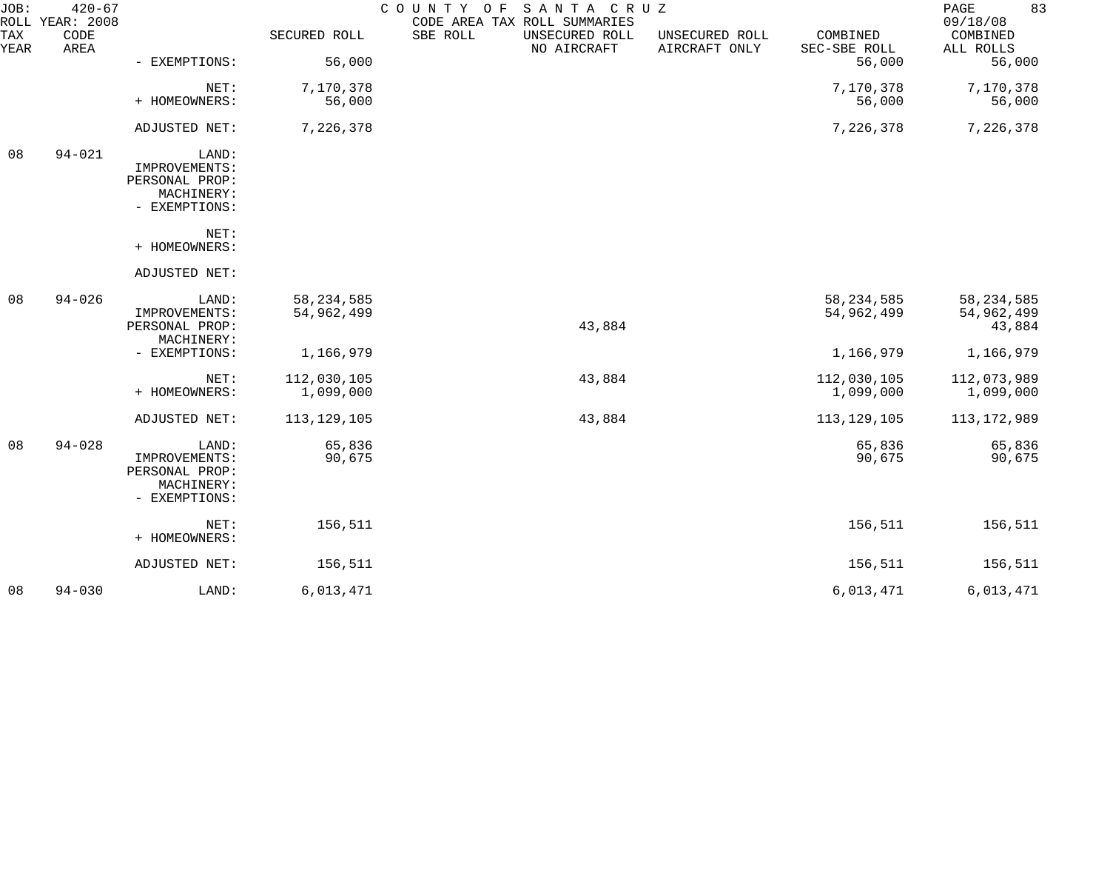| JOB:        | $420 - 67$<br>ROLL YEAR: 2008 |                                                                         |                            | COUNTY OF<br>SANTA CRUZ<br>CODE AREA TAX ROLL SUMMARIES |                                 |                            | 83<br>PAGE<br>09/18/08               |
|-------------|-------------------------------|-------------------------------------------------------------------------|----------------------------|---------------------------------------------------------|---------------------------------|----------------------------|--------------------------------------|
| TAX<br>YEAR | CODE<br>AREA                  |                                                                         | SECURED ROLL               | SBE ROLL<br>UNSECURED ROLL<br>NO AIRCRAFT               | UNSECURED ROLL<br>AIRCRAFT ONLY | COMBINED<br>SEC-SBE ROLL   | COMBINED<br>ALL ROLLS                |
|             |                               | - EXEMPTIONS:                                                           | 56,000                     |                                                         |                                 | 56,000                     | 56,000                               |
|             |                               | NET:<br>+ HOMEOWNERS:                                                   | 7,170,378<br>56,000        |                                                         |                                 | 7,170,378<br>56,000        | 7,170,378<br>56,000                  |
|             |                               | ADJUSTED NET:                                                           | 7,226,378                  |                                                         |                                 | 7,226,378                  | 7,226,378                            |
| 08          | $94 - 021$                    | LAND:<br>IMPROVEMENTS:<br>PERSONAL PROP:<br>MACHINERY:<br>- EXEMPTIONS: |                            |                                                         |                                 |                            |                                      |
|             |                               | NET:<br>+ HOMEOWNERS:                                                   |                            |                                                         |                                 |                            |                                      |
|             |                               | ADJUSTED NET:                                                           |                            |                                                         |                                 |                            |                                      |
| 08          | $94 - 026$                    | LAND:<br>IMPROVEMENTS:<br>PERSONAL PROP:<br>MACHINERY:                  | 58, 234, 585<br>54,962,499 | 43,884                                                  |                                 | 58, 234, 585<br>54,962,499 | 58, 234, 585<br>54,962,499<br>43,884 |
|             |                               | - EXEMPTIONS:                                                           | 1,166,979                  |                                                         |                                 | 1,166,979                  | 1,166,979                            |
|             |                               | NET:<br>+ HOMEOWNERS:                                                   | 112,030,105<br>1,099,000   | 43,884                                                  |                                 | 112,030,105<br>1,099,000   | 112,073,989<br>1,099,000             |
|             |                               | ADJUSTED NET:                                                           | 113,129,105                | 43,884                                                  |                                 | 113, 129, 105              | 113, 172, 989                        |
| 08          | $94 - 028$                    | LAND:<br>IMPROVEMENTS:<br>PERSONAL PROP:<br>MACHINERY:<br>- EXEMPTIONS: | 65,836<br>90,675           |                                                         |                                 | 65,836<br>90,675           | 65,836<br>90,675                     |
|             |                               | NET:<br>+ HOMEOWNERS:                                                   | 156,511                    |                                                         |                                 | 156,511                    | 156,511                              |
|             |                               | ADJUSTED NET:                                                           | 156,511                    |                                                         |                                 | 156,511                    | 156,511                              |
| 08          | $94 - 030$                    | LAND:                                                                   | 6,013,471                  |                                                         |                                 | 6,013,471                  | 6,013,471                            |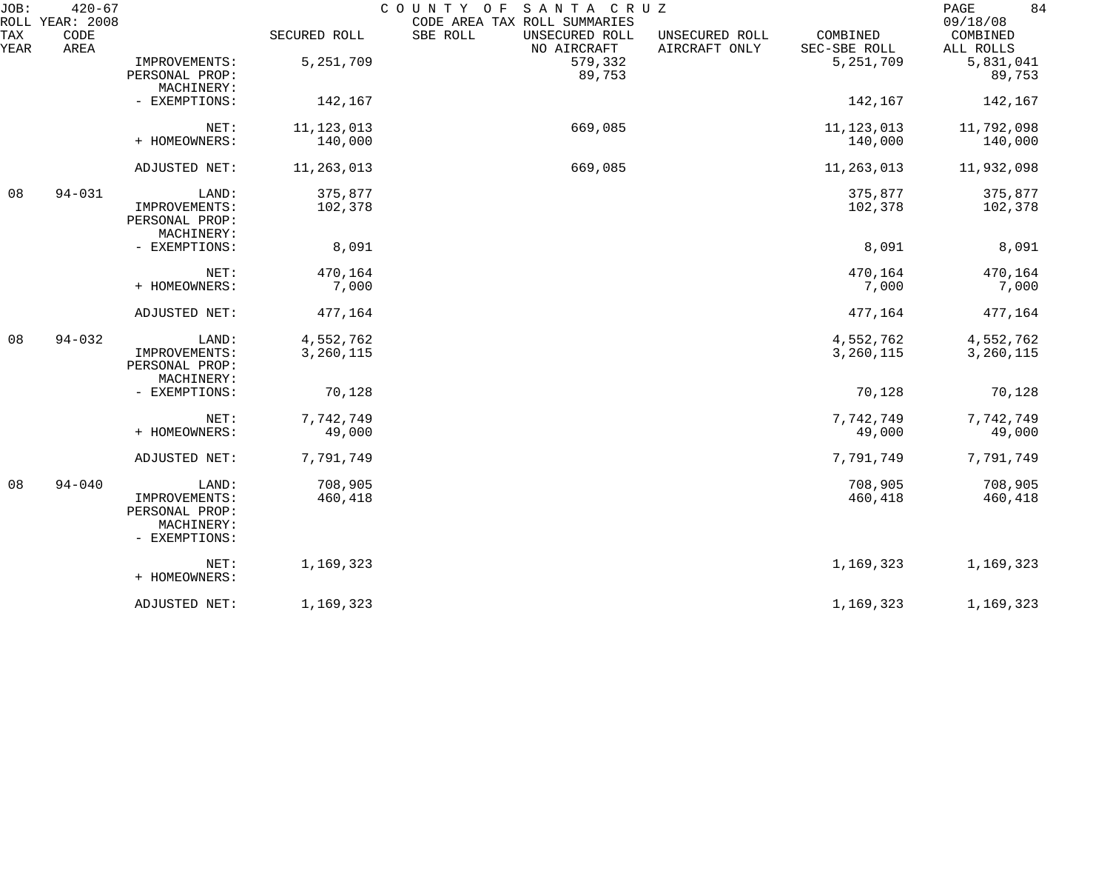| JOB:        | $420 - 67$<br>ROLL YEAR: 2008 |                                                                         |                        | COUNTY OF<br>SANTA CRUZ<br>CODE AREA TAX ROLL SUMMARIES |                                 |                          | 84<br>PAGE<br>09/18/08 |
|-------------|-------------------------------|-------------------------------------------------------------------------|------------------------|---------------------------------------------------------|---------------------------------|--------------------------|------------------------|
| TAX<br>YEAR | CODE<br>AREA                  |                                                                         | SECURED ROLL           | SBE ROLL<br>UNSECURED ROLL<br>NO AIRCRAFT               | UNSECURED ROLL<br>AIRCRAFT ONLY | COMBINED<br>SEC-SBE ROLL | COMBINED<br>ALL ROLLS  |
|             |                               | IMPROVEMENTS:<br>PERSONAL PROP:<br>MACHINERY:                           | 5,251,709              | 579,332<br>89,753                                       |                                 | 5,251,709                | 5,831,041<br>89,753    |
|             |                               | - EXEMPTIONS:                                                           | 142,167                |                                                         |                                 | 142,167                  | 142,167                |
|             |                               | NET:<br>+ HOMEOWNERS:                                                   | 11, 123, 013           | 669,085                                                 |                                 | 11, 123, 013             | 11,792,098             |
|             |                               |                                                                         | 140,000                |                                                         |                                 | 140,000                  | 140,000                |
|             |                               | ADJUSTED NET:                                                           | 11,263,013             | 669,085                                                 |                                 | 11,263,013               | 11,932,098             |
| 08          | $94 - 031$                    | LAND:<br>IMPROVEMENTS:<br>PERSONAL PROP:<br>MACHINERY:                  | 375,877<br>102,378     |                                                         |                                 | 375,877<br>102,378       | 375,877<br>102,378     |
|             |                               | - EXEMPTIONS:                                                           | 8,091                  |                                                         |                                 | 8,091                    | 8,091                  |
|             |                               | NET:<br>+ HOMEOWNERS:                                                   | 470,164<br>7,000       |                                                         |                                 | 470,164<br>7,000         | 470,164<br>7,000       |
|             |                               | ADJUSTED NET:                                                           | 477,164                |                                                         |                                 | 477,164                  | 477,164                |
| 08          | $94 - 032$                    | LAND:<br>IMPROVEMENTS:<br>PERSONAL PROP:<br>MACHINERY:                  | 4,552,762<br>3,260,115 |                                                         |                                 | 4,552,762<br>3,260,115   | 4,552,762<br>3,260,115 |
|             |                               | - EXEMPTIONS:                                                           | 70,128                 |                                                         |                                 | 70,128                   | 70,128                 |
|             |                               | NET:<br>+ HOMEOWNERS:                                                   | 7,742,749<br>49,000    |                                                         |                                 | 7,742,749<br>49,000      | 7,742,749<br>49,000    |
|             |                               | ADJUSTED NET:                                                           | 7,791,749              |                                                         |                                 | 7,791,749                | 7,791,749              |
| 08          | $94 - 040$                    | LAND:<br>IMPROVEMENTS:<br>PERSONAL PROP:<br>MACHINERY:<br>- EXEMPTIONS: | 708,905<br>460,418     |                                                         |                                 | 708,905<br>460,418       | 708,905<br>460,418     |
|             |                               | NET:<br>+ HOMEOWNERS:                                                   | 1,169,323              |                                                         |                                 | 1,169,323                | 1,169,323              |
|             |                               | ADJUSTED NET:                                                           | 1,169,323              |                                                         |                                 | 1,169,323                | 1,169,323              |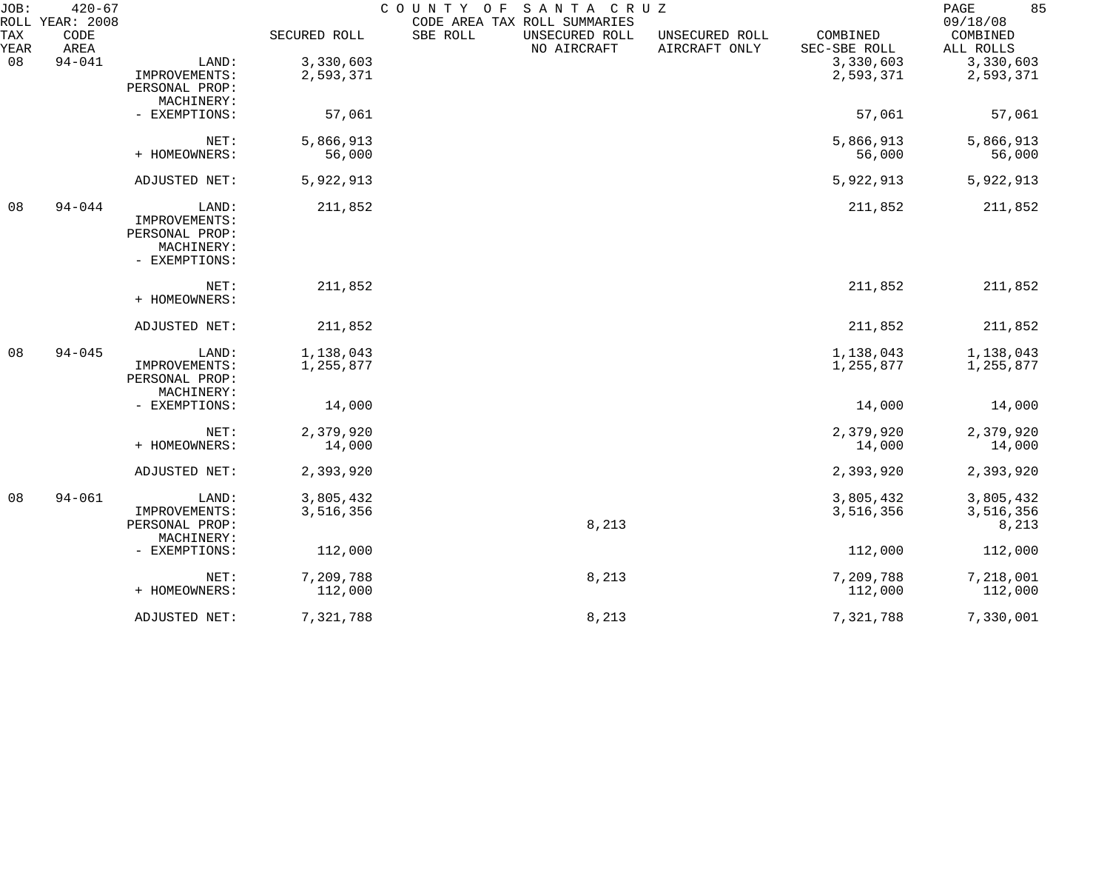| JOB:<br>ROLL | $420 - 67$<br>YEAR: 2008 |                |              | COUNTY OF | SANTA CRUZ<br>CODE AREA TAX ROLL SUMMARIES |                                 |                          | 85<br>$\mathop{\mathrm{PAGE}}$<br>09/18/08 |
|--------------|--------------------------|----------------|--------------|-----------|--------------------------------------------|---------------------------------|--------------------------|--------------------------------------------|
| TAX<br>YEAR  | CODE<br>AREA             |                | SECURED ROLL | SBE ROLL  | UNSECURED ROLL<br>NO AIRCRAFT              | UNSECURED ROLL<br>AIRCRAFT ONLY | COMBINED<br>SEC-SBE ROLL | COMBINED<br>ALL ROLLS                      |
| 08           | $94 - 041$               | LAND:          | 3,330,603    |           |                                            |                                 | 3,330,603                | 3,330,603                                  |
|              |                          | IMPROVEMENTS:  | 2,593,371    |           |                                            |                                 | 2,593,371                | 2,593,371                                  |
|              |                          | PERSONAL PROP: |              |           |                                            |                                 |                          |                                            |
|              |                          | MACHINERY:     |              |           |                                            |                                 |                          |                                            |
|              |                          | - EXEMPTIONS:  | 57,061       |           |                                            |                                 | 57,061                   | 57,061                                     |
|              |                          | NET:           | 5,866,913    |           |                                            |                                 | 5,866,913                | 5,866,913                                  |
|              |                          | + HOMEOWNERS:  | 56,000       |           |                                            |                                 | 56,000                   | 56,000                                     |
|              |                          | ADJUSTED NET:  | 5,922,913    |           |                                            |                                 | 5,922,913                | 5,922,913                                  |
| 08           | $94 - 044$               | LAND:          | 211,852      |           |                                            |                                 | 211,852                  | 211,852                                    |
|              |                          | IMPROVEMENTS:  |              |           |                                            |                                 |                          |                                            |
|              |                          | PERSONAL PROP: |              |           |                                            |                                 |                          |                                            |
|              |                          | MACHINERY:     |              |           |                                            |                                 |                          |                                            |
|              |                          | - EXEMPTIONS:  |              |           |                                            |                                 |                          |                                            |
|              |                          | NET:           | 211,852      |           |                                            |                                 | 211,852                  | 211,852                                    |
|              |                          | + HOMEOWNERS:  |              |           |                                            |                                 |                          |                                            |
|              |                          | ADJUSTED NET:  | 211,852      |           |                                            |                                 | 211,852                  | 211,852                                    |
| 08           | $94 - 045$               | LAND:          | 1,138,043    |           |                                            |                                 | 1,138,043                | 1,138,043                                  |
|              |                          | IMPROVEMENTS:  | 1,255,877    |           |                                            |                                 | 1,255,877                | 1,255,877                                  |
|              |                          | PERSONAL PROP: |              |           |                                            |                                 |                          |                                            |
|              |                          | MACHINERY:     |              |           |                                            |                                 |                          |                                            |
|              |                          | - EXEMPTIONS:  | 14,000       |           |                                            |                                 | 14,000                   | 14,000                                     |
|              |                          | NET:           | 2,379,920    |           |                                            |                                 | 2,379,920                | 2,379,920                                  |
|              |                          | + HOMEOWNERS:  | 14,000       |           |                                            |                                 | 14,000                   | 14,000                                     |
|              |                          | ADJUSTED NET:  | 2,393,920    |           |                                            |                                 | 2,393,920                | 2,393,920                                  |
| 08           | $94 - 061$               | LAND:          | 3,805,432    |           |                                            |                                 | 3,805,432                | 3,805,432                                  |
|              |                          | IMPROVEMENTS:  | 3,516,356    |           |                                            |                                 | 3,516,356                | 3,516,356                                  |
|              |                          | PERSONAL PROP: |              |           | 8,213                                      |                                 |                          | 8,213                                      |
|              |                          | MACHINERY:     |              |           |                                            |                                 |                          |                                            |
|              |                          | - EXEMPTIONS:  | 112,000      |           |                                            |                                 | 112,000                  | 112,000                                    |
|              |                          | NET:           | 7,209,788    |           | 8,213                                      |                                 | 7,209,788                | 7,218,001                                  |
|              |                          | + HOMEOWNERS:  | 112,000      |           |                                            |                                 | 112,000                  | 112,000                                    |
|              |                          | ADJUSTED NET:  | 7,321,788    |           | 8,213                                      |                                 | 7,321,788                | 7,330,001                                  |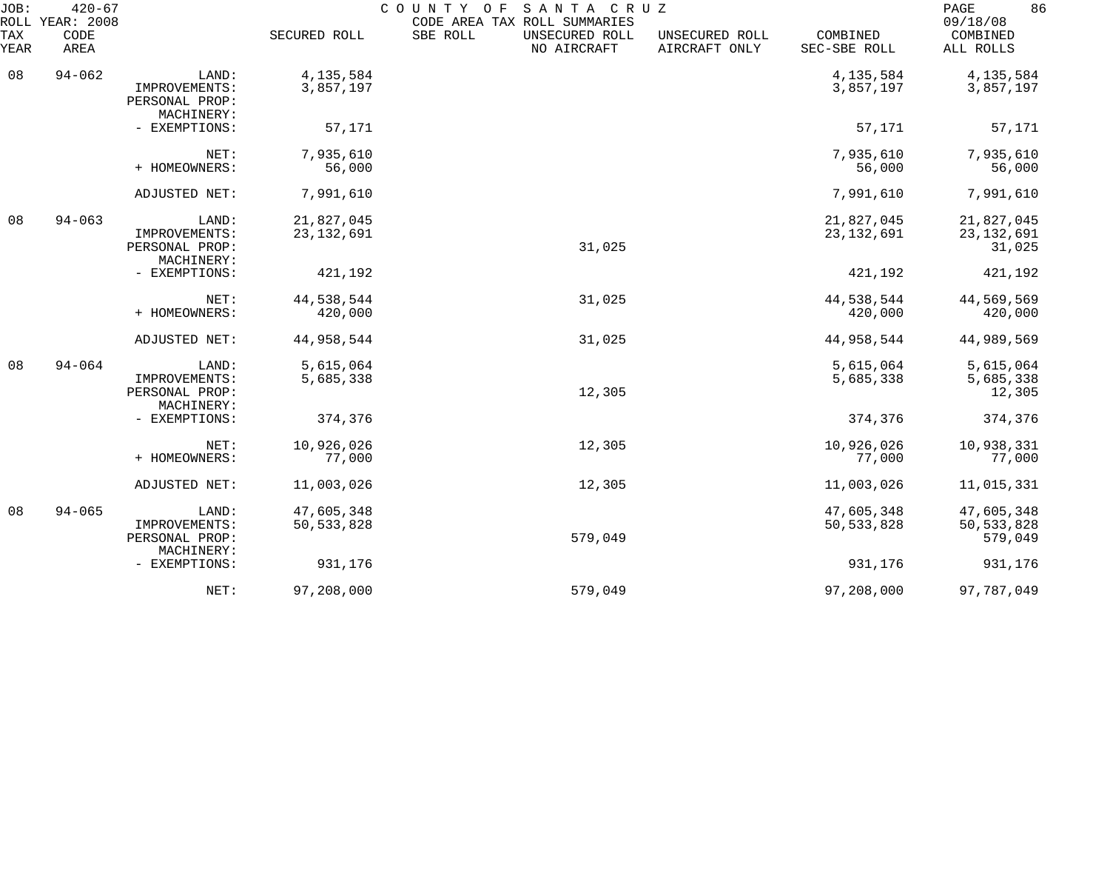| JOB:        | $420 - 67$<br>ROLL YEAR: 2008 |                                                        |                            | SANTA CRUZ<br>COUNTY OF<br>CODE AREA TAX ROLL SUMMARIES |                                 |                            | 86<br>PAGE<br>09/18/08                |
|-------------|-------------------------------|--------------------------------------------------------|----------------------------|---------------------------------------------------------|---------------------------------|----------------------------|---------------------------------------|
| TAX<br>YEAR | CODE<br>AREA                  |                                                        | SECURED ROLL               | SBE ROLL<br>UNSECURED ROLL<br>NO AIRCRAFT               | UNSECURED ROLL<br>AIRCRAFT ONLY | COMBINED<br>SEC-SBE ROLL   | COMBINED<br>ALL ROLLS                 |
| 08          | $94 - 062$                    | LAND:<br>IMPROVEMENTS:<br>PERSONAL PROP:               | 4, 135, 584<br>3,857,197   |                                                         |                                 | 4, 135, 584<br>3,857,197   | 4, 135, 584<br>3,857,197              |
|             |                               | MACHINERY:<br>- EXEMPTIONS:                            | 57,171                     |                                                         |                                 | 57,171                     | 57,171                                |
|             |                               | NET:<br>+ HOMEOWNERS:                                  | 7,935,610<br>56,000        |                                                         |                                 | 7,935,610<br>56,000        | 7,935,610<br>56,000                   |
|             |                               | ADJUSTED NET:                                          | 7,991,610                  |                                                         |                                 | 7,991,610                  | 7,991,610                             |
| 08          | $94 - 063$                    | LAND:<br>IMPROVEMENTS:<br>PERSONAL PROP:<br>MACHINERY: | 21,827,045<br>23, 132, 691 | 31,025                                                  |                                 | 21,827,045<br>23, 132, 691 | 21,827,045<br>23, 132, 691<br>31,025  |
|             |                               | - EXEMPTIONS:                                          | 421,192                    |                                                         |                                 | 421,192                    | 421,192                               |
|             |                               | NET:<br>+ HOMEOWNERS:                                  | 44,538,544<br>420,000      | 31,025                                                  |                                 | 44,538,544<br>420,000      | 44,569,569<br>420,000                 |
|             |                               | ADJUSTED NET:                                          | 44,958,544                 | 31,025                                                  |                                 | 44,958,544                 | 44,989,569                            |
| 08          | $94 - 064$                    | LAND:<br>IMPROVEMENTS:<br>PERSONAL PROP:<br>MACHINERY: | 5,615,064<br>5,685,338     | 12,305                                                  |                                 | 5,615,064<br>5,685,338     | 5,615,064<br>5,685,338<br>12,305      |
|             |                               | - EXEMPTIONS:                                          | 374,376                    |                                                         |                                 | 374,376                    | 374,376                               |
|             |                               | NET:<br>+ HOMEOWNERS:                                  | 10,926,026<br>77,000       | 12,305                                                  |                                 | 10,926,026<br>77,000       | 10,938,331<br>77,000                  |
|             |                               | ADJUSTED NET:                                          | 11,003,026                 | 12,305                                                  |                                 | 11,003,026                 | 11,015,331                            |
| 08          | $94 - 065$                    | LAND:<br>IMPROVEMENTS:<br>PERSONAL PROP:               | 47,605,348<br>50, 533, 828 | 579,049                                                 |                                 | 47,605,348<br>50, 533, 828 | 47,605,348<br>50, 533, 828<br>579,049 |
|             |                               | MACHINERY:<br>- EXEMPTIONS:                            | 931,176                    |                                                         |                                 | 931,176                    | 931,176                               |
|             |                               | NET:                                                   | 97,208,000                 | 579,049                                                 |                                 | 97,208,000                 | 97,787,049                            |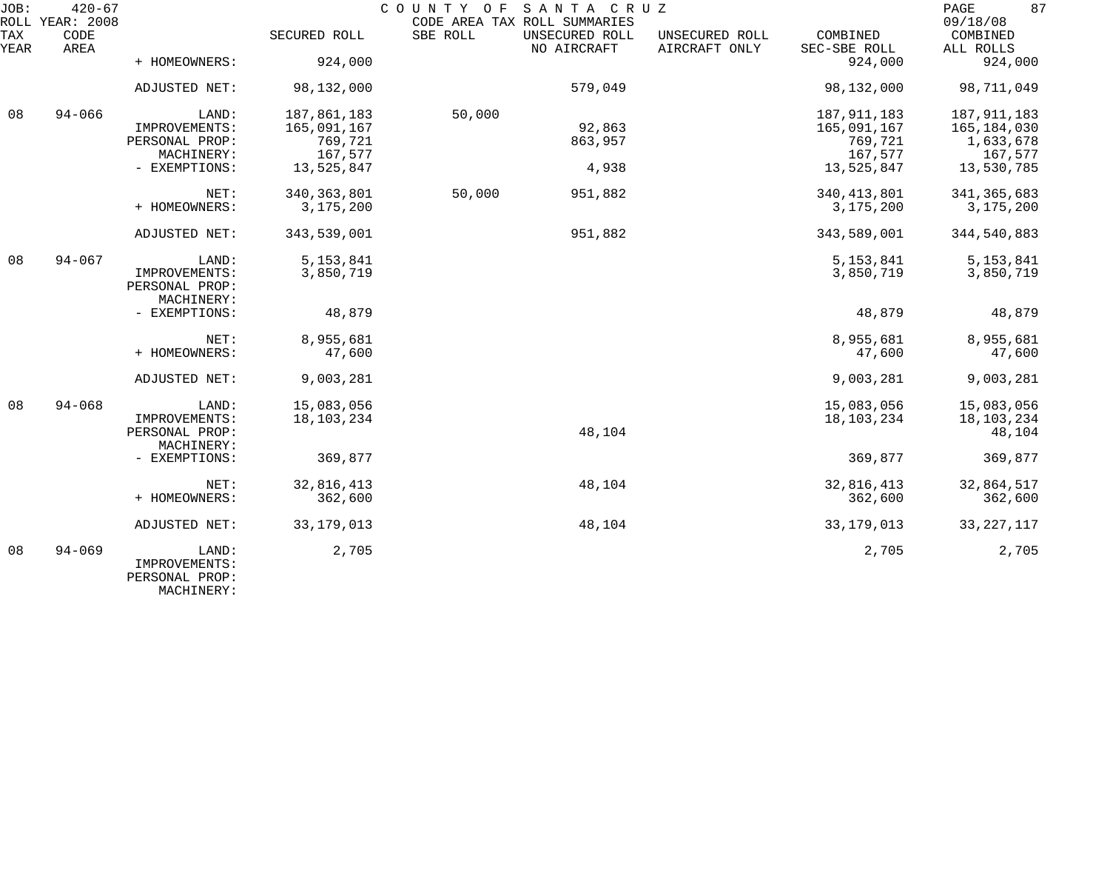| JOB:        | $420 - 67$<br>ROLL YEAR: 2008 |                                               |               | COUNTY OF | SANTA CRUZ<br>CODE AREA TAX ROLL SUMMARIES |                                 |                          | 87<br>PAGE<br>09/18/08 |
|-------------|-------------------------------|-----------------------------------------------|---------------|-----------|--------------------------------------------|---------------------------------|--------------------------|------------------------|
| TAX<br>YEAR | CODE<br>AREA                  |                                               | SECURED ROLL  | SBE ROLL  | UNSECURED ROLL<br>NO AIRCRAFT              | UNSECURED ROLL<br>AIRCRAFT ONLY | COMBINED<br>SEC-SBE ROLL | COMBINED<br>ALL ROLLS  |
|             |                               | + HOMEOWNERS:                                 | 924,000       |           |                                            |                                 | 924,000                  | 924,000                |
|             |                               | ADJUSTED NET:                                 | 98,132,000    |           | 579,049                                    |                                 | 98,132,000               | 98,711,049             |
| 08          | $94 - 066$                    | LAND:                                         | 187,861,183   | 50,000    |                                            |                                 | 187, 911, 183            | 187, 911, 183          |
|             |                               | IMPROVEMENTS:                                 | 165,091,167   |           | 92,863                                     |                                 | 165,091,167              | 165,184,030            |
|             |                               | PERSONAL PROP:                                | 769,721       |           | 863,957                                    |                                 | 769,721                  | 1,633,678              |
|             |                               | MACHINERY:                                    | 167,577       |           |                                            |                                 | 167,577                  | 167,577                |
|             |                               | - EXEMPTIONS:                                 | 13,525,847    |           | 4,938                                      |                                 | 13,525,847               | 13,530,785             |
|             |                               | NET:                                          | 340, 363, 801 | 50,000    | 951,882                                    |                                 | 340, 413, 801            | 341, 365, 683          |
|             |                               | + HOMEOWNERS:                                 | 3,175,200     |           |                                            |                                 | 3,175,200                | 3,175,200              |
|             |                               | ADJUSTED NET:                                 | 343,539,001   |           | 951,882                                    |                                 | 343,589,001              | 344,540,883            |
| 08          | $94 - 067$                    | LAND:                                         | 5, 153, 841   |           |                                            |                                 | 5, 153, 841              | 5, 153, 841            |
|             |                               | IMPROVEMENTS:<br>PERSONAL PROP:<br>MACHINERY: | 3,850,719     |           |                                            |                                 | 3,850,719                | 3,850,719              |
|             |                               | - EXEMPTIONS:                                 | 48,879        |           |                                            |                                 | 48,879                   | 48,879                 |
|             |                               | NET:                                          | 8,955,681     |           |                                            |                                 | 8,955,681                | 8,955,681              |
|             |                               | + HOMEOWNERS:                                 | 47,600        |           |                                            |                                 | 47,600                   | 47,600                 |
|             |                               | ADJUSTED NET:                                 | 9,003,281     |           |                                            |                                 | 9,003,281                | 9,003,281              |
| 08          | $94 - 068$                    | LAND:                                         | 15,083,056    |           |                                            |                                 | 15,083,056               | 15,083,056             |
|             |                               | IMPROVEMENTS:                                 | 18,103,234    |           |                                            |                                 | 18, 103, 234             | 18,103,234             |
|             |                               | PERSONAL PROP:<br>MACHINERY:                  |               |           | 48,104                                     |                                 |                          | 48,104                 |
|             |                               | - EXEMPTIONS:                                 | 369,877       |           |                                            |                                 | 369,877                  | 369,877                |
|             |                               | NET:                                          | 32,816,413    |           | 48,104                                     |                                 | 32,816,413               | 32,864,517             |
|             |                               | + HOMEOWNERS:                                 | 362,600       |           |                                            |                                 | 362,600                  | 362,600                |
|             |                               | ADJUSTED NET:                                 | 33, 179, 013  |           | 48,104                                     |                                 | 33, 179, 013             | 33, 227, 117           |
| 08          | $94 - 069$                    | LAND:<br>IMPROVEMENTS:<br>PERSONAL PROP:      | 2,705         |           |                                            |                                 | 2,705                    | 2,705                  |

MACHINERY: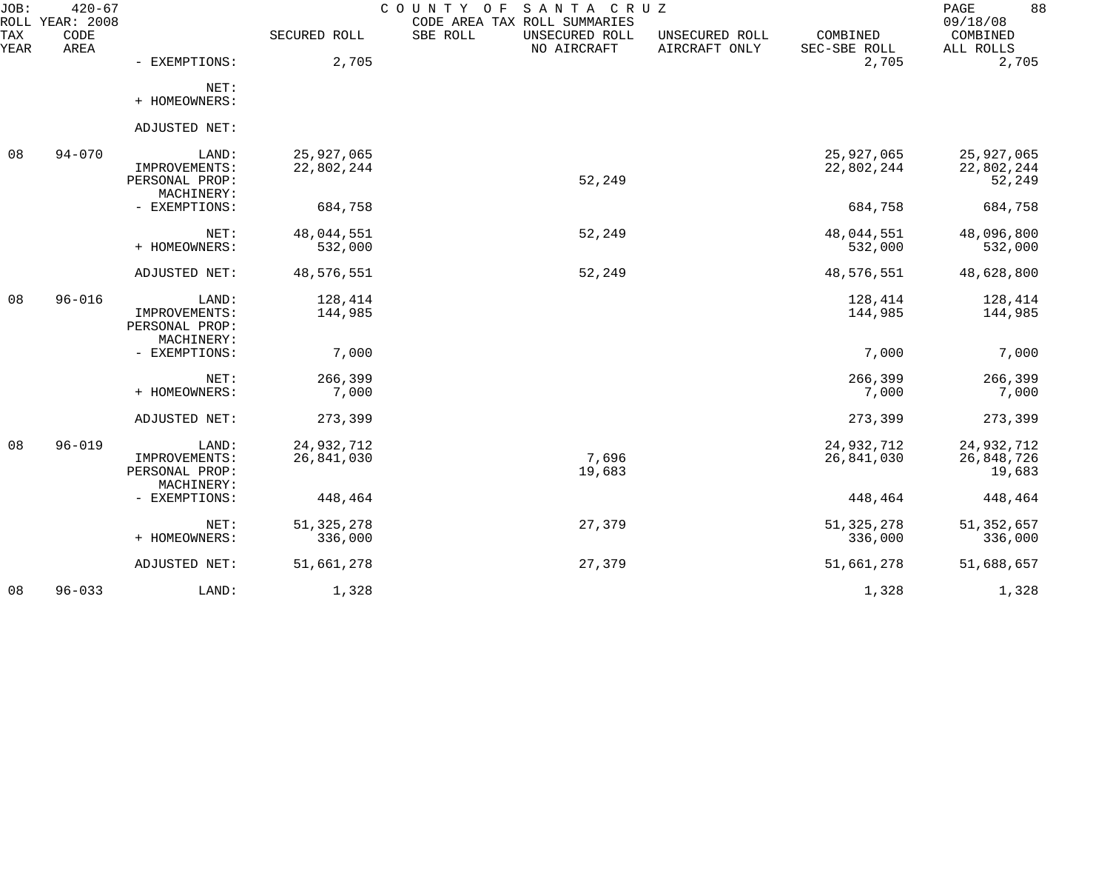| JOB:        | $420 - 67$<br>ROLL YEAR: 2008 |                                                        |                          | SANTA CRUZ<br>COUNTY<br>O F<br>CODE AREA TAX ROLL SUMMARIES |                                 |                          | 88<br>PAGE<br>09/18/08             |
|-------------|-------------------------------|--------------------------------------------------------|--------------------------|-------------------------------------------------------------|---------------------------------|--------------------------|------------------------------------|
| TAX<br>YEAR | CODE<br>AREA                  |                                                        | SECURED ROLL             | SBE ROLL<br>UNSECURED ROLL<br>NO AIRCRAFT                   | UNSECURED ROLL<br>AIRCRAFT ONLY | COMBINED<br>SEC-SBE ROLL | COMBINED<br>ALL ROLLS              |
|             |                               | - EXEMPTIONS:                                          | 2,705                    |                                                             |                                 | 2,705                    | 2,705                              |
|             |                               | NET:<br>+ HOMEOWNERS:                                  |                          |                                                             |                                 |                          |                                    |
|             |                               | ADJUSTED NET:                                          |                          |                                                             |                                 |                          |                                    |
| 08          | $94 - 070$                    | LAND:<br>IMPROVEMENTS:<br>PERSONAL PROP:<br>MACHINERY: | 25,927,065<br>22,802,244 | 52,249                                                      |                                 | 25,927,065<br>22,802,244 | 25,927,065<br>22,802,244<br>52,249 |
|             |                               | - EXEMPTIONS:                                          | 684,758                  |                                                             |                                 | 684,758                  | 684,758                            |
|             |                               | NET:<br>+ HOMEOWNERS:                                  | 48,044,551<br>532,000    | 52,249                                                      |                                 | 48,044,551<br>532,000    | 48,096,800<br>532,000              |
|             |                               | ADJUSTED NET:                                          | 48,576,551               | 52,249                                                      |                                 | 48,576,551               | 48,628,800                         |
| 08          | $96 - 016$                    | LAND:<br>IMPROVEMENTS:<br>PERSONAL PROP:<br>MACHINERY: | 128,414<br>144,985       |                                                             |                                 | 128,414<br>144,985       | 128,414<br>144,985                 |
|             |                               | - EXEMPTIONS:                                          | 7,000                    |                                                             |                                 | 7,000                    | 7,000                              |
|             |                               | NET:<br>+ HOMEOWNERS:                                  | 266,399<br>7,000         |                                                             |                                 | 266,399<br>7,000         | 266,399<br>7,000                   |
|             |                               | ADJUSTED NET:                                          | 273,399                  |                                                             |                                 | 273,399                  | 273,399                            |
| 08          | $96 - 019$                    | LAND:<br>IMPROVEMENTS:<br>PERSONAL PROP:<br>MACHINERY: | 24,932,712<br>26,841,030 | 7,696<br>19,683                                             |                                 | 24,932,712<br>26,841,030 | 24,932,712<br>26,848,726<br>19,683 |
|             |                               | - EXEMPTIONS:                                          | 448,464                  |                                                             |                                 | 448,464                  | 448,464                            |
|             |                               | NET:<br>+ HOMEOWNERS:                                  | 51, 325, 278<br>336,000  | 27,379                                                      |                                 | 51, 325, 278<br>336,000  | 51, 352, 657<br>336,000            |
|             |                               | ADJUSTED NET:                                          | 51,661,278               | 27,379                                                      |                                 | 51,661,278               | 51,688,657                         |
| 08          | $96 - 033$                    | LAND:                                                  | 1,328                    |                                                             |                                 | 1,328                    | 1,328                              |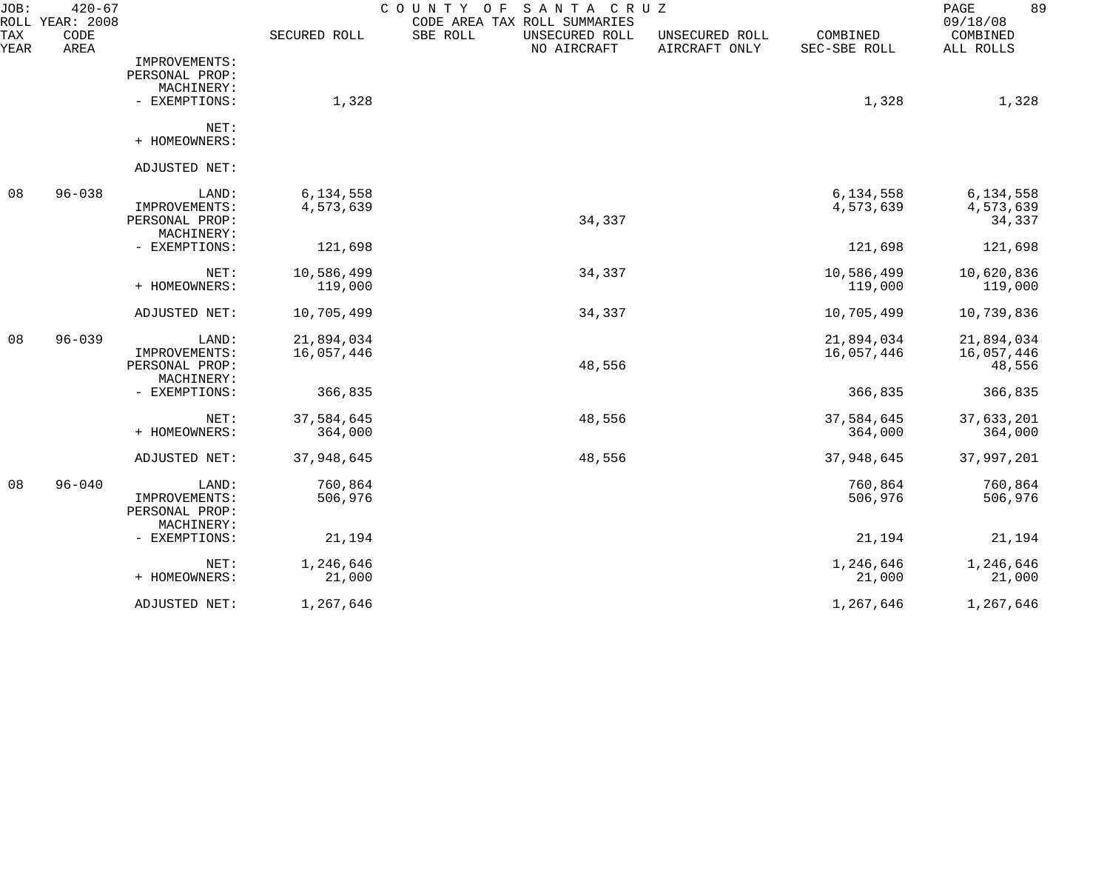| JOB:        | $420 - 67$<br>ROLL YEAR: 2008 |                |              | COUNTY OF<br>SANTA CRUZ<br>CODE AREA TAX ROLL SUMMARIES |                                 |                          | 89<br>PAGE<br>09/18/08 |
|-------------|-------------------------------|----------------|--------------|---------------------------------------------------------|---------------------------------|--------------------------|------------------------|
| TAX<br>YEAR | CODE<br>AREA                  |                | SECURED ROLL | SBE ROLL<br>UNSECURED ROLL<br>NO AIRCRAFT               | UNSECURED ROLL<br>AIRCRAFT ONLY | COMBINED<br>SEC-SBE ROLL | COMBINED<br>ALL ROLLS  |
|             |                               | IMPROVEMENTS:  |              |                                                         |                                 |                          |                        |
|             |                               | PERSONAL PROP: |              |                                                         |                                 |                          |                        |
|             |                               | MACHINERY:     |              |                                                         |                                 |                          |                        |
|             |                               | - EXEMPTIONS:  | 1,328        |                                                         |                                 | 1,328                    | 1,328                  |
|             |                               | NET:           |              |                                                         |                                 |                          |                        |
|             |                               | + HOMEOWNERS:  |              |                                                         |                                 |                          |                        |
|             |                               | ADJUSTED NET:  |              |                                                         |                                 |                          |                        |
| 08          | $96 - 038$                    | LAND:          | 6,134,558    |                                                         |                                 | 6,134,558                | 6,134,558              |
|             |                               | IMPROVEMENTS:  | 4,573,639    |                                                         |                                 | 4,573,639                | 4,573,639              |
|             |                               | PERSONAL PROP: |              | 34,337                                                  |                                 |                          | 34,337                 |
|             |                               | MACHINERY:     |              |                                                         |                                 |                          |                        |
|             |                               | - EXEMPTIONS:  | 121,698      |                                                         |                                 | 121,698                  | 121,698                |
|             |                               | NET:           | 10,586,499   | 34,337                                                  |                                 | 10,586,499               | 10,620,836             |
|             |                               | + HOMEOWNERS:  | 119,000      |                                                         |                                 | 119,000                  | 119,000                |
|             |                               | ADJUSTED NET:  | 10,705,499   | 34,337                                                  |                                 | 10,705,499               | 10,739,836             |
| 08          | $96 - 039$                    | LAND:          | 21,894,034   |                                                         |                                 | 21,894,034               | 21,894,034             |
|             |                               | IMPROVEMENTS:  | 16,057,446   |                                                         |                                 | 16,057,446               | 16,057,446             |
|             |                               | PERSONAL PROP: |              | 48,556                                                  |                                 |                          | 48,556                 |
|             |                               | MACHINERY:     |              |                                                         |                                 |                          |                        |
|             |                               | - EXEMPTIONS:  | 366,835      |                                                         |                                 | 366,835                  | 366,835                |
|             |                               | NET:           | 37,584,645   | 48,556                                                  |                                 | 37,584,645               | 37,633,201             |
|             |                               | + HOMEOWNERS:  | 364,000      |                                                         |                                 | 364,000                  | 364,000                |
|             |                               | ADJUSTED NET:  | 37,948,645   | 48,556                                                  |                                 | 37,948,645               | 37,997,201             |
| 08          | $96 - 040$                    | LAND:          | 760,864      |                                                         |                                 | 760,864                  | 760,864                |
|             |                               | IMPROVEMENTS:  | 506,976      |                                                         |                                 | 506,976                  | 506,976                |
|             |                               | PERSONAL PROP: |              |                                                         |                                 |                          |                        |
|             |                               | MACHINERY:     |              |                                                         |                                 |                          |                        |
|             |                               | - EXEMPTIONS:  | 21,194       |                                                         |                                 | 21,194                   | 21,194                 |
|             |                               | NET:           | 1,246,646    |                                                         |                                 | 1,246,646                | 1,246,646              |
|             |                               | + HOMEOWNERS:  | 21,000       |                                                         |                                 | 21,000                   | 21,000                 |
|             |                               | ADJUSTED NET:  | 1,267,646    |                                                         |                                 | 1,267,646                | 1,267,646              |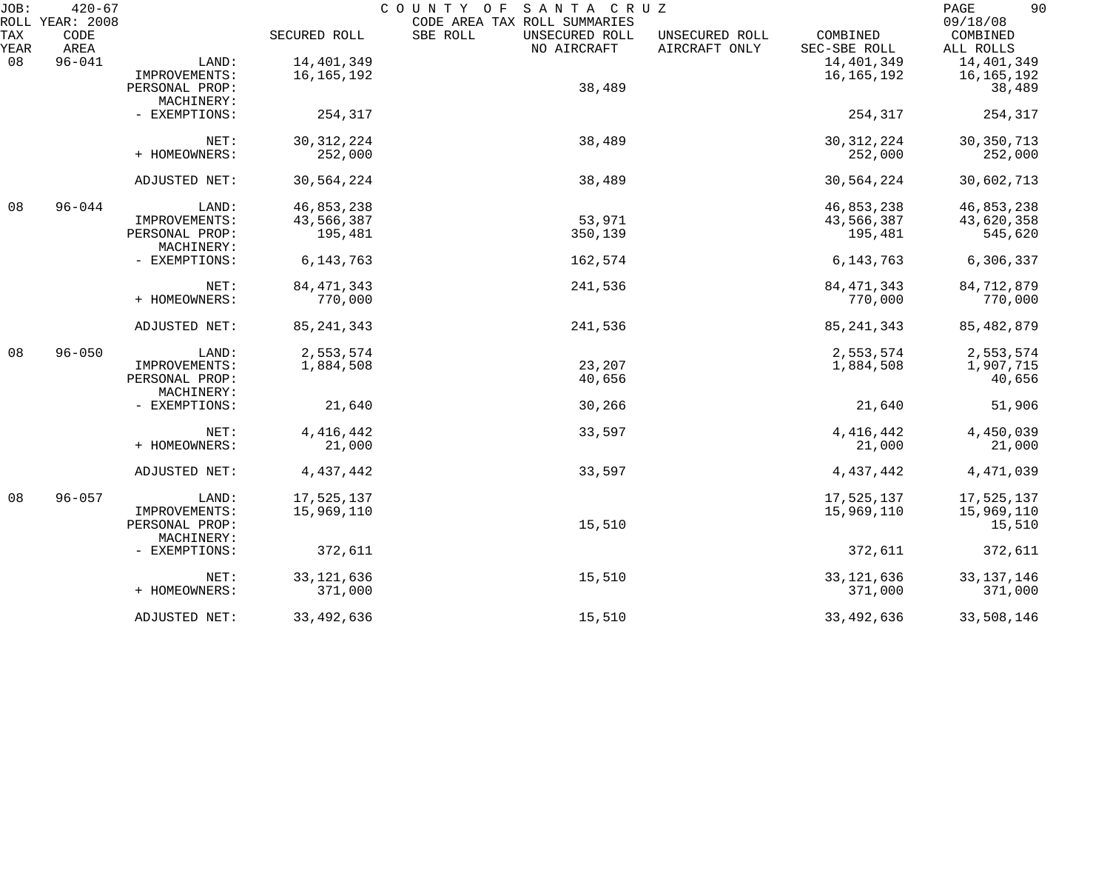| JOB:        | $420 - 67$                      |                              |              | COUNTY OF<br>SANTA CRUZ                                                   |                                 |                          | 90<br>PAGE                        |
|-------------|---------------------------------|------------------------------|--------------|---------------------------------------------------------------------------|---------------------------------|--------------------------|-----------------------------------|
| TAX<br>YEAR | ROLL YEAR: 2008<br>CODE<br>AREA |                              | SECURED ROLL | CODE AREA TAX ROLL SUMMARIES<br>SBE ROLL<br>UNSECURED ROLL<br>NO AIRCRAFT | UNSECURED ROLL<br>AIRCRAFT ONLY | COMBINED<br>SEC-SBE ROLL | 09/18/08<br>COMBINED<br>ALL ROLLS |
| 08          | $96 - 041$                      | LAND:                        | 14,401,349   |                                                                           |                                 | 14,401,349               | 14,401,349                        |
|             |                                 | IMPROVEMENTS:                | 16,165,192   |                                                                           |                                 | 16, 165, 192             | 16,165,192                        |
|             |                                 | PERSONAL PROP:<br>MACHINERY: |              | 38,489                                                                    |                                 |                          | 38,489                            |
|             |                                 | - EXEMPTIONS:                | 254,317      |                                                                           |                                 | 254,317                  | 254,317                           |
|             |                                 | NET:                         | 30, 312, 224 | 38,489                                                                    |                                 | 30, 312, 224             | 30, 350, 713                      |
|             |                                 | + HOMEOWNERS:                | 252,000      |                                                                           |                                 | 252,000                  | 252,000                           |
|             |                                 | ADJUSTED NET:                | 30,564,224   | 38,489                                                                    |                                 | 30,564,224               | 30,602,713                        |
| 08          | $96 - 044$                      | LAND:                        | 46,853,238   |                                                                           |                                 | 46,853,238               | 46,853,238                        |
|             |                                 | IMPROVEMENTS:                | 43,566,387   | 53,971                                                                    |                                 | 43,566,387               | 43,620,358                        |
|             |                                 | PERSONAL PROP:<br>MACHINERY: | 195,481      | 350,139                                                                   |                                 | 195,481                  | 545,620                           |
|             |                                 | - EXEMPTIONS:                | 6, 143, 763  | 162,574                                                                   |                                 | 6, 143, 763              | 6,306,337                         |
|             |                                 | NET:                         | 84, 471, 343 | 241,536                                                                   |                                 | 84, 471, 343             | 84,712,879                        |
|             |                                 | + HOMEOWNERS:                | 770,000      |                                                                           |                                 | 770,000                  | 770,000                           |
|             |                                 | ADJUSTED NET:                | 85, 241, 343 | 241,536                                                                   |                                 | 85, 241, 343             | 85, 482, 879                      |
| 08          | $96 - 050$                      | LAND:                        | 2,553,574    |                                                                           |                                 | 2,553,574                | 2,553,574                         |
|             |                                 | IMPROVEMENTS:                | 1,884,508    | 23,207                                                                    |                                 | 1,884,508                | 1,907,715                         |
|             |                                 | PERSONAL PROP:<br>MACHINERY: |              | 40,656                                                                    |                                 |                          | 40,656                            |
|             |                                 | - EXEMPTIONS:                | 21,640       | 30,266                                                                    |                                 | 21,640                   | 51,906                            |
|             |                                 | NET:                         | 4, 416, 442  | 33,597                                                                    |                                 | 4, 416, 442              | 4,450,039                         |
|             |                                 | + HOMEOWNERS:                | 21,000       |                                                                           |                                 | 21,000                   | 21,000                            |
|             |                                 | ADJUSTED NET:                | 4,437,442    | 33,597                                                                    |                                 | 4,437,442                | 4,471,039                         |
| 08          | $96 - 057$                      | LAND:                        | 17,525,137   |                                                                           |                                 | 17,525,137               | 17,525,137                        |
|             |                                 | IMPROVEMENTS:                | 15,969,110   |                                                                           |                                 | 15,969,110               | 15,969,110                        |
|             |                                 | PERSONAL PROP:<br>MACHINERY: |              | 15,510                                                                    |                                 |                          | 15,510                            |
|             |                                 | - EXEMPTIONS:                | 372,611      |                                                                           |                                 | 372,611                  | 372,611                           |
|             |                                 | NET:                         | 33, 121, 636 | 15,510                                                                    |                                 | 33, 121, 636             | 33, 137, 146                      |
|             |                                 | + HOMEOWNERS:                | 371,000      |                                                                           |                                 | 371,000                  | 371,000                           |
|             |                                 | ADJUSTED NET:                | 33, 492, 636 | 15,510                                                                    |                                 | 33, 492, 636             | 33,508,146                        |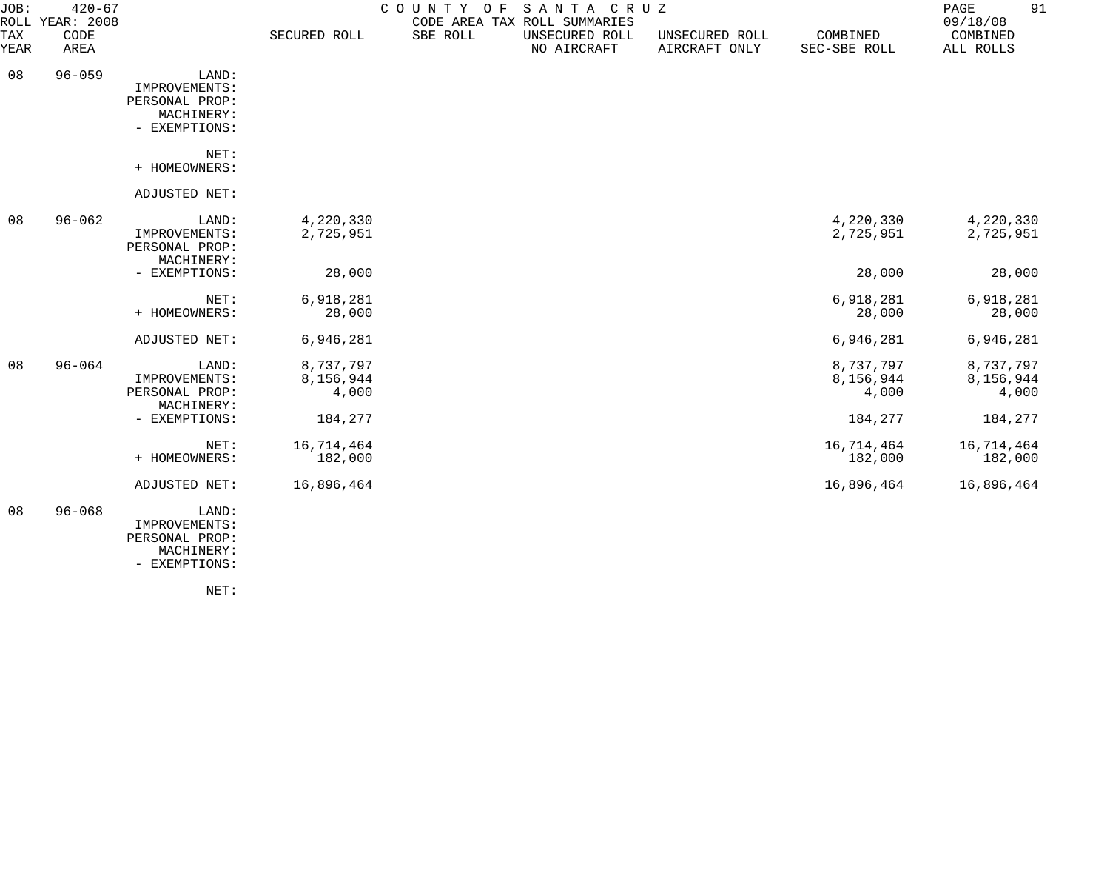| JOB:               | $420 - 67$<br>ROLL YEAR: 2008 |                                                                         |                                            | COUNTY OF | SANTA CRUZ<br>CODE AREA TAX ROLL SUMMARIES |                                 |                                            | 91<br>PAGE<br>09/18/08                     |
|--------------------|-------------------------------|-------------------------------------------------------------------------|--------------------------------------------|-----------|--------------------------------------------|---------------------------------|--------------------------------------------|--------------------------------------------|
| TAX<br><b>YEAR</b> | CODE<br>AREA                  |                                                                         | SECURED ROLL                               | SBE ROLL  | UNSECURED ROLL<br>NO AIRCRAFT              | UNSECURED ROLL<br>AIRCRAFT ONLY | COMBINED<br>SEC-SBE ROLL                   | COMBINED<br>ALL ROLLS                      |
| 08                 | $96 - 059$                    | LAND:<br>IMPROVEMENTS:<br>PERSONAL PROP:<br>MACHINERY:<br>- EXEMPTIONS: |                                            |           |                                            |                                 |                                            |                                            |
|                    |                               | NET:<br>+ HOMEOWNERS:                                                   |                                            |           |                                            |                                 |                                            |                                            |
|                    |                               | ADJUSTED NET:                                                           |                                            |           |                                            |                                 |                                            |                                            |
| 08                 | $96 - 062$                    | LAND:<br>IMPROVEMENTS:<br>PERSONAL PROP:<br>MACHINERY:                  | 4,220,330<br>2,725,951                     |           |                                            |                                 | 4,220,330<br>2,725,951                     | 4,220,330<br>2,725,951                     |
|                    |                               | - EXEMPTIONS:                                                           | 28,000                                     |           |                                            |                                 | 28,000                                     | 28,000                                     |
|                    |                               | NET:<br>+ HOMEOWNERS:                                                   | 6,918,281<br>28,000                        |           |                                            |                                 | 6,918,281<br>28,000                        | 6,918,281<br>28,000                        |
|                    |                               | ADJUSTED NET:                                                           | 6,946,281                                  |           |                                            |                                 | 6,946,281                                  | 6,946,281                                  |
| 08                 | $96 - 064$                    | LAND:<br>IMPROVEMENTS:<br>PERSONAL PROP:<br>MACHINERY:<br>- EXEMPTIONS: | 8,737,797<br>8,156,944<br>4,000<br>184,277 |           |                                            |                                 | 8,737,797<br>8,156,944<br>4,000<br>184,277 | 8,737,797<br>8,156,944<br>4,000<br>184,277 |
|                    |                               | NET:<br>+ HOMEOWNERS:                                                   | 16,714,464<br>182,000                      |           |                                            |                                 | 16,714,464<br>182,000                      | 16,714,464<br>182,000                      |
|                    |                               | ADJUSTED NET:                                                           | 16,896,464                                 |           |                                            |                                 | 16,896,464                                 | 16,896,464                                 |
| 08                 | $96 - 068$                    | LAND:<br>IMPROVEMENTS:<br>PERSONAL PROP:<br>MACHINERY:                  |                                            |           |                                            |                                 |                                            |                                            |

- EXEMPTIONS:

NET: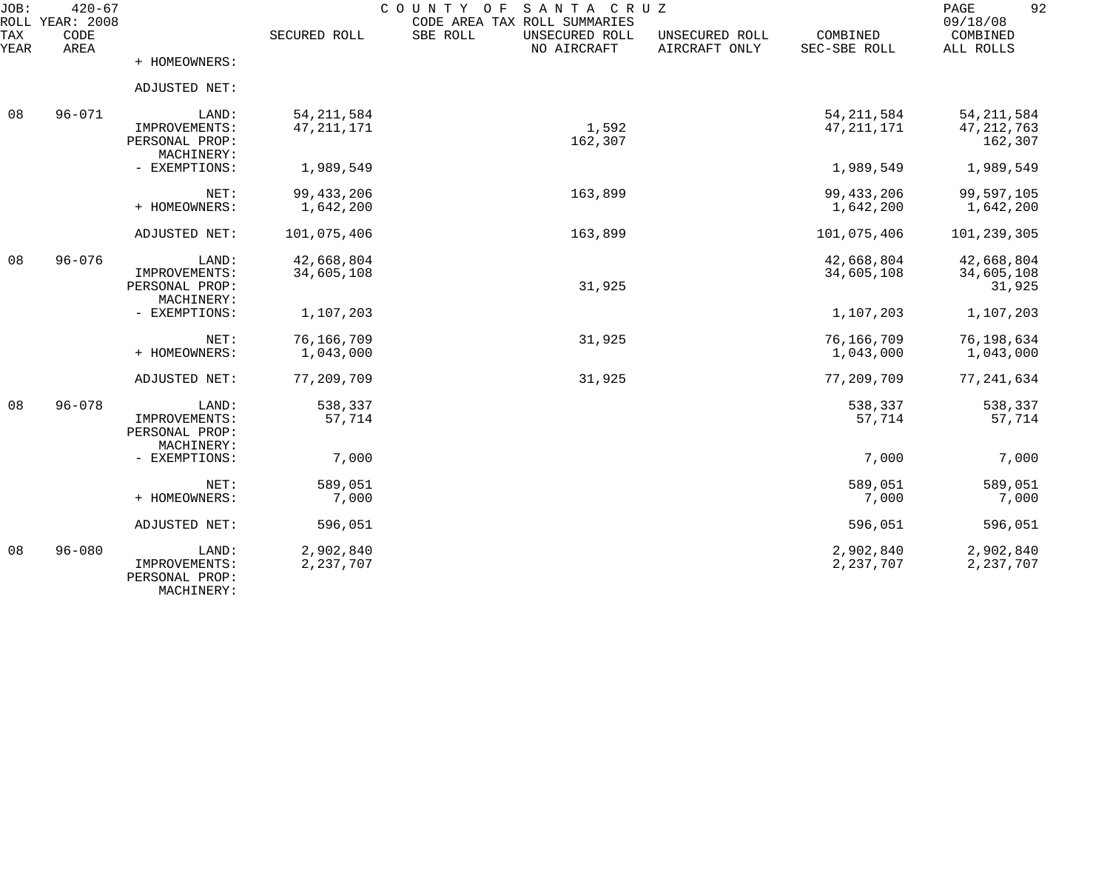| JOB:<br>ROLL<br><b>TAX</b> | $420 - 67$<br>YEAR: 2008<br>CODE |                                                        | SECURED ROLL                 | COUNTY<br>SANTA CRUZ<br>O F<br>CODE AREA TAX ROLL SUMMARIES<br>SBE ROLL<br>UNSECURED ROLL | UNSECURED ROLL | COMBINED                     | 92<br>PAGE<br>09/18/08<br>COMBINED      |
|----------------------------|----------------------------------|--------------------------------------------------------|------------------------------|-------------------------------------------------------------------------------------------|----------------|------------------------------|-----------------------------------------|
| YEAR                       | AREA                             | + HOMEOWNERS:                                          |                              | NO AIRCRAFT                                                                               | AIRCRAFT ONLY  | SEC-SBE ROLL                 | ALL ROLLS                               |
|                            |                                  | ADJUSTED NET:                                          |                              |                                                                                           |                |                              |                                         |
| 08                         | $96 - 071$                       | LAND:<br>IMPROVEMENTS:<br>PERSONAL PROP:<br>MACHINERY: | 54, 211, 584<br>47, 211, 171 | 1,592<br>162,307                                                                          |                | 54, 211, 584<br>47, 211, 171 | 54, 211, 584<br>47, 212, 763<br>162,307 |
|                            |                                  | - EXEMPTIONS:                                          | 1,989,549                    |                                                                                           |                | 1,989,549                    | 1,989,549                               |
|                            |                                  | NET:<br>+ HOMEOWNERS:                                  | 99, 433, 206<br>1,642,200    | 163,899                                                                                   |                | 99, 433, 206<br>1,642,200    | 99,597,105<br>1,642,200                 |
|                            |                                  | ADJUSTED NET:                                          | 101,075,406                  | 163,899                                                                                   |                | 101,075,406                  | 101,239,305                             |
| 08                         | $96 - 076$                       | LAND:<br>IMPROVEMENTS:<br>PERSONAL PROP:<br>MACHINERY: | 42,668,804<br>34,605,108     | 31,925                                                                                    |                | 42,668,804<br>34,605,108     | 42,668,804<br>34,605,108<br>31,925      |
|                            |                                  | - EXEMPTIONS:                                          | 1,107,203                    |                                                                                           |                | 1,107,203                    | 1,107,203                               |
|                            |                                  | NET:<br>+ HOMEOWNERS:                                  | 76,166,709<br>1,043,000      | 31,925                                                                                    |                | 76,166,709<br>1,043,000      | 76,198,634<br>1,043,000                 |
|                            |                                  | ADJUSTED NET:                                          | 77,209,709                   | 31,925                                                                                    |                | 77,209,709                   | 77, 241, 634                            |
| 08                         | $96 - 078$                       | LAND:<br>IMPROVEMENTS:<br>PERSONAL PROP:               | 538,337<br>57,714            |                                                                                           |                | 538,337<br>57,714            | 538,337<br>57,714                       |
|                            |                                  | MACHINERY:<br>- EXEMPTIONS:                            | 7,000                        |                                                                                           |                | 7,000                        | 7,000                                   |
|                            |                                  | NET:<br>+ HOMEOWNERS:                                  | 589,051<br>7,000             |                                                                                           |                | 589,051<br>7,000             | 589,051<br>7,000                        |
|                            |                                  | ADJUSTED NET:                                          | 596,051                      |                                                                                           |                | 596,051                      | 596,051                                 |
| 08                         | $96 - 080$                       | LAND:<br>IMPROVEMENTS:<br>PERSONAL PROP:<br>MACHINERY: | 2,902,840<br>2,237,707       |                                                                                           |                | 2,902,840<br>2, 237, 707     | 2,902,840<br>2, 237, 707                |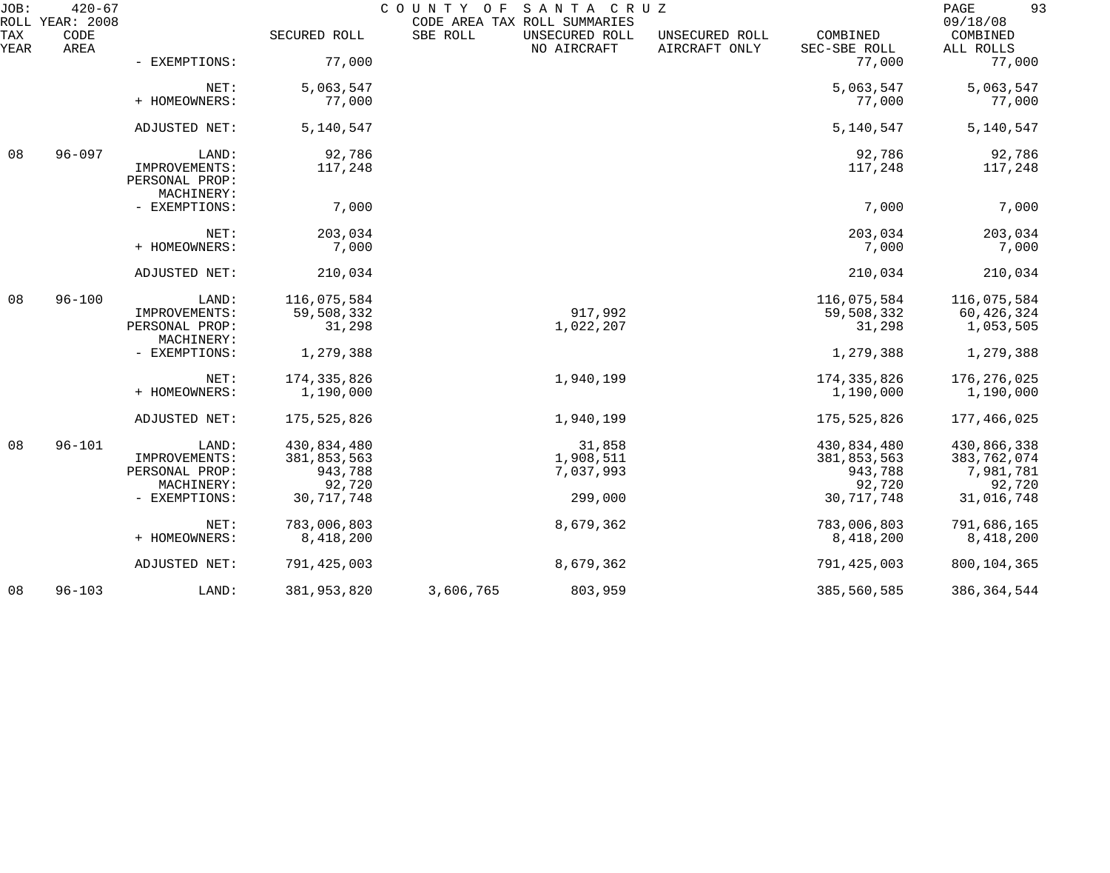| JOB:        | $420 - 67$<br>ROLL YEAR: 2008 |                                               |               | COUNTY OF SANTA CRUZ | CODE AREA TAX ROLL SUMMARIES  |                                 |                          | 93<br>PAGE<br>09/18/08 |
|-------------|-------------------------------|-----------------------------------------------|---------------|----------------------|-------------------------------|---------------------------------|--------------------------|------------------------|
| TAX<br>YEAR | CODE<br>AREA                  |                                               | SECURED ROLL  | SBE ROLL             | UNSECURED ROLL<br>NO AIRCRAFT | UNSECURED ROLL<br>AIRCRAFT ONLY | COMBINED<br>SEC-SBE ROLL | COMBINED<br>ALL ROLLS  |
|             |                               | - EXEMPTIONS:                                 | 77,000        |                      |                               |                                 | 77,000                   | 77,000                 |
|             |                               | NET:                                          | 5,063,547     |                      |                               |                                 | 5,063,547                | 5,063,547              |
|             |                               | + HOMEOWNERS:                                 | 77,000        |                      |                               |                                 | 77,000                   | 77,000                 |
|             |                               | ADJUSTED NET:                                 | 5,140,547     |                      |                               |                                 | 5,140,547                | 5,140,547              |
| 08          | $96 - 097$                    | LAND:                                         | 92,786        |                      |                               |                                 | 92,786                   | 92,786                 |
|             |                               | IMPROVEMENTS:<br>PERSONAL PROP:<br>MACHINERY: | 117,248       |                      |                               |                                 | 117,248                  | 117,248                |
|             |                               | - EXEMPTIONS:                                 | 7,000         |                      |                               |                                 | 7,000                    | 7,000                  |
|             |                               | NET:                                          | 203,034       |                      |                               |                                 | 203,034                  | 203,034                |
|             |                               | + HOMEOWNERS:                                 | 7,000         |                      |                               |                                 | 7,000                    | 7,000                  |
|             |                               | ADJUSTED NET:                                 | 210,034       |                      |                               |                                 | 210,034                  | 210,034                |
| 08          | $96 - 100$                    | LAND:                                         | 116,075,584   |                      |                               |                                 | 116,075,584              | 116,075,584            |
|             |                               | IMPROVEMENTS:                                 | 59,508,332    |                      | 917,992                       |                                 | 59,508,332               | 60,426,324             |
|             |                               | PERSONAL PROP:<br>MACHINERY:                  | 31,298        |                      | 1,022,207                     |                                 | 31,298                   | 1,053,505              |
|             |                               | - EXEMPTIONS:                                 | 1,279,388     |                      |                               |                                 | 1,279,388                | 1,279,388              |
|             |                               | NET:                                          | 174, 335, 826 |                      | 1,940,199                     |                                 | 174, 335, 826            | 176,276,025            |
|             |                               | + HOMEOWNERS:                                 | 1,190,000     |                      |                               |                                 | 1,190,000                | 1,190,000              |
|             |                               | ADJUSTED NET:                                 | 175,525,826   |                      | 1,940,199                     |                                 | 175,525,826              | 177,466,025            |
| 08          | $96 - 101$                    | LAND:                                         | 430,834,480   |                      | 31,858                        |                                 | 430,834,480              | 430,866,338            |
|             |                               | IMPROVEMENTS:                                 | 381,853,563   |                      | 1,908,511                     |                                 | 381,853,563              | 383,762,074            |
|             |                               | PERSONAL PROP:                                | 943,788       |                      | 7,037,993                     |                                 | 943,788                  | 7,981,781              |
|             |                               | MACHINERY:                                    | 92,720        |                      |                               |                                 | 92,720                   | 92,720                 |
|             |                               | - EXEMPTIONS:                                 | 30, 717, 748  |                      | 299,000                       |                                 | 30, 717, 748             | 31,016,748             |
|             |                               | NET:                                          | 783,006,803   |                      | 8,679,362                     |                                 | 783,006,803              | 791,686,165            |
|             |                               | + HOMEOWNERS:                                 | 8,418,200     |                      |                               |                                 | 8,418,200                | 8,418,200              |
|             |                               | ADJUSTED NET:                                 | 791, 425, 003 |                      | 8,679,362                     |                                 | 791,425,003              | 800, 104, 365          |
| 08          | $96 - 103$                    | LAND:                                         | 381,953,820   | 3,606,765            | 803,959                       |                                 | 385,560,585              | 386, 364, 544          |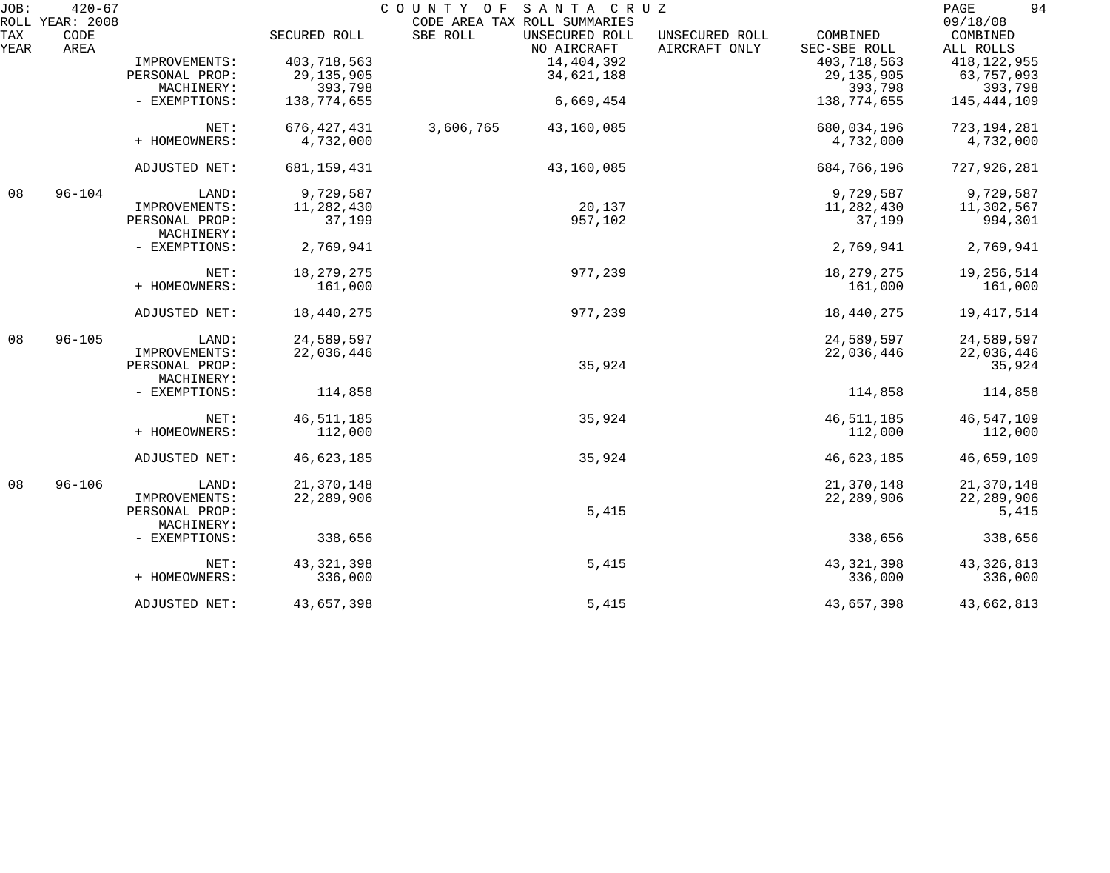| JOB:        | $420 - 67$                      |                              |               | SANTA CRUZ<br>COUNTY OF                                                   |                                 |                          | 94<br>PAGE                        |
|-------------|---------------------------------|------------------------------|---------------|---------------------------------------------------------------------------|---------------------------------|--------------------------|-----------------------------------|
| TAX<br>YEAR | ROLL YEAR: 2008<br>CODE<br>AREA |                              | SECURED ROLL  | CODE AREA TAX ROLL SUMMARIES<br>SBE ROLL<br>UNSECURED ROLL<br>NO AIRCRAFT | UNSECURED ROLL<br>AIRCRAFT ONLY | COMBINED<br>SEC-SBE ROLL | 09/18/08<br>COMBINED<br>ALL ROLLS |
|             |                                 | IMPROVEMENTS:                | 403,718,563   | 14,404,392                                                                |                                 | 403,718,563              | 418, 122, 955                     |
|             |                                 | PERSONAL PROP:               | 29, 135, 905  | 34,621,188                                                                |                                 | 29, 135, 905             | 63,757,093                        |
|             |                                 | MACHINERY:                   | 393,798       |                                                                           |                                 | 393,798                  | 393,798                           |
|             |                                 | - EXEMPTIONS:                | 138,774,655   | 6,669,454                                                                 |                                 | 138,774,655              | 145, 444, 109                     |
|             |                                 | NET:                         | 676, 427, 431 | 3,606,765<br>43,160,085                                                   |                                 | 680,034,196              | 723, 194, 281                     |
|             |                                 | + HOMEOWNERS:                | 4,732,000     |                                                                           |                                 | 4,732,000                | 4,732,000                         |
|             |                                 | ADJUSTED NET:                | 681, 159, 431 | 43,160,085                                                                |                                 | 684,766,196              | 727,926,281                       |
| 08          | $96 - 104$                      | LAND:                        | 9,729,587     |                                                                           |                                 | 9,729,587                | 9,729,587                         |
|             |                                 | IMPROVEMENTS:                | 11,282,430    | 20,137                                                                    |                                 | 11,282,430               | 11,302,567                        |
|             |                                 | PERSONAL PROP:<br>MACHINERY: | 37,199        | 957,102                                                                   |                                 | 37,199                   | 994,301                           |
|             |                                 | - EXEMPTIONS:                | 2,769,941     |                                                                           |                                 | 2,769,941                | 2,769,941                         |
|             |                                 | NET:                         | 18, 279, 275  | 977,239                                                                   |                                 | 18, 279, 275             | 19,256,514                        |
|             |                                 | + HOMEOWNERS:                | 161,000       |                                                                           |                                 | 161,000                  | 161,000                           |
|             |                                 | ADJUSTED NET:                | 18,440,275    | 977,239                                                                   |                                 | 18,440,275               | 19, 417, 514                      |
| 08          | $96 - 105$                      | LAND:                        | 24,589,597    |                                                                           |                                 | 24,589,597               | 24,589,597                        |
|             |                                 | IMPROVEMENTS:                | 22,036,446    |                                                                           |                                 | 22,036,446               | 22,036,446                        |
|             |                                 | PERSONAL PROP:<br>MACHINERY: |               | 35,924                                                                    |                                 |                          | 35,924                            |
|             |                                 | - EXEMPTIONS:                | 114,858       |                                                                           |                                 | 114,858                  | 114,858                           |
|             |                                 | NET:                         | 46, 511, 185  | 35,924                                                                    |                                 | 46, 511, 185             | 46,547,109                        |
|             |                                 | + HOMEOWNERS:                | 112,000       |                                                                           |                                 | 112,000                  | 112,000                           |
|             |                                 | ADJUSTED NET:                | 46,623,185    | 35,924                                                                    |                                 | 46,623,185               | 46,659,109                        |
| 08          | $96 - 106$                      | LAND:                        | 21,370,148    |                                                                           |                                 | 21,370,148               | 21,370,148                        |
|             |                                 | IMPROVEMENTS:                | 22, 289, 906  |                                                                           |                                 | 22, 289, 906             | 22, 289, 906                      |
|             |                                 | PERSONAL PROP:               |               | 5,415                                                                     |                                 |                          | 5,415                             |
|             |                                 | MACHINERY:                   |               |                                                                           |                                 |                          |                                   |
|             |                                 | - EXEMPTIONS:                | 338,656       |                                                                           |                                 | 338,656                  | 338,656                           |
|             |                                 | NET:                         | 43, 321, 398  | 5,415                                                                     |                                 | 43, 321, 398             | 43, 326, 813                      |
|             |                                 | + HOMEOWNERS:                | 336,000       |                                                                           |                                 | 336,000                  | 336,000                           |
|             |                                 | ADJUSTED NET:                | 43,657,398    | 5,415                                                                     |                                 | 43,657,398               | 43,662,813                        |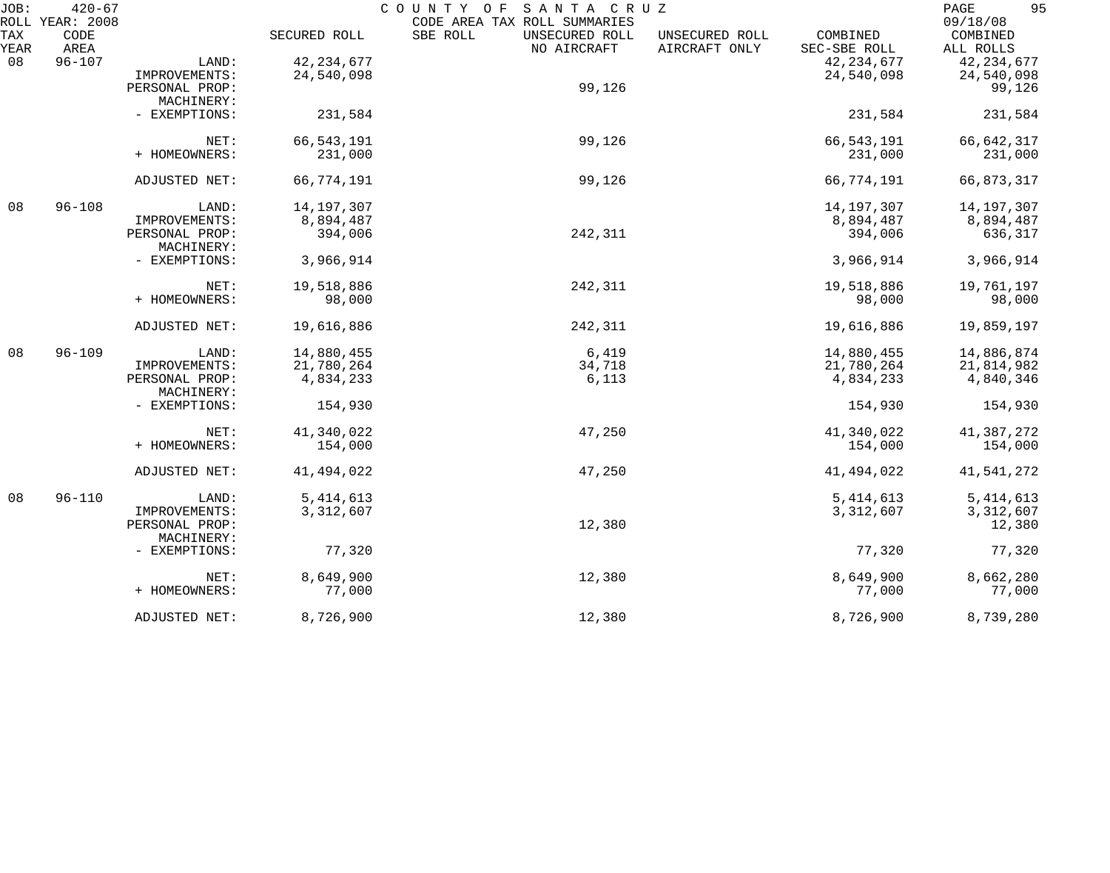| JOB:        | $420 - 67$                      |                              |              | COUNTY OF<br>SANTA CRUZ                                                   |                                 |                          | 95<br>PAGE<br>09/18/08 |
|-------------|---------------------------------|------------------------------|--------------|---------------------------------------------------------------------------|---------------------------------|--------------------------|------------------------|
| TAX<br>YEAR | ROLL YEAR: 2008<br>CODE<br>AREA |                              | SECURED ROLL | CODE AREA TAX ROLL SUMMARIES<br>SBE ROLL<br>UNSECURED ROLL<br>NO AIRCRAFT | UNSECURED ROLL<br>AIRCRAFT ONLY | COMBINED<br>SEC-SBE ROLL | COMBINED<br>ALL ROLLS  |
| 08          | $96 - 107$                      | LAND:                        | 42, 234, 677 |                                                                           |                                 | 42, 234, 677             | 42, 234, 677           |
|             |                                 | IMPROVEMENTS:                | 24,540,098   |                                                                           |                                 | 24,540,098               | 24,540,098             |
|             |                                 | PERSONAL PROP:<br>MACHINERY: |              | 99,126                                                                    |                                 |                          | 99,126                 |
|             |                                 | - EXEMPTIONS:                | 231,584      |                                                                           |                                 | 231,584                  | 231,584                |
|             |                                 | NET:                         | 66, 543, 191 | 99,126                                                                    |                                 | 66, 543, 191             | 66,642,317             |
|             |                                 | + HOMEOWNERS:                | 231,000      |                                                                           |                                 | 231,000                  | 231,000                |
|             |                                 | ADJUSTED NET:                | 66,774,191   | 99,126                                                                    |                                 | 66,774,191               | 66,873,317             |
| 08          | $96 - 108$                      | LAND:                        | 14,197,307   |                                                                           |                                 | 14, 197, 307             | 14, 197, 307           |
|             |                                 | IMPROVEMENTS:                | 8,894,487    |                                                                           |                                 | 8,894,487                | 8,894,487              |
|             |                                 | PERSONAL PROP:<br>MACHINERY: | 394,006      | 242,311                                                                   |                                 | 394,006                  | 636,317                |
|             |                                 | - EXEMPTIONS:                | 3,966,914    |                                                                           |                                 | 3,966,914                | 3,966,914              |
|             |                                 | NET:                         | 19,518,886   | 242,311                                                                   |                                 | 19,518,886               | 19,761,197             |
|             |                                 | + HOMEOWNERS:                | 98,000       |                                                                           |                                 | 98,000                   | 98,000                 |
|             |                                 | ADJUSTED NET:                | 19,616,886   | 242,311                                                                   |                                 | 19,616,886               | 19,859,197             |
| 08          | $96 - 109$                      | LAND:                        | 14,880,455   | 6,419                                                                     |                                 | 14,880,455               | 14,886,874             |
|             |                                 | IMPROVEMENTS:                | 21,780,264   | 34,718                                                                    |                                 | 21,780,264               | 21,814,982             |
|             |                                 | PERSONAL PROP:<br>MACHINERY: | 4,834,233    | 6,113                                                                     |                                 | 4,834,233                | 4,840,346              |
|             |                                 | - EXEMPTIONS:                | 154,930      |                                                                           |                                 | 154,930                  | 154,930                |
|             |                                 | NET:                         | 41,340,022   | 47,250                                                                    |                                 | 41,340,022               | 41,387,272             |
|             |                                 | + HOMEOWNERS:                | 154,000      |                                                                           |                                 | 154,000                  | 154,000                |
|             |                                 | ADJUSTED NET:                | 41,494,022   | 47,250                                                                    |                                 | 41, 494, 022             | 41,541,272             |
| 08          | $96 - 110$                      | LAND:                        | 5, 414, 613  |                                                                           |                                 | 5, 414, 613              | 5, 414, 613            |
|             |                                 | IMPROVEMENTS:                | 3,312,607    |                                                                           |                                 | 3,312,607                | 3,312,607              |
|             |                                 | PERSONAL PROP:<br>MACHINERY: |              | 12,380                                                                    |                                 |                          | 12,380                 |
|             |                                 | - EXEMPTIONS:                | 77,320       |                                                                           |                                 | 77,320                   | 77,320                 |
|             |                                 | NET:                         | 8,649,900    | 12,380                                                                    |                                 | 8,649,900                | 8,662,280              |
|             |                                 | + HOMEOWNERS:                | 77,000       |                                                                           |                                 | 77,000                   | 77,000                 |
|             |                                 | ADJUSTED NET:                | 8,726,900    | 12,380                                                                    |                                 | 8,726,900                | 8,739,280              |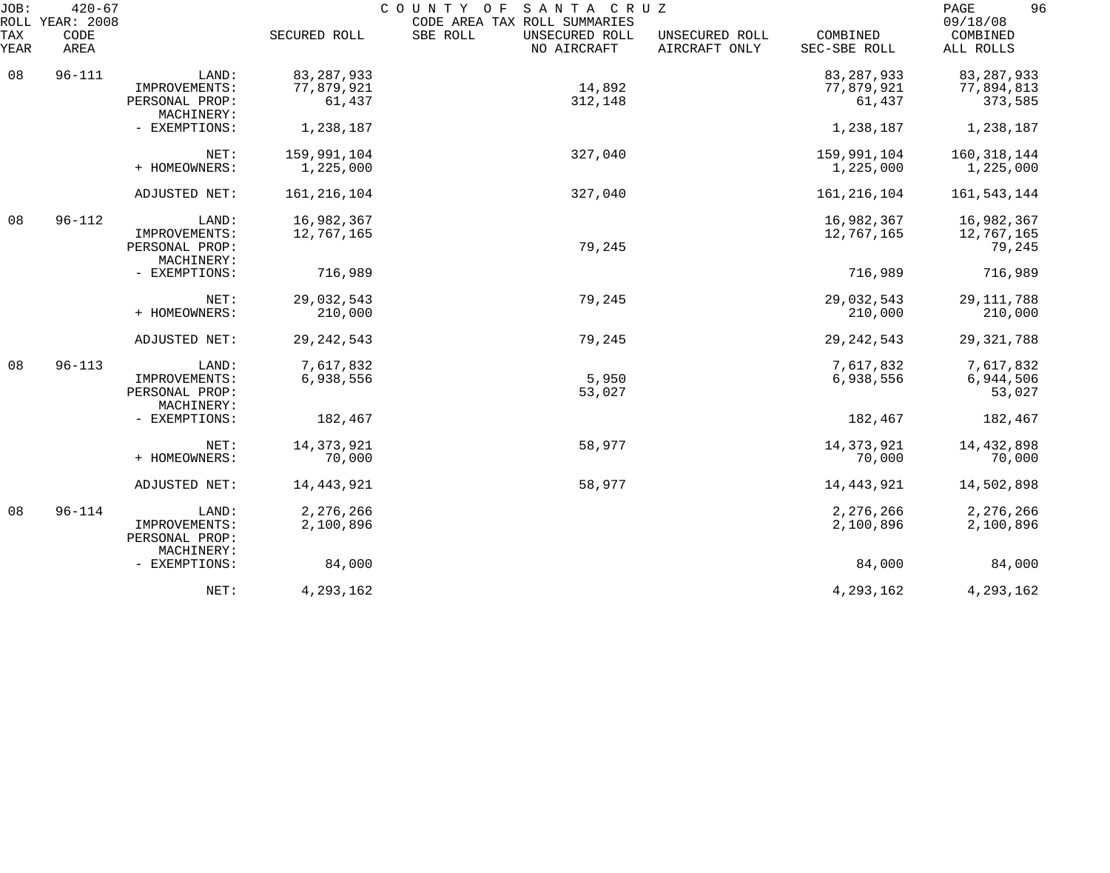| JOB:<br>ROLL | $420 - 67$<br>YEAR: 2008 |                              |               | SANTA CRUZ<br>COUNTY OF<br>CODE AREA TAX ROLL SUMMARIES |                                 |                          | 96<br>PAGE<br>09/18/08 |
|--------------|--------------------------|------------------------------|---------------|---------------------------------------------------------|---------------------------------|--------------------------|------------------------|
| TAX<br>YEAR  | CODE<br>AREA             |                              | SECURED ROLL  | SBE ROLL<br>UNSECURED ROLL<br>NO AIRCRAFT               | UNSECURED ROLL<br>AIRCRAFT ONLY | COMBINED<br>SEC-SBE ROLL | COMBINED<br>ALL ROLLS  |
| 08           | $96 - 111$               | LAND:                        | 83, 287, 933  |                                                         |                                 | 83, 287, 933             | 83, 287, 933           |
|              |                          | IMPROVEMENTS:                | 77,879,921    | 14,892                                                  |                                 | 77,879,921               | 77,894,813             |
|              |                          | PERSONAL PROP:<br>MACHINERY: | 61,437        | 312,148                                                 |                                 | 61,437                   | 373,585                |
|              |                          | - EXEMPTIONS:                | 1,238,187     |                                                         |                                 | 1,238,187                | 1,238,187              |
|              |                          | NET:                         | 159,991,104   | 327,040                                                 |                                 | 159,991,104              | 160, 318, 144          |
|              |                          | + HOMEOWNERS:                | 1,225,000     |                                                         |                                 | 1,225,000                | 1,225,000              |
|              |                          | ADJUSTED NET:                | 161, 216, 104 | 327,040                                                 |                                 | 161, 216, 104            | 161,543,144            |
| 08           | $96 - 112$               | LAND:                        | 16,982,367    |                                                         |                                 | 16,982,367               | 16,982,367             |
|              |                          | IMPROVEMENTS:                | 12,767,165    |                                                         |                                 | 12,767,165               | 12,767,165             |
|              |                          | PERSONAL PROP:               |               | 79,245                                                  |                                 |                          | 79,245                 |
|              |                          | MACHINERY:<br>- EXEMPTIONS:  | 716,989       |                                                         |                                 | 716,989                  | 716,989                |
|              |                          |                              |               |                                                         |                                 |                          |                        |
|              |                          | NET:                         | 29,032,543    | 79,245                                                  |                                 | 29,032,543               | 29, 111, 788           |
|              |                          | + HOMEOWNERS:                | 210,000       |                                                         |                                 | 210,000                  | 210,000                |
|              |                          | ADJUSTED NET:                | 29, 242, 543  | 79,245                                                  |                                 | 29, 242, 543             | 29, 321, 788           |
| 08           | $96 - 113$               | LAND:                        | 7,617,832     |                                                         |                                 | 7,617,832                | 7,617,832              |
|              |                          | IMPROVEMENTS:                | 6,938,556     | 5,950                                                   |                                 | 6,938,556                | 6,944,506              |
|              |                          | PERSONAL PROP:               |               | 53,027                                                  |                                 |                          | 53,027                 |
|              |                          | MACHINERY:                   |               |                                                         |                                 |                          |                        |
|              |                          | - EXEMPTIONS:                | 182,467       |                                                         |                                 | 182,467                  | 182,467                |
|              |                          | NET:                         | 14, 373, 921  | 58,977                                                  |                                 | 14, 373, 921             | 14, 432, 898           |
|              |                          | + HOMEOWNERS:                | 70,000        |                                                         |                                 | 70,000                   | 70,000                 |
|              |                          | ADJUSTED NET:                | 14, 443, 921  | 58,977                                                  |                                 | 14, 443, 921             | 14,502,898             |
| 08           | $96 - 114$               | LAND:                        | 2,276,266     |                                                         |                                 | 2,276,266                | 2,276,266              |
|              |                          | IMPROVEMENTS:                | 2,100,896     |                                                         |                                 | 2,100,896                | 2,100,896              |
|              |                          | PERSONAL PROP:               |               |                                                         |                                 |                          |                        |
|              |                          | MACHINERY:<br>- EXEMPTIONS:  | 84,000        |                                                         |                                 | 84,000                   | 84,000                 |
|              |                          |                              |               |                                                         |                                 |                          |                        |
|              |                          | NET:                         | 4,293,162     |                                                         |                                 | 4, 293, 162              | 4, 293, 162            |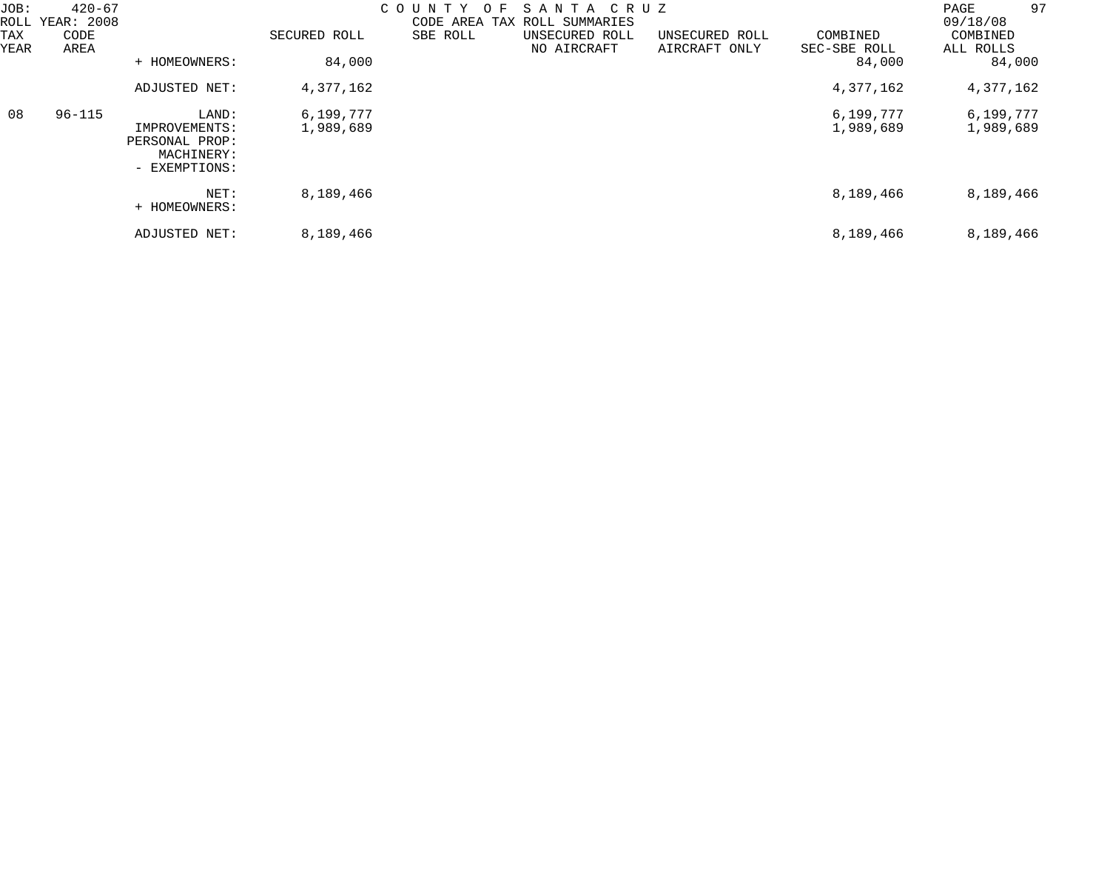| JOB:<br>ROLL<br>TAX<br>YEAR | $420 - 67$<br>YEAR: 2008<br>CODE<br>AREA | + HOMEOWNERS:                                                           | SECURED ROLL<br>84,000 | COUNTY<br>ΟF<br>SBE ROLL | SANTA CRUZ<br>CODE AREA TAX ROLL SUMMARIES<br>UNSECURED ROLL<br>NO AIRCRAFT | UNSECURED ROLL<br>AIRCRAFT ONLY | COMBINED<br>SEC-SBE ROLL<br>84,000 | 97<br>PAGE<br>09/18/08<br>COMBINED<br>ALL ROLLS<br>84,000 |
|-----------------------------|------------------------------------------|-------------------------------------------------------------------------|------------------------|--------------------------|-----------------------------------------------------------------------------|---------------------------------|------------------------------------|-----------------------------------------------------------|
|                             |                                          | ADJUSTED NET:                                                           | 4,377,162              |                          |                                                                             |                                 | 4,377,162                          | 4,377,162                                                 |
| 08                          | $96 - 115$                               | LAND:<br>IMPROVEMENTS:<br>PERSONAL PROP:<br>MACHINERY:<br>- EXEMPTIONS: | 6,199,777<br>1,989,689 |                          |                                                                             |                                 | 6,199,777<br>1,989,689             | 6,199,777<br>1,989,689                                    |
|                             |                                          | NET:<br>+ HOMEOWNERS:                                                   | 8,189,466              |                          |                                                                             |                                 | 8,189,466                          | 8,189,466                                                 |
|                             |                                          | ADJUSTED NET:                                                           | 8,189,466              |                          |                                                                             |                                 | 8,189,466                          | 8,189,466                                                 |